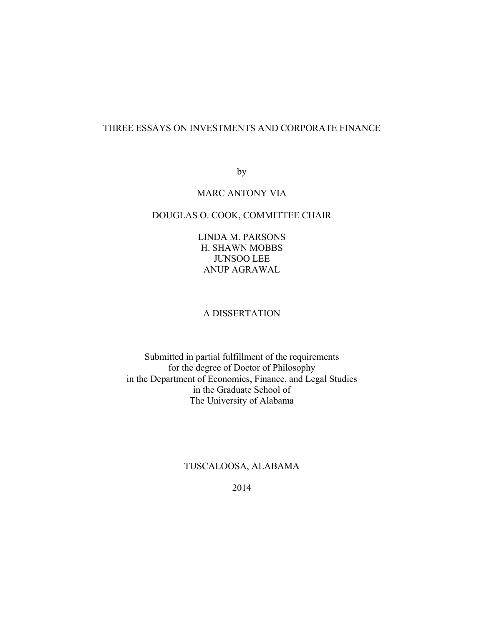# THREE ESSAYS ON INVESTMENTS AND CORPORATE FINANCE

by

## MARC ANTONY VIA

# DOUGLAS O. COOK, COMMITTEE CHAIR

LINDA M. PARSONS H. SHAWN MOBBS JUNSOO LEE ANUP AGRAWAL

## A DISSERTATION

Submitted in partial fulfillment of the requirements for the degree of Doctor of Philosophy in the Department of Economics, Finance, and Legal Studies in the Graduate School of The University of Alabama

## TUSCALOOSA, ALABAMA

2014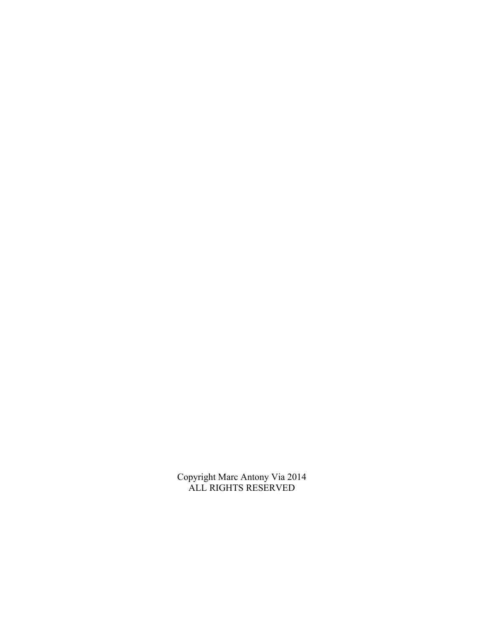Copyright Marc Antony Via 2014 ALL RIGHTS RESERVED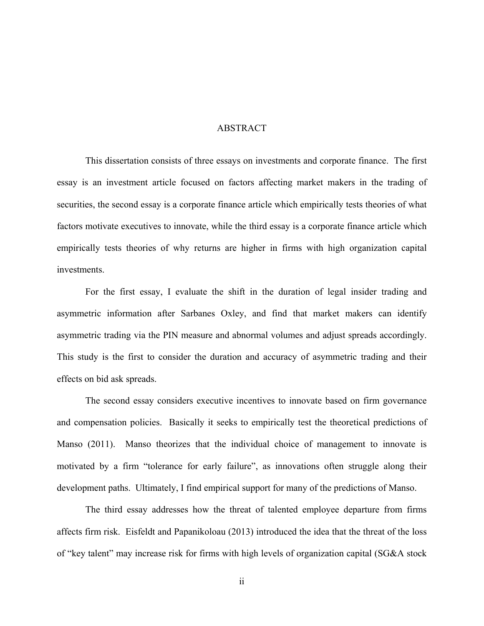### ABSTRACT

This dissertation consists of three essays on investments and corporate finance. The first essay is an investment article focused on factors affecting market makers in the trading of securities, the second essay is a corporate finance article which empirically tests theories of what factors motivate executives to innovate, while the third essay is a corporate finance article which empirically tests theories of why returns are higher in firms with high organization capital investments.

For the first essay, I evaluate the shift in the duration of legal insider trading and asymmetric information after Sarbanes Oxley, and find that market makers can identify asymmetric trading via the PIN measure and abnormal volumes and adjust spreads accordingly. This study is the first to consider the duration and accuracy of asymmetric trading and their effects on bid ask spreads.

The second essay considers executive incentives to innovate based on firm governance and compensation policies. Basically it seeks to empirically test the theoretical predictions of Manso (2011). Manso theorizes that the individual choice of management to innovate is motivated by a firm "tolerance for early failure", as innovations often struggle along their development paths. Ultimately, I find empirical support for many of the predictions of Manso.

The third essay addresses how the threat of talented employee departure from firms affects firm risk. Eisfeldt and Papanikoloau (2013) introduced the idea that the threat of the loss of "key talent" may increase risk for firms with high levels of organization capital (SG&A stock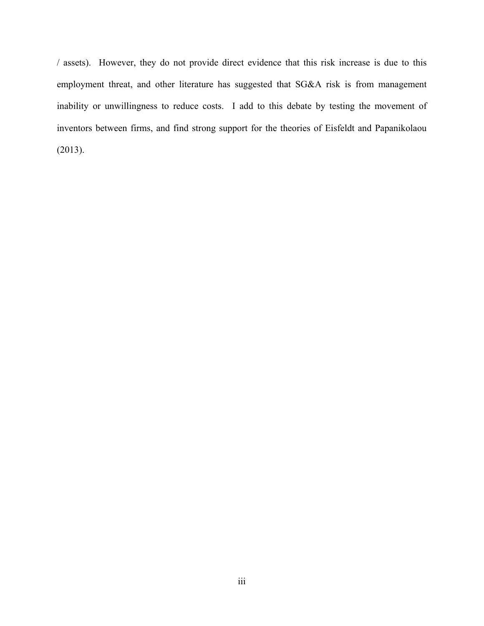/ assets). However, they do not provide direct evidence that this risk increase is due to this employment threat, and other literature has suggested that SG&A risk is from management inability or unwillingness to reduce costs. I add to this debate by testing the movement of inventors between firms, and find strong support for the theories of Eisfeldt and Papanikolaou (2013).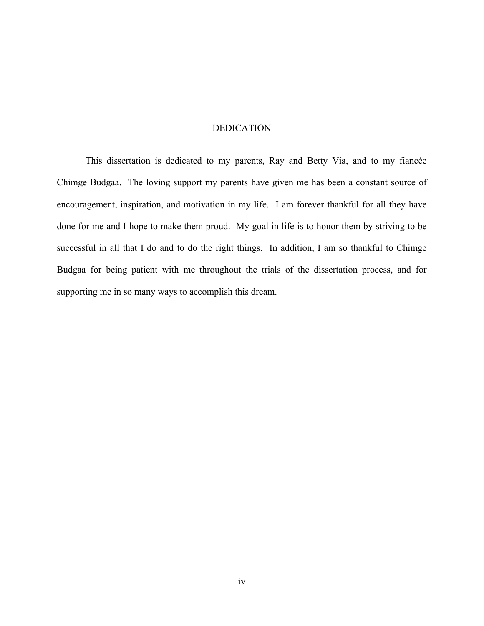## DEDICATION

This dissertation is dedicated to my parents, Ray and Betty Via, and to my fiancée Chimge Budgaa. The loving support my parents have given me has been a constant source of encouragement, inspiration, and motivation in my life. I am forever thankful for all they have done for me and I hope to make them proud. My goal in life is to honor them by striving to be successful in all that I do and to do the right things. In addition, I am so thankful to Chimge Budgaa for being patient with me throughout the trials of the dissertation process, and for supporting me in so many ways to accomplish this dream.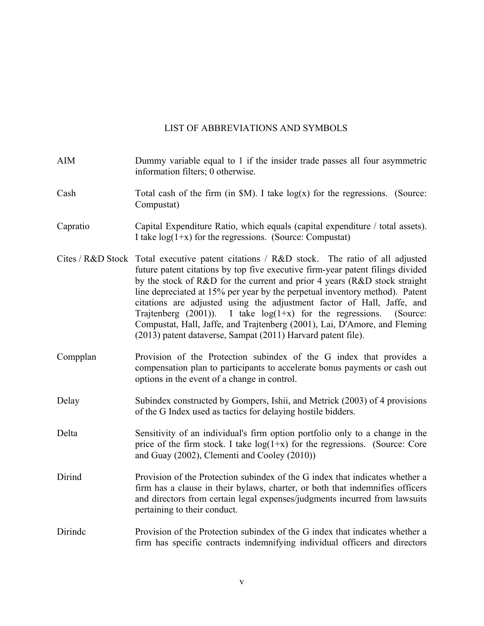### LIST OF ABBREVIATIONS AND SYMBOLS

- AIM Dummy variable equal to 1 if the insider trade passes all four asymmetric information filters; 0 otherwise.
- Cash Total cash of the firm (in  $M$ ). I take  $log(x)$  for the regressions. (Source: Compustat)
- Capratio Capital Expenditure Ratio, which equals (capital expenditure / total assets). I take  $log(1+x)$  for the regressions. (Source: Compustat)
- Cites / R&D Stock Total executive patent citations / R&D stock. The ratio of all adjusted future patent citations by top five executive firm-year patent filings divided by the stock of R&D for the current and prior 4 years (R&D stock straight line depreciated at 15% per year by the perpetual inventory method). Patent citations are adjusted using the adjustment factor of Hall, Jaffe, and Trajtenberg  $(2001)$ ). I take  $log(1+x)$  for the regressions. (Source: Compustat, Hall, Jaffe, and Trajtenberg (2001), Lai, D'Amore, and Fleming (2013) patent dataverse, Sampat (2011) Harvard patent file).
- Compplan Provision of the Protection subindex of the G index that provides a compensation plan to participants to accelerate bonus payments or cash out options in the event of a change in control.
- Delay Subindex constructed by Gompers, Ishii, and Metrick (2003) of 4 provisions of the G Index used as tactics for delaying hostile bidders.
- Delta Sensitivity of an individual's firm option portfolio only to a change in the price of the firm stock. I take  $log(1+x)$  for the regressions. (Source: Core and Guay (2002), Clementi and Cooley (2010))
- Dirind Provision of the Protection subindex of the G index that indicates whether a firm has a clause in their bylaws, charter, or both that indemnifies officers and directors from certain legal expenses/judgments incurred from lawsuits pertaining to their conduct.
- Dirindc Provision of the Protection subindex of the G index that indicates whether a firm has specific contracts indemnifying individual officers and directors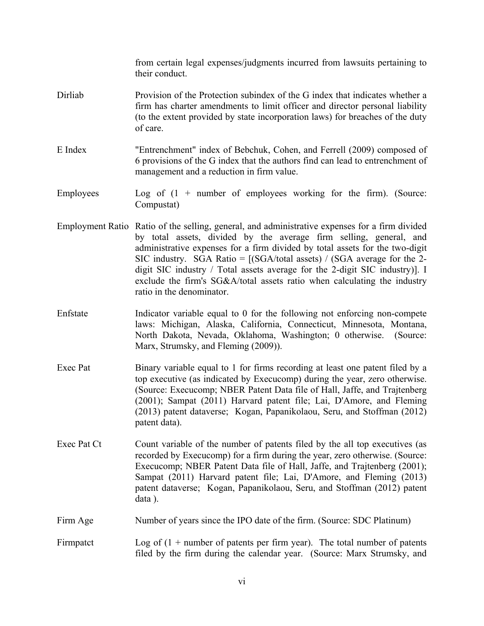from certain legal expenses/judgments incurred from lawsuits pertaining to their conduct.

- Dirliab Provision of the Protection subindex of the G index that indicates whether a firm has charter amendments to limit officer and director personal liability (to the extent provided by state incorporation laws) for breaches of the duty of care.
- E Index "Entrenchment" index of Bebchuk, Cohen, and Ferrell (2009) composed of 6 provisions of the G index that the authors find can lead to entrenchment of management and a reduction in firm value.
- Employees Log of  $(1 +$  number of employees working for the firm). (Source: Compustat)
- Employment Ratio Ratio of the selling, general, and administrative expenses for a firm divided by total assets, divided by the average firm selling, general, and administrative expenses for a firm divided by total assets for the two-digit SIC industry. SGA Ratio =  $[(SGA/total assets) / (SGA average for the 2$ digit SIC industry / Total assets average for the 2-digit SIC industry)]. I exclude the firm's SG&A/total assets ratio when calculating the industry ratio in the denominator.
- Enfstate Indicator variable equal to 0 for the following not enforcing non-compete laws: Michigan, Alaska, California, Connecticut, Minnesota, Montana, North Dakota, Nevada, Oklahoma, Washington; 0 otherwise. (Source: Marx, Strumsky, and Fleming (2009)).
- Exec Pat Binary variable equal to 1 for firms recording at least one patent filed by a top executive (as indicated by Execucomp) during the year, zero otherwise. (Source: Execucomp; NBER Patent Data file of Hall, Jaffe, and Trajtenberg (2001); Sampat (2011) Harvard patent file; Lai, D'Amore, and Fleming (2013) patent dataverse; Kogan, Papanikolaou, Seru, and Stoffman (2012) patent data).
- Exec Pat Ct Count variable of the number of patents filed by the all top executives (as recorded by Execucomp) for a firm during the year, zero otherwise. (Source: Execucomp; NBER Patent Data file of Hall, Jaffe, and Trajtenberg (2001); Sampat (2011) Harvard patent file; Lai, D'Amore, and Fleming (2013) patent dataverse; Kogan, Papanikolaou, Seru, and Stoffman (2012) patent data ).
- Firm Age Number of years since the IPO date of the firm. (Source: SDC Platinum)
- Firmpatct  $\log$  of  $(1 +$  number of patents per firm year). The total number of patents filed by the firm during the calendar year. (Source: Marx Strumsky, and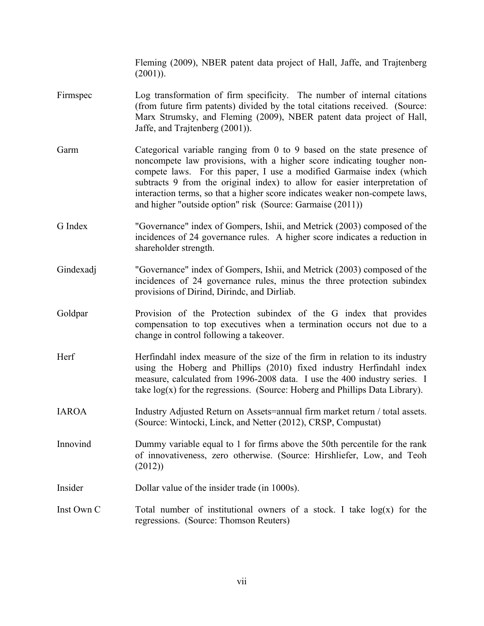Fleming (2009), NBER patent data project of Hall, Jaffe, and Trajtenberg  $(2001)$ ).

- Firmspec Log transformation of firm specificity. The number of internal citations (from future firm patents) divided by the total citations received. (Source: Marx Strumsky, and Fleming (2009), NBER patent data project of Hall, Jaffe, and Trajtenberg (2001)).
- Garm Categorical variable ranging from 0 to 9 based on the state presence of noncompete law provisions, with a higher score indicating tougher noncompete laws. For this paper, I use a modified Garmaise index (which subtracts 9 from the original index) to allow for easier interpretation of interaction terms, so that a higher score indicates weaker non-compete laws, and higher "outside option" risk (Source: Garmaise (2011))
- G Index "Governance" index of Gompers, Ishii, and Metrick (2003) composed of the incidences of 24 governance rules. A higher score indicates a reduction in shareholder strength.
- Gindexadj "Governance" index of Gompers, Ishii, and Metrick (2003) composed of the incidences of 24 governance rules, minus the three protection subindex provisions of Dirind, Dirindc, and Dirliab.
- Goldpar **Provision of the Protection subindex of the G index that provides** compensation to top executives when a termination occurs not due to a change in control following a takeover.
- Herf Herfindahl index measure of the size of the firm in relation to its industry using the Hoberg and Phillips (2010) fixed industry Herfindahl index measure, calculated from 1996-2008 data. I use the 400 industry series. I take  $log(x)$  for the regressions. (Source: Hoberg and Phillips Data Library).
- IAROA Industry Adjusted Return on Assets=annual firm market return / total assets. (Source: Wintocki, Linck, and Netter (2012), CRSP, Compustat)

Innovind Dummy variable equal to 1 for firms above the 50th percentile for the rank of innovativeness, zero otherwise. (Source: Hirshliefer, Low, and Teoh (2012))

- Insider Dollar value of the insider trade (in 1000s).
- Inst Own C Total number of institutional owners of a stock. I take  $log(x)$  for the regressions. (Source: Thomson Reuters)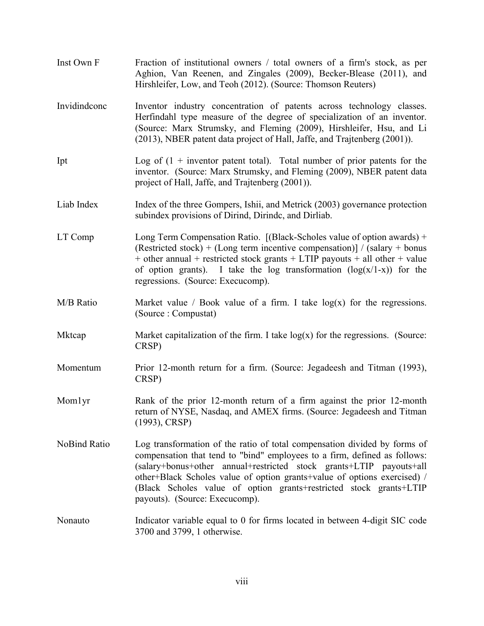| Inst Own F   | Fraction of institutional owners / total owners of a firm's stock, as per<br>Aghion, Van Reenen, and Zingales (2009), Becker-Blease (2011), and<br>Hirshleifer, Low, and Teoh (2012). (Source: Thomson Reuters)                                                                                                                                                                                                   |
|--------------|-------------------------------------------------------------------------------------------------------------------------------------------------------------------------------------------------------------------------------------------------------------------------------------------------------------------------------------------------------------------------------------------------------------------|
| Invidindconc | Inventor industry concentration of patents across technology classes.<br>Herfindahl type measure of the degree of specialization of an inventor.<br>(Source: Marx Strumsky, and Fleming (2009), Hirshleifer, Hsu, and Li<br>(2013), NBER patent data project of Hall, Jaffe, and Trajtenberg (2001)).                                                                                                             |
| Ipt          | Log of $(1 +$ inventor patent total). Total number of prior patents for the<br>inventor. (Source: Marx Strumsky, and Fleming (2009), NBER patent data<br>project of Hall, Jaffe, and Trajtenberg (2001)).                                                                                                                                                                                                         |
| Liab Index   | Index of the three Gompers, Ishii, and Metrick (2003) governance protection<br>subindex provisions of Dirind, Dirinde, and Dirliab.                                                                                                                                                                                                                                                                               |
| LT Comp      | Long Term Compensation Ratio. [(Black-Scholes value of option awards) +<br>(Restricted stock) + (Long term incentive compensation)] / (salary + bonus<br>$+$ other annual $+$ restricted stock grants $+$ LTIP payouts $+$ all other $+$ value<br>of option grants). I take the log transformation $(log(x/1-x))$ for the<br>regressions. (Source: Execucomp).                                                    |
| M/B Ratio    | Market value / Book value of a firm. I take $log(x)$ for the regressions.<br>(Source: Compustat)                                                                                                                                                                                                                                                                                                                  |
| Mktcap       | Market capitalization of the firm. I take $log(x)$ for the regressions. (Source:<br>CRSP)                                                                                                                                                                                                                                                                                                                         |
| Momentum     | Prior 12-month return for a firm. (Source: Jegadeesh and Titman (1993),<br>CRSP)                                                                                                                                                                                                                                                                                                                                  |
| Momlyr       | Rank of the prior 12-month return of a firm against the prior 12-month<br>return of NYSE, Nasdaq, and AMEX firms. (Source: Jegadeesh and Titman<br>$(1993)$ , CRSP)                                                                                                                                                                                                                                               |
| NoBind Ratio | Log transformation of the ratio of total compensation divided by forms of<br>compensation that tend to "bind" employees to a firm, defined as follows:<br>(salary+bonus+other annual+restricted stock grants+LTIP payouts+all<br>other+Black Scholes value of option grants+value of options exercised) /<br>(Black Scholes value of option grants+restricted stock grants+LTIP<br>payouts). (Source: Execucomp). |
| Nonauto      | Indicator variable equal to 0 for firms located in between 4-digit SIC code<br>3700 and 3799, 1 otherwise.                                                                                                                                                                                                                                                                                                        |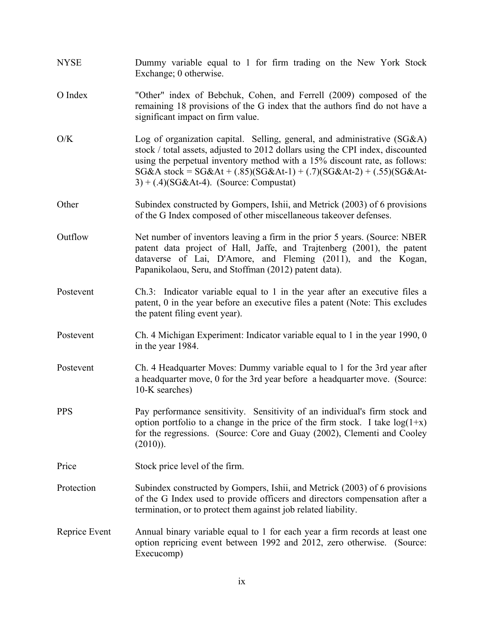- NYSE Dummy variable equal to 1 for firm trading on the New York Stock Exchange; 0 otherwise.
- O Index "Other" index of Bebchuk, Cohen, and Ferrell (2009) composed of the remaining 18 provisions of the G index that the authors find do not have a significant impact on firm value.
- O/K Log of organization capital. Selling, general, and administrative (SG&A) stock / total assets, adjusted to 2012 dollars using the CPI index, discounted using the perpetual inventory method with a 15% discount rate, as follows:  $SG&A$  stock =  $SG&At + (.85)(SG&At-1) + (.7)(SG&At-2) + (.55)(SG&At-2)$  $3) + (.4)(SGAt-4)$ . (Source: Compustat)
- Other Subindex constructed by Gompers, Ishii, and Metrick (2003) of 6 provisions of the G Index composed of other miscellaneous takeover defenses.
- Outflow Net number of inventors leaving a firm in the prior 5 years. (Source: NBER patent data project of Hall, Jaffe, and Trajtenberg (2001), the patent dataverse of Lai, D'Amore, and Fleming (2011), and the Kogan, Papanikolaou, Seru, and Stoffman (2012) patent data).
- Postevent Ch.3: Indicator variable equal to 1 in the year after an executive files a patent, 0 in the year before an executive files a patent (Note: This excludes the patent filing event year).
- Postevent Ch. 4 Michigan Experiment: Indicator variable equal to 1 in the year 1990, 0 in the year 1984.
- Postevent Ch. 4 Headquarter Moves: Dummy variable equal to 1 for the 3rd year after a headquarter move, 0 for the 3rd year before a headquarter move. (Source: 10-K searches)
- PPS Pay performance sensitivity. Sensitivity of an individual's firm stock and option portfolio to a change in the price of the firm stock. I take  $log(1+x)$ for the regressions. (Source: Core and Guay (2002), Clementi and Cooley  $(2010)$ ).
- Price Stock price level of the firm.
- Protection Subindex constructed by Gompers, Ishii, and Metrick (2003) of 6 provisions of the G Index used to provide officers and directors compensation after a termination, or to protect them against job related liability.
- Reprice Event Annual binary variable equal to 1 for each year a firm records at least one option repricing event between 1992 and 2012, zero otherwise. (Source: Execucomp)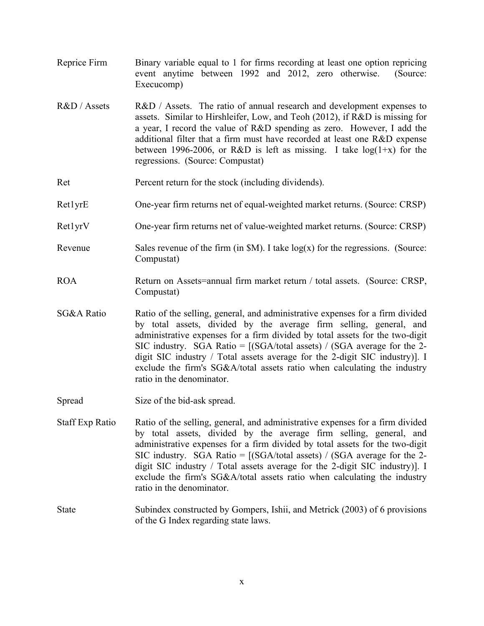- Reprice Firm Binary variable equal to 1 for firms recording at least one option repricing event anytime between 1992 and 2012, zero otherwise. (Source: Execucomp)
- R&D / Assets R&D / Assets. The ratio of annual research and development expenses to assets. Similar to Hirshleifer, Low, and Teoh (2012), if R&D is missing for a year, I record the value of R&D spending as zero. However, I add the additional filter that a firm must have recorded at least one R&D expense between 1996-2006, or R&D is left as missing. I take  $log(1+x)$  for the regressions. (Source: Compustat)
- Ret Percent return for the stock (including dividends).
- Ret1yrE One-year firm returns net of equal-weighted market returns. (Source: CRSP)
- Ret1yrV One-year firm returns net of value-weighted market returns. (Source: CRSP)
- Revenue Sales revenue of the firm  $(in $M)$ . I take  $log(x)$  for the regressions. (Source: Compustat)
- ROA Return on Assets=annual firm market return / total assets. (Source: CRSP, Compustat)
- SG&A Ratio Ratio of the selling, general, and administrative expenses for a firm divided by total assets, divided by the average firm selling, general, and administrative expenses for a firm divided by total assets for the two-digit SIC industry. SGA Ratio =  $[(SGA/total assets) / (SGA average for the 2$ digit SIC industry / Total assets average for the 2-digit SIC industry)]. I exclude the firm's SG&A/total assets ratio when calculating the industry ratio in the denominator.
- Spread Size of the bid-ask spread.
- Staff Exp Ratio Ratio of the selling, general, and administrative expenses for a firm divided by total assets, divided by the average firm selling, general, and administrative expenses for a firm divided by total assets for the two-digit SIC industry. SGA Ratio =  $[(SGA/total assets) / (SGA average for the 2$ digit SIC industry / Total assets average for the 2-digit SIC industry)]. I exclude the firm's SG&A/total assets ratio when calculating the industry ratio in the denominator.
- State Subindex constructed by Gompers, Ishii, and Metrick (2003) of 6 provisions of the G Index regarding state laws.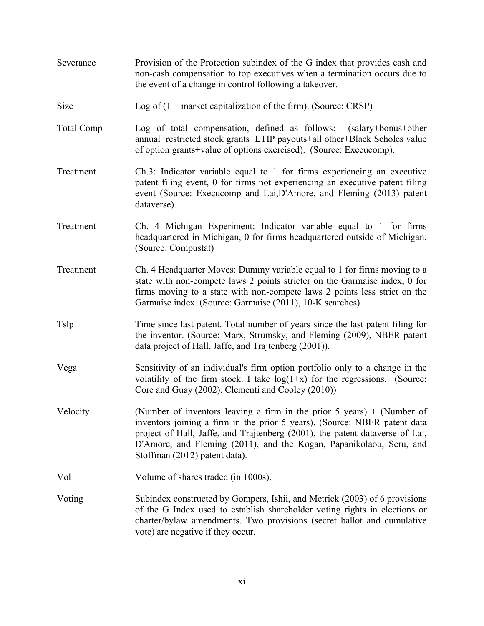| Severance         | Provision of the Protection subindex of the G index that provides cash and<br>non-cash compensation to top executives when a termination occurs due to<br>the event of a change in control following a takeover.                                                                                                                              |
|-------------------|-----------------------------------------------------------------------------------------------------------------------------------------------------------------------------------------------------------------------------------------------------------------------------------------------------------------------------------------------|
| Size              | Log of $(1 +$ market capitalization of the firm). (Source: CRSP)                                                                                                                                                                                                                                                                              |
| <b>Total Comp</b> | Log of total compensation, defined as follows:<br>(salary+bonus+other)<br>annual+restricted stock grants+LTIP payouts+all other+Black Scholes value<br>of option grants+value of options exercised). (Source: Execucomp).                                                                                                                     |
| Treatment         | Ch.3: Indicator variable equal to 1 for firms experiencing an executive<br>patent filing event, 0 for firms not experiencing an executive patent filing<br>event (Source: Execucomp and Lai, D'Amore, and Fleming (2013) patent<br>dataverse).                                                                                                |
| Treatment         | Ch. 4 Michigan Experiment: Indicator variable equal to 1 for firms<br>headquartered in Michigan, 0 for firms headquartered outside of Michigan.<br>(Source: Compustat)                                                                                                                                                                        |
| Treatment         | Ch. 4 Headquarter Moves: Dummy variable equal to 1 for firms moving to a<br>state with non-compete laws 2 points stricter on the Garmaise index, 0 for<br>firms moving to a state with non-compete laws 2 points less strict on the<br>Garmaise index. (Source: Garmaise (2011), 10-K searches)                                               |
| Tslp              | Time since last patent. Total number of years since the last patent filing for<br>the inventor. (Source: Marx, Strumsky, and Fleming (2009), NBER patent<br>data project of Hall, Jaffe, and Trajtenberg (2001)).                                                                                                                             |
| Vega              | Sensitivity of an individual's firm option portfolio only to a change in the<br>volatility of the firm stock. I take $log(1+x)$ for the regressions. (Source:<br>Core and Guay (2002), Clementi and Cooley (2010))                                                                                                                            |
| Velocity          | (Number of inventors leaving a firm in the prior 5 years) $+$ (Number of<br>inventors joining a firm in the prior 5 years). (Source: NBER patent data<br>project of Hall, Jaffe, and Trajtenberg (2001), the patent dataverse of Lai,<br>D'Amore, and Fleming (2011), and the Kogan, Papanikolaou, Seru, and<br>Stoffman (2012) patent data). |
| Vol               | Volume of shares traded (in 1000s).                                                                                                                                                                                                                                                                                                           |
| Voting            | Subindex constructed by Gompers, Ishii, and Metrick (2003) of 6 provisions<br>of the G Index used to establish shareholder voting rights in elections or<br>charter/bylaw amendments. Two provisions (secret ballot and cumulative<br>vote) are negative if they occur.                                                                       |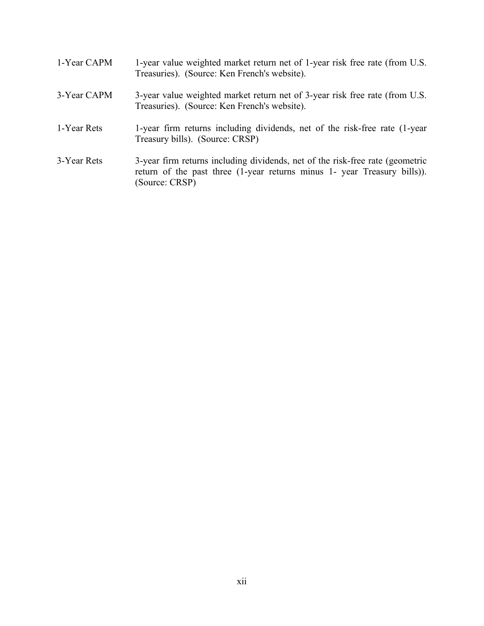| 1-Year CAPM | 1-year value weighted market return net of 1-year risk free rate (from U.S.<br>Treasuries). (Source: Ken French's website).                                                 |
|-------------|-----------------------------------------------------------------------------------------------------------------------------------------------------------------------------|
| 3-Year CAPM | 3-year value weighted market return net of 3-year risk free rate (from U.S.<br>Treasuries). (Source: Ken French's website).                                                 |
| 1-Year Rets | 1-year firm returns including dividends, net of the risk-free rate (1-year)<br>Treasury bills). (Source: CRSP)                                                              |
| 3-Year Rets | 3-year firm returns including dividends, net of the risk-free rate (geometric<br>return of the past three (1-year returns minus 1- year Treasury bills)).<br>(Source: CRSP) |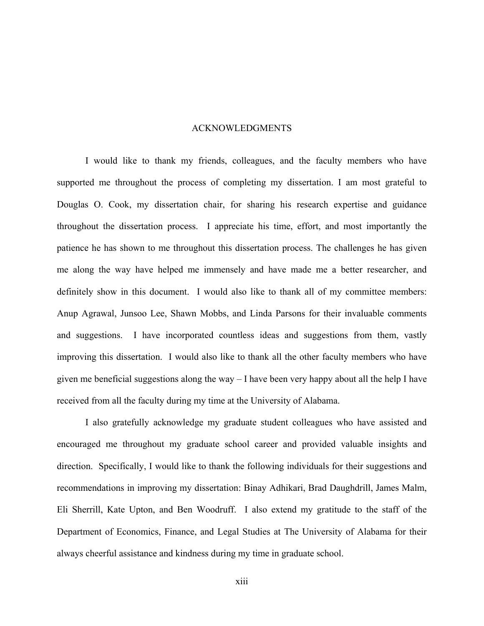### ACKNOWLEDGMENTS

I would like to thank my friends, colleagues, and the faculty members who have supported me throughout the process of completing my dissertation. I am most grateful to Douglas O. Cook, my dissertation chair, for sharing his research expertise and guidance throughout the dissertation process. I appreciate his time, effort, and most importantly the patience he has shown to me throughout this dissertation process. The challenges he has given me along the way have helped me immensely and have made me a better researcher, and definitely show in this document. I would also like to thank all of my committee members: Anup Agrawal, Junsoo Lee, Shawn Mobbs, and Linda Parsons for their invaluable comments and suggestions. I have incorporated countless ideas and suggestions from them, vastly improving this dissertation. I would also like to thank all the other faculty members who have given me beneficial suggestions along the way – I have been very happy about all the help I have received from all the faculty during my time at the University of Alabama.

I also gratefully acknowledge my graduate student colleagues who have assisted and encouraged me throughout my graduate school career and provided valuable insights and direction. Specifically, I would like to thank the following individuals for their suggestions and recommendations in improving my dissertation: Binay Adhikari, Brad Daughdrill, James Malm, Eli Sherrill, Kate Upton, and Ben Woodruff. I also extend my gratitude to the staff of the Department of Economics, Finance, and Legal Studies at The University of Alabama for their always cheerful assistance and kindness during my time in graduate school.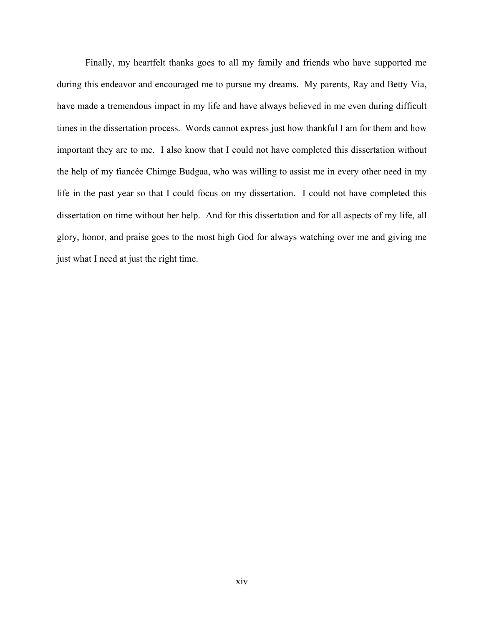Finally, my heartfelt thanks goes to all my family and friends who have supported me during this endeavor and encouraged me to pursue my dreams. My parents, Ray and Betty Via, have made a tremendous impact in my life and have always believed in me even during difficult times in the dissertation process. Words cannot express just how thankful I am for them and how important they are to me. I also know that I could not have completed this dissertation without the help of my fiancée Chimge Budgaa, who was willing to assist me in every other need in my life in the past year so that I could focus on my dissertation. I could not have completed this dissertation on time without her help. And for this dissertation and for all aspects of my life, all glory, honor, and praise goes to the most high God for always watching over me and giving me just what I need at just the right time.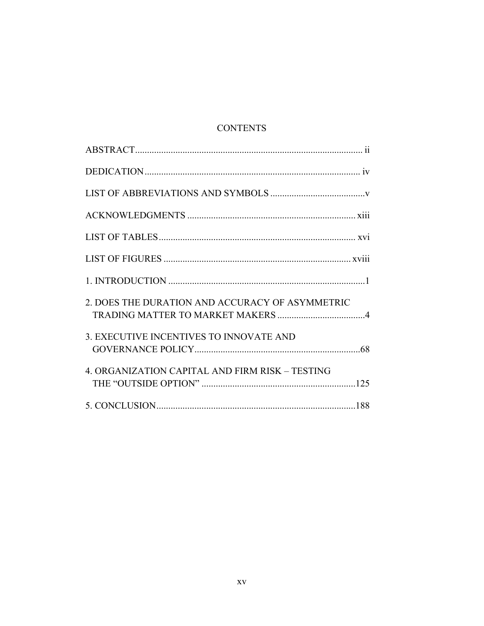# **CONTENTS**

| 2. DOES THE DURATION AND ACCURACY OF ASYMMETRIC |  |
|-------------------------------------------------|--|
| 3. EXECUTIVE INCENTIVES TO INNOVATE AND         |  |
| 4. ORGANIZATION CAPITAL AND FIRM RISK - TESTING |  |
|                                                 |  |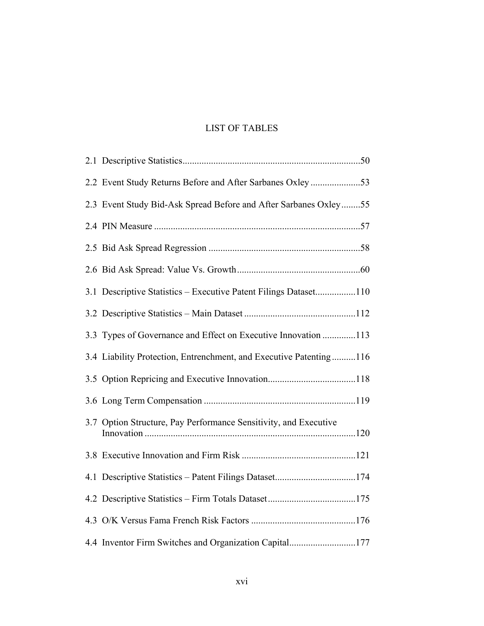# LIST OF TABLES

| 2.2 Event Study Returns Before and After Sarbanes Oxley53          |  |
|--------------------------------------------------------------------|--|
| 2.3 Event Study Bid-Ask Spread Before and After Sarbanes Oxley55   |  |
|                                                                    |  |
|                                                                    |  |
|                                                                    |  |
| 3.1 Descriptive Statistics - Executive Patent Filings Dataset110   |  |
|                                                                    |  |
| 3.3 Types of Governance and Effect on Executive Innovation 113     |  |
| 3.4 Liability Protection, Entrenchment, and Executive Patenting116 |  |
|                                                                    |  |
|                                                                    |  |
| 3.7 Option Structure, Pay Performance Sensitivity, and Executive   |  |
|                                                                    |  |
|                                                                    |  |
|                                                                    |  |
|                                                                    |  |
| 4.4 Inventor Firm Switches and Organization Capital177             |  |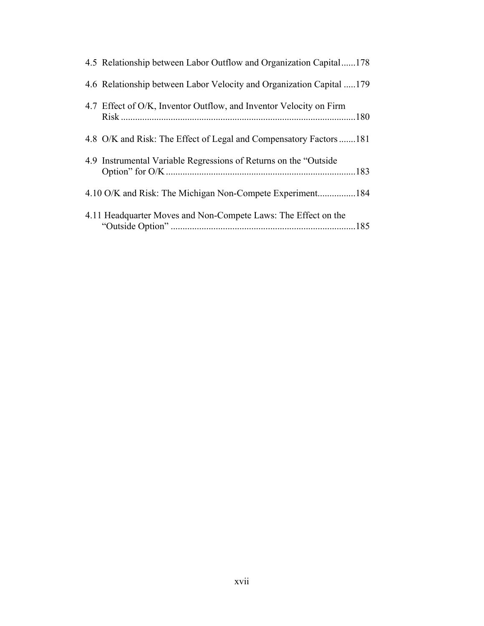| 4.5 Relationship between Labor Outflow and Organization Capital178   |  |
|----------------------------------------------------------------------|--|
| 4.6 Relationship between Labor Velocity and Organization Capital 179 |  |
| 4.7 Effect of O/K, Inventor Outflow, and Inventor Velocity on Firm   |  |
| 4.8 O/K and Risk: The Effect of Legal and Compensatory Factors 181   |  |
| 4.9 Instrumental Variable Regressions of Returns on the "Outside"    |  |
|                                                                      |  |
| 4.11 Headquarter Moves and Non-Compete Laws: The Effect on the       |  |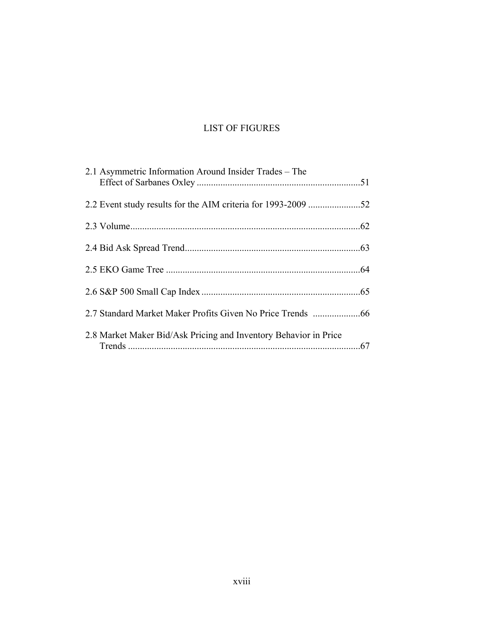# LIST OF FIGURES

| 2.1 Asymmetric Information Around Insider Trades – The           |  |
|------------------------------------------------------------------|--|
|                                                                  |  |
|                                                                  |  |
|                                                                  |  |
|                                                                  |  |
|                                                                  |  |
| 2.7 Standard Market Maker Profits Given No Price Trends 66       |  |
| 2.8 Market Maker Bid/Ask Pricing and Inventory Behavior in Price |  |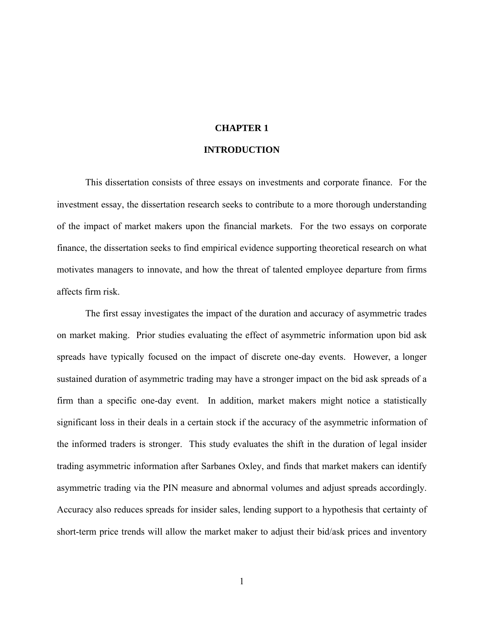### **CHAPTER 1**

## **INTRODUCTION**

This dissertation consists of three essays on investments and corporate finance. For the investment essay, the dissertation research seeks to contribute to a more thorough understanding of the impact of market makers upon the financial markets. For the two essays on corporate finance, the dissertation seeks to find empirical evidence supporting theoretical research on what motivates managers to innovate, and how the threat of talented employee departure from firms affects firm risk.

The first essay investigates the impact of the duration and accuracy of asymmetric trades on market making. Prior studies evaluating the effect of asymmetric information upon bid ask spreads have typically focused on the impact of discrete one-day events. However, a longer sustained duration of asymmetric trading may have a stronger impact on the bid ask spreads of a firm than a specific one-day event. In addition, market makers might notice a statistically significant loss in their deals in a certain stock if the accuracy of the asymmetric information of the informed traders is stronger. This study evaluates the shift in the duration of legal insider trading asymmetric information after Sarbanes Oxley, and finds that market makers can identify asymmetric trading via the PIN measure and abnormal volumes and adjust spreads accordingly. Accuracy also reduces spreads for insider sales, lending support to a hypothesis that certainty of short-term price trends will allow the market maker to adjust their bid/ask prices and inventory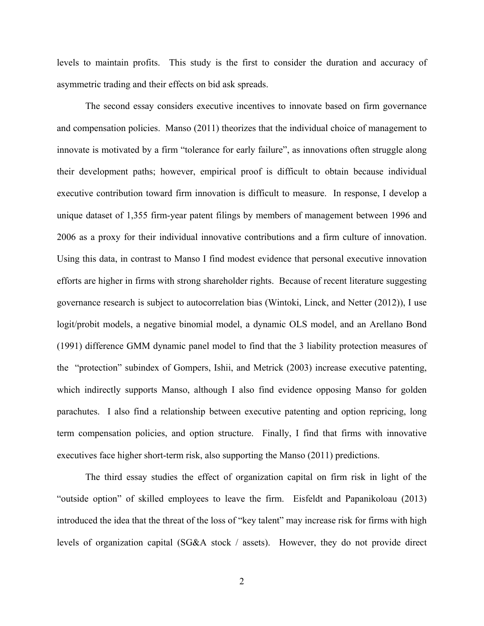levels to maintain profits. This study is the first to consider the duration and accuracy of asymmetric trading and their effects on bid ask spreads.

The second essay considers executive incentives to innovate based on firm governance and compensation policies. Manso (2011) theorizes that the individual choice of management to innovate is motivated by a firm "tolerance for early failure", as innovations often struggle along their development paths; however, empirical proof is difficult to obtain because individual executive contribution toward firm innovation is difficult to measure. In response, I develop a unique dataset of 1,355 firm-year patent filings by members of management between 1996 and 2006 as a proxy for their individual innovative contributions and a firm culture of innovation. Using this data, in contrast to Manso I find modest evidence that personal executive innovation efforts are higher in firms with strong shareholder rights. Because of recent literature suggesting governance research is subject to autocorrelation bias (Wintoki, Linck, and Netter (2012)), I use logit/probit models, a negative binomial model, a dynamic OLS model, and an Arellano Bond (1991) difference GMM dynamic panel model to find that the 3 liability protection measures of the "protection" subindex of Gompers, Ishii, and Metrick (2003) increase executive patenting, which indirectly supports Manso, although I also find evidence opposing Manso for golden parachutes. I also find a relationship between executive patenting and option repricing, long term compensation policies, and option structure. Finally, I find that firms with innovative executives face higher short-term risk, also supporting the Manso (2011) predictions.

The third essay studies the effect of organization capital on firm risk in light of the "outside option" of skilled employees to leave the firm. Eisfeldt and Papanikoloau (2013) introduced the idea that the threat of the loss of "key talent" may increase risk for firms with high levels of organization capital (SG&A stock / assets). However, they do not provide direct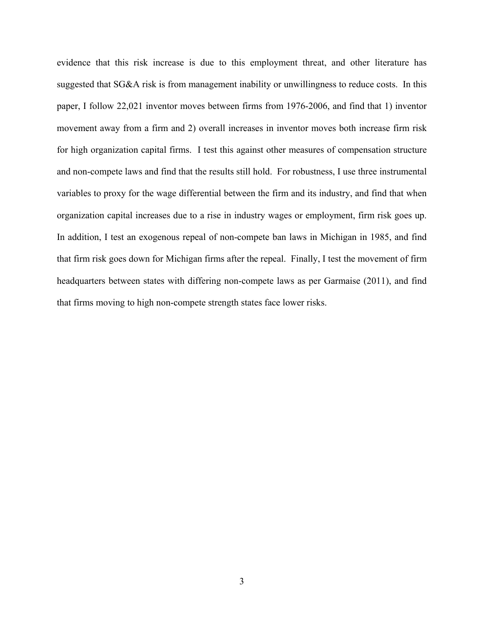evidence that this risk increase is due to this employment threat, and other literature has suggested that SG&A risk is from management inability or unwillingness to reduce costs. In this paper, I follow 22,021 inventor moves between firms from 1976-2006, and find that 1) inventor movement away from a firm and 2) overall increases in inventor moves both increase firm risk for high organization capital firms. I test this against other measures of compensation structure and non-compete laws and find that the results still hold. For robustness, I use three instrumental variables to proxy for the wage differential between the firm and its industry, and find that when organization capital increases due to a rise in industry wages or employment, firm risk goes up. In addition, I test an exogenous repeal of non-compete ban laws in Michigan in 1985, and find that firm risk goes down for Michigan firms after the repeal. Finally, I test the movement of firm headquarters between states with differing non-compete laws as per Garmaise (2011), and find that firms moving to high non-compete strength states face lower risks.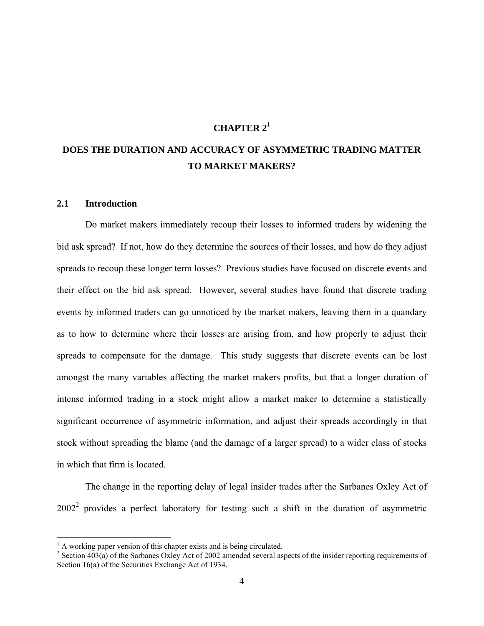# **CHAPTER 21**

# **DOES THE DURATION AND ACCURACY OF ASYMMETRIC TRADING MATTER TO MARKET MAKERS?**

#### **2.1 Introduction**

 $\overline{a}$ 

Do market makers immediately recoup their losses to informed traders by widening the bid ask spread? If not, how do they determine the sources of their losses, and how do they adjust spreads to recoup these longer term losses? Previous studies have focused on discrete events and their effect on the bid ask spread. However, several studies have found that discrete trading events by informed traders can go unnoticed by the market makers, leaving them in a quandary as to how to determine where their losses are arising from, and how properly to adjust their spreads to compensate for the damage. This study suggests that discrete events can be lost amongst the many variables affecting the market makers profits, but that a longer duration of intense informed trading in a stock might allow a market maker to determine a statistically significant occurrence of asymmetric information, and adjust their spreads accordingly in that stock without spreading the blame (and the damage of a larger spread) to a wider class of stocks in which that firm is located.

The change in the reporting delay of legal insider trades after the Sarbanes Oxley Act of  $2002<sup>2</sup>$  provides a perfect laboratory for testing such a shift in the duration of asymmetric

 $<sup>1</sup>$  A working paper version of this chapter exists and is being circulated.</sup>

 $2^2$  Section 403(a) of the Sarbanes Oxley Act of 2002 amended several aspects of the insider reporting requirements of Section 16(a) of the Securities Exchange Act of 1934.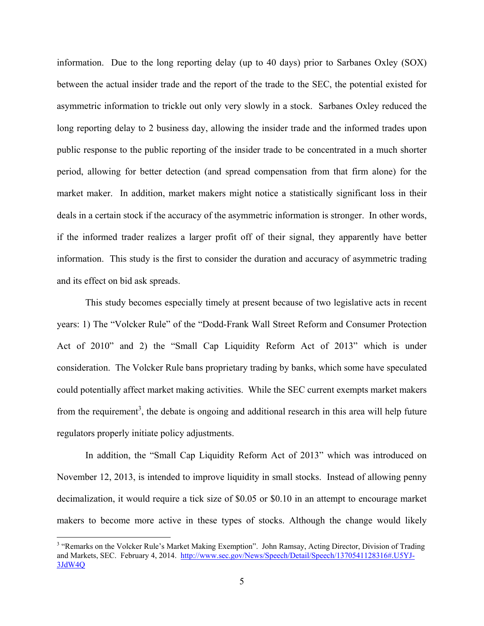information. Due to the long reporting delay (up to 40 days) prior to Sarbanes Oxley (SOX) between the actual insider trade and the report of the trade to the SEC, the potential existed for asymmetric information to trickle out only very slowly in a stock. Sarbanes Oxley reduced the long reporting delay to 2 business day, allowing the insider trade and the informed trades upon public response to the public reporting of the insider trade to be concentrated in a much shorter period, allowing for better detection (and spread compensation from that firm alone) for the market maker. In addition, market makers might notice a statistically significant loss in their deals in a certain stock if the accuracy of the asymmetric information is stronger. In other words, if the informed trader realizes a larger profit off of their signal, they apparently have better information. This study is the first to consider the duration and accuracy of asymmetric trading and its effect on bid ask spreads.

This study becomes especially timely at present because of two legislative acts in recent years: 1) The "Volcker Rule" of the "Dodd-Frank Wall Street Reform and Consumer Protection Act of 2010" and 2) the "Small Cap Liquidity Reform Act of 2013" which is under consideration. The Volcker Rule bans proprietary trading by banks, which some have speculated could potentially affect market making activities. While the SEC current exempts market makers from the requirement<sup>3</sup>, the debate is ongoing and additional research in this area will help future regulators properly initiate policy adjustments.

In addition, the "Small Cap Liquidity Reform Act of 2013" which was introduced on November 12, 2013, is intended to improve liquidity in small stocks. Instead of allowing penny decimalization, it would require a tick size of \$0.05 or \$0.10 in an attempt to encourage market makers to become more active in these types of stocks. Although the change would likely

<sup>&</sup>lt;sup>3</sup> "Remarks on the Volcker Rule's Market Making Exemption". John Ramsay, Acting Director, Division of Trading and Markets, SEC. February 4, 2014. http://www.sec.gov/News/Speech/Detail/Speech/1370541128316#.U5YJ-3JdW4Q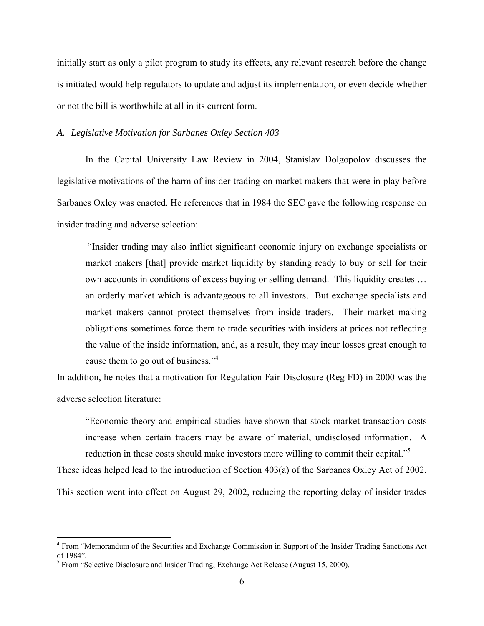initially start as only a pilot program to study its effects, any relevant research before the change is initiated would help regulators to update and adjust its implementation, or even decide whether or not the bill is worthwhile at all in its current form.

### *A. Legislative Motivation for Sarbanes Oxley Section 403*

In the Capital University Law Review in 2004, Stanislav Dolgopolov discusses the legislative motivations of the harm of insider trading on market makers that were in play before Sarbanes Oxley was enacted. He references that in 1984 the SEC gave the following response on insider trading and adverse selection:

 "Insider trading may also inflict significant economic injury on exchange specialists or market makers [that] provide market liquidity by standing ready to buy or sell for their own accounts in conditions of excess buying or selling demand. This liquidity creates … an orderly market which is advantageous to all investors. But exchange specialists and market makers cannot protect themselves from inside traders. Their market making obligations sometimes force them to trade securities with insiders at prices not reflecting the value of the inside information, and, as a result, they may incur losses great enough to cause them to go out of business."<sup>4</sup>

In addition, he notes that a motivation for Regulation Fair Disclosure (Reg FD) in 2000 was the adverse selection literature:

"Economic theory and empirical studies have shown that stock market transaction costs increase when certain traders may be aware of material, undisclosed information. A reduction in these costs should make investors more willing to commit their capital."<sup>5</sup>

These ideas helped lead to the introduction of Section 403(a) of the Sarbanes Oxley Act of 2002.

This section went into effect on August 29, 2002, reducing the reporting delay of insider trades

<sup>&</sup>lt;sup>4</sup> From "Memorandum of the Securities and Exchange Commission in Support of the Insider Trading Sanctions Act of 1984".

 $<sup>5</sup>$  From "Selective Disclosure and Insider Trading, Exchange Act Release (August 15, 2000).</sup>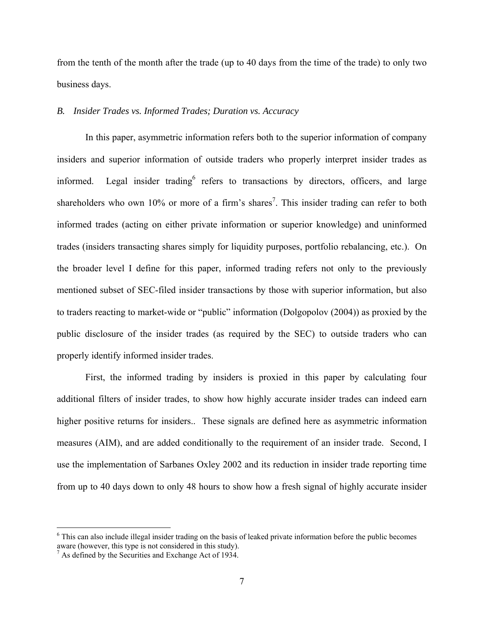from the tenth of the month after the trade (up to 40 days from the time of the trade) to only two business days.

### *B. Insider Trades vs. Informed Trades; Duration vs. Accuracy*

In this paper, asymmetric information refers both to the superior information of company insiders and superior information of outside traders who properly interpret insider trades as informed. Legal insider trading<sup>6</sup> refers to transactions by directors, officers, and large shareholders who own 10% or more of a firm's shares<sup>7</sup>. This insider trading can refer to both informed trades (acting on either private information or superior knowledge) and uninformed trades (insiders transacting shares simply for liquidity purposes, portfolio rebalancing, etc.). On the broader level I define for this paper, informed trading refers not only to the previously mentioned subset of SEC-filed insider transactions by those with superior information, but also to traders reacting to market-wide or "public" information (Dolgopolov (2004)) as proxied by the public disclosure of the insider trades (as required by the SEC) to outside traders who can properly identify informed insider trades.

First, the informed trading by insiders is proxied in this paper by calculating four additional filters of insider trades, to show how highly accurate insider trades can indeed earn higher positive returns for insiders.. These signals are defined here as asymmetric information measures (AIM), and are added conditionally to the requirement of an insider trade. Second, I use the implementation of Sarbanes Oxley 2002 and its reduction in insider trade reporting time from up to 40 days down to only 48 hours to show how a fresh signal of highly accurate insider

<sup>&</sup>lt;sup>6</sup> This can also include illegal insider trading on the basis of leaked private information before the public becomes aware (however, this type is not considered in this study).

 $^7$  As defined by the Securities and Exchange Act of 1934.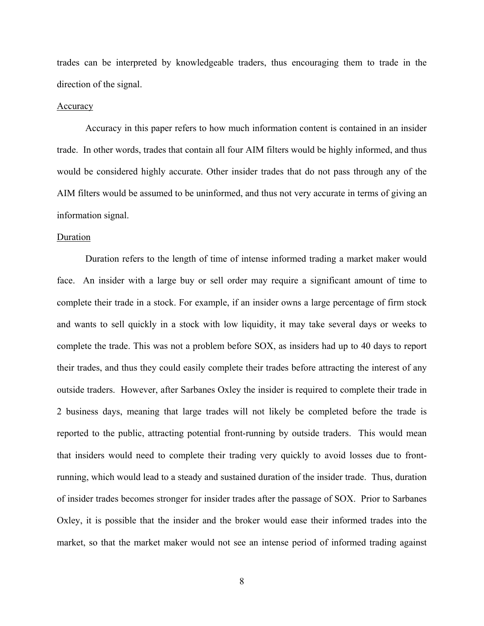trades can be interpreted by knowledgeable traders, thus encouraging them to trade in the direction of the signal.

#### Accuracy

Accuracy in this paper refers to how much information content is contained in an insider trade. In other words, trades that contain all four AIM filters would be highly informed, and thus would be considered highly accurate. Other insider trades that do not pass through any of the AIM filters would be assumed to be uninformed, and thus not very accurate in terms of giving an information signal.

#### Duration

Duration refers to the length of time of intense informed trading a market maker would face. An insider with a large buy or sell order may require a significant amount of time to complete their trade in a stock. For example, if an insider owns a large percentage of firm stock and wants to sell quickly in a stock with low liquidity, it may take several days or weeks to complete the trade. This was not a problem before SOX, as insiders had up to 40 days to report their trades, and thus they could easily complete their trades before attracting the interest of any outside traders. However, after Sarbanes Oxley the insider is required to complete their trade in 2 business days, meaning that large trades will not likely be completed before the trade is reported to the public, attracting potential front-running by outside traders. This would mean that insiders would need to complete their trading very quickly to avoid losses due to frontrunning, which would lead to a steady and sustained duration of the insider trade. Thus, duration of insider trades becomes stronger for insider trades after the passage of SOX. Prior to Sarbanes Oxley, it is possible that the insider and the broker would ease their informed trades into the market, so that the market maker would not see an intense period of informed trading against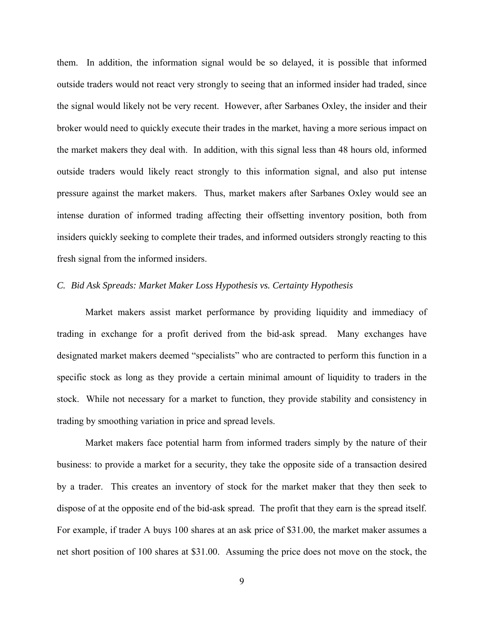them. In addition, the information signal would be so delayed, it is possible that informed outside traders would not react very strongly to seeing that an informed insider had traded, since the signal would likely not be very recent. However, after Sarbanes Oxley, the insider and their broker would need to quickly execute their trades in the market, having a more serious impact on the market makers they deal with. In addition, with this signal less than 48 hours old, informed outside traders would likely react strongly to this information signal, and also put intense pressure against the market makers. Thus, market makers after Sarbanes Oxley would see an intense duration of informed trading affecting their offsetting inventory position, both from insiders quickly seeking to complete their trades, and informed outsiders strongly reacting to this fresh signal from the informed insiders.

### *C. Bid Ask Spreads: Market Maker Loss Hypothesis vs. Certainty Hypothesis*

Market makers assist market performance by providing liquidity and immediacy of trading in exchange for a profit derived from the bid-ask spread. Many exchanges have designated market makers deemed "specialists" who are contracted to perform this function in a specific stock as long as they provide a certain minimal amount of liquidity to traders in the stock. While not necessary for a market to function, they provide stability and consistency in trading by smoothing variation in price and spread levels.

Market makers face potential harm from informed traders simply by the nature of their business: to provide a market for a security, they take the opposite side of a transaction desired by a trader. This creates an inventory of stock for the market maker that they then seek to dispose of at the opposite end of the bid-ask spread. The profit that they earn is the spread itself. For example, if trader A buys 100 shares at an ask price of \$31.00, the market maker assumes a net short position of 100 shares at \$31.00. Assuming the price does not move on the stock, the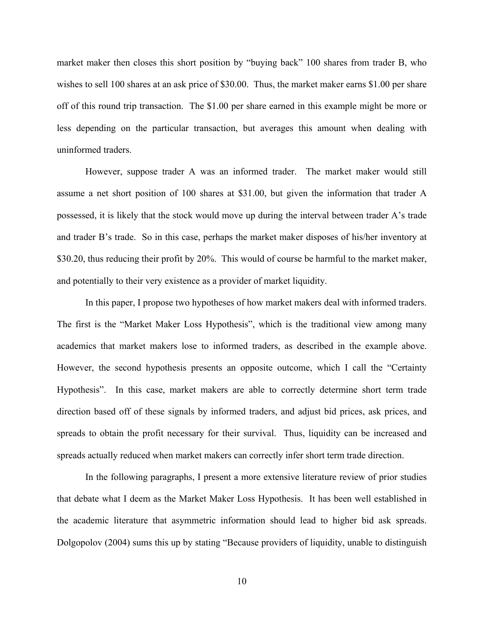market maker then closes this short position by "buying back" 100 shares from trader B, who wishes to sell 100 shares at an ask price of \$30.00. Thus, the market maker earns \$1.00 per share off of this round trip transaction. The \$1.00 per share earned in this example might be more or less depending on the particular transaction, but averages this amount when dealing with uninformed traders.

However, suppose trader A was an informed trader. The market maker would still assume a net short position of 100 shares at \$31.00, but given the information that trader A possessed, it is likely that the stock would move up during the interval between trader A's trade and trader B's trade. So in this case, perhaps the market maker disposes of his/her inventory at \$30.20, thus reducing their profit by 20%. This would of course be harmful to the market maker, and potentially to their very existence as a provider of market liquidity.

In this paper, I propose two hypotheses of how market makers deal with informed traders. The first is the "Market Maker Loss Hypothesis", which is the traditional view among many academics that market makers lose to informed traders, as described in the example above. However, the second hypothesis presents an opposite outcome, which I call the "Certainty Hypothesis". In this case, market makers are able to correctly determine short term trade direction based off of these signals by informed traders, and adjust bid prices, ask prices, and spreads to obtain the profit necessary for their survival. Thus, liquidity can be increased and spreads actually reduced when market makers can correctly infer short term trade direction.

In the following paragraphs, I present a more extensive literature review of prior studies that debate what I deem as the Market Maker Loss Hypothesis. It has been well established in the academic literature that asymmetric information should lead to higher bid ask spreads. Dolgopolov (2004) sums this up by stating "Because providers of liquidity, unable to distinguish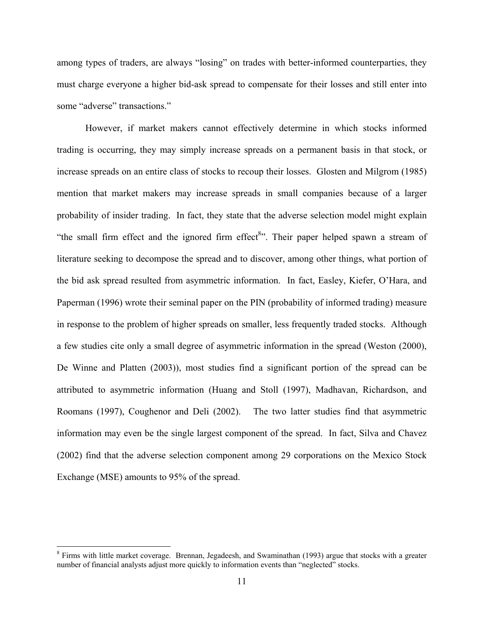among types of traders, are always "losing" on trades with better-informed counterparties, they must charge everyone a higher bid-ask spread to compensate for their losses and still enter into some "adverse" transactions."

However, if market makers cannot effectively determine in which stocks informed trading is occurring, they may simply increase spreads on a permanent basis in that stock, or increase spreads on an entire class of stocks to recoup their losses. Glosten and Milgrom (1985) mention that market makers may increase spreads in small companies because of a larger probability of insider trading. In fact, they state that the adverse selection model might explain "the small firm effect and the ignored firm effect<sup>8</sup>". Their paper helped spawn a stream of literature seeking to decompose the spread and to discover, among other things, what portion of the bid ask spread resulted from asymmetric information. In fact, Easley, Kiefer, O'Hara, and Paperman (1996) wrote their seminal paper on the PIN (probability of informed trading) measure in response to the problem of higher spreads on smaller, less frequently traded stocks. Although a few studies cite only a small degree of asymmetric information in the spread (Weston (2000), De Winne and Platten (2003)), most studies find a significant portion of the spread can be attributed to asymmetric information (Huang and Stoll (1997), Madhavan, Richardson, and Roomans (1997), Coughenor and Deli (2002). The two latter studies find that asymmetric information may even be the single largest component of the spread. In fact, Silva and Chavez (2002) find that the adverse selection component among 29 corporations on the Mexico Stock Exchange (MSE) amounts to 95% of the spread.

<sup>&</sup>lt;sup>8</sup> Firms with little market coverage. Brennan, Jegadeesh, and Swaminathan (1993) argue that stocks with a greater number of financial analysts adjust more quickly to information events than "neglected" stocks.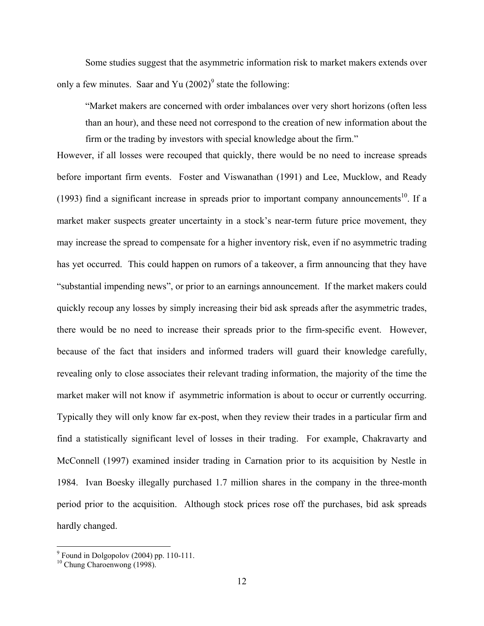Some studies suggest that the asymmetric information risk to market makers extends over only a few minutes. Saar and Yu  $(2002)^9$  state the following:

"Market makers are concerned with order imbalances over very short horizons (often less than an hour), and these need not correspond to the creation of new information about the firm or the trading by investors with special knowledge about the firm."

However, if all losses were recouped that quickly, there would be no need to increase spreads before important firm events. Foster and Viswanathan (1991) and Lee, Mucklow, and Ready (1993) find a significant increase in spreads prior to important company announcements<sup>10</sup>. If a market maker suspects greater uncertainty in a stock's near-term future price movement, they may increase the spread to compensate for a higher inventory risk, even if no asymmetric trading has yet occurred. This could happen on rumors of a takeover, a firm announcing that they have "substantial impending news", or prior to an earnings announcement. If the market makers could quickly recoup any losses by simply increasing their bid ask spreads after the asymmetric trades, there would be no need to increase their spreads prior to the firm-specific event. However, because of the fact that insiders and informed traders will guard their knowledge carefully, revealing only to close associates their relevant trading information, the majority of the time the market maker will not know if asymmetric information is about to occur or currently occurring. Typically they will only know far ex-post, when they review their trades in a particular firm and find a statistically significant level of losses in their trading. For example, Chakravarty and McConnell (1997) examined insider trading in Carnation prior to its acquisition by Nestle in 1984. Ivan Boesky illegally purchased 1.7 million shares in the company in the three-month period prior to the acquisition. Although stock prices rose off the purchases, bid ask spreads hardly changed.

 9 Found in Dolgopolov (2004) pp. 110-111.

<sup>&</sup>lt;sup>10</sup> Chung Charoenwong (1998).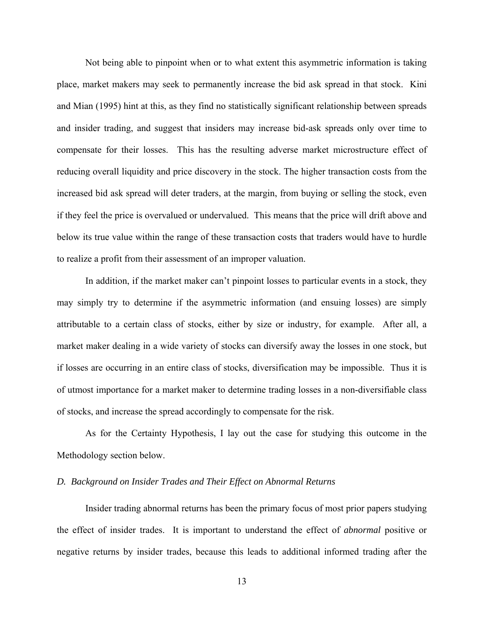Not being able to pinpoint when or to what extent this asymmetric information is taking place, market makers may seek to permanently increase the bid ask spread in that stock. Kini and Mian (1995) hint at this, as they find no statistically significant relationship between spreads and insider trading, and suggest that insiders may increase bid-ask spreads only over time to compensate for their losses. This has the resulting adverse market microstructure effect of reducing overall liquidity and price discovery in the stock. The higher transaction costs from the increased bid ask spread will deter traders, at the margin, from buying or selling the stock, even if they feel the price is overvalued or undervalued. This means that the price will drift above and below its true value within the range of these transaction costs that traders would have to hurdle to realize a profit from their assessment of an improper valuation.

 In addition, if the market maker can't pinpoint losses to particular events in a stock, they may simply try to determine if the asymmetric information (and ensuing losses) are simply attributable to a certain class of stocks, either by size or industry, for example. After all, a market maker dealing in a wide variety of stocks can diversify away the losses in one stock, but if losses are occurring in an entire class of stocks, diversification may be impossible. Thus it is of utmost importance for a market maker to determine trading losses in a non-diversifiable class of stocks, and increase the spread accordingly to compensate for the risk.

 As for the Certainty Hypothesis, I lay out the case for studying this outcome in the Methodology section below.

### *D. Background on Insider Trades and Their Effect on Abnormal Returns*

Insider trading abnormal returns has been the primary focus of most prior papers studying the effect of insider trades. It is important to understand the effect of *abnormal* positive or negative returns by insider trades, because this leads to additional informed trading after the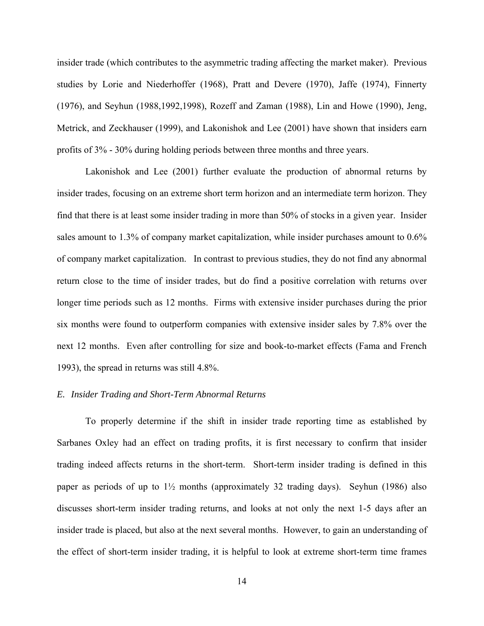insider trade (which contributes to the asymmetric trading affecting the market maker). Previous studies by Lorie and Niederhoffer (1968), Pratt and Devere (1970), Jaffe (1974), Finnerty (1976), and Seyhun (1988,1992,1998), Rozeff and Zaman (1988), Lin and Howe (1990), Jeng, Metrick, and Zeckhauser (1999), and Lakonishok and Lee (2001) have shown that insiders earn profits of 3% - 30% during holding periods between three months and three years.

Lakonishok and Lee (2001) further evaluate the production of abnormal returns by insider trades, focusing on an extreme short term horizon and an intermediate term horizon. They find that there is at least some insider trading in more than 50% of stocks in a given year. Insider sales amount to 1.3% of company market capitalization, while insider purchases amount to 0.6% of company market capitalization. In contrast to previous studies, they do not find any abnormal return close to the time of insider trades, but do find a positive correlation with returns over longer time periods such as 12 months. Firms with extensive insider purchases during the prior six months were found to outperform companies with extensive insider sales by 7.8% over the next 12 months. Even after controlling for size and book-to-market effects (Fama and French 1993), the spread in returns was still 4.8%.

#### *E. Insider Trading and Short-Term Abnormal Returns*

To properly determine if the shift in insider trade reporting time as established by Sarbanes Oxley had an effect on trading profits, it is first necessary to confirm that insider trading indeed affects returns in the short-term. Short-term insider trading is defined in this paper as periods of up to  $1\frac{1}{2}$  months (approximately 32 trading days). Seyhun (1986) also discusses short-term insider trading returns, and looks at not only the next 1-5 days after an insider trade is placed, but also at the next several months. However, to gain an understanding of the effect of short-term insider trading, it is helpful to look at extreme short-term time frames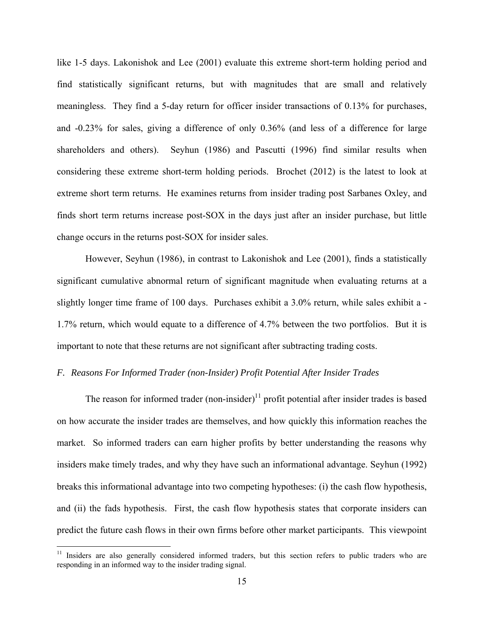like 1-5 days. Lakonishok and Lee (2001) evaluate this extreme short-term holding period and find statistically significant returns, but with magnitudes that are small and relatively meaningless. They find a 5-day return for officer insider transactions of 0.13% for purchases, and -0.23% for sales, giving a difference of only 0.36% (and less of a difference for large shareholders and others). Seyhun (1986) and Pascutti (1996) find similar results when considering these extreme short-term holding periods. Brochet (2012) is the latest to look at extreme short term returns. He examines returns from insider trading post Sarbanes Oxley, and finds short term returns increase post-SOX in the days just after an insider purchase, but little change occurs in the returns post-SOX for insider sales.

However, Seyhun (1986), in contrast to Lakonishok and Lee (2001), finds a statistically significant cumulative abnormal return of significant magnitude when evaluating returns at a slightly longer time frame of 100 days. Purchases exhibit a 3.0% return, while sales exhibit a - 1.7% return, which would equate to a difference of 4.7% between the two portfolios. But it is important to note that these returns are not significant after subtracting trading costs.

### *F. Reasons For Informed Trader (non-Insider) Profit Potential After Insider Trades*

The reason for informed trader  $(non-*inside*)<sup>11</sup>$  profit potential after insider trades is based on how accurate the insider trades are themselves, and how quickly this information reaches the market. So informed traders can earn higher profits by better understanding the reasons why insiders make timely trades, and why they have such an informational advantage. Seyhun (1992) breaks this informational advantage into two competing hypotheses: (i) the cash flow hypothesis, and (ii) the fads hypothesis. First, the cash flow hypothesis states that corporate insiders can predict the future cash flows in their own firms before other market participants. This viewpoint

<sup>&</sup>lt;sup>11</sup> Insiders are also generally considered informed traders, but this section refers to public traders who are responding in an informed way to the insider trading signal.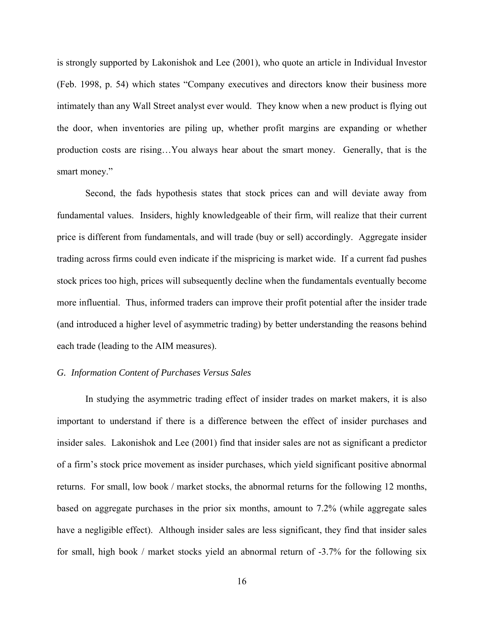is strongly supported by Lakonishok and Lee (2001), who quote an article in Individual Investor (Feb. 1998, p. 54) which states "Company executives and directors know their business more intimately than any Wall Street analyst ever would. They know when a new product is flying out the door, when inventories are piling up, whether profit margins are expanding or whether production costs are rising…You always hear about the smart money. Generally, that is the smart money."

Second, the fads hypothesis states that stock prices can and will deviate away from fundamental values. Insiders, highly knowledgeable of their firm, will realize that their current price is different from fundamentals, and will trade (buy or sell) accordingly. Aggregate insider trading across firms could even indicate if the mispricing is market wide. If a current fad pushes stock prices too high, prices will subsequently decline when the fundamentals eventually become more influential. Thus, informed traders can improve their profit potential after the insider trade (and introduced a higher level of asymmetric trading) by better understanding the reasons behind each trade (leading to the AIM measures).

### *G. Information Content of Purchases Versus Sales*

In studying the asymmetric trading effect of insider trades on market makers, it is also important to understand if there is a difference between the effect of insider purchases and insider sales. Lakonishok and Lee (2001) find that insider sales are not as significant a predictor of a firm's stock price movement as insider purchases, which yield significant positive abnormal returns. For small, low book / market stocks, the abnormal returns for the following 12 months, based on aggregate purchases in the prior six months, amount to 7.2% (while aggregate sales have a negligible effect). Although insider sales are less significant, they find that insider sales for small, high book / market stocks yield an abnormal return of -3.7% for the following six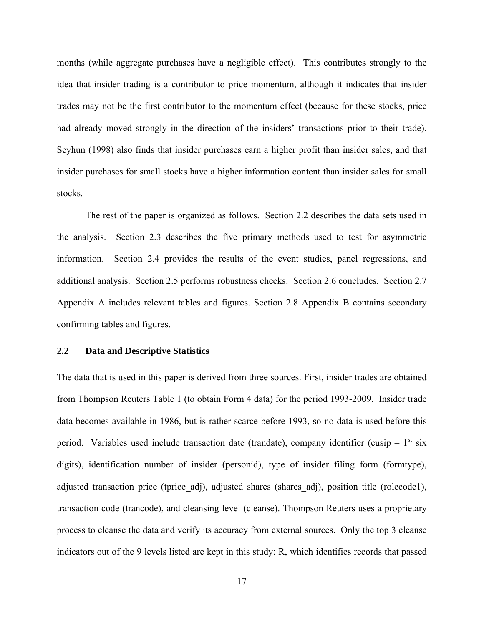months (while aggregate purchases have a negligible effect). This contributes strongly to the idea that insider trading is a contributor to price momentum, although it indicates that insider trades may not be the first contributor to the momentum effect (because for these stocks, price had already moved strongly in the direction of the insiders' transactions prior to their trade). Seyhun (1998) also finds that insider purchases earn a higher profit than insider sales, and that insider purchases for small stocks have a higher information content than insider sales for small stocks.

The rest of the paper is organized as follows. Section 2.2 describes the data sets used in the analysis. Section 2.3 describes the five primary methods used to test for asymmetric information. Section 2.4 provides the results of the event studies, panel regressions, and additional analysis. Section 2.5 performs robustness checks. Section 2.6 concludes. Section 2.7 Appendix A includes relevant tables and figures. Section 2.8 Appendix B contains secondary confirming tables and figures.

### **2.2 Data and Descriptive Statistics**

The data that is used in this paper is derived from three sources. First, insider trades are obtained from Thompson Reuters Table 1 (to obtain Form 4 data) for the period 1993-2009. Insider trade data becomes available in 1986, but is rather scarce before 1993, so no data is used before this period. Variables used include transaction date (trandate), company identifier (cusip  $-1<sup>st</sup>$  six digits), identification number of insider (personid), type of insider filing form (formtype), adjusted transaction price (tprice adj), adjusted shares (shares adj), position title (rolecode1), transaction code (trancode), and cleansing level (cleanse). Thompson Reuters uses a proprietary process to cleanse the data and verify its accuracy from external sources. Only the top 3 cleanse indicators out of the 9 levels listed are kept in this study: R, which identifies records that passed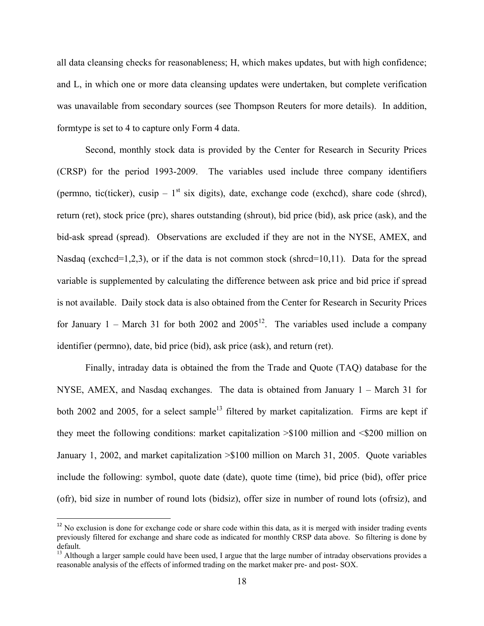all data cleansing checks for reasonableness; H, which makes updates, but with high confidence; and L, in which one or more data cleansing updates were undertaken, but complete verification was unavailable from secondary sources (see Thompson Reuters for more details). In addition, formtype is set to 4 to capture only Form 4 data.

 Second, monthly stock data is provided by the Center for Research in Security Prices (CRSP) for the period 1993-2009. The variables used include three company identifiers (permno, tic(ticker), cusip –  $1<sup>st</sup>$  six digits), date, exchange code (exchcd), share code (shrcd), return (ret), stock price (prc), shares outstanding (shrout), bid price (bid), ask price (ask), and the bid-ask spread (spread). Observations are excluded if they are not in the NYSE, AMEX, and Nasdaq (exchcd=1,2,3), or if the data is not common stock (shrcd=10,11). Data for the spread variable is supplemented by calculating the difference between ask price and bid price if spread is not available. Daily stock data is also obtained from the Center for Research in Security Prices for January 1 – March 31 for both 2002 and 2005<sup>12</sup>. The variables used include a company identifier (permno), date, bid price (bid), ask price (ask), and return (ret).

 Finally, intraday data is obtained the from the Trade and Quote (TAQ) database for the NYSE, AMEX, and Nasdaq exchanges. The data is obtained from January 1 – March 31 for both 2002 and 2005, for a select sample<sup>13</sup> filtered by market capitalization. Firms are kept if they meet the following conditions: market capitalization >\$100 million and <\$200 million on January 1, 2002, and market capitalization >\$100 million on March 31, 2005. Quote variables include the following: symbol, quote date (date), quote time (time), bid price (bid), offer price (ofr), bid size in number of round lots (bidsiz), offer size in number of round lots (ofrsiz), and

1

 $12$  No exclusion is done for exchange code or share code within this data, as it is merged with insider trading events previously filtered for exchange and share code as indicated for monthly CRSP data above. So filtering is done by default.

 $13$  Although a larger sample could have been used, I argue that the large number of intraday observations provides a reasonable analysis of the effects of informed trading on the market maker pre- and post- SOX.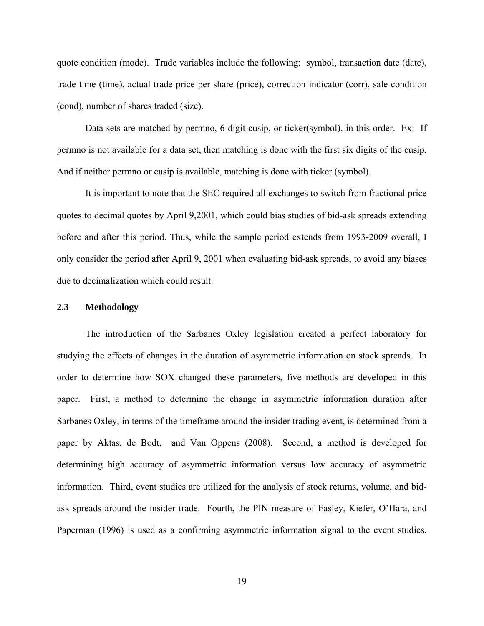quote condition (mode). Trade variables include the following: symbol, transaction date (date), trade time (time), actual trade price per share (price), correction indicator (corr), sale condition (cond), number of shares traded (size).

Data sets are matched by permno, 6-digit cusip, or ticker(symbol), in this order. Ex: If permno is not available for a data set, then matching is done with the first six digits of the cusip. And if neither permno or cusip is available, matching is done with ticker (symbol).

 It is important to note that the SEC required all exchanges to switch from fractional price quotes to decimal quotes by April 9,2001, which could bias studies of bid-ask spreads extending before and after this period. Thus, while the sample period extends from 1993-2009 overall, I only consider the period after April 9, 2001 when evaluating bid-ask spreads, to avoid any biases due to decimalization which could result.

### **2.3 Methodology**

The introduction of the Sarbanes Oxley legislation created a perfect laboratory for studying the effects of changes in the duration of asymmetric information on stock spreads. In order to determine how SOX changed these parameters, five methods are developed in this paper. First, a method to determine the change in asymmetric information duration after Sarbanes Oxley, in terms of the timeframe around the insider trading event, is determined from a paper by Aktas, de Bodt, and Van Oppens (2008). Second, a method is developed for determining high accuracy of asymmetric information versus low accuracy of asymmetric information. Third, event studies are utilized for the analysis of stock returns, volume, and bidask spreads around the insider trade. Fourth, the PIN measure of Easley, Kiefer, O'Hara, and Paperman (1996) is used as a confirming asymmetric information signal to the event studies.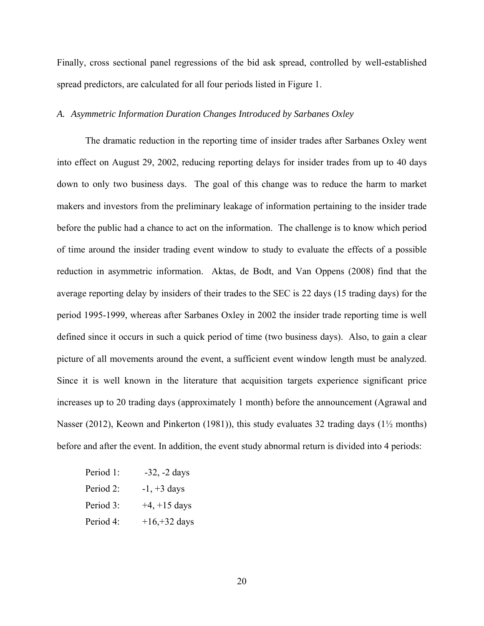Finally, cross sectional panel regressions of the bid ask spread, controlled by well-established spread predictors, are calculated for all four periods listed in Figure 1.

# *A. Asymmetric Information Duration Changes Introduced by Sarbanes Oxley*

The dramatic reduction in the reporting time of insider trades after Sarbanes Oxley went into effect on August 29, 2002, reducing reporting delays for insider trades from up to 40 days down to only two business days. The goal of this change was to reduce the harm to market makers and investors from the preliminary leakage of information pertaining to the insider trade before the public had a chance to act on the information. The challenge is to know which period of time around the insider trading event window to study to evaluate the effects of a possible reduction in asymmetric information. Aktas, de Bodt, and Van Oppens (2008) find that the average reporting delay by insiders of their trades to the SEC is 22 days (15 trading days) for the period 1995-1999, whereas after Sarbanes Oxley in 2002 the insider trade reporting time is well defined since it occurs in such a quick period of time (two business days). Also, to gain a clear picture of all movements around the event, a sufficient event window length must be analyzed. Since it is well known in the literature that acquisition targets experience significant price increases up to 20 trading days (approximately 1 month) before the announcement (Agrawal and Nasser (2012), Keown and Pinkerton (1981)), this study evaluates 32 trading days (1½ months) before and after the event. In addition, the event study abnormal return is divided into 4 periods:

- Period 1:  $-32$ ,  $-2$  days
- Period 2:  $-1$ ,  $+3$  days
- Period 3:  $+4$ ,  $+15$  days
- Period 4:  $+16,+32$  days

20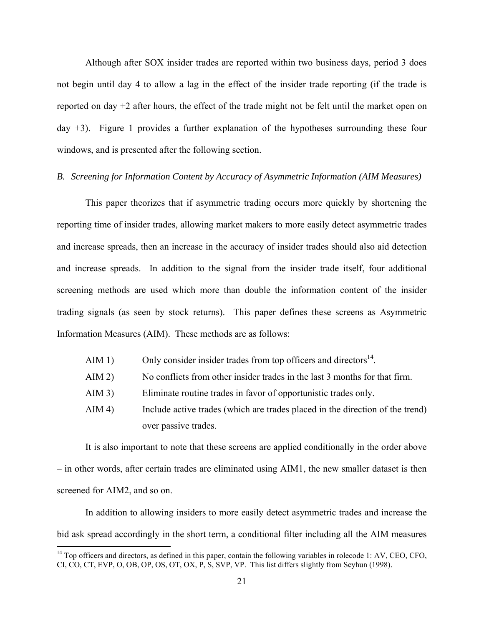Although after SOX insider trades are reported within two business days, period 3 does not begin until day 4 to allow a lag in the effect of the insider trade reporting (if the trade is reported on day +2 after hours, the effect of the trade might not be felt until the market open on day +3). Figure 1 provides a further explanation of the hypotheses surrounding these four windows, and is presented after the following section.

## *B. Screening for Information Content by Accuracy of Asymmetric Information (AIM Measures)*

This paper theorizes that if asymmetric trading occurs more quickly by shortening the reporting time of insider trades, allowing market makers to more easily detect asymmetric trades and increase spreads, then an increase in the accuracy of insider trades should also aid detection and increase spreads. In addition to the signal from the insider trade itself, four additional screening methods are used which more than double the information content of the insider trading signals (as seen by stock returns). This paper defines these screens as Asymmetric Information Measures (AIM). These methods are as follows:

- AIM 1) Only consider insider trades from top officers and directors<sup>14</sup>.
- AIM 2) No conflicts from other insider trades in the last 3 months for that firm.
- AIM 3) Eliminate routine trades in favor of opportunistic trades only.
- AIM 4) Include active trades (which are trades placed in the direction of the trend) over passive trades.

It is also important to note that these screens are applied conditionally in the order above – in other words, after certain trades are eliminated using AIM1, the new smaller dataset is then screened for AIM2, and so on.

In addition to allowing insiders to more easily detect asymmetric trades and increase the bid ask spread accordingly in the short term, a conditional filter including all the AIM measures

 $\overline{a}$ 

 $14$  Top officers and directors, as defined in this paper, contain the following variables in rolecode 1: AV, CEO, CFO, CI, CO, CT, EVP, O, OB, OP, OS, OT, OX, P, S, SVP, VP. This list differs slightly from Seyhun (1998).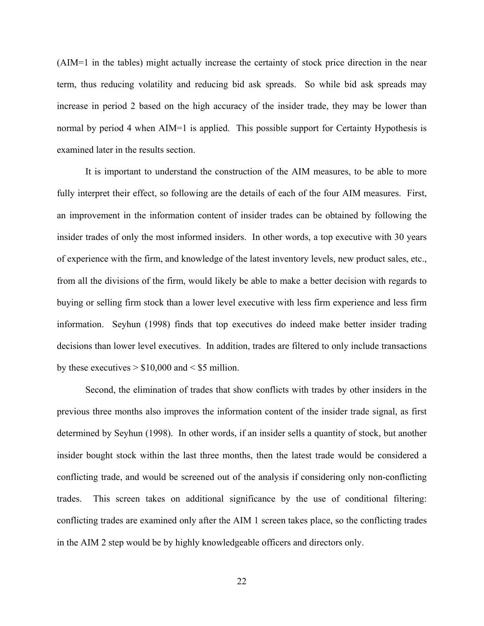(AIM=1 in the tables) might actually increase the certainty of stock price direction in the near term, thus reducing volatility and reducing bid ask spreads. So while bid ask spreads may increase in period 2 based on the high accuracy of the insider trade, they may be lower than normal by period 4 when AIM=1 is applied. This possible support for Certainty Hypothesis is examined later in the results section.

It is important to understand the construction of the AIM measures, to be able to more fully interpret their effect, so following are the details of each of the four AIM measures. First, an improvement in the information content of insider trades can be obtained by following the insider trades of only the most informed insiders. In other words, a top executive with 30 years of experience with the firm, and knowledge of the latest inventory levels, new product sales, etc., from all the divisions of the firm, would likely be able to make a better decision with regards to buying or selling firm stock than a lower level executive with less firm experience and less firm information. Seyhun (1998) finds that top executives do indeed make better insider trading decisions than lower level executives. In addition, trades are filtered to only include transactions by these executives  $> $10,000$  and  $< $5$  million.

Second, the elimination of trades that show conflicts with trades by other insiders in the previous three months also improves the information content of the insider trade signal, as first determined by Seyhun (1998). In other words, if an insider sells a quantity of stock, but another insider bought stock within the last three months, then the latest trade would be considered a conflicting trade, and would be screened out of the analysis if considering only non-conflicting trades. This screen takes on additional significance by the use of conditional filtering: conflicting trades are examined only after the AIM 1 screen takes place, so the conflicting trades in the AIM 2 step would be by highly knowledgeable officers and directors only.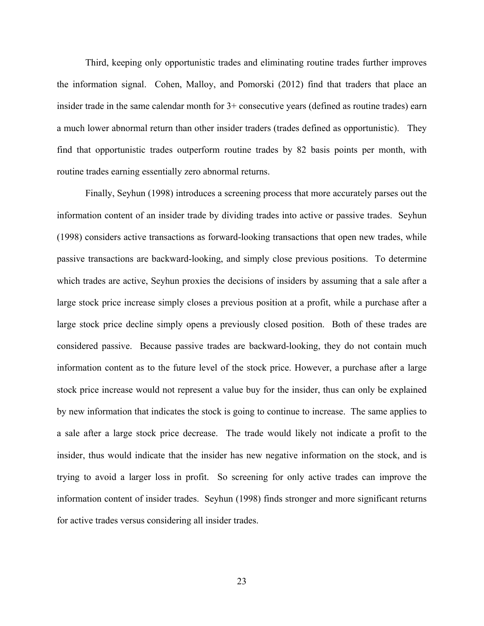Third, keeping only opportunistic trades and eliminating routine trades further improves the information signal. Cohen, Malloy, and Pomorski (2012) find that traders that place an insider trade in the same calendar month for 3+ consecutive years (defined as routine trades) earn a much lower abnormal return than other insider traders (trades defined as opportunistic). They find that opportunistic trades outperform routine trades by 82 basis points per month, with routine trades earning essentially zero abnormal returns.

Finally, Seyhun (1998) introduces a screening process that more accurately parses out the information content of an insider trade by dividing trades into active or passive trades. Seyhun (1998) considers active transactions as forward-looking transactions that open new trades, while passive transactions are backward-looking, and simply close previous positions. To determine which trades are active, Seyhun proxies the decisions of insiders by assuming that a sale after a large stock price increase simply closes a previous position at a profit, while a purchase after a large stock price decline simply opens a previously closed position. Both of these trades are considered passive. Because passive trades are backward-looking, they do not contain much information content as to the future level of the stock price. However, a purchase after a large stock price increase would not represent a value buy for the insider, thus can only be explained by new information that indicates the stock is going to continue to increase. The same applies to a sale after a large stock price decrease. The trade would likely not indicate a profit to the insider, thus would indicate that the insider has new negative information on the stock, and is trying to avoid a larger loss in profit. So screening for only active trades can improve the information content of insider trades. Seyhun (1998) finds stronger and more significant returns for active trades versus considering all insider trades.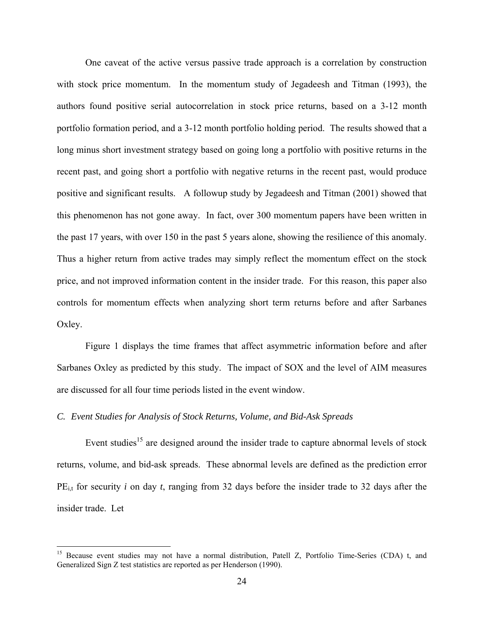One caveat of the active versus passive trade approach is a correlation by construction with stock price momentum. In the momentum study of Jegadeesh and Titman (1993), the authors found positive serial autocorrelation in stock price returns, based on a 3-12 month portfolio formation period, and a 3-12 month portfolio holding period. The results showed that a long minus short investment strategy based on going long a portfolio with positive returns in the recent past, and going short a portfolio with negative returns in the recent past, would produce positive and significant results. A followup study by Jegadeesh and Titman (2001) showed that this phenomenon has not gone away. In fact, over 300 momentum papers have been written in the past 17 years, with over 150 in the past 5 years alone, showing the resilience of this anomaly. Thus a higher return from active trades may simply reflect the momentum effect on the stock price, and not improved information content in the insider trade. For this reason, this paper also controls for momentum effects when analyzing short term returns before and after Sarbanes Oxley.

Figure 1 displays the time frames that affect asymmetric information before and after Sarbanes Oxley as predicted by this study. The impact of SOX and the level of AIM measures are discussed for all four time periods listed in the event window.

# *C. Event Studies for Analysis of Stock Returns, Volume, and Bid-Ask Spreads*

 $\overline{a}$ 

Event studies<sup>15</sup> are designed around the insider trade to capture abnormal levels of stock returns, volume, and bid-ask spreads. These abnormal levels are defined as the prediction error PE<sub>it</sub> for security *i* on day *t*, ranging from 32 days before the insider trade to 32 days after the insider trade. Let

<sup>&</sup>lt;sup>15</sup> Because event studies may not have a normal distribution, Patell Z, Portfolio Time-Series (CDA) t, and Generalized Sign Z test statistics are reported as per Henderson (1990).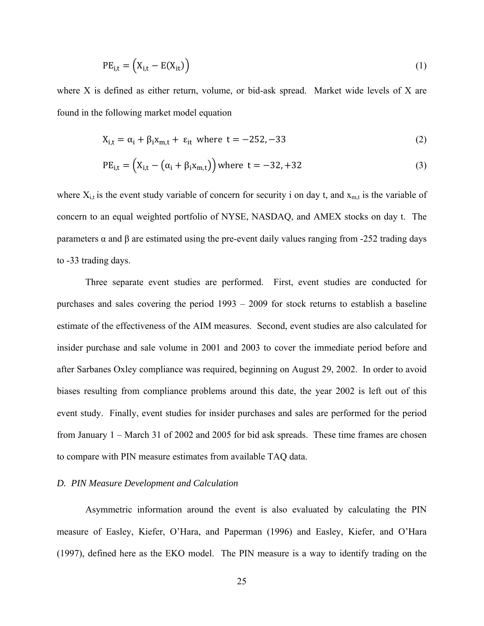$$
PE_{i,t} = (X_{i,t} - E(X_{it}))
$$
 (1)

where X is defined as either return, volume, or bid-ask spread. Market wide levels of X are found in the following market model equation

$$
X_{i,t} = \alpha_i + \beta_i X_{m,t} + \varepsilon_{it} \text{ where } t = -252, -33 \tag{2}
$$

$$
PE_{i,t} = (X_{i,t} - (\alpha_i + \beta_i x_{m,t})) \text{ where } t = -32, +32
$$
 (3)

where  $X_{i,t}$  is the event study variable of concern for security i on day t, and  $X_{m,t}$  is the variable of concern to an equal weighted portfolio of NYSE, NASDAQ, and AMEX stocks on day t. The parameters α and β are estimated using the pre-event daily values ranging from -252 trading days to -33 trading days.

Three separate event studies are performed. First, event studies are conducted for purchases and sales covering the period 1993 – 2009 for stock returns to establish a baseline estimate of the effectiveness of the AIM measures. Second, event studies are also calculated for insider purchase and sale volume in 2001 and 2003 to cover the immediate period before and after Sarbanes Oxley compliance was required, beginning on August 29, 2002. In order to avoid biases resulting from compliance problems around this date, the year 2002 is left out of this event study. Finally, event studies for insider purchases and sales are performed for the period from January 1 – March 31 of 2002 and 2005 for bid ask spreads. These time frames are chosen to compare with PIN measure estimates from available TAQ data.

### *D. PIN Measure Development and Calculation*

 Asymmetric information around the event is also evaluated by calculating the PIN measure of Easley, Kiefer, O'Hara, and Paperman (1996) and Easley, Kiefer, and O'Hara (1997), defined here as the EKO model. The PIN measure is a way to identify trading on the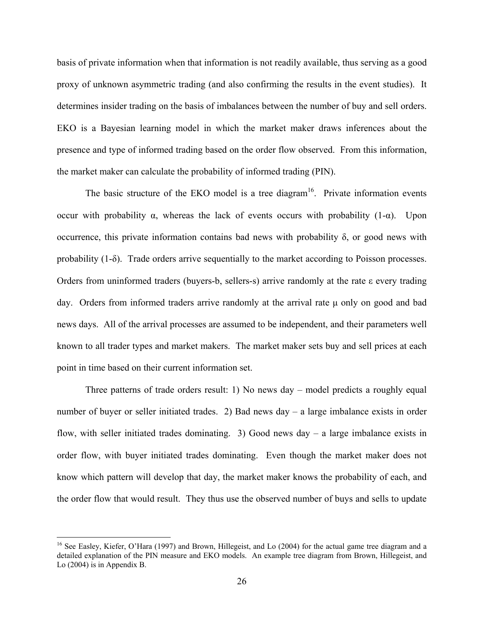basis of private information when that information is not readily available, thus serving as a good proxy of unknown asymmetric trading (and also confirming the results in the event studies). It determines insider trading on the basis of imbalances between the number of buy and sell orders. EKO is a Bayesian learning model in which the market maker draws inferences about the presence and type of informed trading based on the order flow observed. From this information, the market maker can calculate the probability of informed trading (PIN).

The basic structure of the EKO model is a tree diagram<sup>16</sup>. Private information events occur with probability  $\alpha$ , whereas the lack of events occurs with probability (1- $\alpha$ ). Upon occurrence, this private information contains bad news with probability δ, or good news with probability  $(1-\delta)$ . Trade orders arrive sequentially to the market according to Poisson processes. Orders from uninformed traders (buyers-b, sellers-s) arrive randomly at the rate ε every trading day. Orders from informed traders arrive randomly at the arrival rate μ only on good and bad news days. All of the arrival processes are assumed to be independent, and their parameters well known to all trader types and market makers. The market maker sets buy and sell prices at each point in time based on their current information set.

 Three patterns of trade orders result: 1) No news day – model predicts a roughly equal number of buyer or seller initiated trades. 2) Bad news day – a large imbalance exists in order flow, with seller initiated trades dominating. 3) Good news day  $-$  a large imbalance exists in order flow, with buyer initiated trades dominating. Even though the market maker does not know which pattern will develop that day, the market maker knows the probability of each, and the order flow that would result. They thus use the observed number of buys and sells to update

 $\overline{a}$ 

<sup>&</sup>lt;sup>16</sup> See Easley, Kiefer, O'Hara (1997) and Brown, Hillegeist, and Lo (2004) for the actual game tree diagram and a detailed explanation of the PIN measure and EKO models. An example tree diagram from Brown, Hillegeist, and Lo (2004) is in Appendix B.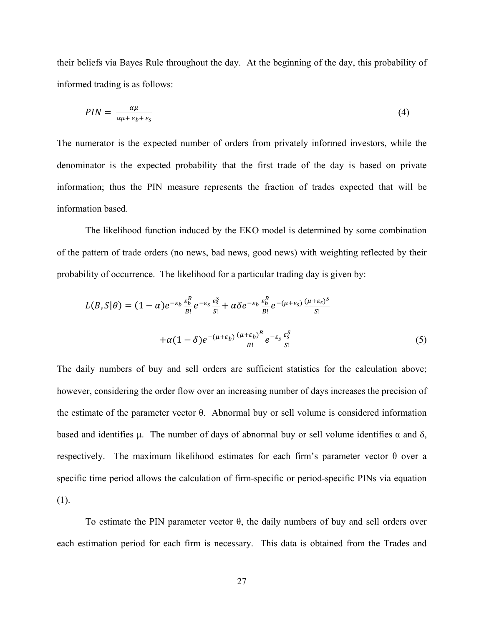their beliefs via Bayes Rule throughout the day. At the beginning of the day, this probability of informed trading is as follows:

$$
PIN = \frac{\alpha \mu}{\alpha \mu + \varepsilon_b + \varepsilon_s} \tag{4}
$$

The numerator is the expected number of orders from privately informed investors, while the denominator is the expected probability that the first trade of the day is based on private information; thus the PIN measure represents the fraction of trades expected that will be information based.

 The likelihood function induced by the EKO model is determined by some combination of the pattern of trade orders (no news, bad news, good news) with weighting reflected by their probability of occurrence. The likelihood for a particular trading day is given by:

$$
L(B, S | \theta) = (1 - \alpha)e^{-\varepsilon_b} \frac{\varepsilon_b^B}{B!} e^{-\varepsilon_s} \frac{\varepsilon_s^S}{S!} + \alpha \delta e^{-\varepsilon_b} \frac{\varepsilon_b^B}{B!} e^{-(\mu + \varepsilon_s)} \frac{(\mu + \varepsilon_s)^S}{S!}
$$

$$
+ \alpha (1 - \delta) e^{-(\mu + \varepsilon_b)} \frac{(\mu + \varepsilon_b)^B}{B!} e^{-\varepsilon_s} \frac{\varepsilon_s^S}{S!}
$$
(5)

The daily numbers of buy and sell orders are sufficient statistics for the calculation above; however, considering the order flow over an increasing number of days increases the precision of the estimate of the parameter vector θ. Abnormal buy or sell volume is considered information based and identifies μ. The number of days of abnormal buy or sell volume identifies  $\alpha$  and  $\delta$ , respectively. The maximum likelihood estimates for each firm's parameter vector θ over a specific time period allows the calculation of firm-specific or period-specific PINs via equation (1).

To estimate the PIN parameter vector  $\theta$ , the daily numbers of buy and sell orders over each estimation period for each firm is necessary. This data is obtained from the Trades and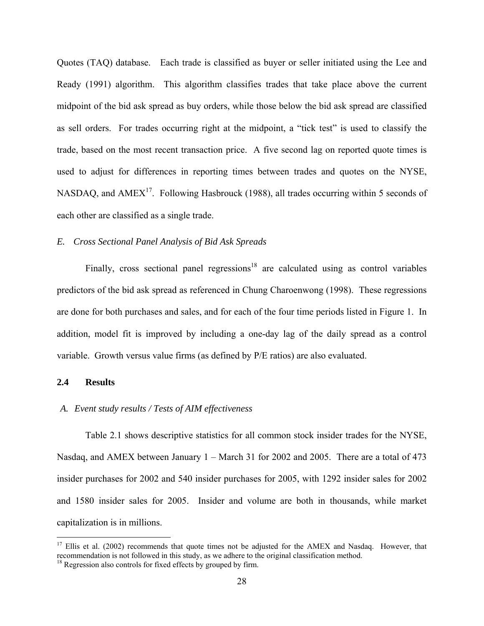Quotes (TAQ) database. Each trade is classified as buyer or seller initiated using the Lee and Ready (1991) algorithm. This algorithm classifies trades that take place above the current midpoint of the bid ask spread as buy orders, while those below the bid ask spread are classified as sell orders. For trades occurring right at the midpoint, a "tick test" is used to classify the trade, based on the most recent transaction price. A five second lag on reported quote times is used to adjust for differences in reporting times between trades and quotes on the NYSE, NASDAQ, and  $AMEX^{17}$ . Following Hasbrouck (1988), all trades occurring within 5 seconds of each other are classified as a single trade.

# *E. Cross Sectional Panel Analysis of Bid Ask Spreads*

Finally, cross sectional panel regressions<sup>18</sup> are calculated using as control variables predictors of the bid ask spread as referenced in Chung Charoenwong (1998). These regressions are done for both purchases and sales, and for each of the four time periods listed in Figure 1. In addition, model fit is improved by including a one-day lag of the daily spread as a control variable. Growth versus value firms (as defined by P/E ratios) are also evaluated.

### **2.4 Results**

1

# *A. Event study results / Tests of AIM effectiveness*

Table 2.1 shows descriptive statistics for all common stock insider trades for the NYSE, Nasdaq, and AMEX between January 1 – March 31 for 2002 and 2005. There are a total of 473 insider purchases for 2002 and 540 insider purchases for 2005, with 1292 insider sales for 2002 and 1580 insider sales for 2005. Insider and volume are both in thousands, while market capitalization is in millions.

<sup>&</sup>lt;sup>17</sup> Ellis et al. (2002) recommends that quote times not be adjusted for the AMEX and Nasdaq. However, that recommendation is not followed in this study, as we adhere to the original classification method.

<sup>&</sup>lt;sup>18</sup> Regression also controls for fixed effects by grouped by firm.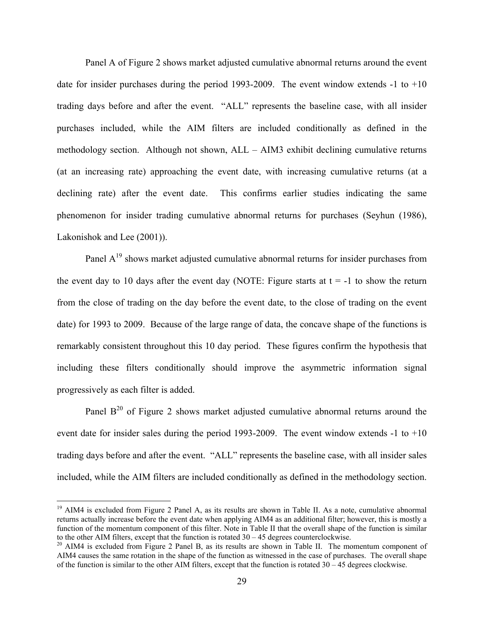Panel A of Figure 2 shows market adjusted cumulative abnormal returns around the event date for insider purchases during the period 1993-2009. The event window extends -1 to +10 trading days before and after the event. "ALL" represents the baseline case, with all insider purchases included, while the AIM filters are included conditionally as defined in the methodology section. Although not shown, ALL – AIM3 exhibit declining cumulative returns (at an increasing rate) approaching the event date, with increasing cumulative returns (at a declining rate) after the event date. This confirms earlier studies indicating the same phenomenon for insider trading cumulative abnormal returns for purchases (Seyhun (1986), Lakonishok and Lee (2001)).

Panel  $A<sup>19</sup>$  shows market adjusted cumulative abnormal returns for insider purchases from the event day to 10 days after the event day (NOTE: Figure starts at  $t = -1$  to show the return from the close of trading on the day before the event date, to the close of trading on the event date) for 1993 to 2009. Because of the large range of data, the concave shape of the functions is remarkably consistent throughout this 10 day period. These figures confirm the hypothesis that including these filters conditionally should improve the asymmetric information signal progressively as each filter is added.

Panel  $B^{20}$  of Figure 2 shows market adjusted cumulative abnormal returns around the event date for insider sales during the period 1993-2009. The event window extends -1 to +10 trading days before and after the event. "ALL" represents the baseline case, with all insider sales included, while the AIM filters are included conditionally as defined in the methodology section.

 $\overline{a}$ 

<sup>&</sup>lt;sup>19</sup> AIM4 is excluded from Figure 2 Panel A, as its results are shown in Table II. As a note, cumulative abnormal returns actually increase before the event date when applying AIM4 as an additional filter; however, this is mostly a function of the momentum component of this filter. Note in Table II that the overall shape of the function is similar to the other AIM filters, except that the function is rotated  $30 - 45$  degrees counterclockwise.

<sup>&</sup>lt;sup>20</sup> AIM4 is excluded from Figure 2 Panel B, as its results are shown in Table II. The momentum component of AIM4 causes the same rotation in the shape of the function as witnessed in the case of purchases. The overall shape of the function is similar to the other AIM filters, except that the function is rotated  $30 - 45$  degrees clockwise.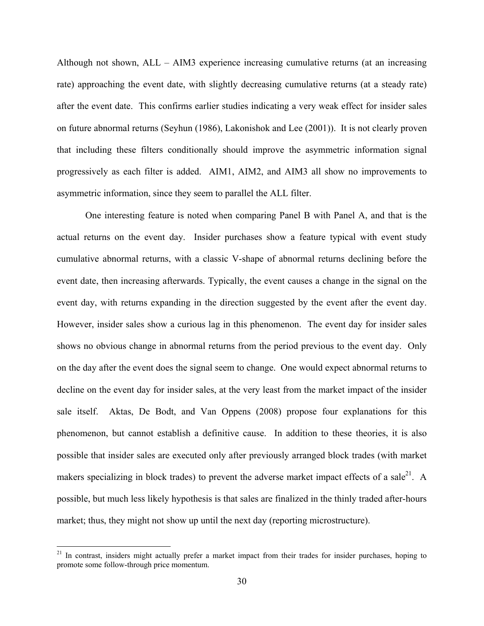Although not shown, ALL – AIM3 experience increasing cumulative returns (at an increasing rate) approaching the event date, with slightly decreasing cumulative returns (at a steady rate) after the event date. This confirms earlier studies indicating a very weak effect for insider sales on future abnormal returns (Seyhun (1986), Lakonishok and Lee (2001)). It is not clearly proven that including these filters conditionally should improve the asymmetric information signal progressively as each filter is added. AIM1, AIM2, and AIM3 all show no improvements to asymmetric information, since they seem to parallel the ALL filter.

 One interesting feature is noted when comparing Panel B with Panel A, and that is the actual returns on the event day. Insider purchases show a feature typical with event study cumulative abnormal returns, with a classic V-shape of abnormal returns declining before the event date, then increasing afterwards. Typically, the event causes a change in the signal on the event day, with returns expanding in the direction suggested by the event after the event day. However, insider sales show a curious lag in this phenomenon. The event day for insider sales shows no obvious change in abnormal returns from the period previous to the event day. Only on the day after the event does the signal seem to change. One would expect abnormal returns to decline on the event day for insider sales, at the very least from the market impact of the insider sale itself. Aktas, De Bodt, and Van Oppens (2008) propose four explanations for this phenomenon, but cannot establish a definitive cause. In addition to these theories, it is also possible that insider sales are executed only after previously arranged block trades (with market makers specializing in block trades) to prevent the adverse market impact effects of a sale<sup>21</sup>. A possible, but much less likely hypothesis is that sales are finalized in the thinly traded after-hours market; thus, they might not show up until the next day (reporting microstructure).

1

<sup>&</sup>lt;sup>21</sup> In contrast, insiders might actually prefer a market impact from their trades for insider purchases, hoping to promote some follow-through price momentum.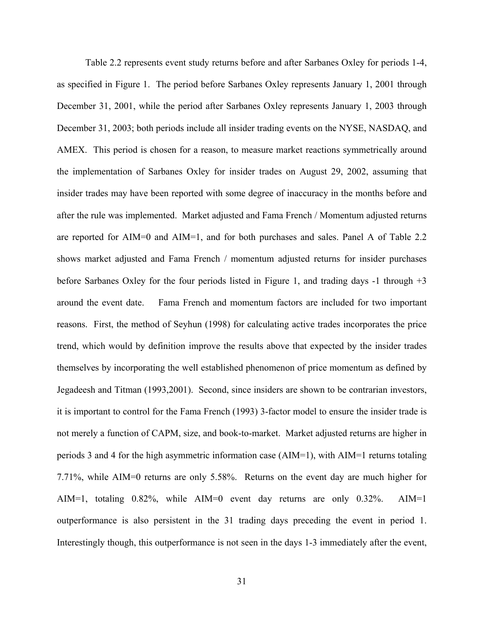Table 2.2 represents event study returns before and after Sarbanes Oxley for periods 1-4, as specified in Figure 1. The period before Sarbanes Oxley represents January 1, 2001 through December 31, 2001, while the period after Sarbanes Oxley represents January 1, 2003 through December 31, 2003; both periods include all insider trading events on the NYSE, NASDAQ, and AMEX. This period is chosen for a reason, to measure market reactions symmetrically around the implementation of Sarbanes Oxley for insider trades on August 29, 2002, assuming that insider trades may have been reported with some degree of inaccuracy in the months before and after the rule was implemented. Market adjusted and Fama French / Momentum adjusted returns are reported for AIM=0 and AIM=1, and for both purchases and sales. Panel A of Table 2.2 shows market adjusted and Fama French / momentum adjusted returns for insider purchases before Sarbanes Oxley for the four periods listed in Figure 1, and trading days -1 through +3 around the event date. Fama French and momentum factors are included for two important reasons. First, the method of Seyhun (1998) for calculating active trades incorporates the price trend, which would by definition improve the results above that expected by the insider trades themselves by incorporating the well established phenomenon of price momentum as defined by Jegadeesh and Titman (1993,2001). Second, since insiders are shown to be contrarian investors, it is important to control for the Fama French (1993) 3-factor model to ensure the insider trade is not merely a function of CAPM, size, and book-to-market. Market adjusted returns are higher in periods 3 and 4 for the high asymmetric information case (AIM=1), with AIM=1 returns totaling 7.71%, while AIM=0 returns are only 5.58%. Returns on the event day are much higher for AIM=1, totaling 0.82%, while AIM=0 event day returns are only 0.32%. AIM=1 outperformance is also persistent in the 31 trading days preceding the event in period 1. Interestingly though, this outperformance is not seen in the days 1-3 immediately after the event,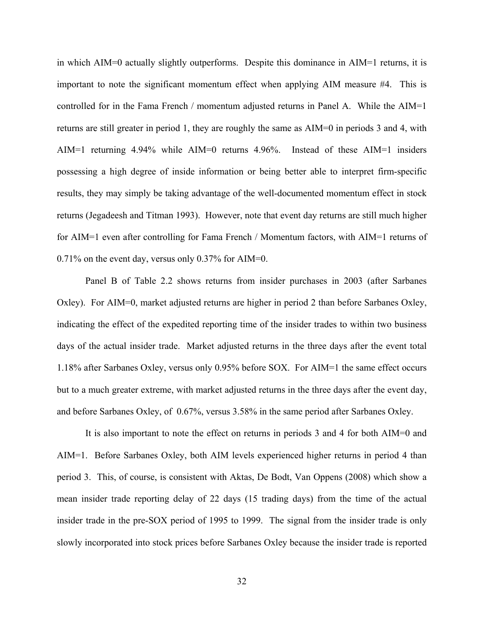in which AIM=0 actually slightly outperforms. Despite this dominance in AIM=1 returns, it is important to note the significant momentum effect when applying AIM measure #4. This is controlled for in the Fama French / momentum adjusted returns in Panel A. While the AIM=1 returns are still greater in period 1, they are roughly the same as AIM=0 in periods 3 and 4, with AIM=1 returning 4.94% while AIM=0 returns 4.96%. Instead of these AIM=1 insiders possessing a high degree of inside information or being better able to interpret firm-specific results, they may simply be taking advantage of the well-documented momentum effect in stock returns (Jegadeesh and Titman 1993). However, note that event day returns are still much higher for AIM=1 even after controlling for Fama French / Momentum factors, with AIM=1 returns of 0.71% on the event day, versus only 0.37% for AIM=0.

 Panel B of Table 2.2 shows returns from insider purchases in 2003 (after Sarbanes Oxley). For AIM=0, market adjusted returns are higher in period 2 than before Sarbanes Oxley, indicating the effect of the expedited reporting time of the insider trades to within two business days of the actual insider trade. Market adjusted returns in the three days after the event total 1.18% after Sarbanes Oxley, versus only 0.95% before SOX. For AIM=1 the same effect occurs but to a much greater extreme, with market adjusted returns in the three days after the event day, and before Sarbanes Oxley, of 0.67%, versus 3.58% in the same period after Sarbanes Oxley.

 It is also important to note the effect on returns in periods 3 and 4 for both AIM=0 and AIM=1. Before Sarbanes Oxley, both AIM levels experienced higher returns in period 4 than period 3. This, of course, is consistent with Aktas, De Bodt, Van Oppens (2008) which show a mean insider trade reporting delay of 22 days (15 trading days) from the time of the actual insider trade in the pre-SOX period of 1995 to 1999. The signal from the insider trade is only slowly incorporated into stock prices before Sarbanes Oxley because the insider trade is reported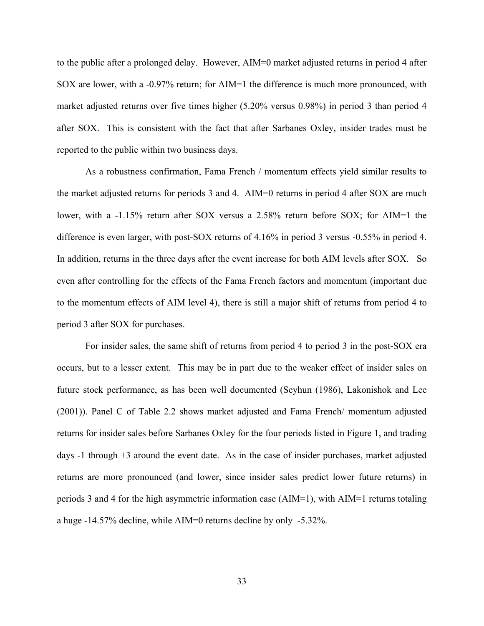to the public after a prolonged delay. However, AIM=0 market adjusted returns in period 4 after SOX are lower, with a -0.97% return; for AIM=1 the difference is much more pronounced, with market adjusted returns over five times higher (5.20% versus 0.98%) in period 3 than period 4 after SOX. This is consistent with the fact that after Sarbanes Oxley, insider trades must be reported to the public within two business days.

 As a robustness confirmation, Fama French / momentum effects yield similar results to the market adjusted returns for periods 3 and 4. AIM=0 returns in period 4 after SOX are much lower, with a -1.15% return after SOX versus a 2.58% return before SOX; for AIM=1 the difference is even larger, with post-SOX returns of 4.16% in period 3 versus -0.55% in period 4. In addition, returns in the three days after the event increase for both AIM levels after SOX. So even after controlling for the effects of the Fama French factors and momentum (important due to the momentum effects of AIM level 4), there is still a major shift of returns from period 4 to period 3 after SOX for purchases.

 For insider sales, the same shift of returns from period 4 to period 3 in the post-SOX era occurs, but to a lesser extent. This may be in part due to the weaker effect of insider sales on future stock performance, as has been well documented (Seyhun (1986), Lakonishok and Lee (2001)). Panel C of Table 2.2 shows market adjusted and Fama French/ momentum adjusted returns for insider sales before Sarbanes Oxley for the four periods listed in Figure 1, and trading days -1 through +3 around the event date. As in the case of insider purchases, market adjusted returns are more pronounced (and lower, since insider sales predict lower future returns) in periods 3 and 4 for the high asymmetric information case (AIM=1), with AIM=1 returns totaling a huge -14.57% decline, while AIM=0 returns decline by only -5.32%.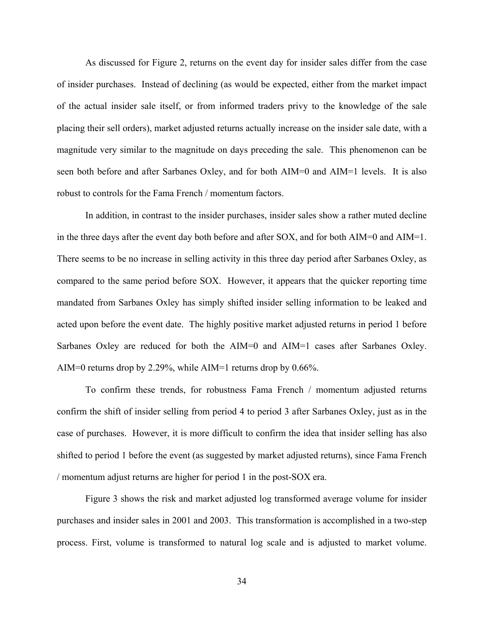As discussed for Figure 2, returns on the event day for insider sales differ from the case of insider purchases. Instead of declining (as would be expected, either from the market impact of the actual insider sale itself, or from informed traders privy to the knowledge of the sale placing their sell orders), market adjusted returns actually increase on the insider sale date, with a magnitude very similar to the magnitude on days preceding the sale. This phenomenon can be seen both before and after Sarbanes Oxley, and for both AIM=0 and AIM=1 levels. It is also robust to controls for the Fama French / momentum factors.

 In addition, in contrast to the insider purchases, insider sales show a rather muted decline in the three days after the event day both before and after SOX, and for both AIM=0 and AIM=1. There seems to be no increase in selling activity in this three day period after Sarbanes Oxley, as compared to the same period before SOX. However, it appears that the quicker reporting time mandated from Sarbanes Oxley has simply shifted insider selling information to be leaked and acted upon before the event date. The highly positive market adjusted returns in period 1 before Sarbanes Oxley are reduced for both the AIM=0 and AIM=1 cases after Sarbanes Oxley. AIM=0 returns drop by 2.29%, while AIM=1 returns drop by 0.66%.

 To confirm these trends, for robustness Fama French / momentum adjusted returns confirm the shift of insider selling from period 4 to period 3 after Sarbanes Oxley, just as in the case of purchases. However, it is more difficult to confirm the idea that insider selling has also shifted to period 1 before the event (as suggested by market adjusted returns), since Fama French / momentum adjust returns are higher for period 1 in the post-SOX era.

Figure 3 shows the risk and market adjusted log transformed average volume for insider purchases and insider sales in 2001 and 2003. This transformation is accomplished in a two-step process. First, volume is transformed to natural log scale and is adjusted to market volume.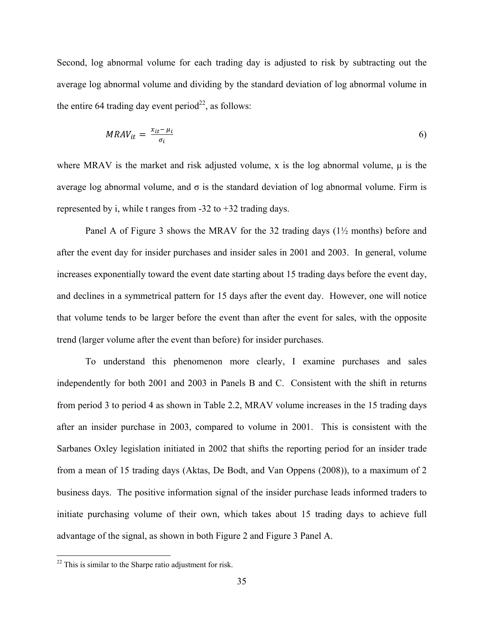Second, log abnormal volume for each trading day is adjusted to risk by subtracting out the average log abnormal volume and dividing by the standard deviation of log abnormal volume in the entire 64 trading day event period<sup>22</sup>, as follows:

$$
MRAV_{it} = \frac{x_{it} - \mu_i}{\sigma_i} \tag{6}
$$

where MRAV is the market and risk adjusted volume, x is the log abnormal volume, μ is the average log abnormal volume, and  $\sigma$  is the standard deviation of log abnormal volume. Firm is represented by i, while t ranges from -32 to +32 trading days.

 Panel A of Figure 3 shows the MRAV for the 32 trading days (1½ months) before and after the event day for insider purchases and insider sales in 2001 and 2003. In general, volume increases exponentially toward the event date starting about 15 trading days before the event day, and declines in a symmetrical pattern for 15 days after the event day. However, one will notice that volume tends to be larger before the event than after the event for sales, with the opposite trend (larger volume after the event than before) for insider purchases.

 To understand this phenomenon more clearly, I examine purchases and sales independently for both 2001 and 2003 in Panels B and C. Consistent with the shift in returns from period 3 to period 4 as shown in Table 2.2, MRAV volume increases in the 15 trading days after an insider purchase in 2003, compared to volume in 2001. This is consistent with the Sarbanes Oxley legislation initiated in 2002 that shifts the reporting period for an insider trade from a mean of 15 trading days (Aktas, De Bodt, and Van Oppens (2008)), to a maximum of 2 business days. The positive information signal of the insider purchase leads informed traders to initiate purchasing volume of their own, which takes about 15 trading days to achieve full advantage of the signal, as shown in both Figure 2 and Figure 3 Panel A.

<u>.</u>

 $22$  This is similar to the Sharpe ratio adjustment for risk.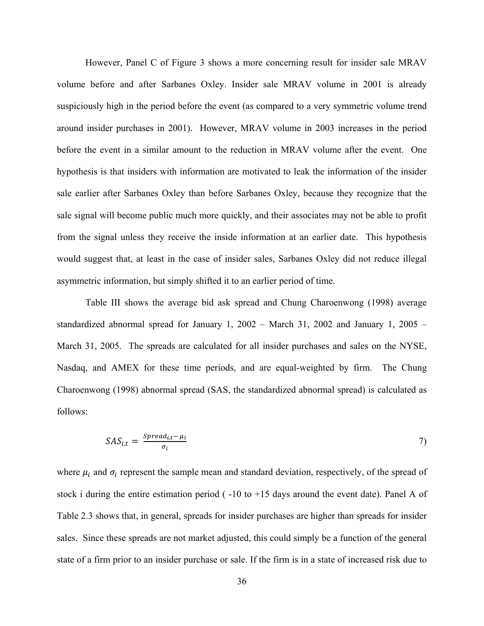However, Panel C of Figure 3 shows a more concerning result for insider sale MRAV volume before and after Sarbanes Oxley. Insider sale MRAV volume in 2001 is already suspiciously high in the period before the event (as compared to a very symmetric volume trend around insider purchases in 2001). However, MRAV volume in 2003 increases in the period before the event in a similar amount to the reduction in MRAV volume after the event. One hypothesis is that insiders with information are motivated to leak the information of the insider sale earlier after Sarbanes Oxley than before Sarbanes Oxley, because they recognize that the sale signal will become public much more quickly, and their associates may not be able to profit from the signal unless they receive the inside information at an earlier date. This hypothesis would suggest that, at least in the case of insider sales, Sarbanes Oxley did not reduce illegal asymmetric information, but simply shifted it to an earlier period of time.

 Table III shows the average bid ask spread and Chung Charoenwong (1998) average standardized abnormal spread for January 1, 2002 – March 31, 2002 and January 1, 2005 – March 31, 2005. The spreads are calculated for all insider purchases and sales on the NYSE, Nasdaq, and AMEX for these time periods, and are equal-weighted by firm. The Chung Charoenwong (1998) abnormal spread (SAS, the standardized abnormal spread) is calculated as follows:

$$
SAS_{i,t} = \frac{spread_{i,t} - \mu_i}{\sigma_i} \tag{7}
$$

where  $\mu_i$  and  $\sigma_i$  represent the sample mean and standard deviation, respectively, of the spread of stock i during the entire estimation period ( -10 to +15 days around the event date). Panel A of Table 2.3 shows that, in general, spreads for insider purchases are higher than spreads for insider sales. Since these spreads are not market adjusted, this could simply be a function of the general state of a firm prior to an insider purchase or sale. If the firm is in a state of increased risk due to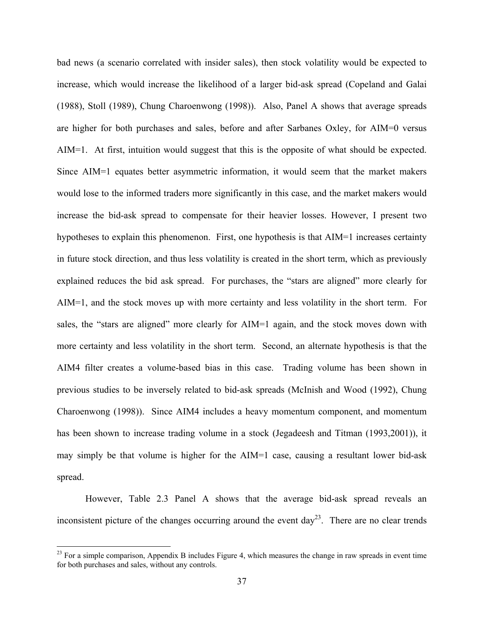bad news (a scenario correlated with insider sales), then stock volatility would be expected to increase, which would increase the likelihood of a larger bid-ask spread (Copeland and Galai (1988), Stoll (1989), Chung Charoenwong (1998)). Also, Panel A shows that average spreads are higher for both purchases and sales, before and after Sarbanes Oxley, for AIM=0 versus AIM=1. At first, intuition would suggest that this is the opposite of what should be expected. Since AIM=1 equates better asymmetric information, it would seem that the market makers would lose to the informed traders more significantly in this case, and the market makers would increase the bid-ask spread to compensate for their heavier losses. However, I present two hypotheses to explain this phenomenon. First, one hypothesis is that AIM=1 increases certainty in future stock direction, and thus less volatility is created in the short term, which as previously explained reduces the bid ask spread. For purchases, the "stars are aligned" more clearly for AIM=1, and the stock moves up with more certainty and less volatility in the short term. For sales, the "stars are aligned" more clearly for AIM=1 again, and the stock moves down with more certainty and less volatility in the short term. Second, an alternate hypothesis is that the AIM4 filter creates a volume-based bias in this case. Trading volume has been shown in previous studies to be inversely related to bid-ask spreads (McInish and Wood (1992), Chung Charoenwong (1998)). Since AIM4 includes a heavy momentum component, and momentum has been shown to increase trading volume in a stock (Jegadeesh and Titman (1993,2001)), it may simply be that volume is higher for the AIM=1 case, causing a resultant lower bid-ask spread.

 However, Table 2.3 Panel A shows that the average bid-ask spread reveals an inconsistent picture of the changes occurring around the event  $day^{23}$ . There are no clear trends

 $\overline{a}$ 

 $^{23}$  For a simple comparison, Appendix B includes Figure 4, which measures the change in raw spreads in event time for both purchases and sales, without any controls.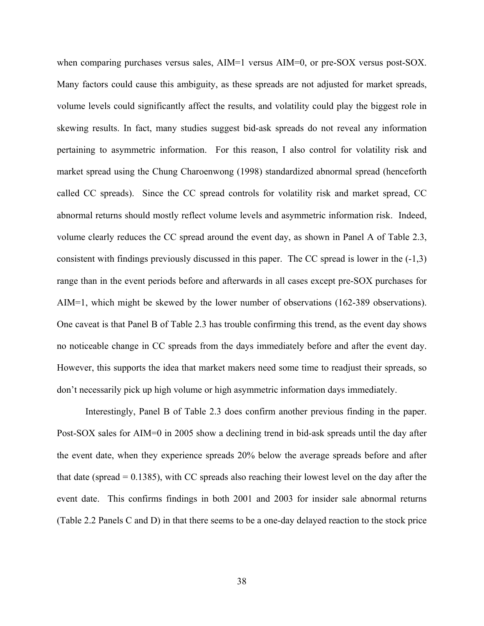when comparing purchases versus sales, AIM=1 versus AIM=0, or pre-SOX versus post-SOX. Many factors could cause this ambiguity, as these spreads are not adjusted for market spreads, volume levels could significantly affect the results, and volatility could play the biggest role in skewing results. In fact, many studies suggest bid-ask spreads do not reveal any information pertaining to asymmetric information. For this reason, I also control for volatility risk and market spread using the Chung Charoenwong (1998) standardized abnormal spread (henceforth called CC spreads). Since the CC spread controls for volatility risk and market spread, CC abnormal returns should mostly reflect volume levels and asymmetric information risk. Indeed, volume clearly reduces the CC spread around the event day, as shown in Panel A of Table 2.3, consistent with findings previously discussed in this paper. The CC spread is lower in the (-1,3) range than in the event periods before and afterwards in all cases except pre-SOX purchases for AIM=1, which might be skewed by the lower number of observations (162-389 observations). One caveat is that Panel B of Table 2.3 has trouble confirming this trend, as the event day shows no noticeable change in CC spreads from the days immediately before and after the event day. However, this supports the idea that market makers need some time to readjust their spreads, so don't necessarily pick up high volume or high asymmetric information days immediately.

 Interestingly, Panel B of Table 2.3 does confirm another previous finding in the paper. Post-SOX sales for AIM=0 in 2005 show a declining trend in bid-ask spreads until the day after the event date, when they experience spreads 20% below the average spreads before and after that date (spread  $= 0.1385$ ), with CC spreads also reaching their lowest level on the day after the event date. This confirms findings in both 2001 and 2003 for insider sale abnormal returns (Table 2.2 Panels C and D) in that there seems to be a one-day delayed reaction to the stock price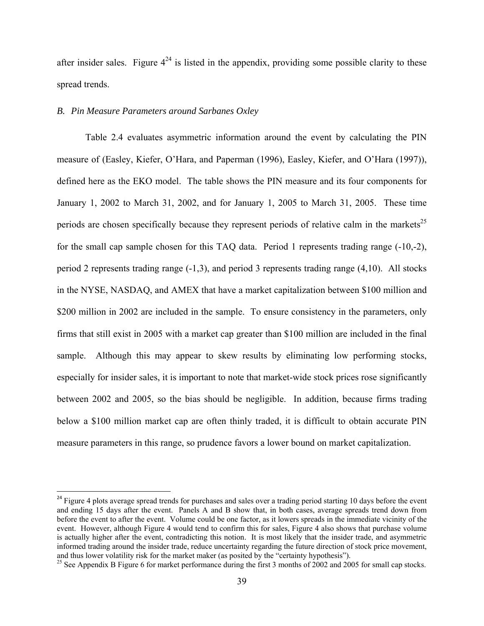after insider sales. Figure  $4^{24}$  is listed in the appendix, providing some possible clarity to these spread trends.

# *B. Pin Measure Parameters around Sarbanes Oxley*

1

 Table 2.4 evaluates asymmetric information around the event by calculating the PIN measure of (Easley, Kiefer, O'Hara, and Paperman (1996), Easley, Kiefer, and O'Hara (1997)), defined here as the EKO model. The table shows the PIN measure and its four components for January 1, 2002 to March 31, 2002, and for January 1, 2005 to March 31, 2005. These time periods are chosen specifically because they represent periods of relative calm in the markets<sup>25</sup> for the small cap sample chosen for this TAQ data. Period 1 represents trading range (-10,-2), period 2 represents trading range (-1,3), and period 3 represents trading range (4,10). All stocks in the NYSE, NASDAQ, and AMEX that have a market capitalization between \$100 million and \$200 million in 2002 are included in the sample. To ensure consistency in the parameters, only firms that still exist in 2005 with a market cap greater than \$100 million are included in the final sample. Although this may appear to skew results by eliminating low performing stocks, especially for insider sales, it is important to note that market-wide stock prices rose significantly between 2002 and 2005, so the bias should be negligible. In addition, because firms trading below a \$100 million market cap are often thinly traded, it is difficult to obtain accurate PIN measure parameters in this range, so prudence favors a lower bound on market capitalization.

<sup>&</sup>lt;sup>24</sup> Figure 4 plots average spread trends for purchases and sales over a trading period starting 10 days before the event and ending 15 days after the event. Panels A and B show that, in both cases, average spreads trend down from before the event to after the event. Volume could be one factor, as it lowers spreads in the immediate vicinity of the event. However, although Figure 4 would tend to confirm this for sales, Figure 4 also shows that purchase volume is actually higher after the event, contradicting this notion. It is most likely that the insider trade, and asymmetric informed trading around the insider trade, reduce uncertainty regarding the future direction of stock price movement, and thus lower volatility risk for the market maker (as posited by the "certainty hypothesis").<br><sup>25</sup> See Appendix B Figure 6 for market performance during the first 3 months of 2002 and 2005 for small cap stocks.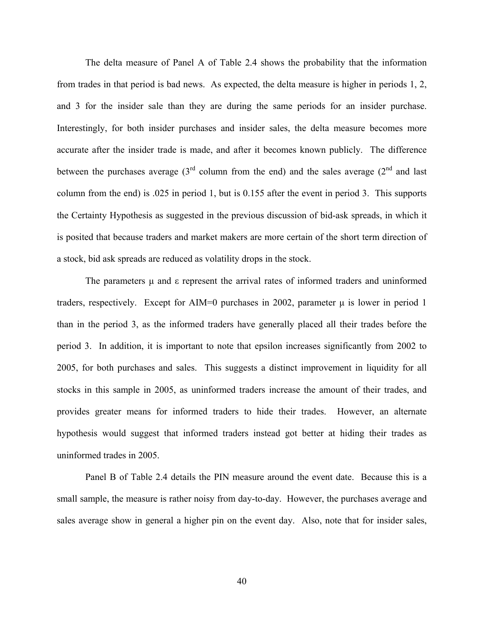The delta measure of Panel A of Table 2.4 shows the probability that the information from trades in that period is bad news. As expected, the delta measure is higher in periods 1, 2, and 3 for the insider sale than they are during the same periods for an insider purchase. Interestingly, for both insider purchases and insider sales, the delta measure becomes more accurate after the insider trade is made, and after it becomes known publicly. The difference between the purchases average  $3<sup>rd</sup>$  column from the end) and the sales average  $(2<sup>nd</sup>$  and last column from the end) is .025 in period 1, but is 0.155 after the event in period 3. This supports the Certainty Hypothesis as suggested in the previous discussion of bid-ask spreads, in which it is posited that because traders and market makers are more certain of the short term direction of a stock, bid ask spreads are reduced as volatility drops in the stock.

The parameters  $\mu$  and  $\epsilon$  represent the arrival rates of informed traders and uninformed traders, respectively. Except for AIM=0 purchases in 2002, parameter  $\mu$  is lower in period 1 than in the period 3, as the informed traders have generally placed all their trades before the period 3. In addition, it is important to note that epsilon increases significantly from 2002 to 2005, for both purchases and sales. This suggests a distinct improvement in liquidity for all stocks in this sample in 2005, as uninformed traders increase the amount of their trades, and provides greater means for informed traders to hide their trades. However, an alternate hypothesis would suggest that informed traders instead got better at hiding their trades as uninformed trades in 2005.

 Panel B of Table 2.4 details the PIN measure around the event date. Because this is a small sample, the measure is rather noisy from day-to-day. However, the purchases average and sales average show in general a higher pin on the event day. Also, note that for insider sales,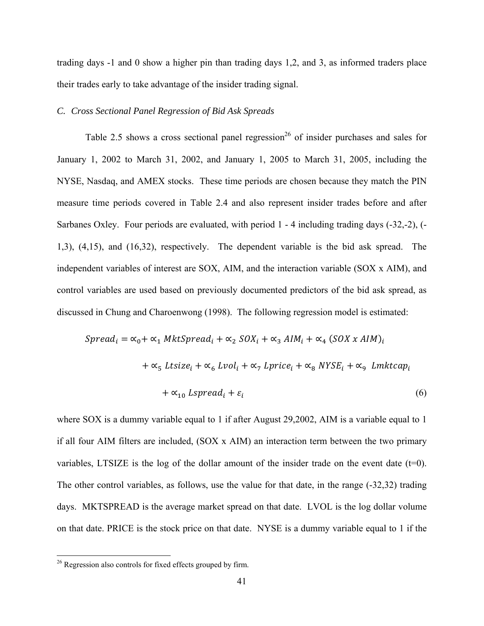trading days -1 and 0 show a higher pin than trading days 1,2, and 3, as informed traders place their trades early to take advantage of the insider trading signal.

# *C. Cross Sectional Panel Regression of Bid Ask Spreads*

Table 2.5 shows a cross sectional panel regression<sup>26</sup> of insider purchases and sales for January 1, 2002 to March 31, 2002, and January 1, 2005 to March 31, 2005, including the NYSE, Nasdaq, and AMEX stocks. These time periods are chosen because they match the PIN measure time periods covered in Table 2.4 and also represent insider trades before and after Sarbanes Oxley. Four periods are evaluated, with period 1 - 4 including trading days (-32,-2), (- 1,3), (4,15), and (16,32), respectively. The dependent variable is the bid ask spread. The independent variables of interest are SOX, AIM, and the interaction variable (SOX x AIM), and control variables are used based on previously documented predictors of the bid ask spread, as discussed in Chung and Charoenwong (1998). The following regression model is estimated:

$$
Spread_i = \alpha_0 + \alpha_1 MktSpread_i + \alpha_2 SOX_i + \alpha_3 AIM_i + \alpha_4 (SOX \times AIM)_i
$$
  
+  $\alpha_5 Ltsize_i + \alpha_6 Lvol_i + \alpha_7 Lprice_i + \alpha_8 NYSE_i + \alpha_9 Lmktcap_i$   
+  $\alpha_{10} Lspread_i + \varepsilon_i$  (6)

where SOX is a dummy variable equal to 1 if after August 29,2002, AIM is a variable equal to 1 if all four AIM filters are included, (SOX x AIM) an interaction term between the two primary variables, LTSIZE is the log of the dollar amount of the insider trade on the event date  $(t=0)$ . The other control variables, as follows, use the value for that date, in the range (-32,32) trading days. MKTSPREAD is the average market spread on that date. LVOL is the log dollar volume on that date. PRICE is the stock price on that date. NYSE is a dummy variable equal to 1 if the

<u>.</u>

<sup>&</sup>lt;sup>26</sup> Regression also controls for fixed effects grouped by firm.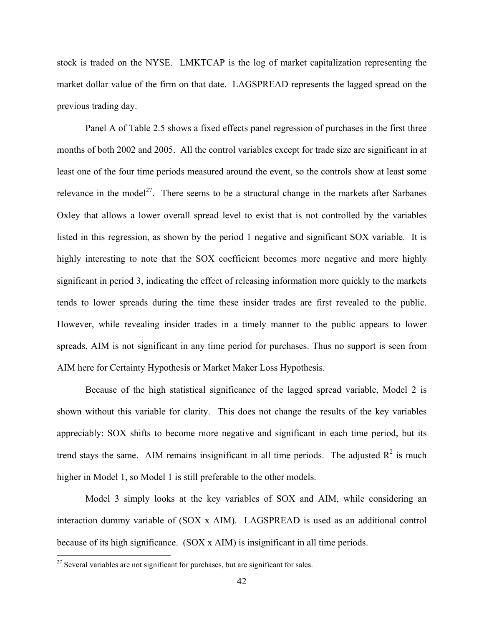stock is traded on the NYSE. LMKTCAP is the log of market capitalization representing the market dollar value of the firm on that date. LAGSPREAD represents the lagged spread on the previous trading day.

Panel A of Table 2.5 shows a fixed effects panel regression of purchases in the first three months of both 2002 and 2005. All the control variables except for trade size are significant in at least one of the four time periods measured around the event, so the controls show at least some relevance in the model<sup>27</sup>. There seems to be a structural change in the markets after Sarbanes Oxley that allows a lower overall spread level to exist that is not controlled by the variables listed in this regression, as shown by the period 1 negative and significant SOX variable. It is highly interesting to note that the SOX coefficient becomes more negative and more highly significant in period 3, indicating the effect of releasing information more quickly to the markets tends to lower spreads during the time these insider trades are first revealed to the public. However, while revealing insider trades in a timely manner to the public appears to lower spreads, AIM is not significant in any time period for purchases. Thus no support is seen from AIM here for Certainty Hypothesis or Market Maker Loss Hypothesis.

Because of the high statistical significance of the lagged spread variable, Model 2 is shown without this variable for clarity. This does not change the results of the key variables appreciably: SOX shifts to become more negative and significant in each time period, but its trend stays the same. AIM remains insignificant in all time periods. The adjusted  $R^2$  is much higher in Model 1, so Model 1 is still preferable to the other models.

Model 3 simply looks at the key variables of SOX and AIM, while considering an interaction dummy variable of (SOX x AIM). LAGSPREAD is used as an additional control because of its high significance. (SOX x AIM) is insignificant in all time periods.

<u>.</u>

 $2^7$  Several variables are not significant for purchases, but are significant for sales.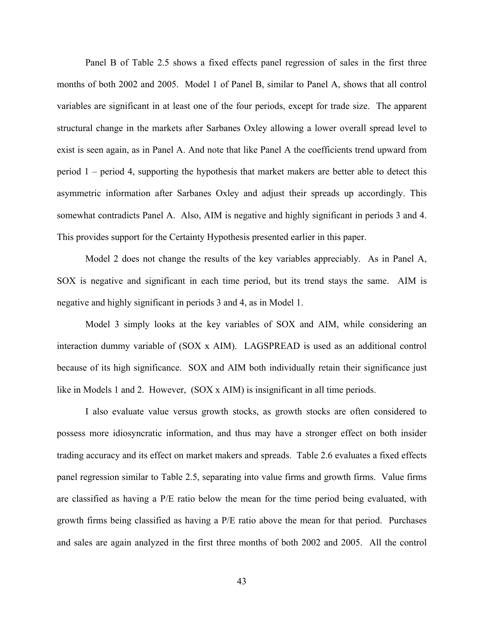Panel B of Table 2.5 shows a fixed effects panel regression of sales in the first three months of both 2002 and 2005. Model 1 of Panel B, similar to Panel A, shows that all control variables are significant in at least one of the four periods, except for trade size. The apparent structural change in the markets after Sarbanes Oxley allowing a lower overall spread level to exist is seen again, as in Panel A. And note that like Panel A the coefficients trend upward from period 1 – period 4, supporting the hypothesis that market makers are better able to detect this asymmetric information after Sarbanes Oxley and adjust their spreads up accordingly. This somewhat contradicts Panel A. Also, AIM is negative and highly significant in periods 3 and 4. This provides support for the Certainty Hypothesis presented earlier in this paper.

Model 2 does not change the results of the key variables appreciably. As in Panel A, SOX is negative and significant in each time period, but its trend stays the same. AIM is negative and highly significant in periods 3 and 4, as in Model 1.

Model 3 simply looks at the key variables of SOX and AIM, while considering an interaction dummy variable of (SOX x AIM). LAGSPREAD is used as an additional control because of its high significance. SOX and AIM both individually retain their significance just like in Models 1 and 2. However, (SOX x AIM) is insignificant in all time periods.

I also evaluate value versus growth stocks, as growth stocks are often considered to possess more idiosyncratic information, and thus may have a stronger effect on both insider trading accuracy and its effect on market makers and spreads. Table 2.6 evaluates a fixed effects panel regression similar to Table 2.5, separating into value firms and growth firms. Value firms are classified as having a P/E ratio below the mean for the time period being evaluated, with growth firms being classified as having a P/E ratio above the mean for that period. Purchases and sales are again analyzed in the first three months of both 2002 and 2005. All the control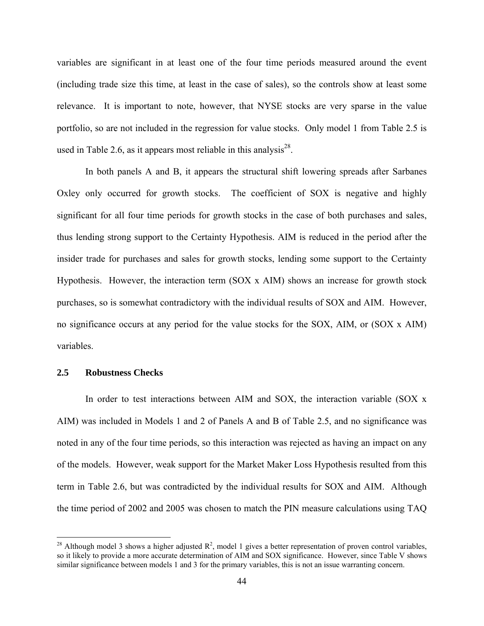variables are significant in at least one of the four time periods measured around the event (including trade size this time, at least in the case of sales), so the controls show at least some relevance. It is important to note, however, that NYSE stocks are very sparse in the value portfolio, so are not included in the regression for value stocks. Only model 1 from Table 2.5 is used in Table 2.6, as it appears most reliable in this analysis<sup>28</sup>.

In both panels A and B, it appears the structural shift lowering spreads after Sarbanes Oxley only occurred for growth stocks. The coefficient of SOX is negative and highly significant for all four time periods for growth stocks in the case of both purchases and sales, thus lending strong support to the Certainty Hypothesis. AIM is reduced in the period after the insider trade for purchases and sales for growth stocks, lending some support to the Certainty Hypothesis. However, the interaction term (SOX x AIM) shows an increase for growth stock purchases, so is somewhat contradictory with the individual results of SOX and AIM. However, no significance occurs at any period for the value stocks for the SOX, AIM, or (SOX x AIM) variables.

# **2.5 Robustness Checks**

1

In order to test interactions between AIM and SOX, the interaction variable (SOX x AIM) was included in Models 1 and 2 of Panels A and B of Table 2.5, and no significance was noted in any of the four time periods, so this interaction was rejected as having an impact on any of the models. However, weak support for the Market Maker Loss Hypothesis resulted from this term in Table 2.6, but was contradicted by the individual results for SOX and AIM. Although the time period of 2002 and 2005 was chosen to match the PIN measure calculations using TAQ

<sup>&</sup>lt;sup>28</sup> Although model 3 shows a higher adjusted  $\mathbb{R}^2$ , model 1 gives a better representation of proven control variables, so it likely to provide a more accurate determination of AIM and SOX significance. However, since Table V shows similar significance between models 1 and 3 for the primary variables, this is not an issue warranting concern.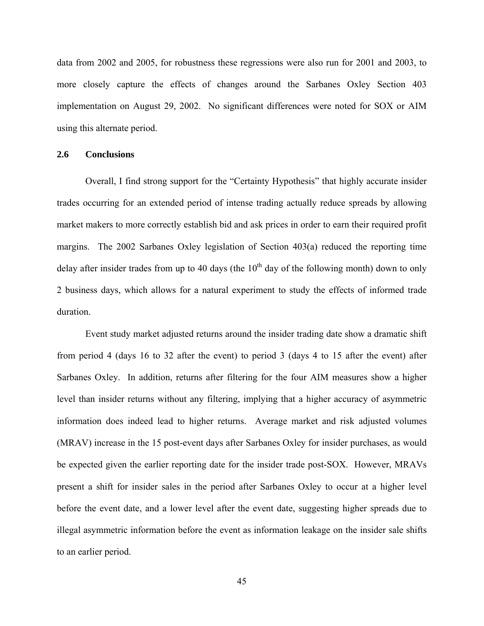data from 2002 and 2005, for robustness these regressions were also run for 2001 and 2003, to more closely capture the effects of changes around the Sarbanes Oxley Section 403 implementation on August 29, 2002. No significant differences were noted for SOX or AIM using this alternate period.

### **2.6 Conclusions**

Overall, I find strong support for the "Certainty Hypothesis" that highly accurate insider trades occurring for an extended period of intense trading actually reduce spreads by allowing market makers to more correctly establish bid and ask prices in order to earn their required profit margins. The 2002 Sarbanes Oxley legislation of Section 403(a) reduced the reporting time delay after insider trades from up to 40 days (the  $10<sup>th</sup>$  day of the following month) down to only 2 business days, which allows for a natural experiment to study the effects of informed trade duration.

Event study market adjusted returns around the insider trading date show a dramatic shift from period 4 (days 16 to 32 after the event) to period 3 (days 4 to 15 after the event) after Sarbanes Oxley. In addition, returns after filtering for the four AIM measures show a higher level than insider returns without any filtering, implying that a higher accuracy of asymmetric information does indeed lead to higher returns. Average market and risk adjusted volumes (MRAV) increase in the 15 post-event days after Sarbanes Oxley for insider purchases, as would be expected given the earlier reporting date for the insider trade post-SOX. However, MRAVs present a shift for insider sales in the period after Sarbanes Oxley to occur at a higher level before the event date, and a lower level after the event date, suggesting higher spreads due to illegal asymmetric information before the event as information leakage on the insider sale shifts to an earlier period.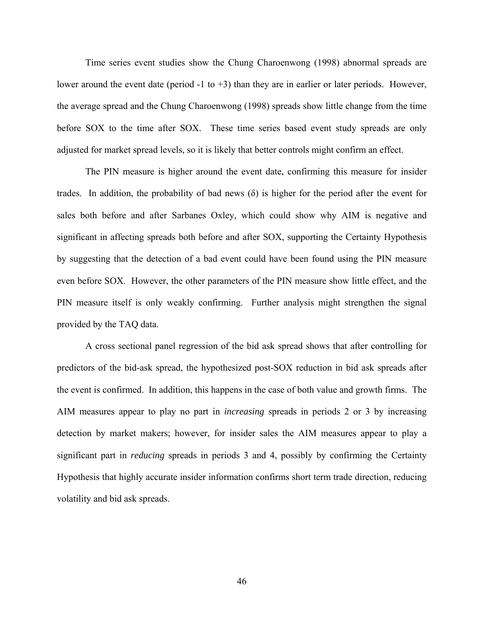Time series event studies show the Chung Charoenwong (1998) abnormal spreads are lower around the event date (period -1 to +3) than they are in earlier or later periods. However, the average spread and the Chung Charoenwong (1998) spreads show little change from the time before SOX to the time after SOX. These time series based event study spreads are only adjusted for market spread levels, so it is likely that better controls might confirm an effect.

The PIN measure is higher around the event date, confirming this measure for insider trades. In addition, the probability of bad news (δ) is higher for the period after the event for sales both before and after Sarbanes Oxley, which could show why AIM is negative and significant in affecting spreads both before and after SOX, supporting the Certainty Hypothesis by suggesting that the detection of a bad event could have been found using the PIN measure even before SOX. However, the other parameters of the PIN measure show little effect, and the PIN measure itself is only weakly confirming. Further analysis might strengthen the signal provided by the TAQ data.

A cross sectional panel regression of the bid ask spread shows that after controlling for predictors of the bid-ask spread, the hypothesized post-SOX reduction in bid ask spreads after the event is confirmed. In addition, this happens in the case of both value and growth firms. The AIM measures appear to play no part in *increasing* spreads in periods 2 or 3 by increasing detection by market makers; however, for insider sales the AIM measures appear to play a significant part in *reducing* spreads in periods 3 and 4, possibly by confirming the Certainty Hypothesis that highly accurate insider information confirms short term trade direction, reducing volatility and bid ask spreads.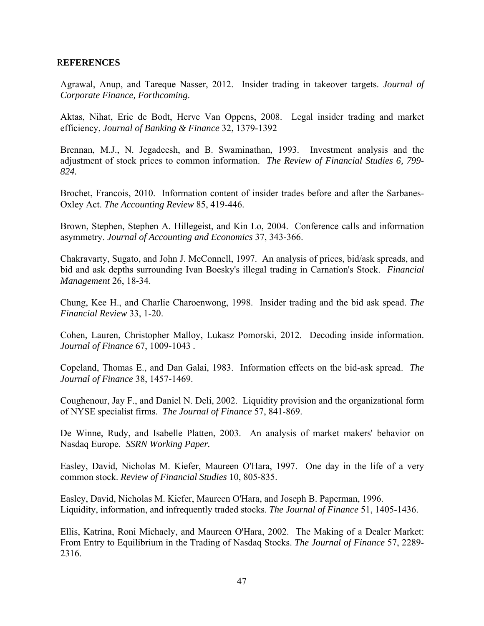# R**EFERENCES**

Agrawal, Anup, and Tareque Nasser, 2012. Insider trading in takeover targets. *Journal of Corporate Finance, Forthcoming*.

Aktas, Nihat, Eric de Bodt, Herve Van Oppens, 2008. Legal insider trading and market efficiency, *Journal of Banking & Finance* 32, 1379-1392

Brennan, M.J., N. Jegadeesh, and B. Swaminathan, 1993. Investment analysis and the adjustment of stock prices to common information. *The Review of Financial Studies 6, 799- 824.* 

Brochet, Francois, 2010. Information content of insider trades before and after the Sarbanes-Oxley Act. *The Accounting Review* 85, 419-446.

Brown, Stephen, Stephen A. Hillegeist, and Kin Lo, 2004. Conference calls and information asymmetry. *Journal of Accounting and Economics* 37, 343-366.

Chakravarty, Sugato, and John J. McConnell, 1997. An analysis of prices, bid/ask spreads, and bid and ask depths surrounding Ivan Boesky's illegal trading in Carnation's Stock. *Financial Management* 26, 18-34.

Chung, Kee H., and Charlie Charoenwong, 1998. Insider trading and the bid ask spead. *The Financial Review* 33, 1-20.

Cohen, Lauren, Christopher Malloy, Lukasz Pomorski, 2012. Decoding inside information. *Journal of Finance* 67, 1009-1043 *.* 

Copeland, Thomas E., and Dan Galai, 1983. Information effects on the bid-ask spread. *The Journal of Finance* 38, 1457-1469.

Coughenour, Jay F., and Daniel N. Deli, 2002. Liquidity provision and the organizational form of NYSE specialist firms. *The Journal of Finance* 57, 841-869.

De Winne, Rudy, and Isabelle Platten, 2003. An analysis of market makers' behavior on Nasdaq Europe. *SSRN Working Paper.* 

Easley, David, Nicholas M. Kiefer, Maureen O'Hara, 1997. One day in the life of a very common stock. *Review of Financial Studies* 10, 805-835.

Easley, David, Nicholas M. Kiefer, Maureen O'Hara, and Joseph B. Paperman, 1996. Liquidity, information, and infrequently traded stocks. *The Journal of Finance* 51, 1405-1436.

Ellis, Katrina, Roni Michaely, and Maureen O'Hara, 2002. The Making of a Dealer Market: From Entry to Equilibrium in the Trading of Nasdaq Stocks. *The Journal of Finance* 57, 2289- 2316.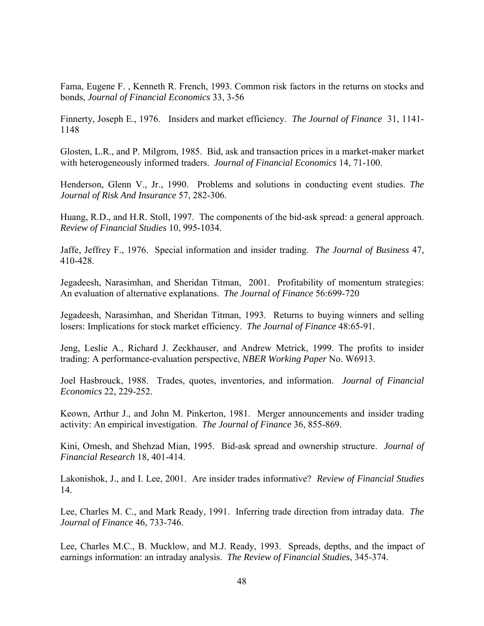Fama, Eugene F. , Kenneth R. French, 1993. Common risk factors in the returns on stocks and bonds, *Journal of Financial Economics* 33, 3-56

Finnerty, Joseph E., 1976. Insiders and market efficiency. *The Journal of Finance* 31, 1141- 1148

Glosten, L.R., and P. Milgrom, 1985. Bid, ask and transaction prices in a market-maker market with heterogeneously informed traders. *Journal of Financial Economics* 14, 71-100.

Henderson, Glenn V., Jr., 1990. Problems and solutions in conducting event studies. *The Journal of Risk And Insurance* 57, 282-306.

Huang, R.D., and H.R. Stoll, 1997. The components of the bid-ask spread: a general approach. *Review of Financial Studies* 10, 995-1034.

Jaffe, Jeffrey F., 1976. Special information and insider trading. *The Journal of Business* 47, 410-428.

Jegadeesh, Narasimhan, and Sheridan Titman, 2001. Profitability of momentum strategies: An evaluation of alternative explanations. *The Journal of Finance* 56:699-720

Jegadeesh, Narasimhan, and Sheridan Titman, 1993. Returns to buying winners and selling losers: Implications for stock market efficiency. *The Journal of Finance* 48:65-91.

Jeng, Leslie A., Richard J. Zeckhauser, and Andrew Metrick, 1999. The profits to insider trading: A performance-evaluation perspective, *NBER Working Paper* No. W6913.

Joel Hasbrouck, 1988. Trades, quotes, inventories, and information. *Journal of Financial Economics* 22, 229-252.

Keown, Arthur J., and John M. Pinkerton, 1981. Merger announcements and insider trading activity: An empirical investigation. *The Journal of Finance* 36, 855-869.

Kini, Omesh, and Shehzad Mian, 1995. Bid-ask spread and ownership structure. *Journal of Financial Research* 18, 401-414.

Lakonishok, J., and I. Lee, 2001. Are insider trades informative? *Review of Financial Studies*  14.

Lee, Charles M. C., and Mark Ready, 1991. Inferring trade direction from intraday data. *The Journal of Finance* 46, 733-746.

Lee, Charles M.C., B. Mucklow, and M.J. Ready, 1993. Spreads, depths, and the impact of earnings information: an intraday analysis. *The Review of Financial Studies*, 345-374.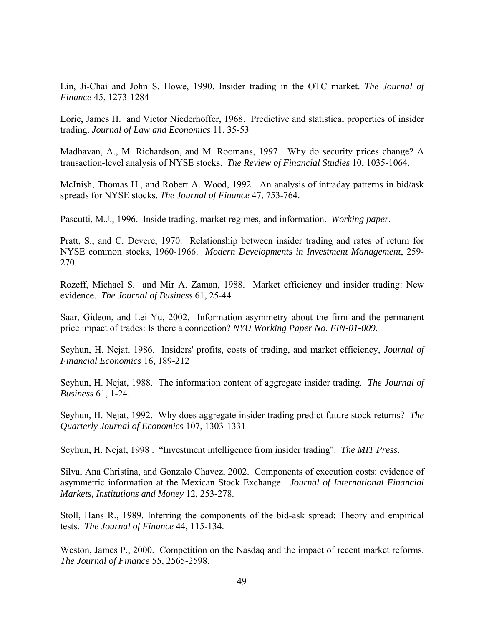Lin, Ji-Chai and John S. Howe, 1990. Insider trading in the OTC market. *The Journal of Finance* 45, 1273-1284

Lorie, James H. and Victor Niederhoffer, 1968. Predictive and statistical properties of insider trading. *Journal of Law and Economics* 11, 35-53

Madhavan, A., M. Richardson, and M. Roomans, 1997. Why do security prices change? A transaction-level analysis of NYSE stocks. *The Review of Financial Studies* 10, 1035-1064.

McInish, Thomas H., and Robert A. Wood, 1992. An analysis of intraday patterns in bid/ask spreads for NYSE stocks. *The Journal of Finance* 47, 753-764.

Pascutti, M.J., 1996. Inside trading, market regimes, and information. *Working paper*.

Pratt, S., and C. Devere, 1970. Relationship between insider trading and rates of return for NYSE common stocks, 1960-1966. *Modern Developments in Investment Management*, 259- 270.

Rozeff, Michael S. and Mir A. Zaman, 1988. Market efficiency and insider trading: New evidence. *The Journal of Business* 61, 25-44

Saar, Gideon, and Lei Yu, 2002. Information asymmetry about the firm and the permanent price impact of trades: Is there a connection? *NYU Working Paper No. FIN-01-009*.

Seyhun, H. Nejat, 1986. Insiders' profits, costs of trading, and market efficiency, *Journal of Financial Economics* 16, 189-212

Seyhun, H. Nejat, 1988. The information content of aggregate insider trading. *The Journal of Business* 61, 1-24.

Seyhun, H. Nejat, 1992. Why does aggregate insider trading predict future stock returns? *The Quarterly Journal of Economics* 107, 1303-1331

Seyhun, H. Nejat, 1998 . "Investment intelligence from insider trading". *The MIT Press*.

Silva, Ana Christina, and Gonzalo Chavez, 2002. Components of execution costs: evidence of asymmetric information at the Mexican Stock Exchange. *Journal of International Financial Markets, Institutions and Money* 12, 253-278.

Stoll, Hans R., 1989. Inferring the components of the bid-ask spread: Theory and empirical tests. *The Journal of Finance* 44, 115-134.

Weston, James P., 2000. Competition on the Nasdaq and the impact of recent market reforms. *The Journal of Finance* 55, 2565-2598.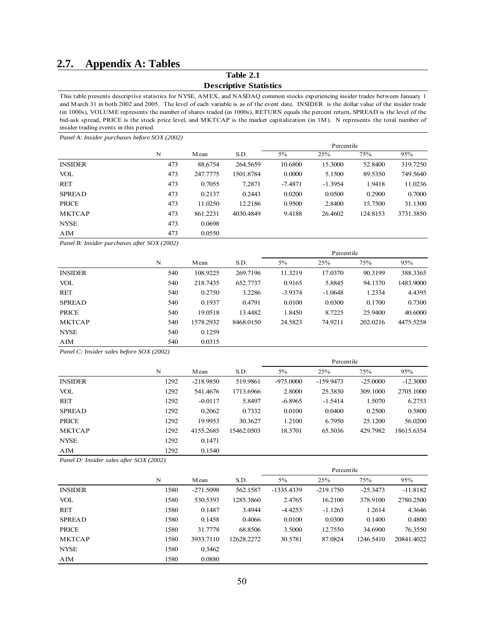# **2.7. Appendix A: Tables**

**Table 2.1**

#### **Descriptive Statistics**

This table presents descriptive statistics for NYSE, AMEX, and NASDAQ common stocks experiencing insider trades between January 1 and March 31 in both 2002 and 2005. The level of each variable is as of the event date. INSIDER is the dollar value of the insider trade (in 1000s), VOLUME represents the number of shares traded (in 1000s), RETURN equals the percent return, SPREAD is the level of the bid-ask spread, PRICE is the stock price level, and MKTCAP is the market capitalization (in 1M). N represents the total number of insider trading events in this period.

*Panel A: Insider purchases before SOX (2002)*

|                |     |          |           | Percentile |           |          |           |  |  |  |
|----------------|-----|----------|-----------|------------|-----------|----------|-----------|--|--|--|
|                | N   | M ean    | S.D.      | 5%         | 25%       | 75%      | 95%       |  |  |  |
| <b>INSIDER</b> | 473 | 88.6754  | 264.5659  | 10.6800    | 15.3000   | 52,8400  | 319.7250  |  |  |  |
| VOL            | 473 | 247,7775 | 1501.8784 | 0.0000     | 5.1500    | 89.5350  | 749.5640  |  |  |  |
| RET            | 473 | 0.7055   | 7.2871    | $-7.4871$  | $-1.3954$ | 1.9418   | 11.0236   |  |  |  |
| <b>SPREAD</b>  | 473 | 0.2137   | 0.2443    | 0.0200     | 0.0500    | 0.2900   | 0.7000    |  |  |  |
| <b>PRICE</b>   | 473 | 11.0250  | 12.2186   | 0.9500     | 2.8400    | 15.7500  | 31.1300   |  |  |  |
| <b>MKTCAP</b>  | 473 | 861.2231 | 4030.4849 | 9.4188     | 26.4602   | 124.8153 | 3731.3850 |  |  |  |
| <b>NYSE</b>    | 473 | 0.0698   |           |            |           |          |           |  |  |  |
| AIM            | 473 | 0.0550   |           |            |           |          |           |  |  |  |

*Panel B: Insider purchases after SOX (2002)*

|                |     |           |           | Percentile |           |          |           |  |
|----------------|-----|-----------|-----------|------------|-----------|----------|-----------|--|
|                | N   | M ean     | S.D.      | 5%         | 25%       | 75%      | 95%       |  |
| <b>INSIDER</b> | 540 | 108.9225  | 269.7196  | 11.3219    | 17.0370   | 90.3199  | 388.3365  |  |
| VOL            | 540 | 218,7435  | 652,7737  | 0.9165     | 5.8845    | 94.1370  | 1483.9000 |  |
| <b>RET</b>     | 540 | 0.2750    | 3.2286    | $-3.9374$  | $-1.0648$ | 1.2334   | 4.4395    |  |
| <b>SPREAD</b>  | 540 | 0.1937    | 0.4791    | 0.0100     | 0.0300    | 0.1700   | 0.7300    |  |
| <b>PRICE</b>   | 540 | 19.0518   | 13.4482   | 1.8450     | 8.7225    | 25,9400  | 40,6000   |  |
| <b>MKTCAP</b>  | 540 | 1578.2932 | 8468.0150 | 24.5823    | 74.9211   | 202.0216 | 4475.5258 |  |
| <b>NYSE</b>    | 540 | 0.1259    |           |            |           |          |           |  |
| AIM            | 540 | 0.0315    |           |            |           |          |           |  |

*Panel C: Insider sales before SOX (2002)*

|                |      |             |            | Percentile  |             |            |            |  |
|----------------|------|-------------|------------|-------------|-------------|------------|------------|--|
|                | N    | M ean       | S.D.       | $5\%$       | 25%         | 75%        | 95%        |  |
| <b>INSIDER</b> | 1292 | $-218.9850$ | 519.9861   | $-975.0000$ | $-159.9473$ | $-25.0000$ | $-12.3000$ |  |
| VOL            | 1292 | 541.4676    | 1713.6966  | 2.8000      | 25.3830     | 309.1000   | 2705.1000  |  |
| RET            | 1292 | $-0.0117$   | 5.8497     | $-6.8965$   | $-1.5414$   | 1.5070     | 6.2753     |  |
| <b>SPREAD</b>  | 1292 | 0.2062      | 0.7332     | 0.0100      | 0.0400      | 0.2500     | 0.5800     |  |
| <b>PRICE</b>   | 1292 | 19.9953     | 30.3627    | 1.2100      | 6.7950      | 25.1200    | 56.0200    |  |
| <b>MKTCAP</b>  | 1292 | 4155.2685   | 15462.0503 | 18.3701     | 65.5036     | 429.7982   | 18615.6354 |  |
| <b>NYSE</b>    | 1292 | 0.1471      |            |             |             |            |            |  |
| AIM            | 1292 | 0.1540      |            |             |             |            |            |  |

*Panel D: Insider sales after SOX (2002)*

|                |      |             |            | Percentile   |             |            |            |  |  |
|----------------|------|-------------|------------|--------------|-------------|------------|------------|--|--|
|                | N    | M ean       | S.D.       | 5%           | 25%         | 75%        | 95%        |  |  |
| <b>INSIDER</b> | 1580 | $-271.5098$ | 562.1587   | $-1335.4339$ | $-219.1750$ | $-25.3473$ | $-11.8182$ |  |  |
| <b>VOL</b>     | 1580 | 530.5393    | 1285.3860  | 2.4765       | 16.2100     | 378.9100   | 2780.2500  |  |  |
| <b>RET</b>     | 1580 | 0.1487      | 3.4944     | $-4.4253$    | $-1.1263$   | 1.2614     | 4.3646     |  |  |
| <b>SPREAD</b>  | 1580 | 0.1458      | 0.4066     | 0.0100       | 0.0300      | 0.1400     | 0.4800     |  |  |
| <b>PRICE</b>   | 1580 | 31.7778     | 68.8506    | 3.5000       | 12.7550     | 34,6900    | 76.3550    |  |  |
| <b>MKTCAP</b>  | 1580 | 3933.7110   | 12628.2272 | 30.5781      | 87.0824     | 1246.5410  | 20841.4022 |  |  |
| <b>NYSE</b>    | 1580 | 0.3462      |            |              |             |            |            |  |  |
| AIM            | 1580 | 0.0880      |            |              |             |            |            |  |  |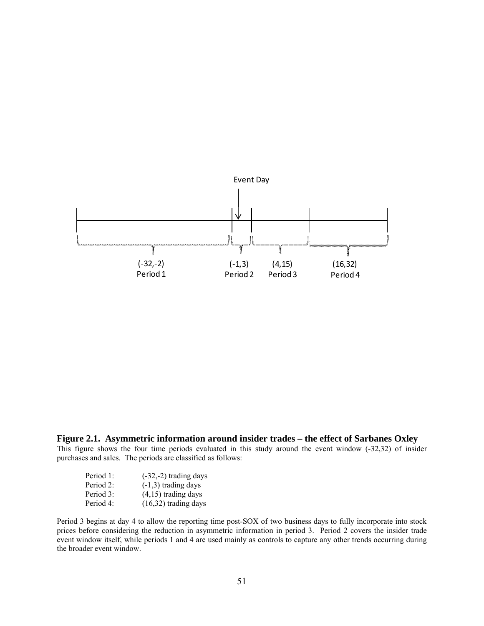

**Figure 2.1. Asymmetric information around insider trades – the effect of Sarbanes Oxley** 

This figure shows the four time periods evaluated in this study around the event window (-32,32) of insider purchases and sales. The periods are classified as follows:

| Period 1: | $(-32,-2)$ trading days |
|-----------|-------------------------|
| Period 2: | $(-1,3)$ trading days   |
| Period 3: | $(4,15)$ trading days   |
| Period 4: | $(16,32)$ trading days  |

Period 3 begins at day 4 to allow the reporting time post-SOX of two business days to fully incorporate into stock prices before considering the reduction in asymmetric information in period 3. Period 2 covers the insider trade event window itself, while periods 1 and 4 are used mainly as controls to capture any other trends occurring during the broader event window.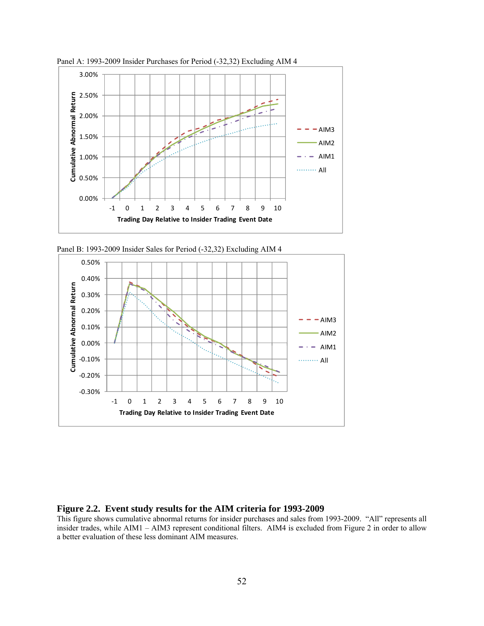

Panel A: 1993-2009 Insider Purchases for Period (-32,32) Excluding AIM 4





# **Figure 2.2. Event study results for the AIM criteria for 1993-2009**

This figure shows cumulative abnormal returns for insider purchases and sales from 1993-2009. "All" represents all insider trades, while AIM1 – AIM3 represent conditional filters. AIM4 is excluded from Figure 2 in order to allow a better evaluation of these less dominant AIM measures.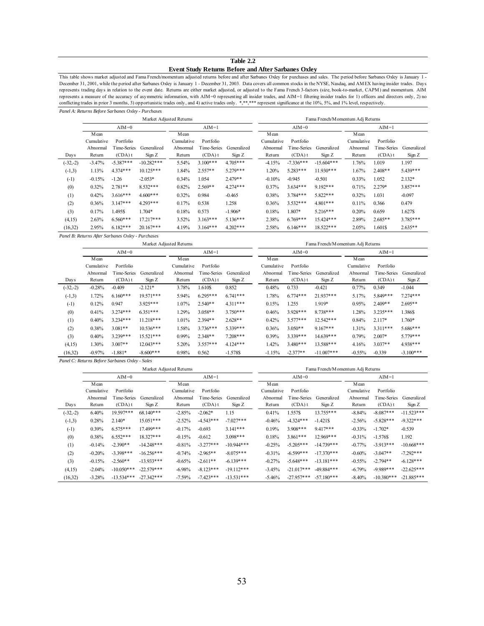#### **Table 2.2 Event Study Returns Before and After Sarbanes Oxley**

*Panel A: Returns Before Sarbanes Oxley - Purchases* This table shows market adjusted and Fama French/momentum adjusted returns before and after Sarbanes Oxley for purchases and sales. The period before Sarbanes Oxley is January 1 - December 31, 2001, while the period after Sarbanes Oxley is January 1 - December 31, 2003. Data covers all common stocks in the NYSE, Nasdaq, and AMEX having insider trades. Days represents trading days in relation to the event date. Returns are either market adjusted, or adjusted to the Fama French 3-factors (size, book-to-market, CAPM) and momentum. AIM represents a measure of the accuracy of asymmetric information, with AIM=0 representing all insider trades, and AIM=1 filtering insider trades for 1) officers and directors only, 2) no conflicting trades in prior 3 months, 3) opportunistic trades only, and 4) active trades only. \*,\*\*\*\* represent significance at the 10%, 5%, and 1% level, respectively.

|            | Market Adjusted Returns |                                                   |              |                    |             |             |                     | Fama French/Momentum Adj Returns |              |                     |             |             |  |
|------------|-------------------------|---------------------------------------------------|--------------|--------------------|-------------|-------------|---------------------|----------------------------------|--------------|---------------------|-------------|-------------|--|
|            |                         | $AIM=0$                                           |              |                    | $AIM=1$     |             |                     | $AIM=0$                          |              | $AIM=1$             |             |             |  |
|            | Mean<br>Cumulative      | Portfolio                                         |              | Mean<br>Cumulative | Portfolio   |             | M ean<br>Cumulative | Portfolio                        |              | M ean<br>Cumulative | Portfolio   |             |  |
|            | Abnormal                | Time-Series                                       | Generalized  | Abnormal           | Time-Series | Generalized | Abnormal            | Time-Series                      | Generalized  | Abnormal            | Time-Series | Generalized |  |
| Days       | Return                  | $(CDA)$ t                                         | Sign Z       | Return             | $(CDA)$ t   | Sign Z      | Return              | $(CDA)$ t                        | Sign Z       | Return              | $(CDA)$ t   | Sign Z      |  |
| $(-32,-2)$ | $-3.47%$                | $-5.387***$                                       | $-10.282***$ | 5.54%              | $3.100***$  | $4.705***$  | $-4.15%$            | $-7.336***$                      | $-15.604***$ | 1.76%               | 1.019       | 1.197       |  |
| $(-1,3)$   | 1.13%                   | $4.374***$                                        | $10.125***$  | 1.84%              | $2.557**$   | $5.279***$  | 1.20%               | $5.283***$                       | $11.930***$  | 1.67%               | $2.408**$   | 5.439***    |  |
| $(-1)$     | $-0.15%$                | $-1.26$                                           | $-2.053*$    | 0.34%              | 1.054       | 2.479**     | $-0.10%$            | $-0.945$                         | $-0.501$     | 0.33%               | 1.052       | $2.132*$    |  |
| (0)        | 0.32%                   | $2.781**$                                         | $8.532***$   | 0.82%              | $2.569**$   | $4.274***$  | 0.37%               | $3.634***$                       | 9.192***     | 0.71%               | 2.279*      | $3.857***$  |  |
| (1)        | 0.42%                   | $3.616***$                                        | $4600***$    | 0.32%              | 0.984       | $-0.465$    | 0.38%               | $3.784***$                       | $5.822***$   | 0.32%               | 1.031       | $-0.097$    |  |
| (2)        | 0.36%                   | $3.147***$                                        | $4.293***$   | 0.17%              | 0.538       | 1.258       | 0.36%               | $3.532***$                       | 4.801***     | 0.11%               | 0.366       | 0.479       |  |
| (3)        | 0.17%                   | 1.495\$                                           | 1.704*       | 0.18%              | 0.573       | $-1.906*$   | 0.18%               | 1.807*                           | $5.216***$   | 0.20%               | 0.659       | 1.627\$     |  |
| (4,15)     | 2.63%                   | $6.560***$                                        | $17.217***$  | 3.52%              | $3.163***$  | $5.136***$  | 2.38%               | $6.769***$                       | 15.424***    | 2.89%               | $2.685**$   | 3.785***    |  |
| (16,32)    | 2.95%                   | $6.182***$                                        | $20.167***$  | 4.19%              | $3.164***$  | $4.202***$  | 2.58%               | $6.146***$                       | $18.522***$  | 2.05%               | 1.601\$     | $2.635**$   |  |
|            |                         | Panel B: Returns After Sarbanes Oxley - Purchases |              |                    |             |             |                     |                                  |              |                     |             |             |  |

Market Adjusted Returns Fama French/Momentum Adj Returns

|            | $AIM=0$    |             |             | $AIM=1$    |             |             |            | $AIM=0$     |              | $AIM=1$    |             |             |  |
|------------|------------|-------------|-------------|------------|-------------|-------------|------------|-------------|--------------|------------|-------------|-------------|--|
|            | Mean       |             |             | Mean       |             |             | M ean      |             |              | M ean      |             |             |  |
|            | Cumulative | Portfolio   |             | Cumulative | Portfolio   |             | Cumulative | Portfolio   |              | Cumulative | Portfolio   |             |  |
|            | Abnormal   | Time-Series | Generalized | Abnormal   | Time-Series | Generalized | Abnormal   | Time-Series | Generalized  | Abnormal   | Time-Series | Generalized |  |
| Days       | Return     | $(CDA)$ t   | Sign Z      | Return     | $(CDA)$ t   | Sign Z      | Return     | $(CDA)$ t   | Sign Z       | Return     | $(CDA)$ t   | Sign Z      |  |
| $(-32,-2)$ | $-0.28%$   | $-0.409$    | $-2.121*$   | 3.78%      | 1.610\$     | 0.852       | 0.48%      | 0.733       | $-0.421$     | $0.77\%$   | 0.349       | $-1.044$    |  |
| $(-1,3)$   | 1.72%      | $6.160***$  | 19.571***   | 5.94%      | $6.295***$  | $6.741***$  | 1.78%      | $6.774***$  | 21.937***    | 5.17%      | 5.849***    | $7274***$   |  |
| $(-1)$     | 0.12%      | 0.947       | $3925***$   | 1.07%      | $2.540**$   | $4.311***$  | 0.15%      | 1.255       | 1.919*       | 0.95%      | $2.409**$   | $2.695**$   |  |
| (0)        | 0.41%      | $3.274***$  | $6.351***$  | 1.29%      | $3.058**$   | $3750***$   | 0.46%      | $3.928***$  | 8738***      | 1.28%      | $3.235***$  | 1.386\$     |  |
| (1)        | 0.40%      | $3.234***$  | $11.218***$ | 1.01%      | $2.394**$   | $2.628**$   | 0.42%      | $3.577***$  | 12.542***    | 0.84%      | 2.117*      | 1.760*      |  |
| (2)        | 0.38%      | $3.081**$   | $10.536***$ | 1.58%      | $3736***$   | $5.339***$  | 0.36%      | $3.050**$   | $9.167***$   | 1.31%      | $3.311***$  | $5686***$   |  |
| (3)        | 0.40%      | $3.239***$  | 15.521***   | 0.99%      | $2.348**$   | $7208***$   | 0.39%      | $3.339***$  | $14.639***$  | 0.79%      | $2.007*$    | $5779***$   |  |
| (4,15)     | 1.30%      | $3.007**$   | $12.043***$ | 5.20%      | $3.557***$  | $4124***$   | 1.42%      | $3.480***$  | 13.588***    | 4.16%      | $3.037**$   | 4.938***    |  |
| (16,32)    | $-0.97%$   | $-1.881*$   | $-8.600***$ | 0.98%      | 0.562       | $-1.578$ \$ | $-1.15%$   | $-2.377**$  | $-11.007***$ | $-0.55%$   | $-0.339$    | $-3.100***$ |  |

*Panel C: Returns Before Sarbanes Oxley - Sales*

|            |            |              | Market Adjusted Returns |            |             | Fama French/Momentum Adj Returns |            |              |              |            |              |              |
|------------|------------|--------------|-------------------------|------------|-------------|----------------------------------|------------|--------------|--------------|------------|--------------|--------------|
|            |            | $AIM=0$      |                         |            | $AIM=1$     |                                  |            | $AIM=0$      |              |            | $AIM=1$      |              |
|            | M ean      |              |                         | Mean       |             |                                  | M ean      |              |              | Mean       |              |              |
|            | Cumulative | Portfolio    |                         | Cumulative | Portfolio   |                                  | Cumulative | Portfolio    |              | Cumulative | Portfolio    |              |
|            | Abnormal   | Time-Series  | Generalized             | Abnormal   | Time-Series | Generalized                      | Abnormal   | Time-Series  | Generalized  | Abnormal   | Time-Series  | Generalized  |
| Days       | Return     | $(CDA)$ t    | Sign Z                  | Return     | $(CDA)$ t   | Sign Z                           | Return     | $(CDA)$ t    | Sign Z       | Return     | $(CDA)$ t    | Sign Z       |
| $(-32,-2)$ | 6.40%      | 19.597***    | 68.140***               | $-2.85%$   | $-2.062*$   | 1.15                             | 0.41%      | 1.557\$      | $13.755***$  | $-8.84%$   | $-8.087***$  | $-11.523***$ |
| $(-1,3)$   | 0.28%      | $2.140*$     | $15.051***$             | $-2.52%$   | $-4.543***$ | $-7.027***$                      | $-0.46%$   | $-4.324***$  | $-1.421S$    | $-2.56%$   | $-5.828***$  | $-9.322***$  |
| $(-1)$     | 0.39%      | $6.575***$   | 17.499***               | $-0.17%$   | $-0.693$    | $3.141***$                       | 0.19%      | $3.908***$   | $9.417***$   | $-0.33%$   | $-1.702*$    | $-0.539$     |
| (0)        | 0.38%      | $6.552***$   | 18.327***               | $-0.15%$   | $-0.612$    | $3.098***$                       | 0.18%      | $3.861***$   | $12.969***$  | $-0.31%$   | $-1.576$ \$  | 1.192        |
| (1)        | $-0.14%$   | $-2.390**$   | $-14.248***$            | $-0.81%$   | $-3.277***$ | $-10.944***$                     | $-0.25%$   | $-5.205***$  | $-14.739***$ | $-0.77%$   | $-3.913***$  | $-10.668***$ |
| (2)        | $-0.20%$   | $-3.398***$  | $-16.256***$            | $-0.74%$   | $-2.965**$  | $-8.075***$                      | $-0.31%$   | $-6.599***$  | $-17.370***$ | $-0.60%$   | $-3.047**$   | $-7.292***$  |
| (3)        | $-0.15%$   | $-2.560**$   | $-13.933***$            | $-0.65%$   | $-2.611**$  | $-6.139***$                      | $-0.27%$   | $-5.648***$  | $-13.181***$ | $-0.55%$   | $-2.794**$   | $-6.128***$  |
| (4,15)     | $-2.04%$   | $-10.050***$ | $-22.579***$            | $-6.98%$   | $-8.123***$ | $-19.112***$                     | $-3.45%$   | $-21.017***$ | $-49.884***$ | $-6.79%$   | $-9.989***$  | $-22.625***$ |
| (16,32)    | $-3.28%$   | $-13.534***$ | $-27.342***$            | $-7.59%$   | $-7.423***$ | $-13.531***$                     | $-5.46%$   | $-27.957***$ | $-57.180***$ | $-8.40%$   | $-10.380***$ | $-21.885***$ |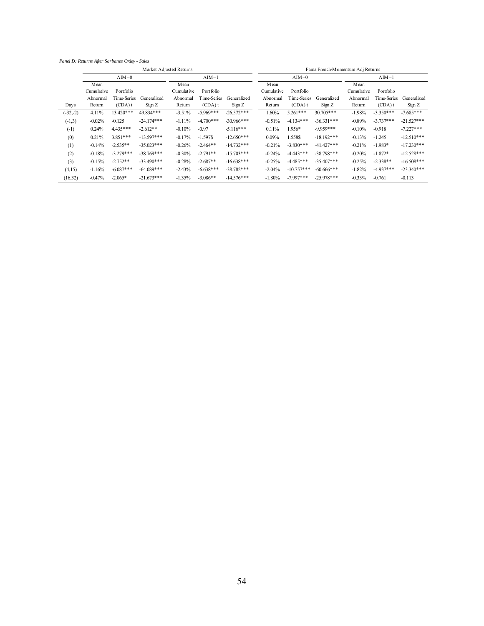|            |            | Panel D: Returns After Sarbanes Oxley - Sales |                         |            |             |              |            |              |                                  |            |             |              |
|------------|------------|-----------------------------------------------|-------------------------|------------|-------------|--------------|------------|--------------|----------------------------------|------------|-------------|--------------|
|            |            |                                               | Market Adjusted Returns |            |             |              |            |              | Fama French/Momentum Adj Returns |            |             |              |
|            |            | $AIM=0$                                       |                         |            | $AIM=1$     |              |            | $AIM=0$      |                                  |            | $AIM=1$     |              |
|            | Mean       |                                               |                         | Mean       |             |              | M ean      |              |                                  | Mean       |             |              |
|            | Cumulative | Portfolio                                     |                         | Cumulative | Portfolio   |              | Cumulative | Portfolio    |                                  | Cumulative | Portfolio   |              |
|            | Abnormal   | I ime-Series                                  | Generalized             | Abnormal   | Time-Series | Generalized  | Abnormal   | Time-Series  | Generalized                      | Abnormal   | Time-Series | Generalized  |
| Days       | Return     | $(CDA)$ t                                     | Sign Z                  | Return     | $(CDA)$ t   | Sign Z       | Return     | $(CDA)$ t    | Sign Z                           | Return     | $(CDA)$ t   | Sign Z       |
| $(-32,-2)$ | 4.11%      | $13.420***$                                   | 49.834***               | $-3.51%$   | $-5.969***$ | $-26.572***$ | 1.60%      | $5.261***$   | $30.705***$                      | $-1.98%$   | $-3.350***$ | $-7.685***$  |
| $(-1,3)$   | $-0.02%$   | $-0.125$                                      | $-24.174***$            | $-1.11%$   | $-4.700***$ | $-30.966***$ | $-0.51%$   | $-4.134***$  | $-36.331***$                     | $-0.89%$   | $-3.737***$ | $-21.527***$ |
| $(-1)$     | 0.24%      | $4.435***$                                    | $-2.612**$              | $-0.10%$   | $-0.97$     | $-5.116***$  | 0.11%      | 1.956*       | $-9.959***$                      | $-0.10%$   | $-0.918$    | $-7.227***$  |
| (0)        | 0.21%      | $3.851***$                                    | $-13.597***$            | $-0.17%$   | $-1.597S$   | $-12.650***$ | 0.09%      | 1.558\$      | $-18.192***$                     | $-0.13%$   | $-1.245$    | $-12.510***$ |
| (1)        | $-0.14%$   | $-2.535**$                                    | $-35.023***$            | $-0.26%$   | $-2.464**$  | $-14.732***$ | $-0.21%$   | $-3.830***$  | $-41.427***$                     | $-0.21%$   | $-1.983*$   | $-17.230***$ |
| (2)        | $-0.18%$   | $-3.279***$                                   | $-38.769***$            | $-0.30%$   | $-2.791**$  | $-15.703***$ | $-0.24%$   | $-4.443***$  | $-38.798***$                     | $-0.20%$   | $-1.872*$   | $-12.528***$ |
| (3)        | $-0.15%$   | $-2.752**$                                    | $-33.490***$            | $-0.28%$   | $-2.687**$  | $-16.638***$ | $-0.25%$   | $-4.485***$  | $-35.407***$                     | $-0.25%$   | $-2.338**$  | $-16.508***$ |
| (4,15)     | $-1.16%$   | $-6.087***$                                   | $-64.089***$            | $-2.43%$   | $-6.638***$ | $-38.782***$ | $-2.04%$   | $-10.757***$ | $-60.666$ ***                    | $-1.82%$   | $-4.937***$ | $-23.340***$ |
| (16, 32)   | $-0.47%$   | $-2.065*$                                     | $-21.673***$            | $-1.35%$   | $-3.086**$  | $-14.576***$ | $-1.80%$   | $-7.997***$  | $-25.978***$                     | $-0.33%$   | $-0.761$    | $-0.113$     |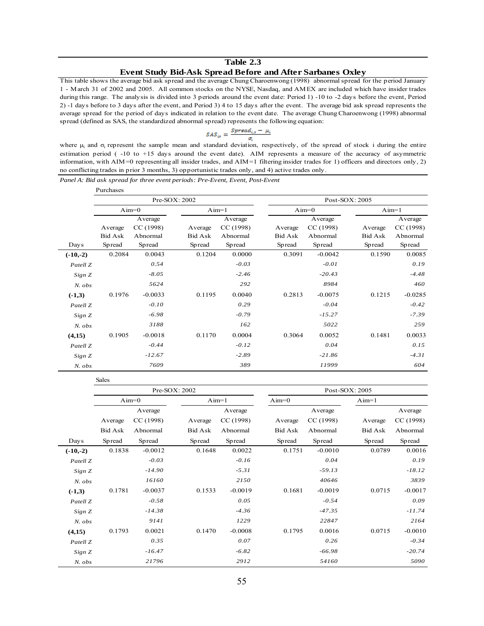#### **Table 2.3 Event Study Bid-Ask Spread Before and After Sarbanes Oxley**

This table shows the average bid ask spread and the average Chung Charoenwong (1998) abnormal spread for the period January 1 - March 31 of 2002 and 2005. All common stocks on the NYSE, Nasdaq, and AMEX are included which have insider trades during this range. The analysis is divided into 3 periods around the event date: Period 1) -10 to -2 days before the event, Period 2) -1 days before to 3 days after the event, and Period 3) 4 to 15 days after the event. The average bid ask spread represents the average spread for the period of days indicated in relation to the event date. The average Chung Charoenwong (1998) abnormal spread (defined as SAS, the standardized abnormal spread) represents the following equation:

$$
SAS_{i\epsilon} = \frac{S\text{pread}_{i,\epsilon} - \mu_i}{\sigma}
$$

where  $\mu_i$  and  $\sigma_i$  represent the sample mean and standard deviation, respectively, of the spread of stock i during the entire estimation period ( -10 to +15 days around the event date). AIM represents a measure of the accuracy of asymmetric information, with AIM=0 representing all insider trades, and AIM=1 filtering insider trades for 1) officers and directors only, 2) no conflicting trades in prior 3 months, 3) opportunistic trades only, and 4) active trades only.

*Panel A: Bid ask spread for three event periods: Pre-Event, Event, Post-Event*

Sales

|                     | Purchases |           |               |          |         |           |                |           |
|---------------------|-----------|-----------|---------------|----------|---------|-----------|----------------|-----------|
|                     |           |           | Pre-SOX: 2002 |          |         |           | Post-SOX: 2005 |           |
|                     |           | $Aim=0$   | $Aim=1$       |          |         | $Aim=0$   | $Aim=1$        |           |
|                     |           | Average   |               | Average  |         | Average   |                | Average   |
|                     | Average   | CC(1998)  | Average       | CC(1998) | Average | CC(1998)  | Average        | CC (1998) |
|                     | Bid Ask   | Abnormal  | Bid Ask       | Abnormal | Bid Ask | Abnormal  | Bid Ask        | Abnormal  |
| Days                | Spread    | Spread    | Spread        | Spread   | Spread  | Spread    | Spread         | Spread    |
| $(-10,-2)$          | 0.2084    | 0.0043    | 0.1204        | 0.0000   | 0.3091  | $-0.0042$ | 0.1590         | 0.0085    |
| Patell Z            |           | 0.54      |               | $-0.03$  |         | $-0.01$   |                | 0.19      |
| Sign Z              |           | $-8.05$   |               | $-2.46$  |         | $-20.43$  |                | $-4.48$   |
| $N.$ $obs$          |           | 5624      |               | 292      |         | 8984      |                | 460       |
| $(-1,3)$            | 0.1976    | $-0.0033$ | 0.1195        | 0.0040   | 0.2813  | $-0.0075$ | 0.1215         | $-0.0285$ |
| Patell <sub>Z</sub> |           | $-0.10$   |               | 0.29     |         | $-0.04$   |                | $-0.42$   |
| Sign Z              |           | $-6.98$   |               | $-0.79$  |         | $-15.27$  |                | $-7.39$   |
| $N.$ $obs$          |           | 3188      |               | 162      |         | 5022      |                | 259       |
| (4,15)              | 0.1905    | $-0.0018$ | 0.1170        | 0.0004   | 0.3064  | 0.0052    | 0.1481         | 0.0033    |
| Patell <sub>Z</sub> |           | $-0.44$   |               | $-0.12$  |         | 0.04      |                | 0.15      |
| Sign Z              |           | $-12.67$  |               | $-2.89$  |         | $-21.86$  |                | $-4.31$   |
| $N.$ $obs$          |           | 7609      |               | 389      |         | 11999     |                | 604       |

|                     |         |           | Pre-SOX: 2002 |           |         |           | Post-SOX: 2005 |           |
|---------------------|---------|-----------|---------------|-----------|---------|-----------|----------------|-----------|
|                     |         | $Aim=0$   |               | $Aim=1$   | $Aim=0$ |           | $Aim=1$        |           |
|                     |         | Average   |               | Average   |         | Average   |                | Average   |
|                     | Average | CC (1998) | Average       | CC(1998)  | Average | CC(1998)  | Average        | CC (1998) |
|                     | Bid Ask | Abnormal  | Bid Ask       | Abnormal  | Bid Ask | Abnormal  | Bid Ask        | Abnormal  |
| Days                | Spread  | Spread    | Spread        | Spread    | Spread  | Spread    | Spread         | Spread    |
| $(-10,-2)$          | 0.1838  | $-0.0012$ | 0.1648        | 0.0022    | 0.1751  | $-0.0010$ | 0.0789         | 0.0016    |
| Patell Z            |         | $-0.03$   |               | $-0.16$   |         | 0.04      |                | 0.19      |
| Sign Z              |         | $-14.90$  |               | $-5.31$   |         | $-59.13$  |                | $-18.12$  |
| $N.$ $obs$          |         | 16160     |               | 2150      |         | 40646     |                | 3839      |
| $(-1,3)$            | 0.1781  | $-0.0037$ | 0.1533        | $-0.0019$ | 0.1681  | $-0.0019$ | 0.0715         | $-0.0017$ |
| Patell Z            |         | $-0.58$   |               | 0.05      |         | $-0.54$   |                | 0.09      |
| Sign Z              |         | $-14.38$  |               | $-4.36$   |         | $-47.35$  |                | $-11.74$  |
| N. obs              |         | 9141      |               | 1229      |         | 22847     |                | 2164      |
| (4,15)              | 0.1793  | 0.0021    | 0.1470        | $-0.0008$ | 0.1795  | 0.0016    | 0.0715         | $-0.0010$ |
| Patell <sub>Z</sub> |         | 0.35      |               | 0.07      |         | 0.26      |                | $-0.34$   |
| Sign Z              |         | $-16.47$  |               | $-6.82$   |         | $-66.98$  |                | $-20.74$  |
| $N.$ $obs$          |         | 21796     |               | 2912      |         | 54160     |                | 5090      |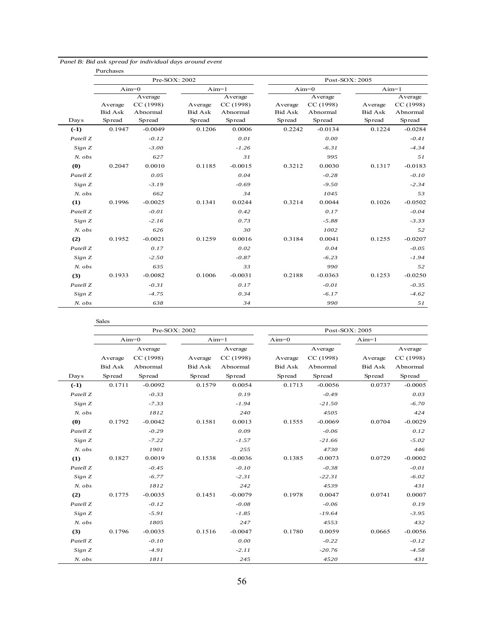|                     | Purchases                           |                                            |                                     |                                            |                                     |                                            |                                     |                                            |
|---------------------|-------------------------------------|--------------------------------------------|-------------------------------------|--------------------------------------------|-------------------------------------|--------------------------------------------|-------------------------------------|--------------------------------------------|
|                     |                                     |                                            | Pre-SOX: 2002                       |                                            |                                     |                                            | Post-SOX: 2005                      |                                            |
|                     |                                     | $Aim=0$                                    | $Aim=1$                             |                                            |                                     | $Aim=0$                                    | $Aim=1$                             |                                            |
| Days                | Average<br><b>Bid Ask</b><br>Spread | Average<br>CC (1998)<br>Abnormal<br>Spread | Average<br><b>Bid Ask</b><br>Spread | Average<br>CC (1998)<br>Abnormal<br>Spread | Average<br><b>Bid Ask</b><br>Spread | Average<br>CC (1998)<br>Abnormal<br>Spread | Average<br><b>Bid Ask</b><br>Spread | Average<br>CC (1998)<br>Abnormal<br>Spread |
| $(-1)$              | 0.1947                              | $-0.0049$                                  | 0.1206                              | 0.0006                                     | 0.2242                              | $-0.0134$                                  | 0.1224                              | $-0.0284$                                  |
| Patell <sub>Z</sub> |                                     | $-0.12$                                    |                                     | 0.01                                       |                                     | 0.00                                       |                                     | $-0.41$                                    |
| Sign Z              |                                     | $-3.00$                                    |                                     | $-1.26$                                    |                                     | $-6.31$                                    |                                     | $-4.34$                                    |
| $N.$ $obs$          |                                     | 627                                        |                                     | 31                                         |                                     | 995                                        |                                     | 51                                         |
| (0)                 | 0.2047                              | 0.0010                                     | 0.1185                              | $-0.0015$                                  | 0.3212                              | 0.0030                                     | 0.1317                              | $-0.0183$                                  |
| Patell <sub>Z</sub> |                                     | 0.05                                       |                                     | 0.04                                       |                                     | $-0.28$                                    |                                     | $-0.10$                                    |
| Sign Z              |                                     | $-3.19$                                    |                                     | $-0.69$                                    |                                     | $-9.50$                                    |                                     | $-2.34$                                    |
| N. obs              |                                     | 662                                        |                                     | 34                                         |                                     | 1045                                       |                                     | 53                                         |
| (1)                 | 0.1996                              | $-0.0025$                                  | 0.1341                              | 0.0244                                     | 0.3214                              | 0.0044                                     | 0.1026                              | $-0.0502$                                  |
| Patell Z            |                                     | $-0.01$                                    |                                     | 0.42                                       |                                     | 0.17                                       |                                     | $-0.04$                                    |
| Sign Z              |                                     | $-2.16$                                    |                                     | 0.73                                       |                                     | $-5.88$                                    |                                     | $-3.33$                                    |
| N. obs              |                                     | 626                                        |                                     | 30                                         |                                     | 1002                                       |                                     | 52                                         |
| (2)                 | 0.1952                              | $-0.0021$                                  | 0.1259                              | 0.0016                                     | 0.3184                              | 0.0041                                     | 0.1255                              | $-0.0207$                                  |
| Patell Z            |                                     | 0.17                                       |                                     | 0.02                                       |                                     | 0.04                                       |                                     | $-0.05$                                    |
| Sign Z              |                                     | $-2.50$                                    |                                     | $-0.87$                                    |                                     | $-6.23$                                    |                                     | $-1.94$                                    |
| N. obs              |                                     | 635                                        |                                     | 33                                         |                                     | 990                                        |                                     | 52                                         |
| (3)                 | 0.1933                              | $-0.0082$                                  | 0.1006                              | $-0.0031$                                  | 0.2188                              | $-0.0363$                                  | 0.1253                              | $-0.0250$                                  |
| Patell <sub>Z</sub> |                                     | $-0.31$                                    |                                     | 0.17                                       |                                     | $-0.01$                                    |                                     | $-0.35$                                    |
| Sign Z              |                                     | $-4.75$                                    |                                     | 0.34                                       |                                     | $-6.17$                                    |                                     | $-4.62$                                    |
| $N.$ $obs$          |                                     | 638                                        |                                     | 34                                         |                                     | 990                                        |                                     | 51                                         |

|  | Panel B: Bid ask spread for individual days around event |  |  |
|--|----------------------------------------------------------|--|--|
|  |                                                          |  |  |

|                     | <b>Sales</b> | Pre-SOX: 2002 |                |           |                |           | Post-SOX: 2005 |           |
|---------------------|--------------|---------------|----------------|-----------|----------------|-----------|----------------|-----------|
|                     |              | $Aim=0$       | $Aim=1$        |           | $Aim=0$        |           | $Aim=1$        |           |
|                     |              | Average       |                | Average   |                | Average   |                | Average   |
|                     | Average      | CC (1998)     | Average        | CC (1998) | Average        | CC (1998) | Average        | CC (1998) |
|                     | Bid Ask      | Abnormal      | <b>Bid Ask</b> | Abnormal  | <b>Bid Ask</b> | Abnormal  | <b>Bid Ask</b> | Abnormal  |
| Days                | Spread       | Spread        | Spread         | Spread    | Spread         | Spread    | Spread         | Spread    |
| $(-1)$              | 0.1711       | $-0.0092$     | 0.1579         | 0.0054    | 0.1713         | $-0.0056$ | 0.0737         | $-0.0005$ |
| Patell Z            |              | $-0.33$       |                | 0.19      |                | $-0.49$   |                | 0.03      |
| Sign Z              |              | $-7.33$       |                | $-1.94$   |                | $-21.50$  |                | $-6.70$   |
| N. obs              |              | 1812          |                | 240       |                | 4505      |                | 424       |
| (0)                 | 0.1792       | $-0.0042$     | 0.1581         | 0.0013    | 0.1555         | $-0.0069$ | 0.0704         | $-0.0029$ |
| Patell Z            |              | $-0.29$       |                | 0.09      |                | $-0.06$   |                | 0.12      |
| Sign Z              |              | $-7.22$       |                | $-1.57$   |                | $-21.66$  |                | $-5.02$   |
| $N.$ $obs$          |              | 1901          |                | 255       |                | 4730      |                | 446       |
| (1)                 | 0.1827       | 0.0019        | 0.1538         | $-0.0036$ | 0.1385         | $-0.0073$ | 0.0729         | $-0.0002$ |
| Patell <sub>Z</sub> |              | $-0.45$       |                | $-0.10$   |                | $-0.38$   |                | $-0.01$   |
| Sign Z              |              | $-6.77$       |                | $-2.31$   |                | $-22.31$  |                | $-6.02$   |
| $N.$ $obs$          |              | 1812          |                | 242       |                | 4539      |                | 431       |
| (2)                 | 0.1775       | $-0.0035$     | 0.1451         | $-0.0079$ | 0.1978         | 0.0047    | 0.0741         | 0.0007    |
| Patell <sub>Z</sub> |              | $-0.12$       |                | $-0.08$   |                | $-0.06$   |                | 0.19      |
| Sign Z              |              | $-5.91$       |                | $-1.85$   |                | $-19.64$  |                | $-3.95$   |
| $N.$ $obs$          |              | 1805          |                | 247       |                | 4553      |                | 432       |
| (3)                 | 0.1796       | $-0.0035$     | 0.1516         | $-0.0047$ | 0.1780         | 0.0059    | 0.0665         | $-0.0056$ |
| Patell Z            |              | $-0.10$       |                | 0.00      |                | $-0.22$   |                | $-0.12$   |
| Sign Z              |              | $-4.91$       |                | $-2.11$   |                | $-20.76$  |                | $-4.58$   |
| $N.$ $obs$          |              | 1811          |                | 245       |                | 4520      |                | 431       |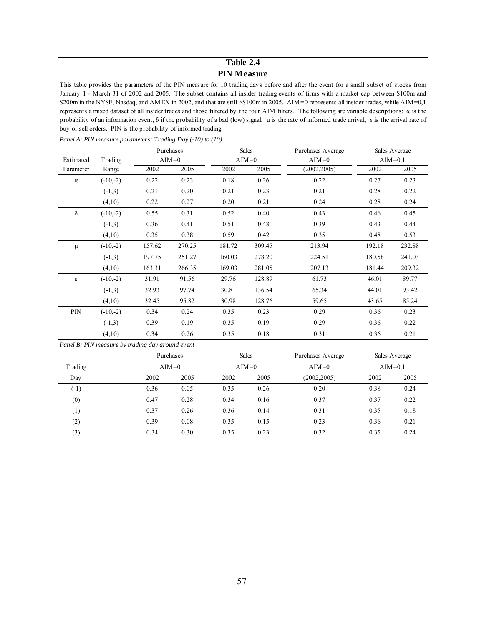# **Table 2.4 PIN Measure**

This table provides the parameters of the PIN measure for 10 trading days before and after the event for a small subset of stocks from January 1 - March 31 of 2002 and 2005. The subset contains all insider trading events of firms with a market cap between \$100m and \$200m in the NYSE, Nasdaq, and AMEX in 2002, and that are still >\$100m in 2005. AIM=0 represents all insider trades, while AIM=0,1 represents a mixed dataset of all insider trades and those filtered by the four AIM filters. The following are variable descriptions: α is the probability of an information event, δ if the probability of a bad (low) signal, μ is the rate of informed trade arrival, ε is the arrival rate of buy or sell orders. PIN is the probability of informed trading.

|           |            | Purchases |         | <b>Sales</b> |        | Purchases Average |        | Sales Average |
|-----------|------------|-----------|---------|--------------|--------|-------------------|--------|---------------|
| Estimated | Trading    |           | $AIM=0$ | $AIM=0$      |        | $AIM=0$           |        | $AIM=0,1$     |
| Parameter | Range      | 2002      | 2005    | 2002         | 2005   | (2002, 2005)      | 2002   | 2005          |
| $\alpha$  | $(-10,-2)$ | 0.22      | 0.23    | 0.18         | 0.26   | 0.22              | 0.27   | 0.23          |
|           | $(-1,3)$   | 0.21      | 0.20    | 0.21         | 0.23   | 0.21              | 0.28   | 0.22          |
|           | (4,10)     | 0.22      | 0.27    | 0.20         | 0.21   | 0.24              | 0.28   | 0.24          |
| $\delta$  | $(-10,-2)$ | 0.55      | 0.31    | 0.52         | 0.40   | 0.43              | 0.46   | 0.45          |
|           | $(-1,3)$   | 0.36      | 0.41    | 0.51         | 0.48   | 0.39              | 0.43   | 0.44          |
|           | (4,10)     | 0.35      | 0.38    | 0.59         | 0.42   | 0.35              | 0.48   | 0.53          |
| μ         | $(-10,-2)$ | 157.62    | 270.25  | 181.72       | 309.45 | 213.94            | 192.18 | 232.88        |
|           | $(-1,3)$   | 197.75    | 251.27  | 160.03       | 278.20 | 224.51            | 180.58 | 241.03        |
|           | (4,10)     | 163.31    | 266.35  | 169.03       | 281.05 | 207.13            | 181.44 | 209.32        |
| ε         | $(-10,-2)$ | 31.91     | 91.56   | 29.76        | 128.89 | 61.73             | 46.01  | 89.77         |
|           | $(-1,3)$   | 32.93     | 97.74   | 30.81        | 136.54 | 65.34             | 44.01  | 93.42         |
|           | (4,10)     | 32.45     | 95.82   | 30.98        | 128.76 | 59.65             | 43.65  | 85.24         |
| PIN       | $(-10,-2)$ | 0.34      | 0.24    | 0.35         | 0.23   | 0.29              | 0.36   | 0.23          |
|           | $(-1,3)$   | 0.39      | 0.19    | 0.35         | 0.19   | 0.29              | 0.36   | 0.22          |
|           | (4,10)     | 0.34      | 0.26    | 0.35         | 0.18   | 0.31              | 0.36   | 0.21          |

*Panel A: PIN measure parameters: Trading Day (-10) to (10)*

*Panel B: PIN measure by trading day around event*

|                  |      | Purchases |              | <b>Sales</b> | Purchases Average | Sales Average |           |
|------------------|------|-----------|--------------|--------------|-------------------|---------------|-----------|
| Trading          |      | $AIM=0$   |              | $AIM=0$      | $AIM=0$           |               | $AIM=0.1$ |
| Day              | 2002 | 2005      | 2005<br>2002 |              | (2002, 2005)      | 2002          | 2005      |
| $(-1)$           | 0.36 | 0.05      | 0.35         | 0.26         | 0.20              | 0.38          | 0.24      |
| (0)              | 0.47 | 0.28      | 0.34         | 0.16         | 0.37              | 0.37          | 0.22      |
| $\left(1\right)$ | 0.37 | 0.26      | 0.36         | 0.14         | 0.31              | 0.35          | 0.18      |
| (2)              | 0.39 | 0.08      | 0.35         | 0.15         | 0.23              | 0.36          | 0.21      |
| (3)              | 0.34 | 0.30      | 0.35         | 0.23         | 0.32              | 0.35          | 0.24      |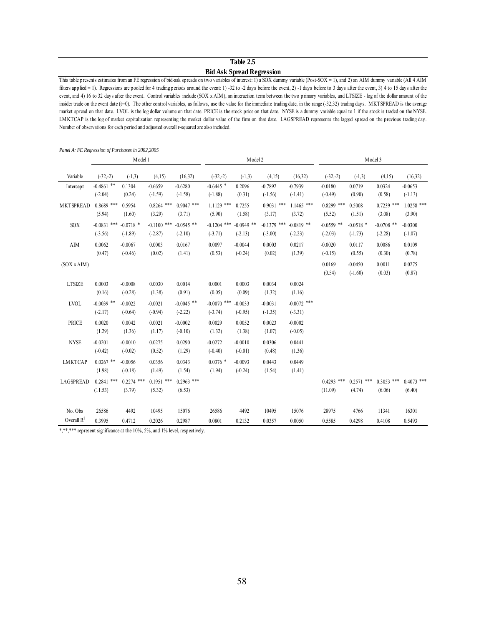#### **Table 2.5 Bid Ask Spread Regression**

This table presents estimates from an FE regression of bid-ask spreads on two variables of interest: 1) a SOX dummy variable (Post-SOX = 1), and 2) an AIM dummy variable (All 4 AIM filters applied = 1). Regressions are pooled for 4 trading periods around the event: 1) -32 to -2 days before the event, 2) -1 days before to 3 days after the event, 3) 4 to 15 days after the event, and 4) 16 to 32 days after the event. Control variables include (SOX x AIM), an interaction term between the two primary variables, and LTSIZE - log of the dollar amount of the insider trade on the event date (t=0). The other control variables, as follows, use the value for the immediate trading date, in the range (-32,32) trading days. MKTSPREAD is the average market spread on that date. LVOL is the log dollar volume on that date. PRICE is the stock price on that date. NYSE is a dummy variable equal to 1 if the stock is traded on the NYSE. LMKTCAP is the log of market capitalization representing the market dollar value of the firm on that date. LAGSPREAD represents the lagged spread on the previous trading day. Number of observations for each period and adjusted overall r-squared are also included.

| Panel A: FE Regression of Purchases in 2002,2005 |                            |                          |                            |                           |                            |                           |                            |                            |                           |                          |                           |                        |
|--------------------------------------------------|----------------------------|--------------------------|----------------------------|---------------------------|----------------------------|---------------------------|----------------------------|----------------------------|---------------------------|--------------------------|---------------------------|------------------------|
|                                                  |                            | Model 1                  |                            |                           |                            | Model 2                   |                            |                            |                           | Model 3                  |                           |                        |
| Variable                                         | $(-32,-2)$                 | $(-1,3)$                 | (4,15)                     | (16,32)                   | $(-32,-2)$                 | $(-1,3)$                  | (4,15)                     | (16,32)                    | $(-32,-2)$                | $(-1,3)$                 | (4,15)                    | (16,32)                |
| Intercept                                        | $-0.4861$ **<br>$(-2.04)$  | 0.1304<br>(0.24)         | $-0.6659$<br>$(-1.59)$     | $-0.6280$<br>$(-1.58)$    | $-0.6445$ *<br>$(-1.88)$   | 0.2096<br>(0.31)          | $-0.7892$<br>$(-1.56)$     | $-0.7939$<br>$(-1.41)$     | $-0.0180$<br>$(-0.49)$    | 0.0719<br>(0.90)         | 0.0324<br>(0.58)          | $-0.0653$<br>$(-1.13)$ |
| <b>MKTSPREAD</b>                                 | $0.8689$ ***<br>(5.94)     | 0.5954<br>(1.60)         | $0.8264$ ***<br>(3.29)     | $0.9047$ ***<br>(3.71)    | $1.1129$ ***<br>(5.90)     | 0.7255<br>(1.58)          | $0.9031$ ***<br>(3.17)     | $1.1465$ ***<br>(3.72)     | $0.8299$ ***<br>(5.52)    | 0.5008<br>(1.51)         | $0.7239$ ***<br>(3.08)    | $1.0258$ ***<br>(3.90) |
| SOX                                              | $-0.0831$ ***<br>$(-3.56)$ | $-0.0718$ *<br>$(-1.89)$ | $-0.1100$ ***<br>$(-2.87)$ | $-0.0545$ **<br>$(-2.10)$ | $-0.1204$ ***<br>$(-3.71)$ | $-0.0949$ **<br>$(-2.13)$ | $-0.1379$ ***<br>$(-3.00)$ | $-0.0819$ **<br>$(-2.23)$  | $-0.0559$ **<br>$(-2.03)$ | $-0.0518$ *<br>$(-1.73)$ | $-0.0708$ **<br>$(-2.28)$ | $-0.0300$<br>$(-1.07)$ |
| $\rm AIM$                                        | 0.0062<br>(0.47)           | $-0.0067$<br>$(-0.46)$   | 0.0003<br>(0.02)           | 0.0167<br>(1.41)          | 0.0097<br>(0.53)           | $-0.0044$<br>$(-0.24)$    | 0.0003<br>(0.02)           | 0.0217<br>(1.39)           | $-0.0020$<br>$(-0.15)$    | 0.0117<br>(0.55)         | 0.0086<br>(0.30)          | 0.0109<br>(0.78)       |
| (SOX x AIM)                                      |                            |                          |                            |                           |                            |                           |                            |                            | 0.0169<br>(0.54)          | $-0.0450$<br>$(-1.60)$   | 0.0011<br>(0.03)          | 0.0275<br>(0.87)       |
| <b>LTSIZE</b>                                    | 0.0003<br>(0.16)           | $-0.0008$<br>$(-0.28)$   | 0.0030<br>(1.38)           | 0.0014<br>(0.91)          | 0.0001<br>(0.05)           | 0.0003<br>(0.09)          | 0.0034<br>(1.32)           | 0.0024<br>(1.16)           |                           |                          |                           |                        |
| <b>LVOL</b>                                      | $-0.0039$ **<br>$(-2.17)$  | $-0.0022$<br>$(-0.64)$   | $-0.0021$<br>$(-0.94)$     | $-0.0045$ **<br>$(-2.22)$ | $-0.0070$ ***<br>$(-3.74)$ | $-0.0033$<br>$(-0.95)$    | $-0.0031$<br>$(-1.35)$     | $-0.0072$ ***<br>$(-3.31)$ |                           |                          |                           |                        |
| <b>PRICE</b>                                     | 0.0020<br>(1.29)           | 0.0042<br>(1.36)         | 0.0021<br>(1.17)           | $-0.0002$<br>$(-0.10)$    | 0.0029<br>(1.32)           | 0.0052<br>(1.38)          | 0.0023<br>(1.07)           | $-0.0002$<br>$(-0.05)$     |                           |                          |                           |                        |
| <b>NYSE</b>                                      | $-0.0201$<br>$(-0.42)$     | $-0.0010$<br>$(-0.02)$   | 0.0275<br>(0.52)           | 0.0290<br>(1.29)          | $-0.0272$<br>$(-0.40)$     | $-0.0010$<br>$(-0.01)$    | 0.0306<br>(0.48)           | 0.0441<br>(1.36)           |                           |                          |                           |                        |
| <b>LMKTCAP</b>                                   | $0.0267$ **<br>(1.98)      | $-0.0056$<br>$(-0.18)$   | 0.0356<br>(1.49)           | 0.0343<br>(1.54)          | $0.0376*$<br>(1.94)        | $-0.0093$<br>$(-0.24)$    | 0.0443<br>(1.54)           | 0.0449<br>(1.41)           |                           |                          |                           |                        |
| <b>LAGSPREAD</b>                                 | $0.2841$ ***<br>(11.53)    | $0.2274$ ***<br>(3.79)   | $0.1951$ ***<br>(5.32)     | $0.2963$ ***<br>(6.53)    |                            |                           |                            |                            | $0.4293$ ***<br>(11.09)   | $0.2571$ ***<br>(4.74)   | $0.3053$ ***<br>(6.06)    | $0.4073$ ***<br>(6.40) |
| No. Obs                                          | 26586                      | 4492                     | 10495                      | 15076                     | 26586                      | 4492                      | 10495                      | 15076                      | 28975                     | 4766                     | 11341                     | 16301                  |
| Overall $R^2$                                    | 0.3995                     | 0.4712                   | 0.2026                     | 0.2987                    | 0.0801                     | 0.2132                    | 0.0357                     | 0.0050                     | 0.5585                    | 0.4298                   | 0.4108                    | 0.5493                 |

\*,\*\*\*\* represent significance at the 10%, 5%, and 1% level, respectively.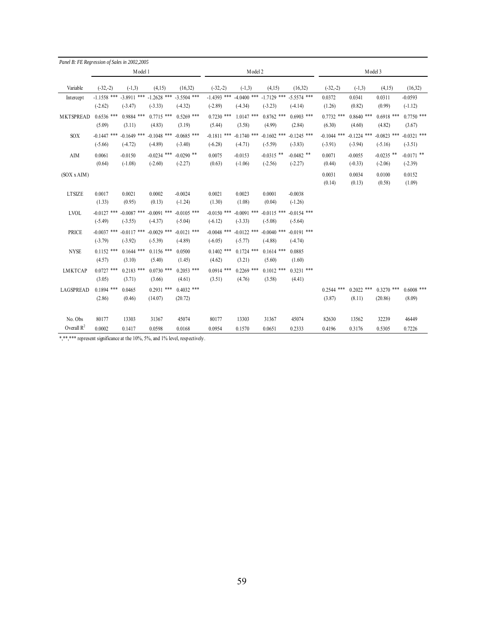| Panel B: FE Regression of Sales in 2002,2005 |                            |                            |                            |                            |                            |                            |                            |                            |                            |                            |                            |                            |
|----------------------------------------------|----------------------------|----------------------------|----------------------------|----------------------------|----------------------------|----------------------------|----------------------------|----------------------------|----------------------------|----------------------------|----------------------------|----------------------------|
|                                              |                            | Model 1                    |                            |                            |                            | Model 2                    |                            |                            |                            | Model 3                    |                            |                            |
| Variable                                     | $(-32,-2)$                 | $(-1,3)$                   | (4,15)                     | (16,32)                    | $(-32,-2)$                 | $(-1,3)$                   | (4,15)                     | (16, 32)                   | $(-32,-2)$                 | $(-1,3)$                   | (4,15)                     | (16,32)                    |
| Intercept                                    | $-1.1558$ ***              | $-3.8911$ ***              | $-1.2628$ ***              | $-3.5504$ ***              | $-1.4393$ ***              | $-4.0400$ ***              | $-1.7129$ ***              | $-5.5574$ ***              | 0.0372                     | 0.0341                     | 0.0311                     | $-0.0593$                  |
|                                              | $(-2.62)$                  | $(-3.47)$                  | $(-3.33)$                  | $(-4.32)$                  | $(-2.89)$                  | $(-4.34)$                  | $(-3.23)$                  | $(-4.14)$                  | (1.26)                     | (0.82)                     | (0.99)                     | $(-1.12)$                  |
| <b>MKTSPREAD</b>                             | $0.6536$ ***<br>(5.09)     | $0.9884$ ***<br>(3.11)     | $0.7715$ ***<br>(4.83)     | $0.5269$ ***<br>(3.19)     | $0.7230$ ***<br>(5.44)     | $1.0147$ ***<br>(3.58)     | $0.8762$ ***<br>(4.99)     | $0.6903$ ***<br>(2.84)     | $0.7732$ ***<br>(6.30)     | $0.8640$ ***<br>(4.60)     | $0.6918$ ***<br>(4.82)     | $0.7750$ ***<br>(3.67)     |
| SOX                                          | $-0.1447$ ***<br>$(-5.66)$ | $-0.1649$ ***<br>$(-4.72)$ | $-0.1048$ ***<br>$(-4.89)$ | $-0.0685$ ***<br>$(-3.40)$ | $-0.1811$ ***<br>$(-6.28)$ | $-0.1740$ ***<br>$(-4.71)$ | $-0.1602$ ***<br>$(-5.59)$ | $-0.1245$ ***<br>$(-3.83)$ | $-0.1044$ ***<br>$(-3.91)$ | $-0.1224$ ***<br>$(-3.94)$ | $-0.0823$ ***<br>$(-5.16)$ | $-0.0321$ ***<br>$(-3.51)$ |
| AIM                                          | 0.0061<br>(0.64)           | $-0.0150$<br>$(-1.08)$     | $-0.0234$ ***<br>$(-2.60)$ | $-0.0290$ **<br>$(-2.27)$  | 0.0075<br>(0.63)           | $-0.0153$<br>$(-1.06)$     | $-0.0315$ **<br>$(-2.56)$  | $-0.0482$ **<br>$(-2.27)$  | 0.0071<br>(0.44)           | $-0.0055$<br>$(-0.33)$     | $-0.0235$ **<br>$(-2.06)$  | $-0.0171$ **<br>$(-2.39)$  |
| (SOX x AIM)                                  |                            |                            |                            |                            |                            |                            |                            |                            | 0.0031<br>(0.14)           | 0.0034<br>(0.13)           | 0.0100<br>(0.58)           | 0.0152<br>(1.09)           |
| <b>LTSIZE</b>                                | 0.0017<br>(1.33)           | 0.0021<br>(0.95)           | 0.0002<br>(0.13)           | $-0.0024$<br>$(-1.24)$     | 0.0021<br>(1.30)           | 0.0023<br>(1.08)           | 0.0001<br>(0.04)           | $-0.0038$<br>$(-1.26)$     |                            |                            |                            |                            |
| <b>LVOL</b>                                  | $-0.0127$ ***<br>$(-5.49)$ | $-0.0087$ ***<br>$(-3.55)$ | $-0.0091$ ***<br>$(-4.37)$ | $-0.0105$ ***<br>$(-5.04)$ | $-0.0150$ ***<br>$(-6.12)$ | $-0.0091$ ***<br>$(-3.33)$ | $-0.0115$ ***<br>$(-5.08)$ | $-0.0154$ ***<br>$(-5.64)$ |                            |                            |                            |                            |
| <b>PRICE</b>                                 | $-0.0037$ ***<br>$(-3.79)$ | $-0.0117$ ***<br>$(-3.92)$ | $-0.0029$ ***<br>$(-5.39)$ | $-0.0121$ ***<br>$(-4.89)$ | $-0.0048$ ***<br>$(-6.05)$ | $-0.0122$ ***<br>$(-5.77)$ | $-0.0040$ ***<br>$(-4.88)$ | $-0.0191$ ***<br>$(-4.74)$ |                            |                            |                            |                            |
| <b>NYSE</b>                                  | ***<br>0.1152<br>(4.57)    | $0.1644$ ***<br>(3.10)     | $0.1156$ ***<br>(5.40)     | 0.0500<br>(1.45)           | $0.1402$ ***<br>(4.62)     | $0.1724$ ***<br>(3.21)     | $0.1614$ ***<br>(5.60)     | 0.0885<br>(1.60)           |                            |                            |                            |                            |
| <b>LMKTCAP</b>                               | $0.0727$ ***<br>(3.05)     | $0.2183$ ***<br>(3.71)     | $0.0730$ ***<br>(3.66)     | $0.2053$ ***<br>(4.61)     | $0.0914$ ***<br>(3.51)     | $0.2269$ ***<br>(4.76)     | $0.1012$ ***<br>(3.58)     | $0.3231$ ***<br>(4.41)     |                            |                            |                            |                            |
| <b>LAGSPREAD</b>                             | $0.1894$ ***<br>(2.86)     | 0.0465<br>(0.46)           | $0.2931$ ***<br>(14.07)    | $0.4032$ ***<br>(20.72)    |                            |                            |                            |                            | $0.2544$ ***<br>(3.87)     | $0.2022$ ***<br>(8.11)     | $0.3270$ ***<br>(20.86)    | $0.6008$ ***<br>(8.09)     |
| No. Obs                                      | 80177                      | 13303                      | 31367                      | 45074                      | 80177                      | 13303                      | 31367                      | 45074                      | 82630                      | 13562                      | 32239                      | 46449                      |
| Overall $R^2$                                | 0.0002                     | 0.1417                     | 0.0598                     | 0.0168                     | 0.0954                     | 0.1570                     | 0.0651                     | 0.2333                     | 0.4196                     | 0.3176                     | 0.5305                     | 0.7226                     |

\*,\*\*\*\*\* represent significance at the 10%, 5%, and 1% level, respectively.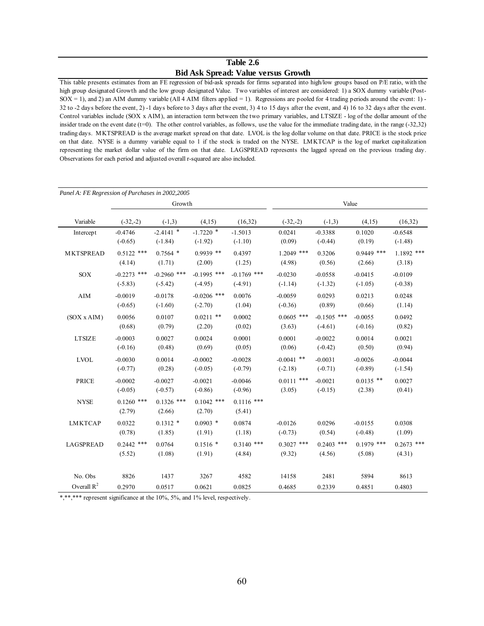## **Table 2.6 Bid Ask Spread: Value versus Growth**

This table presents estimates from an FE regression of bid-ask spreads for firms separated into high/low groups based on P/E ratio, with the high group designated Growth and the low group designated Value. Two variables of interest are considered: 1) a SOX dummy variable (Post- $SOX = 1$ ), and 2) an AIM dummy variable (All 4 AIM filters applied = 1). Regressions are pooled for 4 trading periods around the event: 1) -32 to -2 days before the event, 2) -1 days before to 3 days after the event, 3) 4 to 15 days after the event, and 4) 16 to 32 days after the event. Control variables include (SOX x AIM), an interaction term between the two primary variables, and LTSIZE - log of the dollar amount of the insider trade on the event date  $(t=0)$ . The other control variables, as follows, use the value for the immediate trading date, in the range  $(-32,32)$ trading days. MKTSPREAD is the average market spread on that date. LVOL is the log dollar volume on that date. PRICE is the stock price on that date. NYSE is a dummy variable equal to 1 if the stock is traded on the NYSE. LMKTCAP is the log of market capitalization representing the market dollar value of the firm on that date. LAGSPREAD represents the lagged spread on the previous trading day. Observations for each period and adjusted overall r-squared are also included.

| Panel A: FE Regression of Purchases in 2002,2005 |                            |                            |                            |                            |                        |                        |                        |                        |
|--------------------------------------------------|----------------------------|----------------------------|----------------------------|----------------------------|------------------------|------------------------|------------------------|------------------------|
|                                                  |                            | Growth                     |                            |                            |                        | Value                  |                        |                        |
| Variable                                         | $(-32,-2)$                 | $(-1,3)$                   | (4,15)                     | (16,32)                    | $(-32,-2)$             | $(-1,3)$               | (4,15)                 | (16, 32)               |
| Intercept                                        | $-0.4746$                  | $-2.4141$ *                | $-1.7220$ *                | $-1.5013$                  | 0.0241                 | $-0.3388$              | 0.1020                 | $-0.6548$              |
|                                                  | $(-0.65)$                  | $(-1.84)$                  | $(-1.92)$                  | $(-1.10)$                  | (0.09)                 | $(-0.44)$              | (0.19)                 | $(-1.48)$              |
| <b>MKTSPREAD</b>                                 | $0.5122$ ***<br>(4.14)     | $0.7564$ *<br>(1.71)       | $0.9939$ **<br>(2.00)      | 0.4397<br>(1.25)           | $1.2049$ ***<br>(4.98) | 0.3206<br>(0.56)       | $0.9449$ ***<br>(2.66) | $1.1892$ ***<br>(3.18) |
|                                                  |                            |                            |                            |                            |                        |                        |                        |                        |
| <b>SOX</b>                                       | $-0.2273$ ***<br>$(-5.83)$ | $-0.2960$ ***<br>$(-5.42)$ | $-0.1995$ ***<br>$(-4.95)$ | $-0.1769$ ***<br>$(-4.91)$ | $-0.0230$<br>$(-1.14)$ | $-0.0558$<br>$(-1.32)$ | $-0.0415$<br>$(-1.05)$ | $-0.0109$<br>$(-0.38)$ |
| ${\rm AIM}$                                      | $-0.0019$                  | $-0.0178$                  | $-0.0206$ ***              | 0.0076                     | $-0.0059$              | 0.0293                 | 0.0213                 | 0.0248                 |
|                                                  | $(-0.65)$                  | $(-1.60)$                  | $(-2.70)$                  | (1.04)                     | $(-0.36)$              | (0.89)                 | (0.66)                 | (1.14)                 |
| (SOX x AIM)                                      | 0.0056                     | 0.0107                     | $0.0211$ **                | 0.0002                     | $0.0605$ ***           | $-0.1505$ ***          | $-0.0055$              | 0.0492                 |
|                                                  | (0.68)                     | (0.79)                     | (2.20)                     | (0.02)                     | (3.63)                 | $(-4.61)$              | $(-0.16)$              | (0.82)                 |
| <b>LTSIZE</b>                                    | $-0.0003$                  | 0.0027                     | 0.0024                     | 0.0001                     | 0.0001                 | $-0.0022$              | 0.0014                 | 0.0021                 |
|                                                  | $(-0.16)$                  | (0.48)                     | (0.69)                     | (0.05)                     | (0.06)                 | $(-0.42)$              | (0.50)                 | (0.94)                 |
| <b>LVOL</b>                                      | $-0.0030$                  | 0.0014                     | $-0.0002$                  | $-0.0028$                  | $-0.0041$ **           | $-0.0031$              | $-0.0026$              | $-0.0044$              |
|                                                  | $(-0.77)$                  | (0.28)                     | $(-0.05)$                  | $(-0.79)$                  | $(-2.18)$              | $(-0.71)$              | $(-0.89)$              | $(-1.54)$              |
| <b>PRICE</b>                                     | $-0.0002$                  | $-0.0027$                  | $-0.0021$                  | $-0.0046$                  | $0.0111$ ***           | $-0.0021$              | $0.0135$ **            | 0.0027                 |
|                                                  | $(-0.05)$                  | $(-0.57)$                  | $(-0.86)$                  | $(-0.96)$                  | (3.05)                 | $(-0.15)$              | (2.38)                 | (0.41)                 |
| <b>NYSE</b>                                      | $0.1260$ ***               | $0.1326$ ***               | $0.1042$ ***               | $0.1116$ ***               |                        |                        |                        |                        |
|                                                  | (2.79)                     | (2.66)                     | (2.70)                     | (5.41)                     |                        |                        |                        |                        |
| <b>LMKTCAP</b>                                   | 0.0322                     | $0.1312*$                  | $0.0903$ *                 | 0.0874                     | $-0.0126$              | 0.0296                 | $-0.0155$              | 0.0308                 |
|                                                  | (0.78)                     | (1.85)                     | (1.91)                     | (1.18)                     | $(-0.73)$              | (0.54)                 | $(-0.48)$              | (1.09)                 |
| <b>LAGSPREAD</b>                                 | $0.2442$ ***               | 0.0764                     | $0.1516*$                  | $0.3140$ ***               | $0.3027$ ***           | $0.2403$ ***           | $0.1979$ ***           | $0.2673$ ***           |
|                                                  | (5.52)                     | (1.08)                     | (1.91)                     | (4.84)                     | (9.32)                 | (4.56)                 | (5.08)                 | (4.31)                 |
| No. Obs                                          | 8826                       | 1437                       | 3267                       | 4582                       | 14158                  | 2481                   | 5894                   | 8613                   |
| Overall $R^2$                                    | 0.2970                     | 0.0517                     | 0.0621                     | 0.0825                     | 0.4685                 | 0.2339                 | 0.4851                 | 0.4803                 |

\*,\*\*,\*\*\* represent significance at the 10%, 5%, and 1% level, respectively.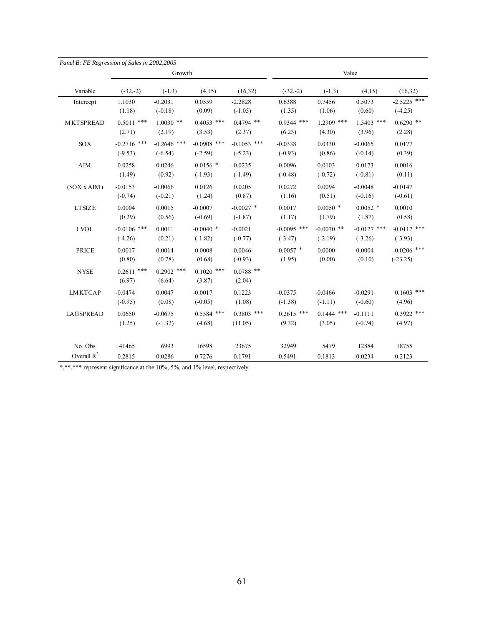| Panel B: FE Regression of Sales in 2002,2005 |                        |                        |                        |                       |               |              |               |               |
|----------------------------------------------|------------------------|------------------------|------------------------|-----------------------|---------------|--------------|---------------|---------------|
|                                              |                        | Growth                 |                        |                       |               |              | Value         |               |
| Variable                                     | $(-32,-2)$             | $(-1,3)$               | (4,15)                 | (16,32)               | $(-32,-2)$    | $(-1,3)$     | (4,15)        | (16, 32)      |
| Intercept                                    | 1.1030                 | $-0.2031$              | 0.0559                 | $-2.2828$             | 0.6388        | 0.7456       | 0.5073        | $-2.5225$ *** |
|                                              | (1.18)                 | $(-0.18)$              | (0.09)                 | $(-1.05)$             | (1.35)        | (1.06)       | (0.60)        | $(-4.25)$     |
| <b>MKTSPREAD</b>                             | $0.5011$ ***           | $1.0030$ **            | $0.4053$ ***           | $0.4794$ **           | $0.9344$ ***  | $1.2909$ *** | $1.5403$ ***  | $0.6290$ **   |
|                                              | (2.71)                 | (2.19)                 | (3.53)                 | (2.37)                | (6.23)        | (4.30)       | (3.96)        | (2.28)        |
| <b>SOX</b>                                   | $-0.2716$ ***          | $-0.2646$ ***          | $-0.0908$ ***          | $-0.1053$ ***         | $-0.0338$     | 0.0330       | $-0.0065$     | 0.0177        |
|                                              | $(-9.53)$              | $(-6.54)$              | $(-2.59)$              | $(-5.23)$             | $(-0.93)$     | (0.86)       | $(-0.14)$     | (0.39)        |
| AIM                                          | 0.0258                 | 0.0246                 | $-0.0156$ *            | $-0.0235$             | $-0.0096$     | $-0.0103$    | $-0.0173$     | 0.0016        |
|                                              | (1.49)                 | (0.92)                 | $(-1.93)$              | $(-1.49)$             | $(-0.48)$     | $(-0.72)$    | $(-0.81)$     | (0.11)        |
| (SOX x AIM)                                  | $-0.0153$              | $-0.0066$              | 0.0126                 | 0.0205                | 0.0272        | 0.0094       | $-0.0048$     | $-0.0147$     |
|                                              | $(-0.74)$              | $(-0.21)$              | (1.24)                 | (0.87)                | (1.16)        | (0.51)       | $(-0.16)$     | $(-0.61)$     |
| <b>LTSIZE</b>                                | 0.0004                 | 0.0015                 | $-0.0007$              | $-0.0027$ *           | 0.0017        | $0.0050*$    | $0.0052$ *    | 0.0010        |
|                                              | (0.29)                 | (0.56)                 | $(-0.69)$              | $(-1.87)$             | (1.17)        | (1.79)       | (1.87)        | (0.58)        |
| <b>LVOL</b>                                  | $-0.0106$ ***          | 0.0011                 | $-0.0040$ *            | $-0.0021$             | $-0.0095$ *** | $-0.0070$ ** | $-0.0127$ *** | $-0.0117$ *** |
|                                              | $(-4.26)$              | (0.21)                 | $(-1.82)$              | $(-0.77)$             | $(-3.47)$     | $(-2.19)$    | $(-3.26)$     | $(-3.93)$     |
| <b>PRICE</b>                                 | 0.0017                 | 0.0014                 | 0.0008                 | $-0.0046$             | $0.0057$ *    | 0.0000       | 0.0004        | $-0.0206$ *** |
|                                              | (0.80)                 | (0.78)                 | (0.68)                 | $(-0.93)$             | (1.95)        | (0.00)       | (0.10)        | $(-23.25)$    |
| <b>NYSE</b>                                  | $0.2611$ ***<br>(6.97) | $0.2902$ ***<br>(6.64) | $0.1020$ ***<br>(3.87) | $0.0788$ **<br>(2.04) |               |              |               |               |
| <b>LMKTCAP</b>                               | $-0.0474$              | 0.0047                 | $-0.0017$              | 0.1223                | $-0.0375$     | $-0.0466$    | $-0.0291$     | $0.1603$ ***  |
|                                              | $(-0.95)$              | (0.08)                 | $(-0.05)$              | (1.08)                | $(-1.38)$     | $(-1.11)$    | $(-0.60)$     | (4.96)        |
| <b>LAGSPREAD</b>                             | 0.0650                 | $-0.0675$              | $0.5584$ ***           | $0.3803$ ***          | $0.2615$ ***  | $0.1444$ *** | $-0.1111$     | $0.3922$ ***  |
|                                              | (1.25)                 | $(-1.32)$              | (4.68)                 | (11.05)               | (9.32)        | (3.05)       | $(-0.74)$     | (4.97)        |
| No. Obs                                      | 41465                  | 6993                   | 16598                  | 23675                 | 32949         | 5479         | 12884         | 18755         |
| Overall $R^2$                                | 0.2815                 | 0.0286                 | 0.7276                 | 0.1791                | 0.5491        | 0.1813       | 0.0234        | 0.2123        |

\*,\*\*,\*\*\* represent significance at the 10%, 5%, and 1% level, respectively.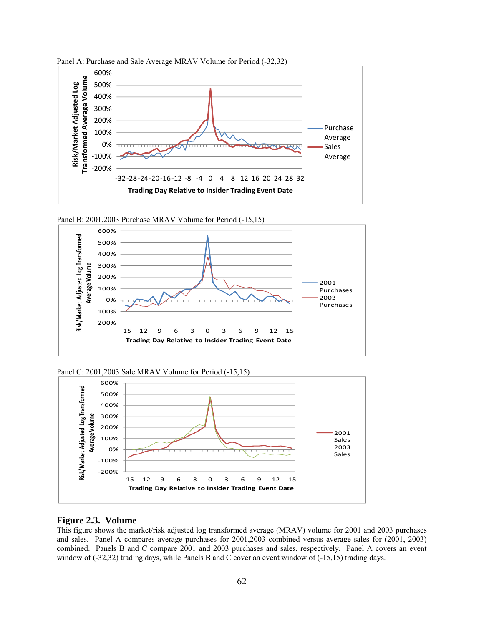

Panel A: Purchase and Sale Average MRAV Volume for Period (-32,32)





Panel C: 2001,2003 Sale MRAV Volume for Period (-15,15)



#### **Figure 2.3. Volume**

This figure shows the market/risk adjusted log transformed average (MRAV) volume for 2001 and 2003 purchases and sales. Panel A compares average purchases for 2001,2003 combined versus average sales for (2001, 2003) combined. Panels B and C compare 2001 and 2003 purchases and sales, respectively. Panel A covers an event window of (-32,32) trading days, while Panels B and C cover an event window of (-15,15) trading days.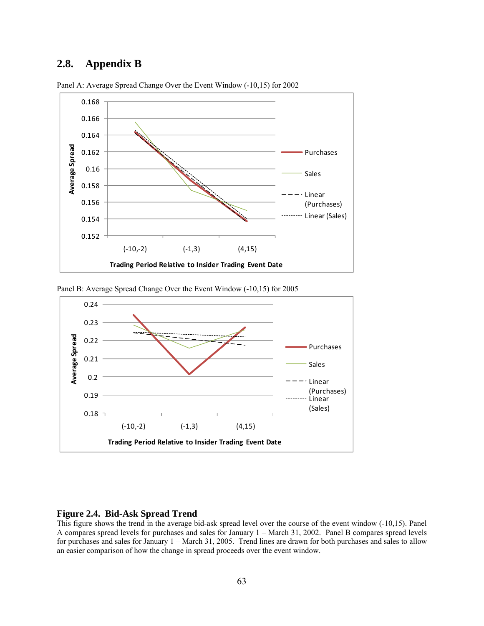# **2.8. Appendix B**



Panel A: Average Spread Change Over the Event Window (-10,15) for 2002





#### **Figure 2.4. Bid-Ask Spread Trend**

This figure shows the trend in the average bid-ask spread level over the course of the event window (-10,15). Panel A compares spread levels for purchases and sales for January 1 – March 31, 2002. Panel B compares spread levels for purchases and sales for January 1 – March 31, 2005. Trend lines are drawn for both purchases and sales to allow an easier comparison of how the change in spread proceeds over the event window.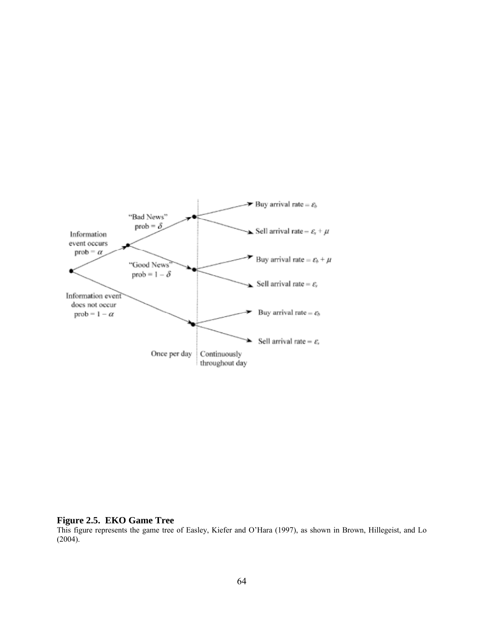

#### **Figure 2.5. EKO Game Tree**

This figure represents the game tree of Easley, Kiefer and O'Hara (1997), as shown in Brown, Hillegeist, and Lo  $(2004).$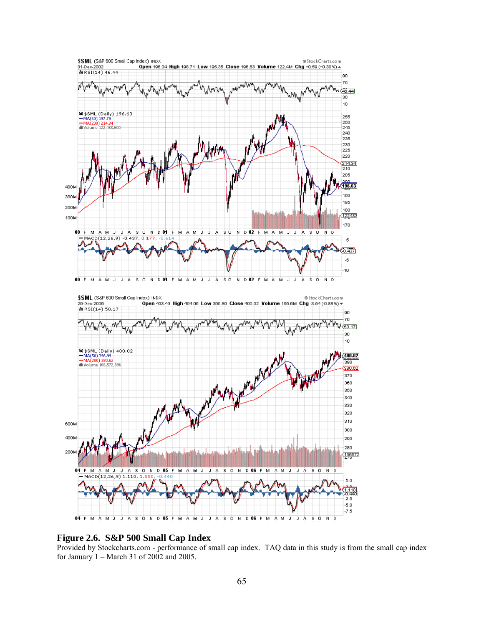

#### **Figure 2.6. S&P 500 Small Cap Index**

Provided by Stockcharts.com - performance of small cap index. TAQ data in this study is from the small cap index for January 1 – March 31 of 2002 and 2005.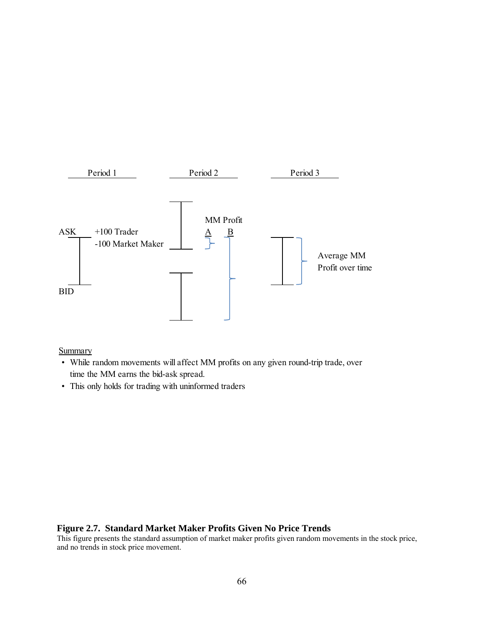

**Summary** 

- While random movements will affect MM profits on any given round-trip trade, over time the MM earns the bid-ask spread.
- This only holds for trading with uninformed traders

#### **Figure 2.7. Standard Market Maker Profits Given No Price Trends**

This figure presents the standard assumption of market maker profits given random movements in the stock price, and no trends in stock price movement.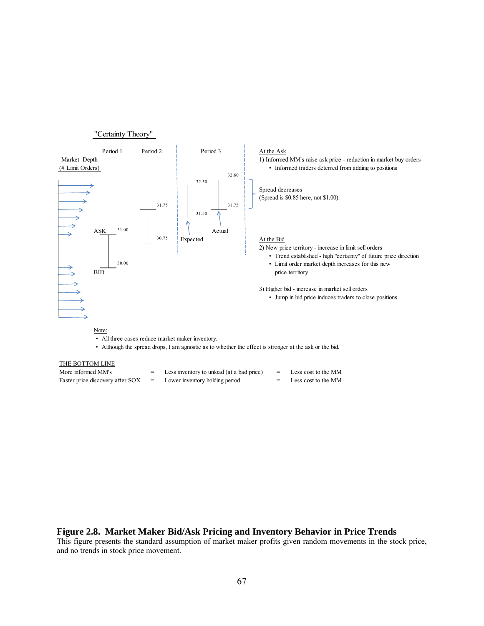

| More informed MM's               | Less inventory to unload (at a bad price) | Less cost to the MM     |
|----------------------------------|-------------------------------------------|-------------------------|
| Faster price discovery after SOX | Lower inventory holding period            | $=$ Less cost to the MM |

#### **Figure 2.8. Market Maker Bid/Ask Pricing and Inventory Behavior in Price Trends**

This figure presents the standard assumption of market maker profits given random movements in the stock price, and no trends in stock price movement.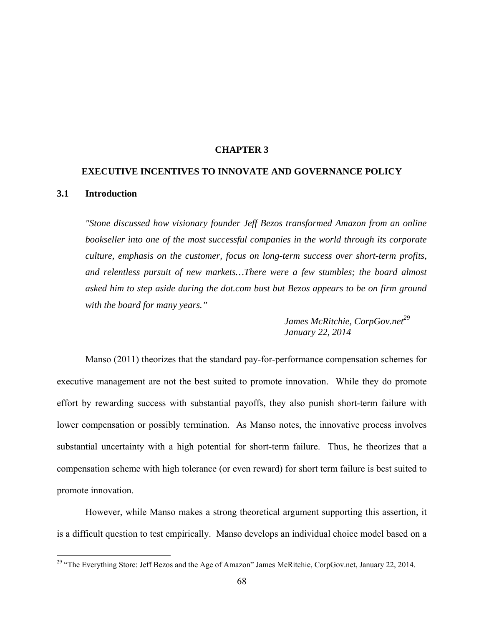#### **CHAPTER 3**

# **EXECUTIVE INCENTIVES TO INNOVATE AND GOVERNANCE POLICY 3.1 Introduction**

*"Stone discussed how visionary founder Jeff Bezos transformed Amazon from an online bookseller into one of the most successful companies in the world through its corporate culture, emphasis on the customer, focus on long-term success over short-term profits, and relentless pursuit of new markets…There were a few stumbles; the board almost asked him to step aside during the dot.com bust but Bezos appears to be on firm ground with the board for many years."* 

> *James McRitchie, CorpGov.net*<sup>29</sup>  *January 22, 2014*

Manso (2011) theorizes that the standard pay-for-performance compensation schemes for executive management are not the best suited to promote innovation. While they do promote effort by rewarding success with substantial payoffs, they also punish short-term failure with lower compensation or possibly termination. As Manso notes, the innovative process involves substantial uncertainty with a high potential for short-term failure. Thus, he theorizes that a compensation scheme with high tolerance (or even reward) for short term failure is best suited to promote innovation.

However, while Manso makes a strong theoretical argument supporting this assertion, it is a difficult question to test empirically. Manso develops an individual choice model based on a

<u>.</u>

<sup>&</sup>lt;sup>29</sup> "The Everything Store: Jeff Bezos and the Age of Amazon" James McRitchie, CorpGov.net, January 22, 2014.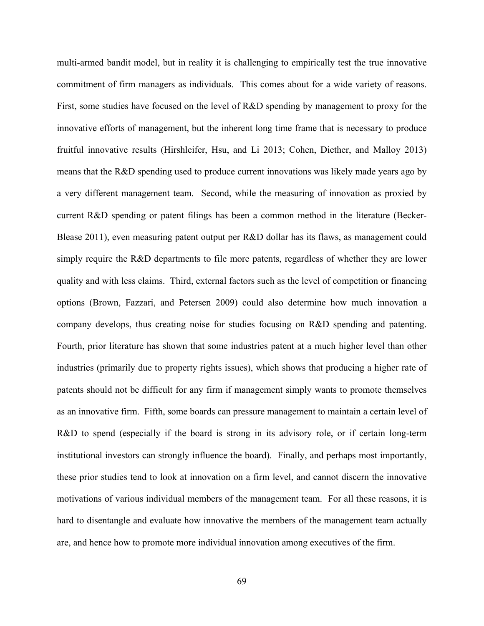multi-armed bandit model, but in reality it is challenging to empirically test the true innovative commitment of firm managers as individuals. This comes about for a wide variety of reasons. First, some studies have focused on the level of R&D spending by management to proxy for the innovative efforts of management, but the inherent long time frame that is necessary to produce fruitful innovative results (Hirshleifer, Hsu, and Li 2013; Cohen, Diether, and Malloy 2013) means that the R&D spending used to produce current innovations was likely made years ago by a very different management team. Second, while the measuring of innovation as proxied by current R&D spending or patent filings has been a common method in the literature (Becker-Blease 2011), even measuring patent output per R&D dollar has its flaws, as management could simply require the R&D departments to file more patents, regardless of whether they are lower quality and with less claims. Third, external factors such as the level of competition or financing options (Brown, Fazzari, and Petersen 2009) could also determine how much innovation a company develops, thus creating noise for studies focusing on R&D spending and patenting. Fourth, prior literature has shown that some industries patent at a much higher level than other industries (primarily due to property rights issues), which shows that producing a higher rate of patents should not be difficult for any firm if management simply wants to promote themselves as an innovative firm. Fifth, some boards can pressure management to maintain a certain level of R&D to spend (especially if the board is strong in its advisory role, or if certain long-term institutional investors can strongly influence the board). Finally, and perhaps most importantly, these prior studies tend to look at innovation on a firm level, and cannot discern the innovative motivations of various individual members of the management team. For all these reasons, it is hard to disentangle and evaluate how innovative the members of the management team actually are, and hence how to promote more individual innovation among executives of the firm.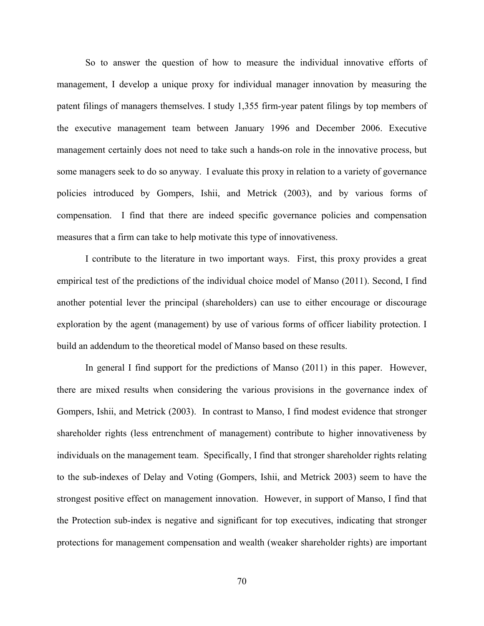So to answer the question of how to measure the individual innovative efforts of management, I develop a unique proxy for individual manager innovation by measuring the patent filings of managers themselves. I study 1,355 firm-year patent filings by top members of the executive management team between January 1996 and December 2006. Executive management certainly does not need to take such a hands-on role in the innovative process, but some managers seek to do so anyway. I evaluate this proxy in relation to a variety of governance policies introduced by Gompers, Ishii, and Metrick (2003), and by various forms of compensation. I find that there are indeed specific governance policies and compensation measures that a firm can take to help motivate this type of innovativeness.

I contribute to the literature in two important ways. First, this proxy provides a great empirical test of the predictions of the individual choice model of Manso (2011). Second, I find another potential lever the principal (shareholders) can use to either encourage or discourage exploration by the agent (management) by use of various forms of officer liability protection. I build an addendum to the theoretical model of Manso based on these results.

In general I find support for the predictions of Manso (2011) in this paper. However, there are mixed results when considering the various provisions in the governance index of Gompers, Ishii, and Metrick (2003). In contrast to Manso, I find modest evidence that stronger shareholder rights (less entrenchment of management) contribute to higher innovativeness by individuals on the management team. Specifically, I find that stronger shareholder rights relating to the sub-indexes of Delay and Voting (Gompers, Ishii, and Metrick 2003) seem to have the strongest positive effect on management innovation. However, in support of Manso, I find that the Protection sub-index is negative and significant for top executives, indicating that stronger protections for management compensation and wealth (weaker shareholder rights) are important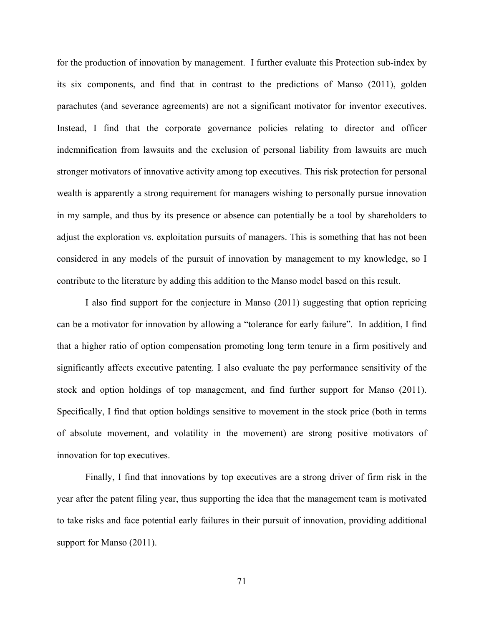for the production of innovation by management. I further evaluate this Protection sub-index by its six components, and find that in contrast to the predictions of Manso (2011), golden parachutes (and severance agreements) are not a significant motivator for inventor executives. Instead, I find that the corporate governance policies relating to director and officer indemnification from lawsuits and the exclusion of personal liability from lawsuits are much stronger motivators of innovative activity among top executives. This risk protection for personal wealth is apparently a strong requirement for managers wishing to personally pursue innovation in my sample, and thus by its presence or absence can potentially be a tool by shareholders to adjust the exploration vs. exploitation pursuits of managers. This is something that has not been considered in any models of the pursuit of innovation by management to my knowledge, so I contribute to the literature by adding this addition to the Manso model based on this result.

I also find support for the conjecture in Manso (2011) suggesting that option repricing can be a motivator for innovation by allowing a "tolerance for early failure". In addition, I find that a higher ratio of option compensation promoting long term tenure in a firm positively and significantly affects executive patenting. I also evaluate the pay performance sensitivity of the stock and option holdings of top management, and find further support for Manso (2011). Specifically, I find that option holdings sensitive to movement in the stock price (both in terms of absolute movement, and volatility in the movement) are strong positive motivators of innovation for top executives.

Finally, I find that innovations by top executives are a strong driver of firm risk in the year after the patent filing year, thus supporting the idea that the management team is motivated to take risks and face potential early failures in their pursuit of innovation, providing additional support for Manso (2011).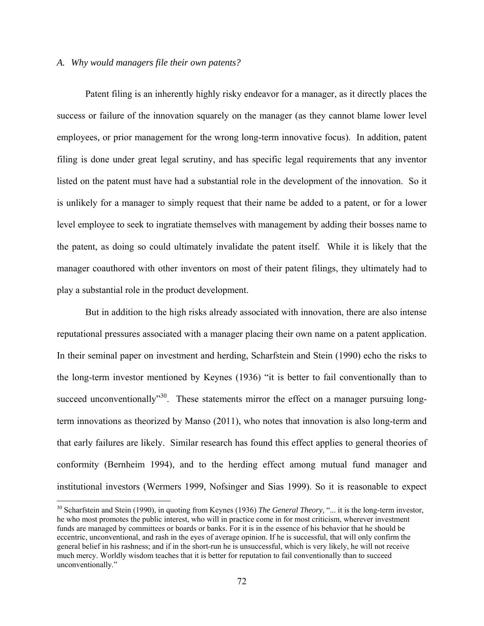### *A. Why would managers file their own patents?*

 $\overline{a}$ 

Patent filing is an inherently highly risky endeavor for a manager, as it directly places the success or failure of the innovation squarely on the manager (as they cannot blame lower level employees, or prior management for the wrong long-term innovative focus). In addition, patent filing is done under great legal scrutiny, and has specific legal requirements that any inventor listed on the patent must have had a substantial role in the development of the innovation. So it is unlikely for a manager to simply request that their name be added to a patent, or for a lower level employee to seek to ingratiate themselves with management by adding their bosses name to the patent, as doing so could ultimately invalidate the patent itself. While it is likely that the manager coauthored with other inventors on most of their patent filings, they ultimately had to play a substantial role in the product development.

But in addition to the high risks already associated with innovation, there are also intense reputational pressures associated with a manager placing their own name on a patent application. In their seminal paper on investment and herding, Scharfstein and Stein (1990) echo the risks to the long-term investor mentioned by Keynes (1936) "it is better to fail conventionally than to succeed unconventionally<sup>30</sup>. These statements mirror the effect on a manager pursuing longterm innovations as theorized by Manso (2011), who notes that innovation is also long-term and that early failures are likely. Similar research has found this effect applies to general theories of conformity (Bernheim 1994), and to the herding effect among mutual fund manager and institutional investors (Wermers 1999, Nofsinger and Sias 1999). So it is reasonable to expect

<sup>30</sup> Scharfstein and Stein (1990), in quoting from Keynes (1936) *The General Theory*, "... it is the long-term investor, he who most promotes the public interest, who will in practice come in for most criticism, wherever investment funds are managed by committees or boards or banks. For it is in the essence of his behavior that he should be eccentric, unconventional, and rash in the eyes of average opinion. If he is successful, that will only confirm the general belief in his rashness; and if in the short-run he is unsuccessful, which is very likely, he will not receive much mercy. Worldly wisdom teaches that it is better for reputation to fail conventionally than to succeed unconventionally."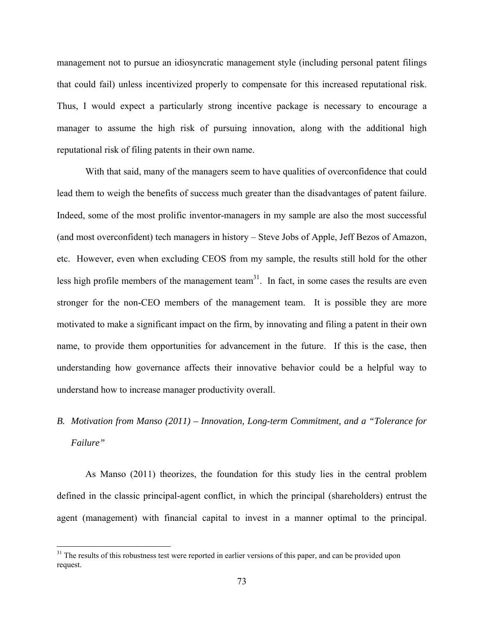management not to pursue an idiosyncratic management style (including personal patent filings that could fail) unless incentivized properly to compensate for this increased reputational risk. Thus, I would expect a particularly strong incentive package is necessary to encourage a manager to assume the high risk of pursuing innovation, along with the additional high reputational risk of filing patents in their own name.

With that said, many of the managers seem to have qualities of overconfidence that could lead them to weigh the benefits of success much greater than the disadvantages of patent failure. Indeed, some of the most prolific inventor-managers in my sample are also the most successful (and most overconfident) tech managers in history – Steve Jobs of Apple, Jeff Bezos of Amazon, etc. However, even when excluding CEOS from my sample, the results still hold for the other less high profile members of the management team<sup>31</sup>. In fact, in some cases the results are even stronger for the non-CEO members of the management team. It is possible they are more motivated to make a significant impact on the firm, by innovating and filing a patent in their own name, to provide them opportunities for advancement in the future. If this is the case, then understanding how governance affects their innovative behavior could be a helpful way to understand how to increase manager productivity overall.

# *B. Motivation from Manso (2011) – Innovation, Long-term Commitment, and a "Tolerance for Failure"*

As Manso (2011) theorizes, the foundation for this study lies in the central problem defined in the classic principal-agent conflict, in which the principal (shareholders) entrust the agent (management) with financial capital to invest in a manner optimal to the principal.

 $\overline{a}$ 

<sup>&</sup>lt;sup>31</sup> The results of this robustness test were reported in earlier versions of this paper, and can be provided upon request.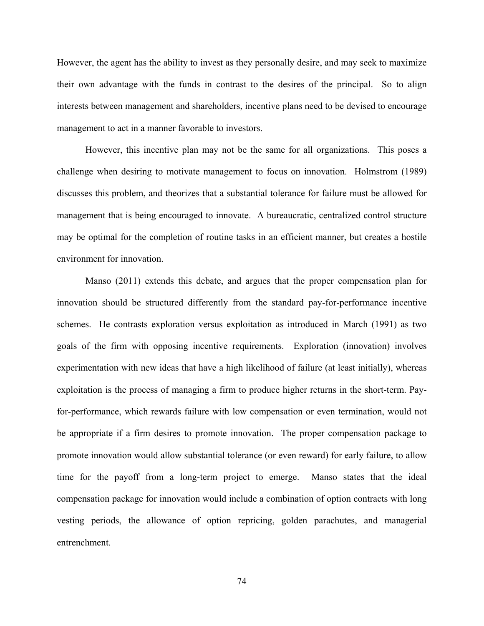However, the agent has the ability to invest as they personally desire, and may seek to maximize their own advantage with the funds in contrast to the desires of the principal. So to align interests between management and shareholders, incentive plans need to be devised to encourage management to act in a manner favorable to investors.

However, this incentive plan may not be the same for all organizations. This poses a challenge when desiring to motivate management to focus on innovation. Holmstrom (1989) discusses this problem, and theorizes that a substantial tolerance for failure must be allowed for management that is being encouraged to innovate. A bureaucratic, centralized control structure may be optimal for the completion of routine tasks in an efficient manner, but creates a hostile environment for innovation.

Manso (2011) extends this debate, and argues that the proper compensation plan for innovation should be structured differently from the standard pay-for-performance incentive schemes. He contrasts exploration versus exploitation as introduced in March (1991) as two goals of the firm with opposing incentive requirements. Exploration (innovation) involves experimentation with new ideas that have a high likelihood of failure (at least initially), whereas exploitation is the process of managing a firm to produce higher returns in the short-term. Payfor-performance, which rewards failure with low compensation or even termination, would not be appropriate if a firm desires to promote innovation. The proper compensation package to promote innovation would allow substantial tolerance (or even reward) for early failure, to allow time for the payoff from a long-term project to emerge. Manso states that the ideal compensation package for innovation would include a combination of option contracts with long vesting periods, the allowance of option repricing, golden parachutes, and managerial entrenchment.

74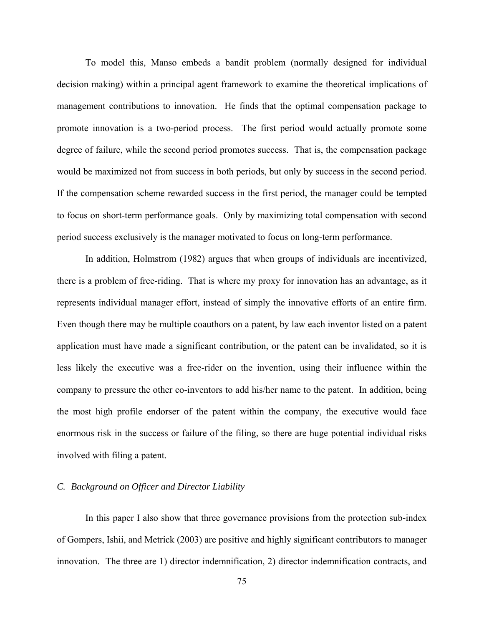To model this, Manso embeds a bandit problem (normally designed for individual decision making) within a principal agent framework to examine the theoretical implications of management contributions to innovation. He finds that the optimal compensation package to promote innovation is a two-period process. The first period would actually promote some degree of failure, while the second period promotes success. That is, the compensation package would be maximized not from success in both periods, but only by success in the second period. If the compensation scheme rewarded success in the first period, the manager could be tempted to focus on short-term performance goals. Only by maximizing total compensation with second period success exclusively is the manager motivated to focus on long-term performance.

In addition, Holmstrom (1982) argues that when groups of individuals are incentivized, there is a problem of free-riding. That is where my proxy for innovation has an advantage, as it represents individual manager effort, instead of simply the innovative efforts of an entire firm. Even though there may be multiple coauthors on a patent, by law each inventor listed on a patent application must have made a significant contribution, or the patent can be invalidated, so it is less likely the executive was a free-rider on the invention, using their influence within the company to pressure the other co-inventors to add his/her name to the patent. In addition, being the most high profile endorser of the patent within the company, the executive would face enormous risk in the success or failure of the filing, so there are huge potential individual risks involved with filing a patent.

### *C. Background on Officer and Director Liability*

In this paper I also show that three governance provisions from the protection sub-index of Gompers, Ishii, and Metrick (2003) are positive and highly significant contributors to manager innovation. The three are 1) director indemnification, 2) director indemnification contracts, and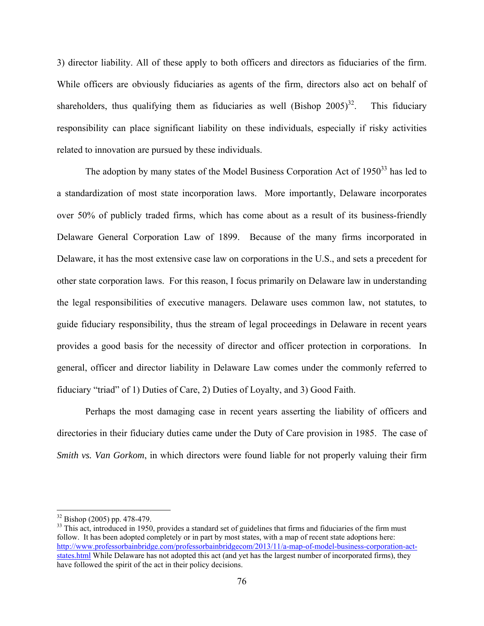3) director liability. All of these apply to both officers and directors as fiduciaries of the firm. While officers are obviously fiduciaries as agents of the firm, directors also act on behalf of shareholders, thus qualifying them as fiduciaries as well (Bishop  $2005$ )<sup>32</sup>. This fiduciary responsibility can place significant liability on these individuals, especially if risky activities related to innovation are pursued by these individuals.

The adoption by many states of the Model Business Corporation Act of  $1950<sup>33</sup>$  has led to a standardization of most state incorporation laws. More importantly, Delaware incorporates over 50% of publicly traded firms, which has come about as a result of its business-friendly Delaware General Corporation Law of 1899. Because of the many firms incorporated in Delaware, it has the most extensive case law on corporations in the U.S., and sets a precedent for other state corporation laws. For this reason, I focus primarily on Delaware law in understanding the legal responsibilities of executive managers. Delaware uses common law, not statutes, to guide fiduciary responsibility, thus the stream of legal proceedings in Delaware in recent years provides a good basis for the necessity of director and officer protection in corporations. In general, officer and director liability in Delaware Law comes under the commonly referred to fiduciary "triad" of 1) Duties of Care, 2) Duties of Loyalty, and 3) Good Faith.

Perhaps the most damaging case in recent years asserting the liability of officers and directories in their fiduciary duties came under the Duty of Care provision in 1985. The case of *Smith vs. Van Gorkom*, in which directors were found liable for not properly valuing their firm

 $\overline{a}$ 

<sup>32</sup> Bishop (2005) pp. 478-479.

 $33$  This act, introduced in 1950, provides a standard set of guidelines that firms and fiduciaries of the firm must follow. It has been adopted completely or in part by most states, with a map of recent state adoptions here: http://www.professorbainbridge.com/professorbainbridgecom/2013/11/a-map-of-model-business-corporation-actstates.html While Delaware has not adopted this act (and yet has the largest number of incorporated firms), they have followed the spirit of the act in their policy decisions.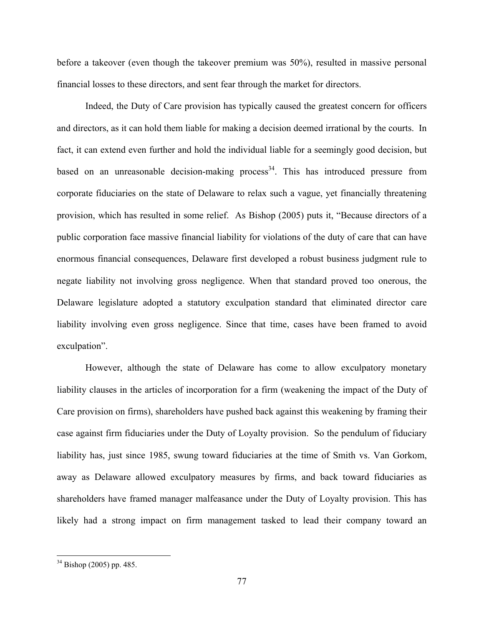before a takeover (even though the takeover premium was 50%), resulted in massive personal financial losses to these directors, and sent fear through the market for directors.

Indeed, the Duty of Care provision has typically caused the greatest concern for officers and directors, as it can hold them liable for making a decision deemed irrational by the courts. In fact, it can extend even further and hold the individual liable for a seemingly good decision, but based on an unreasonable decision-making process<sup>34</sup>. This has introduced pressure from corporate fiduciaries on the state of Delaware to relax such a vague, yet financially threatening provision, which has resulted in some relief. As Bishop (2005) puts it, "Because directors of a public corporation face massive financial liability for violations of the duty of care that can have enormous financial consequences, Delaware first developed a robust business judgment rule to negate liability not involving gross negligence. When that standard proved too onerous, the Delaware legislature adopted a statutory exculpation standard that eliminated director care liability involving even gross negligence. Since that time, cases have been framed to avoid exculpation".

However, although the state of Delaware has come to allow exculpatory monetary liability clauses in the articles of incorporation for a firm (weakening the impact of the Duty of Care provision on firms), shareholders have pushed back against this weakening by framing their case against firm fiduciaries under the Duty of Loyalty provision. So the pendulum of fiduciary liability has, just since 1985, swung toward fiduciaries at the time of Smith vs. Van Gorkom, away as Delaware allowed exculpatory measures by firms, and back toward fiduciaries as shareholders have framed manager malfeasance under the Duty of Loyalty provision. This has likely had a strong impact on firm management tasked to lead their company toward an

 $\overline{a}$ 

 $34$  Bishop (2005) pp. 485.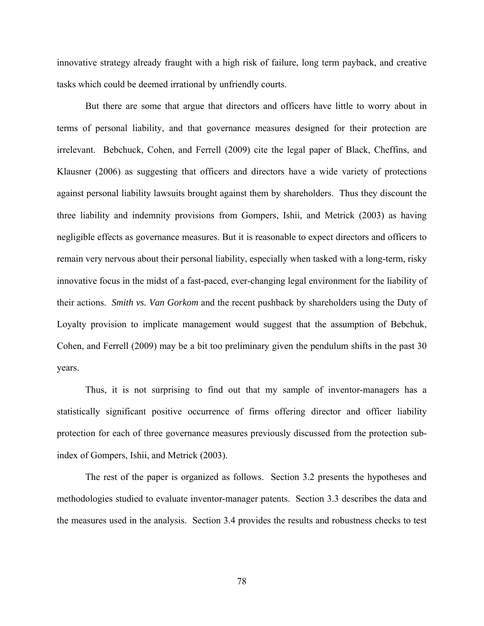innovative strategy already fraught with a high risk of failure, long term payback, and creative tasks which could be deemed irrational by unfriendly courts.

But there are some that argue that directors and officers have little to worry about in terms of personal liability, and that governance measures designed for their protection are irrelevant. Bebchuck, Cohen, and Ferrell (2009) cite the legal paper of Black, Cheffins, and Klausner (2006) as suggesting that officers and directors have a wide variety of protections against personal liability lawsuits brought against them by shareholders. Thus they discount the three liability and indemnity provisions from Gompers, Ishii, and Metrick (2003) as having negligible effects as governance measures. But it is reasonable to expect directors and officers to remain very nervous about their personal liability, especially when tasked with a long-term, risky innovative focus in the midst of a fast-paced, ever-changing legal environment for the liability of their actions. *Smith vs. Van Gorkom* and the recent pushback by shareholders using the Duty of Loyalty provision to implicate management would suggest that the assumption of Bebchuk, Cohen, and Ferrell (2009) may be a bit too preliminary given the pendulum shifts in the past 30 years.

Thus, it is not surprising to find out that my sample of inventor-managers has a statistically significant positive occurrence of firms offering director and officer liability protection for each of three governance measures previously discussed from the protection subindex of Gompers, Ishii, and Metrick (2003).

The rest of the paper is organized as follows. Section 3.2 presents the hypotheses and methodologies studied to evaluate inventor-manager patents. Section 3.3 describes the data and the measures used in the analysis. Section 3.4 provides the results and robustness checks to test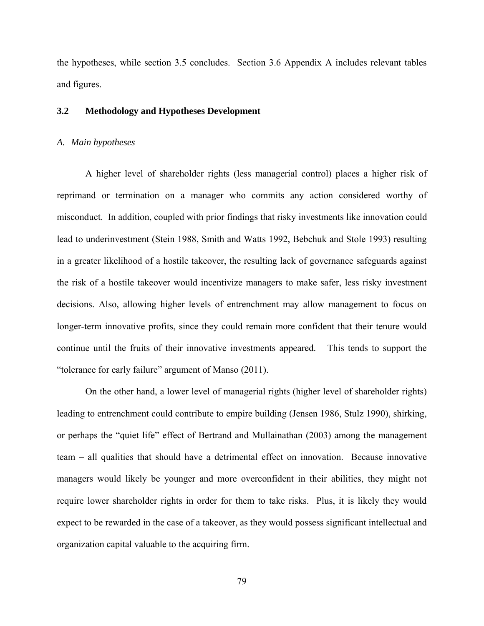the hypotheses, while section 3.5 concludes. Section 3.6 Appendix A includes relevant tables and figures.

### **3.2 Methodology and Hypotheses Development**

#### *A. Main hypotheses*

A higher level of shareholder rights (less managerial control) places a higher risk of reprimand or termination on a manager who commits any action considered worthy of misconduct. In addition, coupled with prior findings that risky investments like innovation could lead to underinvestment (Stein 1988, Smith and Watts 1992, Bebchuk and Stole 1993) resulting in a greater likelihood of a hostile takeover, the resulting lack of governance safeguards against the risk of a hostile takeover would incentivize managers to make safer, less risky investment decisions. Also, allowing higher levels of entrenchment may allow management to focus on longer-term innovative profits, since they could remain more confident that their tenure would continue until the fruits of their innovative investments appeared. This tends to support the "tolerance for early failure" argument of Manso (2011).

On the other hand, a lower level of managerial rights (higher level of shareholder rights) leading to entrenchment could contribute to empire building (Jensen 1986, Stulz 1990), shirking, or perhaps the "quiet life" effect of Bertrand and Mullainathan (2003) among the management team – all qualities that should have a detrimental effect on innovation. Because innovative managers would likely be younger and more overconfident in their abilities, they might not require lower shareholder rights in order for them to take risks. Plus, it is likely they would expect to be rewarded in the case of a takeover, as they would possess significant intellectual and organization capital valuable to the acquiring firm.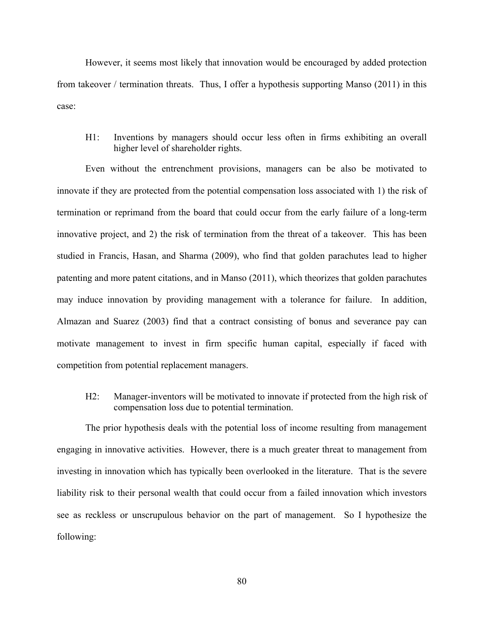However, it seems most likely that innovation would be encouraged by added protection from takeover / termination threats. Thus, I offer a hypothesis supporting Manso (2011) in this case:

H1: Inventions by managers should occur less often in firms exhibiting an overall higher level of shareholder rights.

 Even without the entrenchment provisions, managers can be also be motivated to innovate if they are protected from the potential compensation loss associated with 1) the risk of termination or reprimand from the board that could occur from the early failure of a long-term innovative project, and 2) the risk of termination from the threat of a takeover. This has been studied in Francis, Hasan, and Sharma (2009), who find that golden parachutes lead to higher patenting and more patent citations, and in Manso (2011), which theorizes that golden parachutes may induce innovation by providing management with a tolerance for failure. In addition, Almazan and Suarez (2003) find that a contract consisting of bonus and severance pay can motivate management to invest in firm specific human capital, especially if faced with competition from potential replacement managers.

H2: Manager-inventors will be motivated to innovate if protected from the high risk of compensation loss due to potential termination.

The prior hypothesis deals with the potential loss of income resulting from management engaging in innovative activities. However, there is a much greater threat to management from investing in innovation which has typically been overlooked in the literature. That is the severe liability risk to their personal wealth that could occur from a failed innovation which investors see as reckless or unscrupulous behavior on the part of management. So I hypothesize the following: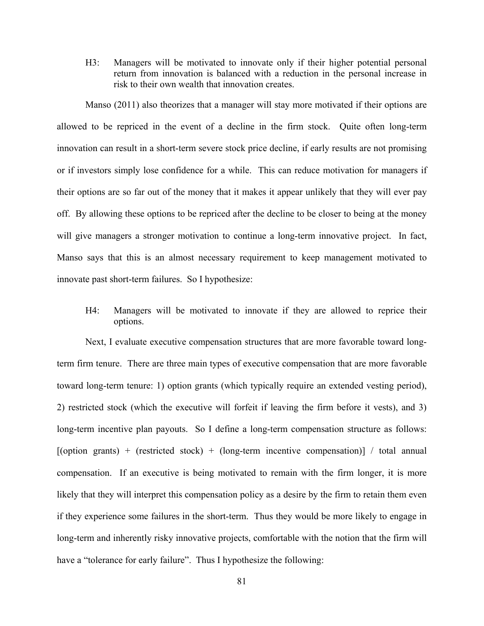H3: Managers will be motivated to innovate only if their higher potential personal return from innovation is balanced with a reduction in the personal increase in risk to their own wealth that innovation creates.

 Manso (2011) also theorizes that a manager will stay more motivated if their options are allowed to be repriced in the event of a decline in the firm stock. Quite often long-term innovation can result in a short-term severe stock price decline, if early results are not promising or if investors simply lose confidence for a while. This can reduce motivation for managers if their options are so far out of the money that it makes it appear unlikely that they will ever pay off. By allowing these options to be repriced after the decline to be closer to being at the money will give managers a stronger motivation to continue a long-term innovative project. In fact, Manso says that this is an almost necessary requirement to keep management motivated to innovate past short-term failures. So I hypothesize:

H4: Managers will be motivated to innovate if they are allowed to reprice their options.

 Next, I evaluate executive compensation structures that are more favorable toward longterm firm tenure. There are three main types of executive compensation that are more favorable toward long-term tenure: 1) option grants (which typically require an extended vesting period), 2) restricted stock (which the executive will forfeit if leaving the firm before it vests), and 3) long-term incentive plan payouts. So I define a long-term compensation structure as follows:  $[$ (option grants) + (restricted stock) + (long-term incentive compensation)] / total annual compensation. If an executive is being motivated to remain with the firm longer, it is more likely that they will interpret this compensation policy as a desire by the firm to retain them even if they experience some failures in the short-term. Thus they would be more likely to engage in long-term and inherently risky innovative projects, comfortable with the notion that the firm will have a "tolerance for early failure". Thus I hypothesize the following: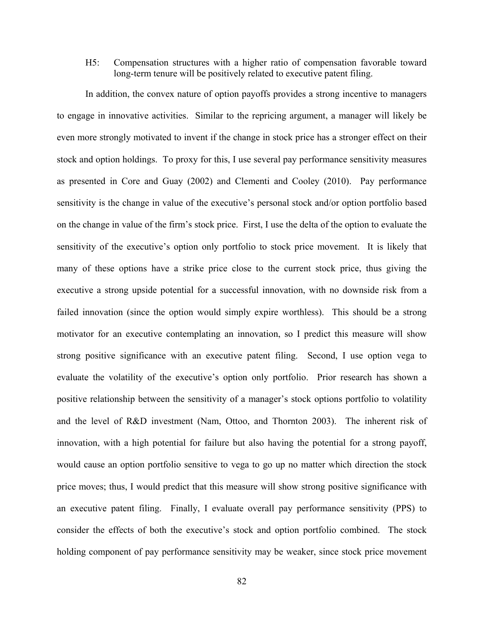H5: Compensation structures with a higher ratio of compensation favorable toward long-term tenure will be positively related to executive patent filing.

In addition, the convex nature of option payoffs provides a strong incentive to managers to engage in innovative activities. Similar to the repricing argument, a manager will likely be even more strongly motivated to invent if the change in stock price has a stronger effect on their stock and option holdings. To proxy for this, I use several pay performance sensitivity measures as presented in Core and Guay (2002) and Clementi and Cooley (2010). Pay performance sensitivity is the change in value of the executive's personal stock and/or option portfolio based on the change in value of the firm's stock price. First, I use the delta of the option to evaluate the sensitivity of the executive's option only portfolio to stock price movement. It is likely that many of these options have a strike price close to the current stock price, thus giving the executive a strong upside potential for a successful innovation, with no downside risk from a failed innovation (since the option would simply expire worthless). This should be a strong motivator for an executive contemplating an innovation, so I predict this measure will show strong positive significance with an executive patent filing. Second, I use option vega to evaluate the volatility of the executive's option only portfolio. Prior research has shown a positive relationship between the sensitivity of a manager's stock options portfolio to volatility and the level of R&D investment (Nam, Ottoo, and Thornton 2003). The inherent risk of innovation, with a high potential for failure but also having the potential for a strong payoff, would cause an option portfolio sensitive to vega to go up no matter which direction the stock price moves; thus, I would predict that this measure will show strong positive significance with an executive patent filing. Finally, I evaluate overall pay performance sensitivity (PPS) to consider the effects of both the executive's stock and option portfolio combined. The stock holding component of pay performance sensitivity may be weaker, since stock price movement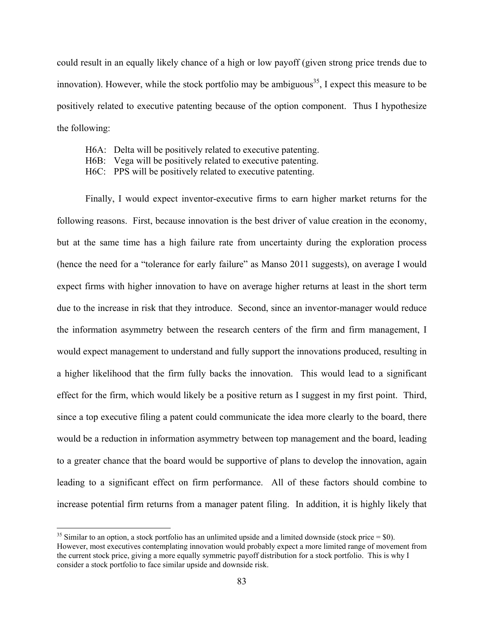could result in an equally likely chance of a high or low payoff (given strong price trends due to innovation). However, while the stock portfolio may be ambiguous<sup>35</sup>, I expect this measure to be positively related to executive patenting because of the option component. Thus I hypothesize the following:

- H6A: Delta will be positively related to executive patenting.
- H6B: Vega will be positively related to executive patenting.
- H6C: PPS will be positively related to executive patenting.

 Finally, I would expect inventor-executive firms to earn higher market returns for the following reasons. First, because innovation is the best driver of value creation in the economy, but at the same time has a high failure rate from uncertainty during the exploration process (hence the need for a "tolerance for early failure" as Manso 2011 suggests), on average I would expect firms with higher innovation to have on average higher returns at least in the short term due to the increase in risk that they introduce. Second, since an inventor-manager would reduce the information asymmetry between the research centers of the firm and firm management, I would expect management to understand and fully support the innovations produced, resulting in a higher likelihood that the firm fully backs the innovation. This would lead to a significant effect for the firm, which would likely be a positive return as I suggest in my first point. Third, since a top executive filing a patent could communicate the idea more clearly to the board, there would be a reduction in information asymmetry between top management and the board, leading to a greater chance that the board would be supportive of plans to develop the innovation, again leading to a significant effect on firm performance. All of these factors should combine to increase potential firm returns from a manager patent filing. In addition, it is highly likely that

 $\overline{a}$ 

 $35$  Similar to an option, a stock portfolio has an unlimited upside and a limited downside (stock price = \$0). However, most executives contemplating innovation would probably expect a more limited range of movement from the current stock price, giving a more equally symmetric payoff distribution for a stock portfolio. This is why I consider a stock portfolio to face similar upside and downside risk.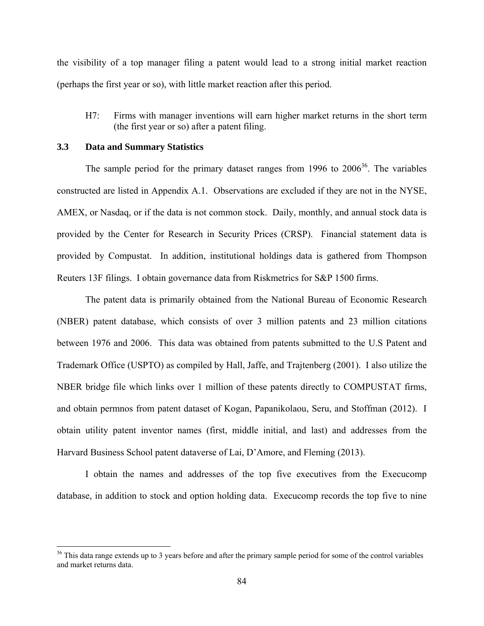the visibility of a top manager filing a patent would lead to a strong initial market reaction (perhaps the first year or so), with little market reaction after this period.

H7: Firms with manager inventions will earn higher market returns in the short term (the first year or so) after a patent filing.

#### **3.3 Data and Summary Statistics**

1

The sample period for the primary dataset ranges from 1996 to  $2006^{36}$ . The variables constructed are listed in Appendix A.1. Observations are excluded if they are not in the NYSE, AMEX, or Nasdaq, or if the data is not common stock. Daily, monthly, and annual stock data is provided by the Center for Research in Security Prices (CRSP). Financial statement data is provided by Compustat. In addition, institutional holdings data is gathered from Thompson Reuters 13F filings. I obtain governance data from Riskmetrics for S&P 1500 firms.

The patent data is primarily obtained from the National Bureau of Economic Research (NBER) patent database, which consists of over 3 million patents and 23 million citations between 1976 and 2006. This data was obtained from patents submitted to the U.S Patent and Trademark Office (USPTO) as compiled by Hall, Jaffe, and Trajtenberg (2001). I also utilize the NBER bridge file which links over 1 million of these patents directly to COMPUSTAT firms, and obtain permnos from patent dataset of Kogan, Papanikolaou, Seru, and Stoffman (2012). I obtain utility patent inventor names (first, middle initial, and last) and addresses from the Harvard Business School patent dataverse of Lai, D'Amore, and Fleming (2013).

I obtain the names and addresses of the top five executives from the Execucomp database, in addition to stock and option holding data. Execucomp records the top five to nine

<sup>&</sup>lt;sup>36</sup> This data range extends up to 3 years before and after the primary sample period for some of the control variables and market returns data.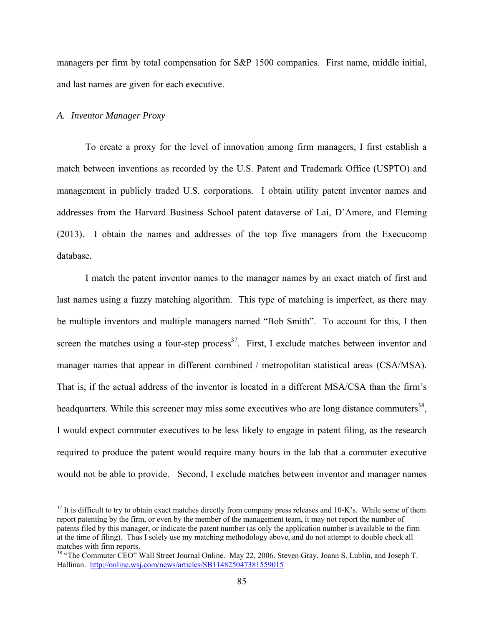managers per firm by total compensation for S&P 1500 companies. First name, middle initial, and last names are given for each executive.

### *A. Inventor Manager Proxy*

<u>.</u>

To create a proxy for the level of innovation among firm managers, I first establish a match between inventions as recorded by the U.S. Patent and Trademark Office (USPTO) and management in publicly traded U.S. corporations. I obtain utility patent inventor names and addresses from the Harvard Business School patent dataverse of Lai, D'Amore, and Fleming (2013). I obtain the names and addresses of the top five managers from the Execucomp database.

I match the patent inventor names to the manager names by an exact match of first and last names using a fuzzy matching algorithm. This type of matching is imperfect, as there may be multiple inventors and multiple managers named "Bob Smith". To account for this, I then screen the matches using a four-step process<sup>37</sup>. First, I exclude matches between inventor and manager names that appear in different combined / metropolitan statistical areas (CSA/MSA). That is, if the actual address of the inventor is located in a different MSA/CSA than the firm's headquarters. While this screener may miss some executives who are long distance commuters<sup>38</sup>. I would expect commuter executives to be less likely to engage in patent filing, as the research required to produce the patent would require many hours in the lab that a commuter executive would not be able to provide. Second, I exclude matches between inventor and manager names

 $37$  It is difficult to try to obtain exact matches directly from company press releases and 10-K's. While some of them report patenting by the firm, or even by the member of the management team, it may not report the number of patents filed by this manager, or indicate the patent number (as only the application number is available to the firm at the time of filing). Thus I solely use my matching methodology above, and do not attempt to double check all matches with firm reports.

<sup>&</sup>lt;sup>38</sup> "The Commuter CEO" Wall Street Journal Online. May 22, 2006. Steven Gray, Joann S. Lublin, and Joseph T. Hallinan. http://online.wsj.com/news/articles/SB114825047381559015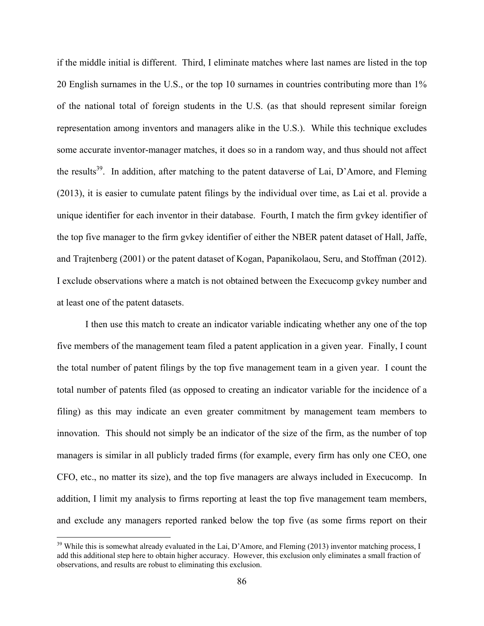if the middle initial is different. Third, I eliminate matches where last names are listed in the top 20 English surnames in the U.S., or the top 10 surnames in countries contributing more than 1% of the national total of foreign students in the U.S. (as that should represent similar foreign representation among inventors and managers alike in the U.S.). While this technique excludes some accurate inventor-manager matches, it does so in a random way, and thus should not affect the results<sup>39</sup>. In addition, after matching to the patent dataverse of Lai, D'Amore, and Fleming (2013), it is easier to cumulate patent filings by the individual over time, as Lai et al. provide a unique identifier for each inventor in their database. Fourth, I match the firm gvkey identifier of the top five manager to the firm gvkey identifier of either the NBER patent dataset of Hall, Jaffe, and Trajtenberg (2001) or the patent dataset of Kogan, Papanikolaou, Seru, and Stoffman (2012). I exclude observations where a match is not obtained between the Execucomp gvkey number and at least one of the patent datasets.

I then use this match to create an indicator variable indicating whether any one of the top five members of the management team filed a patent application in a given year. Finally, I count the total number of patent filings by the top five management team in a given year. I count the total number of patents filed (as opposed to creating an indicator variable for the incidence of a filing) as this may indicate an even greater commitment by management team members to innovation. This should not simply be an indicator of the size of the firm, as the number of top managers is similar in all publicly traded firms (for example, every firm has only one CEO, one CFO, etc., no matter its size), and the top five managers are always included in Execucomp. In addition, I limit my analysis to firms reporting at least the top five management team members, and exclude any managers reported ranked below the top five (as some firms report on their

 $\overline{a}$ 

<sup>&</sup>lt;sup>39</sup> While this is somewhat already evaluated in the Lai, D'Amore, and Fleming (2013) inventor matching process, I add this additional step here to obtain higher accuracy. However, this exclusion only eliminates a small fraction of observations, and results are robust to eliminating this exclusion.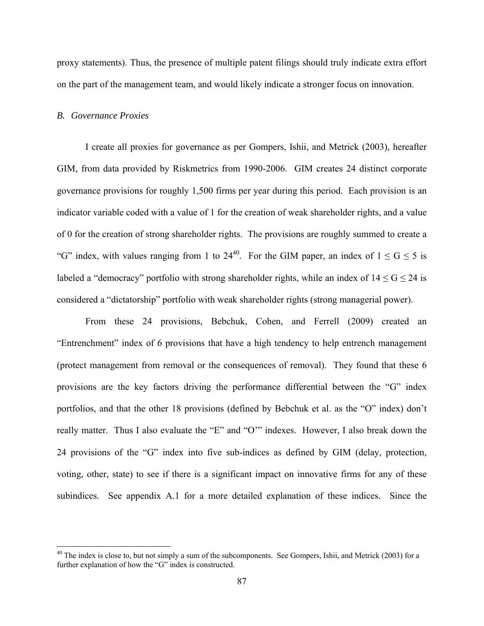proxy statements). Thus, the presence of multiple patent filings should truly indicate extra effort on the part of the management team, and would likely indicate a stronger focus on innovation.

#### *B. Governance Proxies*

 $\overline{a}$ 

I create all proxies for governance as per Gompers, Ishii, and Metrick (2003), hereafter GIM, from data provided by Riskmetrics from 1990-2006. GIM creates 24 distinct corporate governance provisions for roughly 1,500 firms per year during this period. Each provision is an indicator variable coded with a value of 1 for the creation of weak shareholder rights, and a value of 0 for the creation of strong shareholder rights. The provisions are roughly summed to create a "G" index, with values ranging from 1 to 24<sup>40</sup>. For the GIM paper, an index of  $1 \le G \le 5$  is labeled a "democracy" portfolio with strong shareholder rights, while an index of  $14 \le G \le 24$  is considered a "dictatorship" portfolio with weak shareholder rights (strong managerial power).

From these 24 provisions, Bebchuk, Cohen, and Ferrell (2009) created an "Entrenchment" index of 6 provisions that have a high tendency to help entrench management (protect management from removal or the consequences of removal). They found that these 6 provisions are the key factors driving the performance differential between the "G" index portfolios, and that the other 18 provisions (defined by Bebchuk et al. as the "O" index) don't really matter. Thus I also evaluate the "E" and "O'" indexes. However, I also break down the 24 provisions of the "G" index into five sub-indices as defined by GIM (delay, protection, voting, other, state) to see if there is a significant impact on innovative firms for any of these subindices. See appendix A.1 for a more detailed explanation of these indices. Since the

 $40$  The index is close to, but not simply a sum of the subcomponents. See Gompers, Ishii, and Metrick (2003) for a further explanation of how the "G" index is constructed.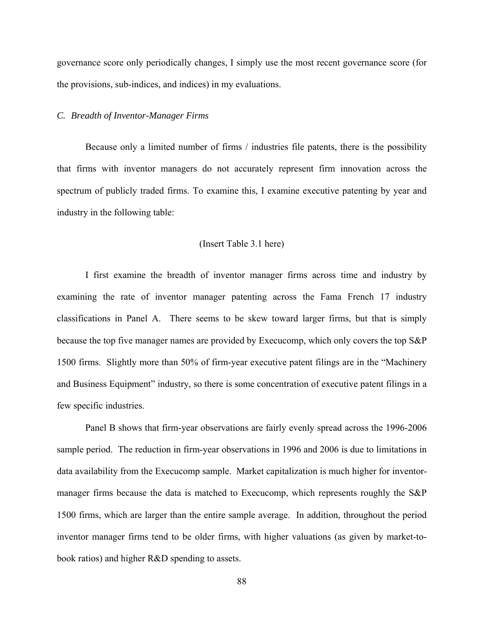governance score only periodically changes, I simply use the most recent governance score (for the provisions, sub-indices, and indices) in my evaluations.

#### *C. Breadth of Inventor-Manager Firms*

Because only a limited number of firms / industries file patents, there is the possibility that firms with inventor managers do not accurately represent firm innovation across the spectrum of publicly traded firms. To examine this, I examine executive patenting by year and industry in the following table:

### (Insert Table 3.1 here)

I first examine the breadth of inventor manager firms across time and industry by examining the rate of inventor manager patenting across the Fama French 17 industry classifications in Panel A. There seems to be skew toward larger firms, but that is simply because the top five manager names are provided by Execucomp, which only covers the top S&P 1500 firms. Slightly more than 50% of firm-year executive patent filings are in the "Machinery and Business Equipment" industry, so there is some concentration of executive patent filings in a few specific industries.

Panel B shows that firm-year observations are fairly evenly spread across the 1996-2006 sample period. The reduction in firm-year observations in 1996 and 2006 is due to limitations in data availability from the Execucomp sample. Market capitalization is much higher for inventormanager firms because the data is matched to Execucomp, which represents roughly the S&P 1500 firms, which are larger than the entire sample average. In addition, throughout the period inventor manager firms tend to be older firms, with higher valuations (as given by market-tobook ratios) and higher R&D spending to assets.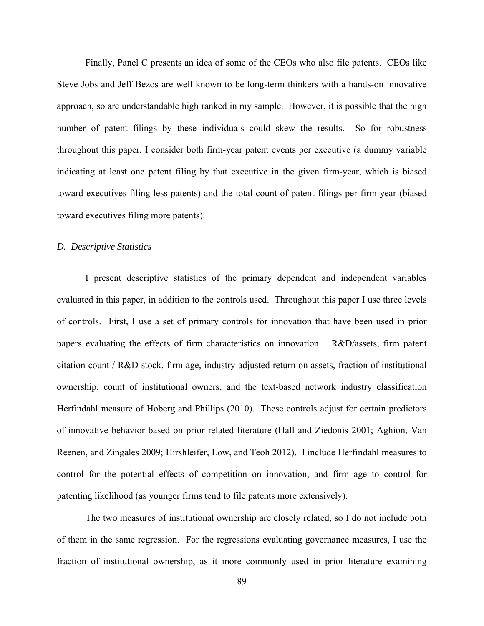Finally, Panel C presents an idea of some of the CEOs who also file patents. CEOs like Steve Jobs and Jeff Bezos are well known to be long-term thinkers with a hands-on innovative approach, so are understandable high ranked in my sample. However, it is possible that the high number of patent filings by these individuals could skew the results. So for robustness throughout this paper, I consider both firm-year patent events per executive (a dummy variable indicating at least one patent filing by that executive in the given firm-year, which is biased toward executives filing less patents) and the total count of patent filings per firm-year (biased toward executives filing more patents).

#### *D. Descriptive Statistics*

I present descriptive statistics of the primary dependent and independent variables evaluated in this paper, in addition to the controls used. Throughout this paper I use three levels of controls. First, I use a set of primary controls for innovation that have been used in prior papers evaluating the effects of firm characteristics on innovation – R&D/assets, firm patent citation count / R&D stock, firm age, industry adjusted return on assets, fraction of institutional ownership, count of institutional owners, and the text-based network industry classification Herfindahl measure of Hoberg and Phillips (2010). These controls adjust for certain predictors of innovative behavior based on prior related literature (Hall and Ziedonis 2001; Aghion, Van Reenen, and Zingales 2009; Hirshleifer, Low, and Teoh 2012). I include Herfindahl measures to control for the potential effects of competition on innovation, and firm age to control for patenting likelihood (as younger firms tend to file patents more extensively).

The two measures of institutional ownership are closely related, so I do not include both of them in the same regression. For the regressions evaluating governance measures, I use the fraction of institutional ownership, as it more commonly used in prior literature examining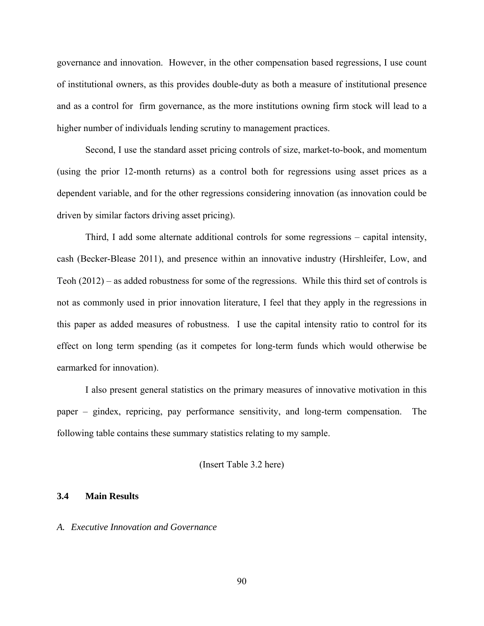governance and innovation. However, in the other compensation based regressions, I use count of institutional owners, as this provides double-duty as both a measure of institutional presence and as a control for firm governance, as the more institutions owning firm stock will lead to a higher number of individuals lending scrutiny to management practices.

Second, I use the standard asset pricing controls of size, market-to-book, and momentum (using the prior 12-month returns) as a control both for regressions using asset prices as a dependent variable, and for the other regressions considering innovation (as innovation could be driven by similar factors driving asset pricing).

Third, I add some alternate additional controls for some regressions – capital intensity, cash (Becker-Blease 2011), and presence within an innovative industry (Hirshleifer, Low, and Teoh (2012) – as added robustness for some of the regressions. While this third set of controls is not as commonly used in prior innovation literature, I feel that they apply in the regressions in this paper as added measures of robustness. I use the capital intensity ratio to control for its effect on long term spending (as it competes for long-term funds which would otherwise be earmarked for innovation).

I also present general statistics on the primary measures of innovative motivation in this paper – gindex, repricing, pay performance sensitivity, and long-term compensation. The following table contains these summary statistics relating to my sample.

### (Insert Table 3.2 here)

### **3.4 Main Results**

#### *A. Executive Innovation and Governance*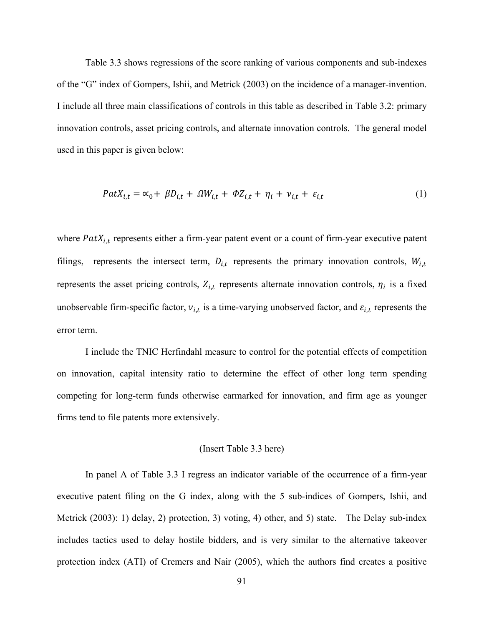Table 3.3 shows regressions of the score ranking of various components and sub-indexes of the "G" index of Gompers, Ishii, and Metrick (2003) on the incidence of a manager-invention. I include all three main classifications of controls in this table as described in Table 3.2: primary innovation controls, asset pricing controls, and alternate innovation controls. The general model used in this paper is given below:

$$
PatX_{i,t} = \alpha_0 + \beta D_{i,t} + \Omega W_{i,t} + \Phi Z_{i,t} + \eta_i + \nu_{i,t} + \varepsilon_{i,t}
$$
 (1)

where  $PatX_{i,t}$  represents either a firm-year patent event or a count of firm-year executive patent filings, represents the intersect term,  $D_{i,t}$  represents the primary innovation controls,  $W_{i,t}$ represents the asset pricing controls,  $Z_{i,t}$  represents alternate innovation controls,  $\eta_i$  is a fixed unobservable firm-specific factor,  $v_{i,t}$  is a time-varying unobserved factor, and  $\varepsilon_{i,t}$  represents the error term.

I include the TNIC Herfindahl measure to control for the potential effects of competition on innovation, capital intensity ratio to determine the effect of other long term spending competing for long-term funds otherwise earmarked for innovation, and firm age as younger firms tend to file patents more extensively.

#### (Insert Table 3.3 here)

In panel A of Table 3.3 I regress an indicator variable of the occurrence of a firm-year executive patent filing on the G index, along with the 5 sub-indices of Gompers, Ishii, and Metrick (2003): 1) delay, 2) protection, 3) voting, 4) other, and 5) state. The Delay sub-index includes tactics used to delay hostile bidders, and is very similar to the alternative takeover protection index (ATI) of Cremers and Nair (2005), which the authors find creates a positive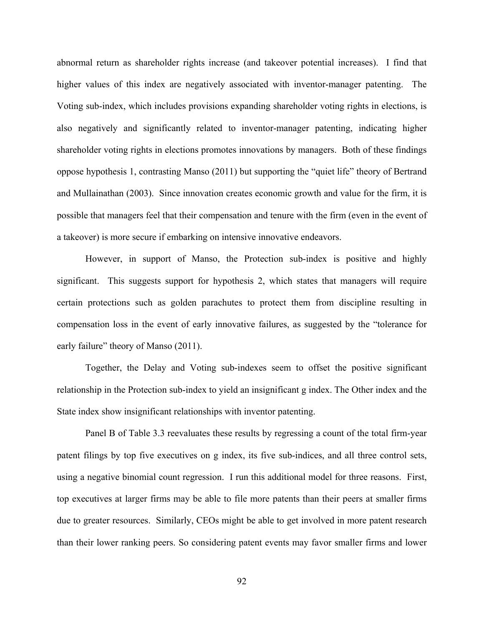abnormal return as shareholder rights increase (and takeover potential increases). I find that higher values of this index are negatively associated with inventor-manager patenting. The Voting sub-index, which includes provisions expanding shareholder voting rights in elections, is also negatively and significantly related to inventor-manager patenting, indicating higher shareholder voting rights in elections promotes innovations by managers. Both of these findings oppose hypothesis 1, contrasting Manso (2011) but supporting the "quiet life" theory of Bertrand and Mullainathan (2003). Since innovation creates economic growth and value for the firm, it is possible that managers feel that their compensation and tenure with the firm (even in the event of a takeover) is more secure if embarking on intensive innovative endeavors.

However, in support of Manso, the Protection sub-index is positive and highly significant. This suggests support for hypothesis 2, which states that managers will require certain protections such as golden parachutes to protect them from discipline resulting in compensation loss in the event of early innovative failures, as suggested by the "tolerance for early failure" theory of Manso (2011).

Together, the Delay and Voting sub-indexes seem to offset the positive significant relationship in the Protection sub-index to yield an insignificant g index. The Other index and the State index show insignificant relationships with inventor patenting.

Panel B of Table 3.3 reevaluates these results by regressing a count of the total firm-year patent filings by top five executives on g index, its five sub-indices, and all three control sets, using a negative binomial count regression. I run this additional model for three reasons. First, top executives at larger firms may be able to file more patents than their peers at smaller firms due to greater resources. Similarly, CEOs might be able to get involved in more patent research than their lower ranking peers. So considering patent events may favor smaller firms and lower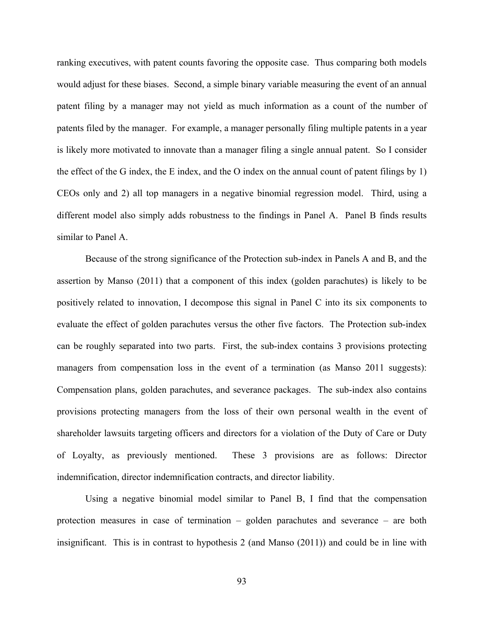ranking executives, with patent counts favoring the opposite case. Thus comparing both models would adjust for these biases. Second, a simple binary variable measuring the event of an annual patent filing by a manager may not yield as much information as a count of the number of patents filed by the manager. For example, a manager personally filing multiple patents in a year is likely more motivated to innovate than a manager filing a single annual patent. So I consider the effect of the G index, the E index, and the O index on the annual count of patent filings by 1) CEOs only and 2) all top managers in a negative binomial regression model. Third, using a different model also simply adds robustness to the findings in Panel A. Panel B finds results similar to Panel A.

Because of the strong significance of the Protection sub-index in Panels A and B, and the assertion by Manso (2011) that a component of this index (golden parachutes) is likely to be positively related to innovation, I decompose this signal in Panel C into its six components to evaluate the effect of golden parachutes versus the other five factors. The Protection sub-index can be roughly separated into two parts. First, the sub-index contains 3 provisions protecting managers from compensation loss in the event of a termination (as Manso 2011 suggests): Compensation plans, golden parachutes, and severance packages. The sub-index also contains provisions protecting managers from the loss of their own personal wealth in the event of shareholder lawsuits targeting officers and directors for a violation of the Duty of Care or Duty of Loyalty, as previously mentioned. These 3 provisions are as follows: Director indemnification, director indemnification contracts, and director liability.

Using a negative binomial model similar to Panel B, I find that the compensation protection measures in case of termination – golden parachutes and severance – are both insignificant. This is in contrast to hypothesis 2 (and Manso (2011)) and could be in line with

93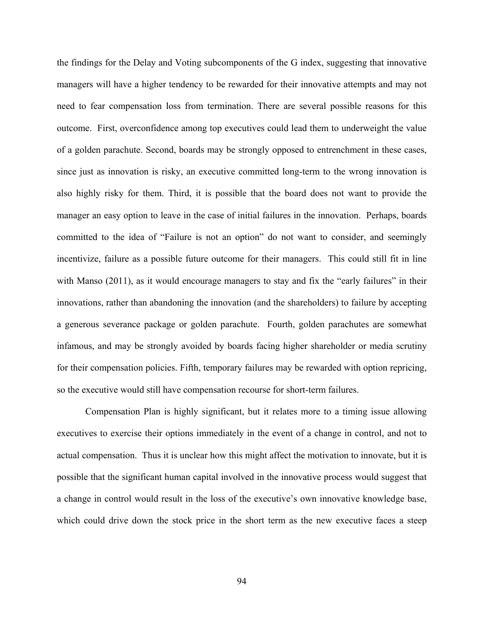the findings for the Delay and Voting subcomponents of the G index, suggesting that innovative managers will have a higher tendency to be rewarded for their innovative attempts and may not need to fear compensation loss from termination. There are several possible reasons for this outcome. First, overconfidence among top executives could lead them to underweight the value of a golden parachute. Second, boards may be strongly opposed to entrenchment in these cases, since just as innovation is risky, an executive committed long-term to the wrong innovation is also highly risky for them. Third, it is possible that the board does not want to provide the manager an easy option to leave in the case of initial failures in the innovation. Perhaps, boards committed to the idea of "Failure is not an option" do not want to consider, and seemingly incentivize, failure as a possible future outcome for their managers. This could still fit in line with Manso (2011), as it would encourage managers to stay and fix the "early failures" in their innovations, rather than abandoning the innovation (and the shareholders) to failure by accepting a generous severance package or golden parachute. Fourth, golden parachutes are somewhat infamous, and may be strongly avoided by boards facing higher shareholder or media scrutiny for their compensation policies. Fifth, temporary failures may be rewarded with option repricing, so the executive would still have compensation recourse for short-term failures.

Compensation Plan is highly significant, but it relates more to a timing issue allowing executives to exercise their options immediately in the event of a change in control, and not to actual compensation. Thus it is unclear how this might affect the motivation to innovate, but it is possible that the significant human capital involved in the innovative process would suggest that a change in control would result in the loss of the executive's own innovative knowledge base, which could drive down the stock price in the short term as the new executive faces a steep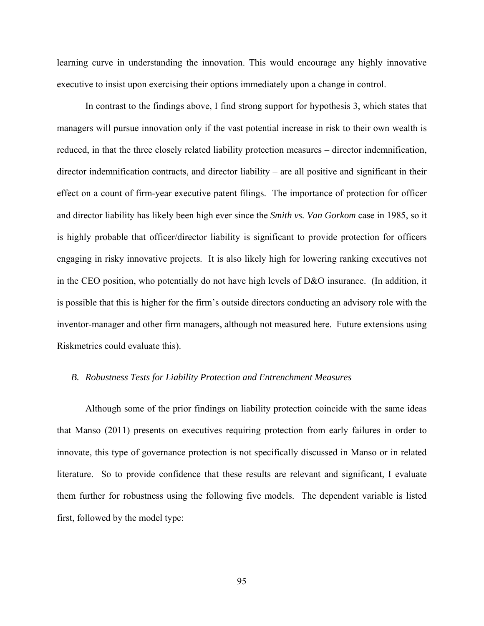learning curve in understanding the innovation. This would encourage any highly innovative executive to insist upon exercising their options immediately upon a change in control.

In contrast to the findings above, I find strong support for hypothesis 3, which states that managers will pursue innovation only if the vast potential increase in risk to their own wealth is reduced, in that the three closely related liability protection measures – director indemnification, director indemnification contracts, and director liability – are all positive and significant in their effect on a count of firm-year executive patent filings. The importance of protection for officer and director liability has likely been high ever since the *Smith vs. Van Gorkom* case in 1985, so it is highly probable that officer/director liability is significant to provide protection for officers engaging in risky innovative projects. It is also likely high for lowering ranking executives not in the CEO position, who potentially do not have high levels of D&O insurance. (In addition, it is possible that this is higher for the firm's outside directors conducting an advisory role with the inventor-manager and other firm managers, although not measured here. Future extensions using Riskmetrics could evaluate this).

#### *B. Robustness Tests for Liability Protection and Entrenchment Measures*

Although some of the prior findings on liability protection coincide with the same ideas that Manso (2011) presents on executives requiring protection from early failures in order to innovate, this type of governance protection is not specifically discussed in Manso or in related literature. So to provide confidence that these results are relevant and significant, I evaluate them further for robustness using the following five models. The dependent variable is listed first, followed by the model type: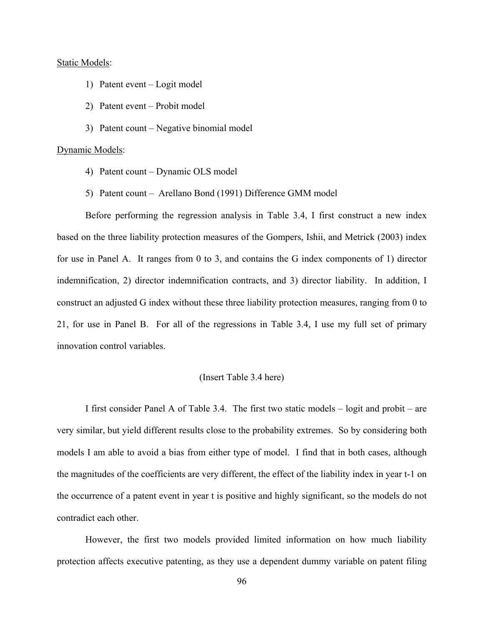#### Static Models:

- 1) Patent event Logit model
- 2) Patent event Probit model
- 3) Patent count Negative binomial model

#### Dynamic Models:

- 4) Patent count Dynamic OLS model
- 5) Patent count Arellano Bond (1991) Difference GMM model

Before performing the regression analysis in Table 3.4, I first construct a new index based on the three liability protection measures of the Gompers, Ishii, and Metrick (2003) index for use in Panel A. It ranges from 0 to 3, and contains the G index components of 1) director indemnification, 2) director indemnification contracts, and 3) director liability. In addition, I construct an adjusted G index without these three liability protection measures, ranging from 0 to 21, for use in Panel B. For all of the regressions in Table 3.4, I use my full set of primary innovation control variables.

### (Insert Table 3.4 here)

I first consider Panel A of Table 3.4. The first two static models – logit and probit – are very similar, but yield different results close to the probability extremes. So by considering both models I am able to avoid a bias from either type of model. I find that in both cases, although the magnitudes of the coefficients are very different, the effect of the liability index in year t-1 on the occurrence of a patent event in year t is positive and highly significant, so the models do not contradict each other.

However, the first two models provided limited information on how much liability protection affects executive patenting, as they use a dependent dummy variable on patent filing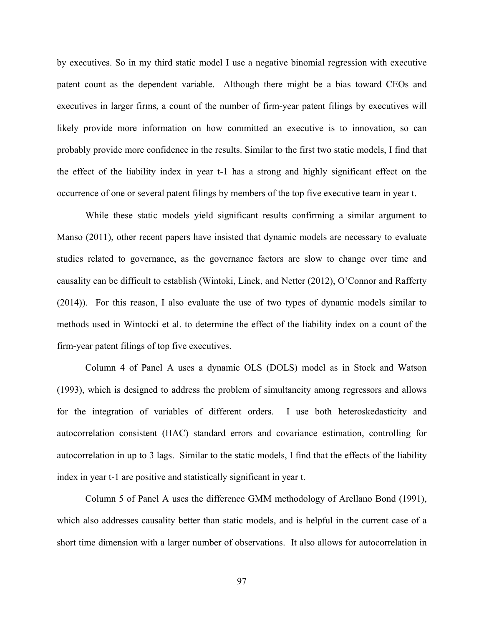by executives. So in my third static model I use a negative binomial regression with executive patent count as the dependent variable. Although there might be a bias toward CEOs and executives in larger firms, a count of the number of firm-year patent filings by executives will likely provide more information on how committed an executive is to innovation, so can probably provide more confidence in the results. Similar to the first two static models, I find that the effect of the liability index in year t-1 has a strong and highly significant effect on the occurrence of one or several patent filings by members of the top five executive team in year t.

While these static models yield significant results confirming a similar argument to Manso (2011), other recent papers have insisted that dynamic models are necessary to evaluate studies related to governance, as the governance factors are slow to change over time and causality can be difficult to establish (Wintoki, Linck, and Netter (2012), O'Connor and Rafferty (2014)). For this reason, I also evaluate the use of two types of dynamic models similar to methods used in Wintocki et al. to determine the effect of the liability index on a count of the firm-year patent filings of top five executives.

Column 4 of Panel A uses a dynamic OLS (DOLS) model as in Stock and Watson (1993), which is designed to address the problem of simultaneity among regressors and allows for the integration of variables of different orders. I use both heteroskedasticity and autocorrelation consistent (HAC) standard errors and covariance estimation, controlling for autocorrelation in up to 3 lags. Similar to the static models, I find that the effects of the liability index in year t-1 are positive and statistically significant in year t.

Column 5 of Panel A uses the difference GMM methodology of Arellano Bond (1991), which also addresses causality better than static models, and is helpful in the current case of a short time dimension with a larger number of observations. It also allows for autocorrelation in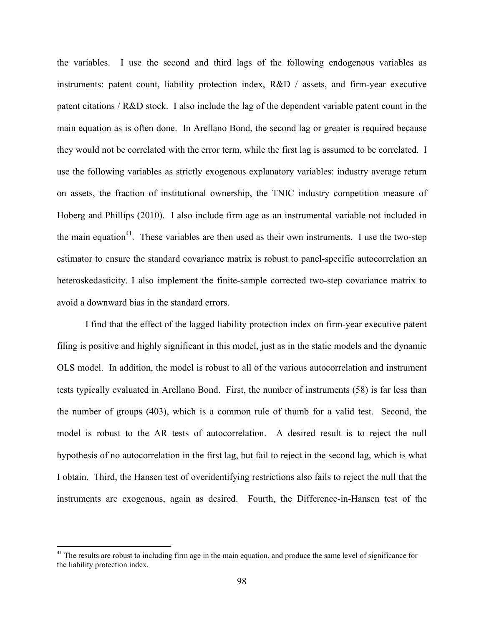the variables. I use the second and third lags of the following endogenous variables as instruments: patent count, liability protection index, R&D / assets, and firm-year executive patent citations / R&D stock. I also include the lag of the dependent variable patent count in the main equation as is often done. In Arellano Bond, the second lag or greater is required because they would not be correlated with the error term, while the first lag is assumed to be correlated. I use the following variables as strictly exogenous explanatory variables: industry average return on assets, the fraction of institutional ownership, the TNIC industry competition measure of Hoberg and Phillips (2010). I also include firm age as an instrumental variable not included in the main equation<sup>41</sup>. These variables are then used as their own instruments. I use the two-step estimator to ensure the standard covariance matrix is robust to panel-specific autocorrelation an heteroskedasticity. I also implement the finite-sample corrected two-step covariance matrix to avoid a downward bias in the standard errors.

I find that the effect of the lagged liability protection index on firm-year executive patent filing is positive and highly significant in this model, just as in the static models and the dynamic OLS model. In addition, the model is robust to all of the various autocorrelation and instrument tests typically evaluated in Arellano Bond. First, the number of instruments (58) is far less than the number of groups (403), which is a common rule of thumb for a valid test. Second, the model is robust to the AR tests of autocorrelation. A desired result is to reject the null hypothesis of no autocorrelation in the first lag, but fail to reject in the second lag, which is what I obtain. Third, the Hansen test of overidentifying restrictions also fails to reject the null that the instruments are exogenous, again as desired. Fourth, the Difference-in-Hansen test of the

 $\overline{a}$ 

<sup>&</sup>lt;sup>41</sup> The results are robust to including firm age in the main equation, and produce the same level of significance for the liability protection index.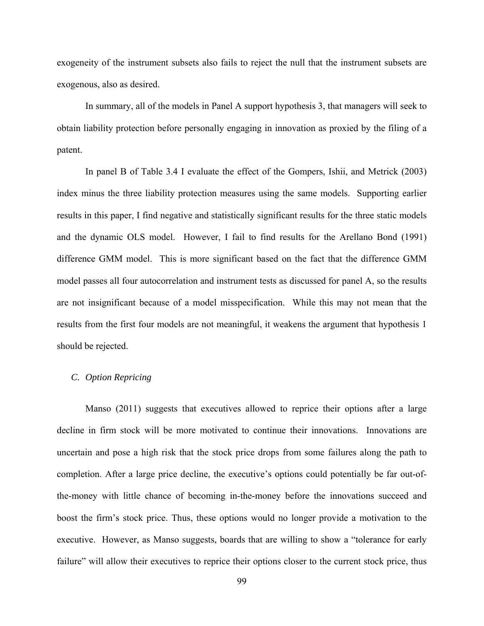exogeneity of the instrument subsets also fails to reject the null that the instrument subsets are exogenous, also as desired.

In summary, all of the models in Panel A support hypothesis 3, that managers will seek to obtain liability protection before personally engaging in innovation as proxied by the filing of a patent.

In panel B of Table 3.4 I evaluate the effect of the Gompers, Ishii, and Metrick (2003) index minus the three liability protection measures using the same models. Supporting earlier results in this paper, I find negative and statistically significant results for the three static models and the dynamic OLS model. However, I fail to find results for the Arellano Bond (1991) difference GMM model. This is more significant based on the fact that the difference GMM model passes all four autocorrelation and instrument tests as discussed for panel A, so the results are not insignificant because of a model misspecification. While this may not mean that the results from the first four models are not meaningful, it weakens the argument that hypothesis 1 should be rejected.

### *C. Option Repricing*

Manso (2011) suggests that executives allowed to reprice their options after a large decline in firm stock will be more motivated to continue their innovations. Innovations are uncertain and pose a high risk that the stock price drops from some failures along the path to completion. After a large price decline, the executive's options could potentially be far out-ofthe-money with little chance of becoming in-the-money before the innovations succeed and boost the firm's stock price. Thus, these options would no longer provide a motivation to the executive. However, as Manso suggests, boards that are willing to show a "tolerance for early failure" will allow their executives to reprice their options closer to the current stock price, thus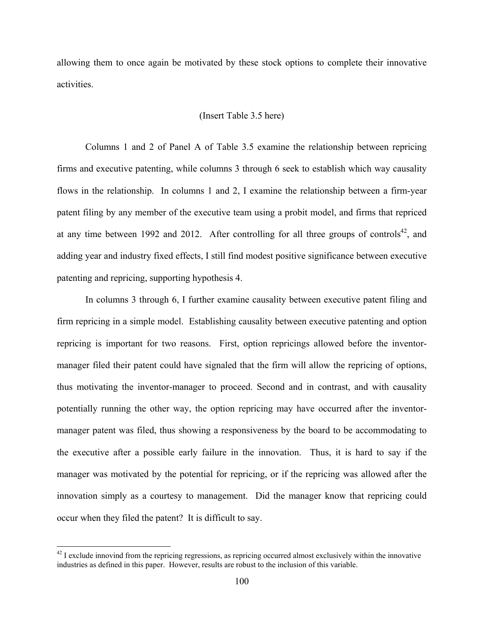allowing them to once again be motivated by these stock options to complete their innovative activities.

### (Insert Table 3.5 here)

Columns 1 and 2 of Panel A of Table 3.5 examine the relationship between repricing firms and executive patenting, while columns 3 through 6 seek to establish which way causality flows in the relationship. In columns 1 and 2, I examine the relationship between a firm-year patent filing by any member of the executive team using a probit model, and firms that repriced at any time between 1992 and 2012. After controlling for all three groups of controls<sup>42</sup>, and adding year and industry fixed effects, I still find modest positive significance between executive patenting and repricing, supporting hypothesis 4.

In columns 3 through 6, I further examine causality between executive patent filing and firm repricing in a simple model. Establishing causality between executive patenting and option repricing is important for two reasons. First, option repricings allowed before the inventormanager filed their patent could have signaled that the firm will allow the repricing of options, thus motivating the inventor-manager to proceed. Second and in contrast, and with causality potentially running the other way, the option repricing may have occurred after the inventormanager patent was filed, thus showing a responsiveness by the board to be accommodating to the executive after a possible early failure in the innovation. Thus, it is hard to say if the manager was motivated by the potential for repricing, or if the repricing was allowed after the innovation simply as a courtesy to management. Did the manager know that repricing could occur when they filed the patent? It is difficult to say.

1

 $42$  I exclude innovind from the repricing regressions, as repricing occurred almost exclusively within the innovative industries as defined in this paper. However, results are robust to the inclusion of this variable.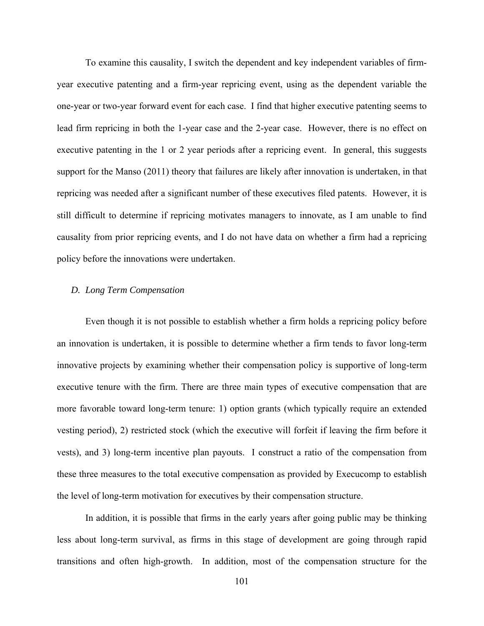To examine this causality, I switch the dependent and key independent variables of firmyear executive patenting and a firm-year repricing event, using as the dependent variable the one-year or two-year forward event for each case. I find that higher executive patenting seems to lead firm repricing in both the 1-year case and the 2-year case. However, there is no effect on executive patenting in the 1 or 2 year periods after a repricing event. In general, this suggests support for the Manso (2011) theory that failures are likely after innovation is undertaken, in that repricing was needed after a significant number of these executives filed patents. However, it is still difficult to determine if repricing motivates managers to innovate, as I am unable to find causality from prior repricing events, and I do not have data on whether a firm had a repricing policy before the innovations were undertaken.

### *D. Long Term Compensation*

Even though it is not possible to establish whether a firm holds a repricing policy before an innovation is undertaken, it is possible to determine whether a firm tends to favor long-term innovative projects by examining whether their compensation policy is supportive of long-term executive tenure with the firm. There are three main types of executive compensation that are more favorable toward long-term tenure: 1) option grants (which typically require an extended vesting period), 2) restricted stock (which the executive will forfeit if leaving the firm before it vests), and 3) long-term incentive plan payouts. I construct a ratio of the compensation from these three measures to the total executive compensation as provided by Execucomp to establish the level of long-term motivation for executives by their compensation structure.

In addition, it is possible that firms in the early years after going public may be thinking less about long-term survival, as firms in this stage of development are going through rapid transitions and often high-growth. In addition, most of the compensation structure for the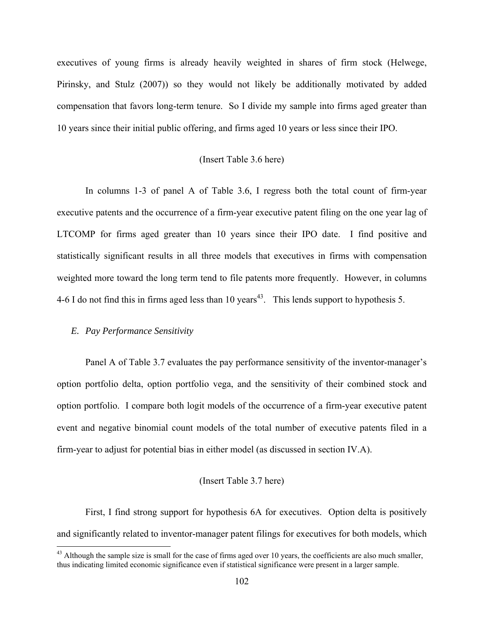executives of young firms is already heavily weighted in shares of firm stock (Helwege, Pirinsky, and Stulz (2007)) so they would not likely be additionally motivated by added compensation that favors long-term tenure. So I divide my sample into firms aged greater than 10 years since their initial public offering, and firms aged 10 years or less since their IPO.

### (Insert Table 3.6 here)

In columns 1-3 of panel A of Table 3.6, I regress both the total count of firm-year executive patents and the occurrence of a firm-year executive patent filing on the one year lag of LTCOMP for firms aged greater than 10 years since their IPO date. I find positive and statistically significant results in all three models that executives in firms with compensation weighted more toward the long term tend to file patents more frequently. However, in columns 4-6 I do not find this in firms aged less than 10 years<sup>43</sup>. This lends support to hypothesis 5.

#### *E. Pay Performance Sensitivity*

 $\overline{a}$ 

Panel A of Table 3.7 evaluates the pay performance sensitivity of the inventor-manager's option portfolio delta, option portfolio vega, and the sensitivity of their combined stock and option portfolio. I compare both logit models of the occurrence of a firm-year executive patent event and negative binomial count models of the total number of executive patents filed in a firm-year to adjust for potential bias in either model (as discussed in section IV.A).

#### (Insert Table 3.7 here)

First, I find strong support for hypothesis 6A for executives. Option delta is positively and significantly related to inventor-manager patent filings for executives for both models, which

 $43$  Although the sample size is small for the case of firms aged over 10 years, the coefficients are also much smaller, thus indicating limited economic significance even if statistical significance were present in a larger sample.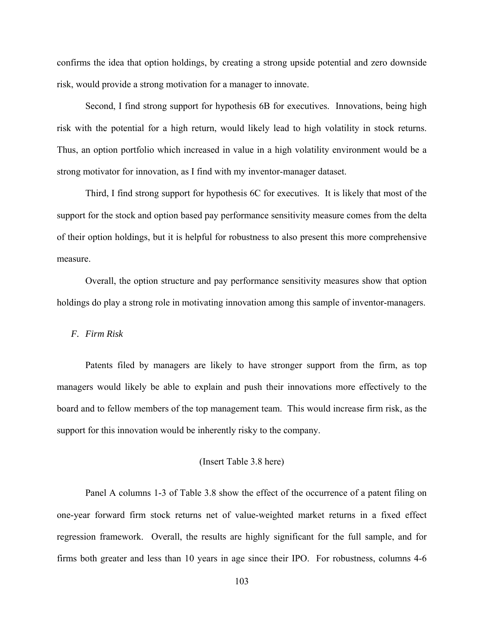confirms the idea that option holdings, by creating a strong upside potential and zero downside risk, would provide a strong motivation for a manager to innovate.

Second, I find strong support for hypothesis 6B for executives. Innovations, being high risk with the potential for a high return, would likely lead to high volatility in stock returns. Thus, an option portfolio which increased in value in a high volatility environment would be a strong motivator for innovation, as I find with my inventor-manager dataset.

Third, I find strong support for hypothesis 6C for executives. It is likely that most of the support for the stock and option based pay performance sensitivity measure comes from the delta of their option holdings, but it is helpful for robustness to also present this more comprehensive measure.

 Overall, the option structure and pay performance sensitivity measures show that option holdings do play a strong role in motivating innovation among this sample of inventor-managers.

#### *F. Firm Risk*

Patents filed by managers are likely to have stronger support from the firm, as top managers would likely be able to explain and push their innovations more effectively to the board and to fellow members of the top management team. This would increase firm risk, as the support for this innovation would be inherently risky to the company.

#### (Insert Table 3.8 here)

Panel A columns 1-3 of Table 3.8 show the effect of the occurrence of a patent filing on one-year forward firm stock returns net of value-weighted market returns in a fixed effect regression framework. Overall, the results are highly significant for the full sample, and for firms both greater and less than 10 years in age since their IPO. For robustness, columns 4-6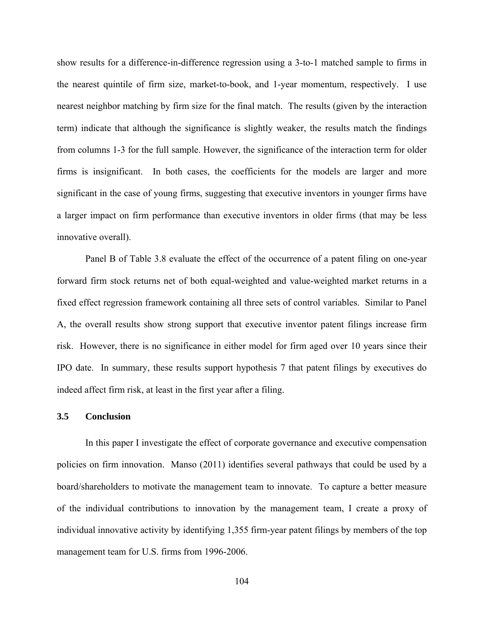show results for a difference-in-difference regression using a 3-to-1 matched sample to firms in the nearest quintile of firm size, market-to-book, and 1-year momentum, respectively. I use nearest neighbor matching by firm size for the final match. The results (given by the interaction term) indicate that although the significance is slightly weaker, the results match the findings from columns 1-3 for the full sample. However, the significance of the interaction term for older firms is insignificant. In both cases, the coefficients for the models are larger and more significant in the case of young firms, suggesting that executive inventors in younger firms have a larger impact on firm performance than executive inventors in older firms (that may be less innovative overall).

Panel B of Table 3.8 evaluate the effect of the occurrence of a patent filing on one-year forward firm stock returns net of both equal-weighted and value-weighted market returns in a fixed effect regression framework containing all three sets of control variables. Similar to Panel A, the overall results show strong support that executive inventor patent filings increase firm risk. However, there is no significance in either model for firm aged over 10 years since their IPO date. In summary, these results support hypothesis 7 that patent filings by executives do indeed affect firm risk, at least in the first year after a filing.

#### **3.5 Conclusion**

In this paper I investigate the effect of corporate governance and executive compensation policies on firm innovation. Manso (2011) identifies several pathways that could be used by a board/shareholders to motivate the management team to innovate. To capture a better measure of the individual contributions to innovation by the management team, I create a proxy of individual innovative activity by identifying 1,355 firm-year patent filings by members of the top management team for U.S. firms from 1996-2006.

104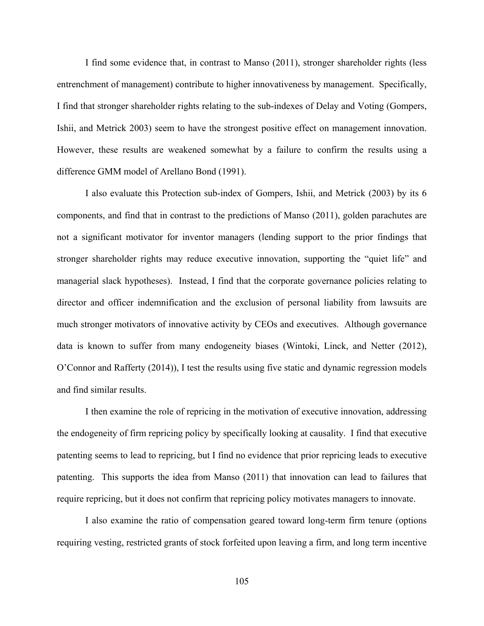I find some evidence that, in contrast to Manso (2011), stronger shareholder rights (less entrenchment of management) contribute to higher innovativeness by management. Specifically, I find that stronger shareholder rights relating to the sub-indexes of Delay and Voting (Gompers, Ishii, and Metrick 2003) seem to have the strongest positive effect on management innovation. However, these results are weakened somewhat by a failure to confirm the results using a difference GMM model of Arellano Bond (1991).

I also evaluate this Protection sub-index of Gompers, Ishii, and Metrick (2003) by its 6 components, and find that in contrast to the predictions of Manso (2011), golden parachutes are not a significant motivator for inventor managers (lending support to the prior findings that stronger shareholder rights may reduce executive innovation, supporting the "quiet life" and managerial slack hypotheses). Instead, I find that the corporate governance policies relating to director and officer indemnification and the exclusion of personal liability from lawsuits are much stronger motivators of innovative activity by CEOs and executives. Although governance data is known to suffer from many endogeneity biases (Wintoki, Linck, and Netter (2012), O'Connor and Rafferty (2014)), I test the results using five static and dynamic regression models and find similar results.

I then examine the role of repricing in the motivation of executive innovation, addressing the endogeneity of firm repricing policy by specifically looking at causality. I find that executive patenting seems to lead to repricing, but I find no evidence that prior repricing leads to executive patenting. This supports the idea from Manso (2011) that innovation can lead to failures that require repricing, but it does not confirm that repricing policy motivates managers to innovate.

I also examine the ratio of compensation geared toward long-term firm tenure (options requiring vesting, restricted grants of stock forfeited upon leaving a firm, and long term incentive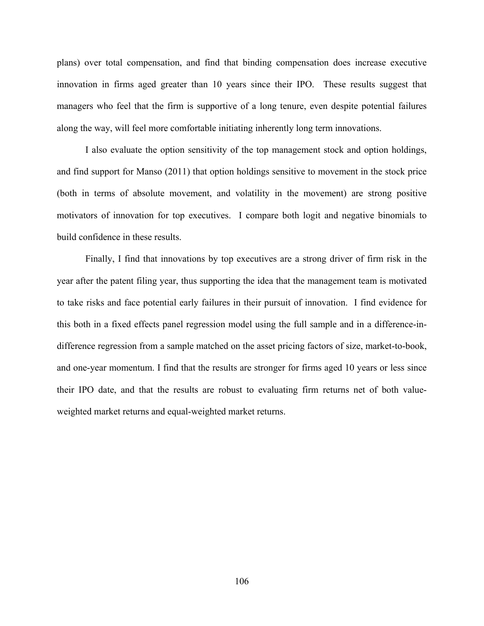plans) over total compensation, and find that binding compensation does increase executive innovation in firms aged greater than 10 years since their IPO. These results suggest that managers who feel that the firm is supportive of a long tenure, even despite potential failures along the way, will feel more comfortable initiating inherently long term innovations.

I also evaluate the option sensitivity of the top management stock and option holdings, and find support for Manso (2011) that option holdings sensitive to movement in the stock price (both in terms of absolute movement, and volatility in the movement) are strong positive motivators of innovation for top executives. I compare both logit and negative binomials to build confidence in these results.

Finally, I find that innovations by top executives are a strong driver of firm risk in the year after the patent filing year, thus supporting the idea that the management team is motivated to take risks and face potential early failures in their pursuit of innovation. I find evidence for this both in a fixed effects panel regression model using the full sample and in a difference-indifference regression from a sample matched on the asset pricing factors of size, market-to-book, and one-year momentum. I find that the results are stronger for firms aged 10 years or less since their IPO date, and that the results are robust to evaluating firm returns net of both valueweighted market returns and equal-weighted market returns.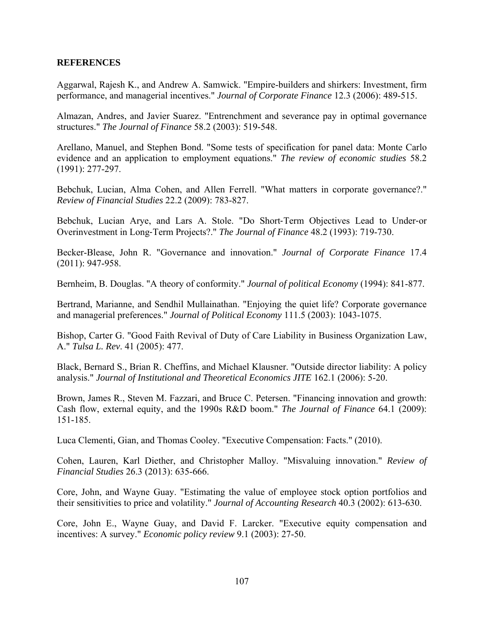# **REFERENCES**

Aggarwal, Rajesh K., and Andrew A. Samwick. "Empire-builders and shirkers: Investment, firm performance, and managerial incentives." *Journal of Corporate Finance* 12.3 (2006): 489-515.

Almazan, Andres, and Javier Suarez. "Entrenchment and severance pay in optimal governance structures." *The Journal of Finance* 58.2 (2003): 519-548.

Arellano, Manuel, and Stephen Bond. "Some tests of specification for panel data: Monte Carlo evidence and an application to employment equations." *The review of economic studies* 58.2 (1991): 277-297.

Bebchuk, Lucian, Alma Cohen, and Allen Ferrell. "What matters in corporate governance?." *Review of Financial Studies* 22.2 (2009): 783-827.

Bebchuk, Lucian Arye, and Lars A. Stole. "Do Short‐Term Objectives Lead to Under‐or Overinvestment in Long‐Term Projects?." *The Journal of Finance* 48.2 (1993): 719-730.

Becker-Blease, John R. "Governance and innovation." *Journal of Corporate Finance* 17.4 (2011): 947-958.

Bernheim, B. Douglas. "A theory of conformity." *Journal of political Economy* (1994): 841-877.

Bertrand, Marianne, and Sendhil Mullainathan. "Enjoying the quiet life? Corporate governance and managerial preferences." *Journal of Political Economy* 111.5 (2003): 1043-1075.

Bishop, Carter G. "Good Faith Revival of Duty of Care Liability in Business Organization Law, A." *Tulsa L. Rev*. 41 (2005): 477.

Black, Bernard S., Brian R. Cheffins, and Michael Klausner. "Outside director liability: A policy analysis." *Journal of Institutional and Theoretical Economics JITE* 162.1 (2006): 5-20.

Brown, James R., Steven M. Fazzari, and Bruce C. Petersen. "Financing innovation and growth: Cash flow, external equity, and the 1990s R&D boom." *The Journal of Finance* 64.1 (2009): 151-185.

Luca Clementi, Gian, and Thomas Cooley. "Executive Compensation: Facts." (2010).

Cohen, Lauren, Karl Diether, and Christopher Malloy. "Misvaluing innovation." *Review of Financial Studies* 26.3 (2013): 635-666.

Core, John, and Wayne Guay. "Estimating the value of employee stock option portfolios and their sensitivities to price and volatility." *Journal of Accounting Research* 40.3 (2002): 613-630.

Core, John E., Wayne Guay, and David F. Larcker. "Executive equity compensation and incentives: A survey." *Economic policy review* 9.1 (2003): 27-50.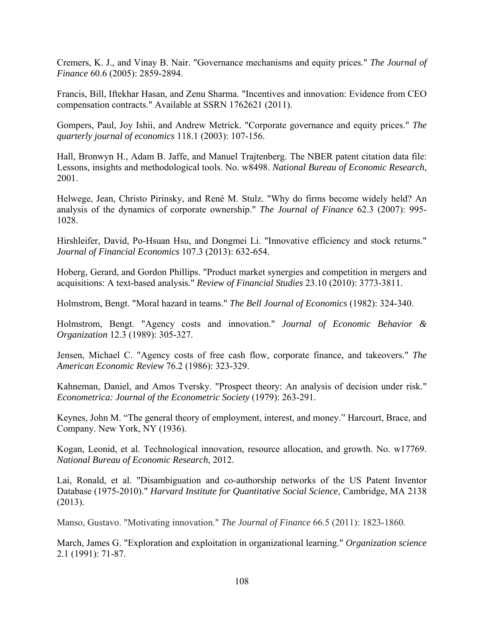Cremers, K. J., and Vinay B. Nair. "Governance mechanisms and equity prices." *The Journal of Finance* 60.6 (2005): 2859-2894.

Francis, Bill, Iftekhar Hasan, and Zenu Sharma. "Incentives and innovation: Evidence from CEO compensation contracts." Available at SSRN 1762621 (2011).

Gompers, Paul, Joy Ishii, and Andrew Metrick. "Corporate governance and equity prices." *The quarterly journal of economics* 118.1 (2003): 107-156.

Hall, Bronwyn H., Adam B. Jaffe, and Manuel Trajtenberg. The NBER patent citation data file: Lessons, insights and methodological tools. No. w8498. *National Bureau of Economic Research*, 2001.

Helwege, Jean, Christo Pirinsky, and René M. Stulz. "Why do firms become widely held? An analysis of the dynamics of corporate ownership." *The Journal of Finance* 62.3 (2007): 995- 1028.

Hirshleifer, David, Po-Hsuan Hsu, and Dongmei Li. "Innovative efficiency and stock returns." *Journal of Financial Economics* 107.3 (2013): 632-654.

Hoberg, Gerard, and Gordon Phillips. "Product market synergies and competition in mergers and acquisitions: A text-based analysis." *Review of Financial Studies* 23.10 (2010): 3773-3811.

Holmstrom, Bengt. "Moral hazard in teams." *The Bell Journal of Economics* (1982): 324-340.

Holmstrom, Bengt. "Agency costs and innovation." *Journal of Economic Behavior & Organization* 12.3 (1989): 305-327.

Jensen, Michael C. "Agency costs of free cash flow, corporate finance, and takeovers." *The American Economic Review* 76.2 (1986): 323-329.

Kahneman, Daniel, and Amos Tversky. "Prospect theory: An analysis of decision under risk." *Econometrica: Journal of the Econometric Society* (1979): 263-291.

Keynes, John M. "The general theory of employment, interest, and money." Harcourt, Brace, and Company. New York, NY (1936).

Kogan, Leonid, et al. Technological innovation, resource allocation, and growth. No. w17769. *National Bureau of Economic Research*, 2012.

Lai, Ronald, et al. "Disambiguation and co-authorship networks of the US Patent Inventor Database (1975-2010)." *Harvard Institute for Quantitative Social Science*, Cambridge, MA 2138 (2013).

Manso, Gustavo. "Motivating innovation." *The Journal of Finance* 66.5 (2011): 1823-1860.

March, James G. "Exploration and exploitation in organizational learning." *Organization science* 2.1 (1991): 71-87.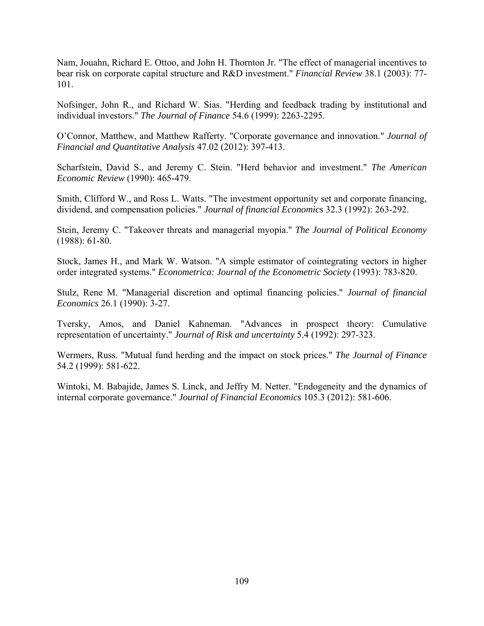Nam, Jouahn, Richard E. Ottoo, and John H. Thornton Jr. "The effect of managerial incentives to bear risk on corporate capital structure and R&D investment." *Financial Review* 38.1 (2003): 77- 101.

Nofsinger, John R., and Richard W. Sias. "Herding and feedback trading by institutional and individual investors." *The Journal of Finance* 54.6 (1999): 2263-2295.

O'Connor, Matthew, and Matthew Rafferty. "Corporate governance and innovation." *Journal of Financial and Quantitative Analysis* 47.02 (2012): 397-413.

Scharfstein, David S., and Jeremy C. Stein. "Herd behavior and investment." *The American Economic Review* (1990): 465-479.

Smith, Clifford W., and Ross L. Watts. "The investment opportunity set and corporate financing, dividend, and compensation policies." *Journal of financial Economics* 32.3 (1992): 263-292.

Stein, Jeremy C. "Takeover threats and managerial myopia." *The Journal of Political Economy* (1988): 61-80.

Stock, James H., and Mark W. Watson. "A simple estimator of cointegrating vectors in higher order integrated systems." *Econometrica: Journal of the Econometric Society* (1993): 783-820.

Stulz, Rene M. "Managerial discretion and optimal financing policies." *Journal of financial Economics* 26.1 (1990): 3-27.

Tversky, Amos, and Daniel Kahneman. "Advances in prospect theory: Cumulative representation of uncertainty." *Journal of Risk and uncertainty* 5.4 (1992): 297-323.

Wermers, Russ. "Mutual fund herding and the impact on stock prices." *The Journal of Finance* 54.2 (1999): 581-622.

Wintoki, M. Babajide, James S. Linck, and Jeffry M. Netter. "Endogeneity and the dynamics of internal corporate governance." *Journal of Financial Economics* 105.3 (2012): 581-606.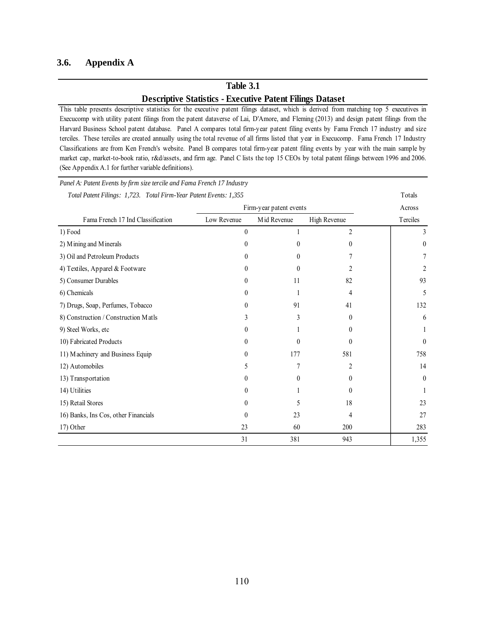### **3.6. Appendix A**

# **Table 3.1 Descriptive Statistics - Executive Patent Filings Dataset**

This table presents descriptive statistics for the executive patent filings dataset, which is derived from matching top 5 executives in Execucomp with utility patent filings from the patent dataverse of Lai, D'Amore, and Fleming (2013) and design patent filings from the Harvard Business School patent database. Panel A compares total firm-year patent filing events by Fama French 17 industry and size terciles. These terciles are created annually using the total revenue of all firms listed that year in Execucomp. Fama French 17 Industry Classifications are from Ken French's website. Panel B compares total firm-year patent filing events by year with the main sample by market cap, market-to-book ratio, r&d/assets, and firm age. Panel C lists the top 15 CEOs by total patent filings between 1996 and 2006. (See Appendix A.1 for further variable definitions).

| Panel A: Patent Events by firm size tercile and Fama French 17 Industry |             |                         |                |                  |
|-------------------------------------------------------------------------|-------------|-------------------------|----------------|------------------|
| Total Patent Filings: 1,723. Total Firm-Year Patent Events: 1,355       |             | Firm-year patent events |                | Totals<br>Across |
| Fama French 17 Ind Classification                                       | Low Revenue | Mid Revenue             | High Revenue   | Terciles         |
| 1) Food                                                                 | 0           | 1                       | $\overline{2}$ | 3                |
| 2) Mining and Minerals                                                  | 0           | $\theta$                | 0              | $\theta$         |
| 3) Oil and Petroleum Products                                           | $^{(1)}$    | $\theta$                |                |                  |
| 4) Textiles, Apparel & Footware                                         | 0           | $\theta$                | 2              | 2                |
| 5) Consumer Durables                                                    | $^{(1)}$    | 11                      | 82             | 93               |
| 6) Chemicals                                                            | 0           |                         | 4              | 5                |
| 7) Drugs, Soap, Perfumes, Tobacco                                       | 0           | 91                      | 41             | 132              |
| 8) Construction / Construction Matls                                    | 3           | 3                       | $\theta$       | 6                |
| 9) Steel Works, etc                                                     | $^{()}$     |                         | $^{(1)}$       |                  |
| 10) Fabricated Products                                                 | $^{(1)}$    | $\theta$                | 0              | $\theta$         |
| 11) Machinery and Business Equip                                        | 0           | 177                     | 581            | 758              |
| 12) Automobiles                                                         | 5           | 7                       | 2              | 14               |
| 13) Transportation                                                      | 0           | $\boldsymbol{0}$        | $^{(1)}$       | $\theta$         |
| 14) Utilities                                                           | $^{(1)}$    |                         | $\mathbf{0}$   | 1                |
| 15) Retail Stores                                                       | $^{()}$     | 5                       | 18             | 23               |
| 16) Banks, Ins Cos, other Financials                                    | 0           | 23                      | 4              | 27               |
| 17) Other                                                               | 23          | 60                      | 200            | 283              |
|                                                                         | 31          | 381                     | 943            | 1,355            |

*Panel A: Patent Events by firm size tercile and Fama French 17 Industry*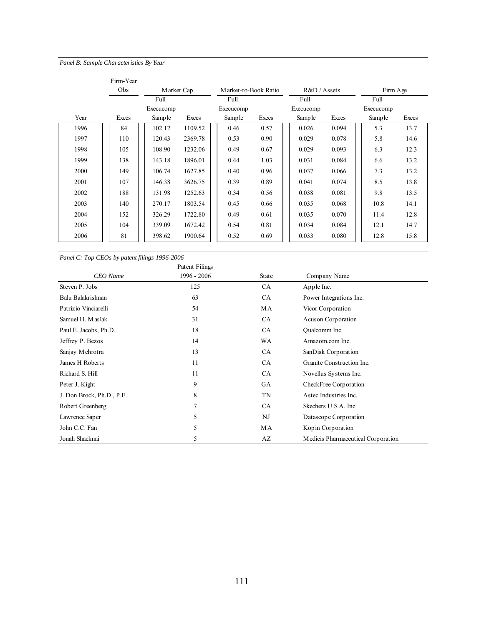#### *Panel B: Sample Characteristics By Year*

|      | Firm-Year |           |            |                      |       |              |       |           |       |
|------|-----------|-----------|------------|----------------------|-------|--------------|-------|-----------|-------|
|      | Obs       |           | Market Cap | Market-to-Book Ratio |       | R&D / Assets |       | Firm Age  |       |
|      |           | Full      |            | Full                 |       | Full         |       | Full      |       |
|      |           | Execucomp |            | Execucomp            |       | Execucomp    |       | Execucomp |       |
| Year | Execs     | Sample    | Execs      | Sample               | Execs | Samp le      | Execs | Sample    | Execs |
| 1996 | 84        | 102.12    | 1109.52    | 0.46                 | 0.57  | 0.026        | 0.094 | 5.3       | 13.7  |
| 1997 | 110       | 120.43    | 2369.78    | 0.53                 | 0.90  | 0.029        | 0.078 | 5.8       | 14.6  |
| 1998 | 105       | 108.90    | 1232.06    | 0.49                 | 0.67  | 0.029        | 0.093 | 6.3       | 12.3  |
| 1999 | 138       | 143.18    | 1896.01    | 0.44                 | 1.03  | 0.031        | 0.084 | 6.6       | 13.2  |
| 2000 | 149       | 106.74    | 1627.85    | 0.40                 | 0.96  | 0.037        | 0.066 | 7.3       | 13.2  |
| 2001 | 107       | 146.38    | 3626.75    | 0.39                 | 0.89  | 0.041        | 0.074 | 8.5       | 13.8  |
| 2002 | 188       | 131.98    | 1252.63    | 0.34                 | 0.56  | 0.038        | 0.081 | 9.8       | 13.5  |
| 2003 | 140       | 270.17    | 1803.54    | 0.45                 | 0.66  | 0.035        | 0.068 | 10.8      | 14.1  |
| 2004 | 152       | 326.29    | 1722.80    | 0.49                 | 0.61  | 0.035        | 0.070 | 11.4      | 12.8  |
| 2005 | 104       | 339.09    | 1672.42    | 0.54                 | 0.81  | 0.034        | 0.084 | 12.1      | 14.7  |
| 2006 | 81        | 398.62    | 1900.64    | 0.52                 | 0.69  | 0.033        | 0.080 | 12.8      | 15.8  |

*Panel C: Top CEOs by patent filings 1996-2006*

|                           | Patent Filings |           |                                    |
|---------------------------|----------------|-----------|------------------------------------|
| CEO Name                  | 1996 - 2006    | State     | Company Name                       |
| Steven P. Jobs            | 125            | CA        | Apple Inc.                         |
| Balu Balakrishnan         | 63             | CA        | Power Integrations Inc.            |
| Patrizio Vinciarelli      | 54             | MA        | Vicor Corporation                  |
| Samuel H. Maslak          | 31             | <b>CA</b> | Acuson Corporation                 |
| Paul E. Jacobs, Ph.D.     | 18             | CA        | Qualcomm Inc.                      |
| Jeffrey P. Bezos          | 14             | WA        | Amazom.com Inc.                    |
| Sanjay Mehrotra           | 13             | CA        | SanDisk Corporation                |
| James H Roberts           | 11             | CA        | Granite Construction Inc.          |
| Richard S. Hill           | 11             | CA        | Novellus Systems Inc.              |
| Peter J. Kight            | 9              | GA        | CheckFree Corporation              |
| J. Don Brock, Ph.D., P.E. | 8              | TN        | Astec Industries Inc.              |
| Robert Greenberg          | 7              | <b>CA</b> | Skechers U.S.A. Inc.               |
| Lawrence Saper            | 5              | NJ        | Datascope Corporation              |
| John C.C. Fan             | 5              | МA        | Kopin Corporation                  |
| Jonah Shacknai            | 5              | AZ        | Medicis Pharmaceutical Corporation |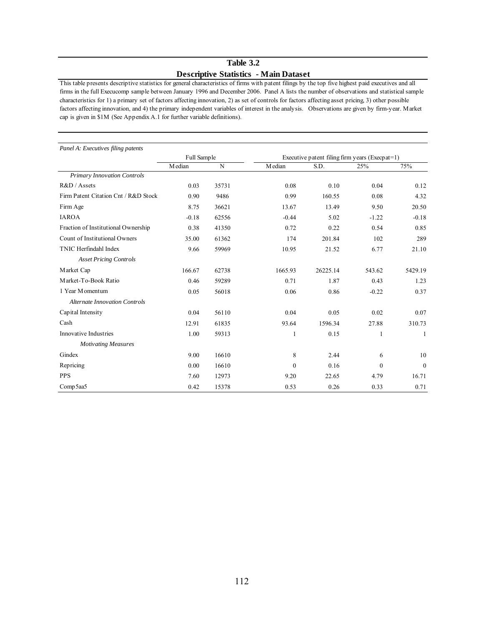## **Table 3.2 Descriptive Statistics - Main Dataset**

This table presents descriptive statistics for general characteristics of firms with patent filings by the top five highest paid executives and all firms in the full Execucomp sample between January 1996 and December 2006. Panel A lists the number of observations and statistical sample characteristics for 1) a primary set of factors affecting innovation, 2) as set of controls for factors affecting asset pricing, 3) other possible factors affecting innovation, and 4) the primary independent variables of interest in the analysis. Observations are given by firm-year. Market cap is given in \$1M (See Appendix A.1 for further variable definitions).

| Panel A: Executives filing patents   |             |       |          |                                                    |          |                  |
|--------------------------------------|-------------|-------|----------|----------------------------------------------------|----------|------------------|
|                                      | Full Sample |       |          | Executive patent filing firm years (Execp $at=1$ ) |          |                  |
|                                      | Median      | N     | M edian  | S.D.                                               | 25%      | 75%              |
| Primary Innovation Controls          |             |       |          |                                                    |          |                  |
| R&D / Assets                         | 0.03        | 35731 | 0.08     | 0.10                                               | 0.04     | 0.12             |
| Firm Patent Citation Cnt / R&D Stock | 0.90        | 9486  | 0.99     | 160.55                                             | 0.08     | 4.32             |
| Firm Age                             | 8.75        | 36621 | 13.67    | 13.49                                              | 9.50     | 20.50            |
| <b>IAROA</b>                         | $-0.18$     | 62556 | $-0.44$  | 5.02                                               | $-1.22$  | $-0.18$          |
| Fraction of Institutional Ownership  | 0.38        | 41350 | 0.72     | 0.22                                               | 0.54     | 0.85             |
| Count of Institutional Owners        | 35.00       | 61362 | 174      | 201.84                                             | 102      | 289              |
| TNIC Herfindahl Index                | 9.66        | 59969 | 10.95    | 21.52                                              | 6.77     | 21.10            |
| <b>Asset Pricing Controls</b>        |             |       |          |                                                    |          |                  |
| Market Cap                           | 166.67      | 62738 | 1665.93  | 26225.14                                           | 543.62   | 5429.19          |
| Market-To-Book Ratio                 | 0.46        | 59289 | 0.71     | 1.87                                               | 0.43     | 1.23             |
| 1 Year Momentum                      | 0.05        | 56018 | 0.06     | 0.86                                               | $-0.22$  | 0.37             |
| <b>Alternate Innovation Controls</b> |             |       |          |                                                    |          |                  |
| Capital Intensity                    | 0.04        | 56110 | 0.04     | 0.05                                               | 0.02     | 0.07             |
| Cash                                 | 12.91       | 61835 | 93.64    | 1596.34                                            | 27.88    | 310.73           |
| Innovative Industries                | 1.00        | 59313 | 1        | 0.15                                               | 1        | 1                |
| <b>Motivating Measures</b>           |             |       |          |                                                    |          |                  |
| Gindex                               | 9.00        | 16610 | 8        | 2.44                                               | 6        | 10               |
| Repricing                            | 0.00        | 16610 | $\theta$ | 0.16                                               | $\Omega$ | $\boldsymbol{0}$ |
| <b>PPS</b>                           | 7.60        | 12973 | 9.20     | 22.65                                              | 4.79     | 16.71            |
| Comp5aa5                             | 0.42        | 15378 | 0.53     | 0.26                                               | 0.33     | 0.71             |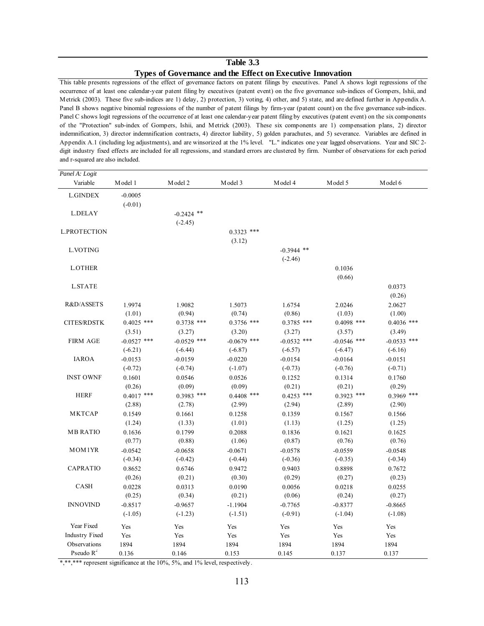### **Table 3.3 Types of Governance and the Effect on Executive Innovation**

This table presents regressions of the effect of governance factors on patent filings by executives. Panel A shows logit regressions of the occurrence of at least one calendar-year patent filing by executives (patent event) on the five governance sub-indices of Gompers, Ishii, and Metrick (2003). These five sub-indices are 1) delay, 2) protection, 3) voting, 4) other, and 5) state, and are defined further in Appendix A. Panel B shows negative binomial regressions of the number of patent filings by firm-year (patent count) on the five governance sub-indices. Panel C shows logit regressions of the occurrence of at least one calendar-year patent filing by executives (patent event) on the six components of the "Protection" sub-index of Gompers, Ishii, and Metrick (2003). These six components are 1) compensation plans, 2) director indemnification, 3) director indemnification contracts, 4) director liability, 5) golden parachutes, and 5) severance. Variables are defined in Appendix A.1 (including log adjustments), and are winsorized at the 1% level. "L." indicates one year lagged observations. Year and SIC 2 digit industry fixed effects are included for all regressions, and standard errors are clustered by firm. Number of observations for each period and r-squared are also included.

| Panel A: Logit        |               |               |               |               |               |               |
|-----------------------|---------------|---------------|---------------|---------------|---------------|---------------|
| Variable              | Model 1       | Model 2       | Model 3       | Model 4       | Model 5       | Model 6       |
| <b>L.GINDEX</b>       | $-0.0005$     |               |               |               |               |               |
|                       | $(-0.01)$     |               |               |               |               |               |
| <b>L.DELAY</b>        |               | $-0.2424$ **  |               |               |               |               |
|                       |               | $(-2.45)$     |               |               |               |               |
| <b>L.PROTECTION</b>   |               |               | $0.3323$ ***  |               |               |               |
|                       |               |               | (3.12)        |               |               |               |
| L.VOTING              |               |               |               | $-0.3944$ **  |               |               |
|                       |               |               |               | $(-2.46)$     |               |               |
| <b>L.OTHER</b>        |               |               |               |               | 0.1036        |               |
|                       |               |               |               |               | (0.66)        |               |
| <b>L.STATE</b>        |               |               |               |               |               | 0.0373        |
|                       |               |               |               |               |               | (0.26)        |
| R&D/ASSETS            | 1.9974        | 1.9082        | 1.5073        | 1.6754        | 2.0246        | 2.0627        |
|                       | (1.01)        | (0.94)        | (0.74)        | (0.86)        | (1.03)        | (1.00)        |
| <b>CITES/RDSTK</b>    | $0.4025$ ***  | $0.3738$ ***  | $0.3756$ ***  | $0.3785$ ***  | $0.4098$ ***  | $0.4036$ ***  |
|                       | (3.51)        | (3.27)        | (3.20)        | (3.27)        | (3.57)        | (3.49)        |
| <b>FIRM AGE</b>       | $-0.0527$ *** | $-0.0529$ *** | $-0.0679$ *** | $-0.0532$ *** | $-0.0546$ *** | $-0.0533$ *** |
|                       | $(-6.21)$     | $(-6.44)$     | $(-6.87)$     | $(-6.57)$     | $(-6.47)$     | $(-6.16)$     |
| <b>IAROA</b>          | $-0.0153$     | $-0.0159$     | $-0.0220$     | $-0.0154$     | $-0.0164$     | $-0.0151$     |
|                       | $(-0.72)$     | $(-0.74)$     | $(-1.07)$     | $(-0.73)$     | $(-0.76)$     | $(-0.71)$     |
| <b>INST OWNF</b>      | 0.1601        | 0.0546        | 0.0526        | 0.1252        | 0.1314        | 0.1760        |
|                       | (0.26)        | (0.09)        | (0.09)        | (0.21)        | (0.21)        | (0.29)        |
| <b>HERF</b>           | $0.4017$ ***  | $0.3983$ ***  | $0.4408$ ***  | $0.4253$ ***  | $0.3923$ ***  | $0.3969$ ***  |
|                       | (2.88)        | (2.78)        | (2.99)        | (2.94)        | (2.89)        | (2.90)        |
| <b>MKTCAP</b>         | 0.1549        | 0.1661        | 0.1258        | 0.1359        | 0.1567        | 0.1566        |
|                       | (1.24)        | (1.33)        | (1.01)        | (1.13)        | (1.25)        | (1.25)        |
| <b>MB RATIO</b>       | 0.1636        | 0.1799        | 0.2088        | 0.1836        | 0.1621        | 0.1625        |
|                       | (0.77)        | (0.88)        | (1.06)        | (0.87)        | (0.76)        | (0.76)        |
| MOM1YR                | $-0.0542$     | $-0.0658$     | $-0.0671$     | $-0.0578$     | $-0.0559$     | $-0.0548$     |
|                       | $(-0.34)$     | $(-0.42)$     | $(-0.44)$     | $(-0.36)$     | $(-0.35)$     | $(-0.34)$     |
| <b>CAPRATIO</b>       | 0.8652        | 0.6746        | 0.9472        | 0.9403        | 0.8898        | 0.7672        |
|                       | (0.26)        | (0.21)        | (0.30)        | (0.29)        | (0.27)        | (0.23)        |
| CASH                  | 0.0228        | 0.0313        | 0.0190        | 0.0056        | 0.0218        | 0.0255        |
|                       | (0.25)        | (0.34)        | (0.21)        | (0.06)        | (0.24)        | (0.27)        |
| <b>INNOVIND</b>       | $-0.8517$     | $-0.9657$     | $-1.1904$     | $-0.7765$     | $-0.8377$     | $-0.8665$     |
|                       | $(-1.05)$     | $(-1.23)$     | $(-1.51)$     | $(-0.91)$     | $(-1.04)$     | $(-1.08)$     |
| Year Fixed            | Yes           | Yes           | Yes           | Yes           | Yes           | Yes           |
| <b>Industry Fixed</b> | Yes           | Yes           | Yes           | Yes           | Yes           | Yes           |
| Observations          | 1894          | 1894          | 1894          | 1894          | 1894          | 1894          |
| Pseudo $R^2$          | 0.136         | 0.146         | 0.153         | 0.145         | 0.137         | 0.137         |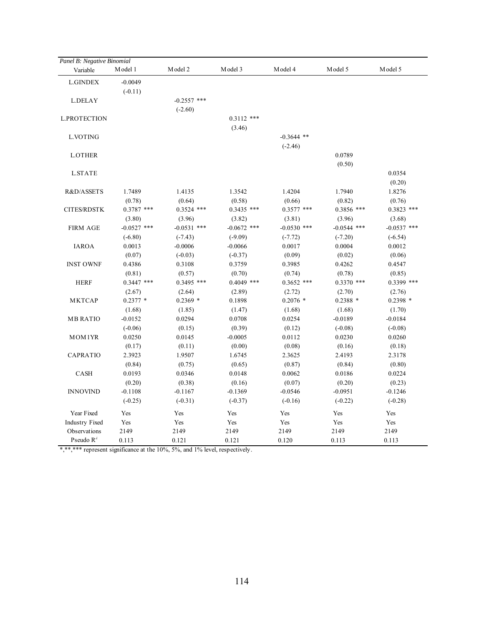| Panel B: Negative Binomial |               |               |               |               |               |               |
|----------------------------|---------------|---------------|---------------|---------------|---------------|---------------|
| Variable                   | Model 1       | Model 2       | Model 3       | Model 4       | Model 5       | Model 5       |
| <b>L.GINDEX</b>            | $-0.0049$     |               |               |               |               |               |
|                            | $(-0.11)$     |               |               |               |               |               |
| <b>L.DELAY</b>             |               | $-0.2557$ *** |               |               |               |               |
|                            |               | $(-2.60)$     |               |               |               |               |
| <b>L.PROTECTION</b>        |               |               | $0.3112$ ***  |               |               |               |
|                            |               |               | (3.46)        |               |               |               |
| L.VOTING                   |               |               |               | $-0.3644$ **  |               |               |
|                            |               |               |               | $(-2.46)$     |               |               |
| <b>L.OTHER</b>             |               |               |               |               | 0.0789        |               |
|                            |               |               |               |               | (0.50)        |               |
| <b>L.STATE</b>             |               |               |               |               |               | 0.0354        |
|                            |               |               |               |               |               | (0.20)        |
| R&D/ASSETS                 | 1.7489        | 1.4135        | 1.3542        | 1.4204        | 1.7940        | 1.8276        |
|                            | (0.78)        | (0.64)        | (0.58)        | (0.66)        | (0.82)        | (0.76)        |
| <b>CITES/RDSTK</b>         | $0.3787$ ***  | $0.3524$ ***  | $0.3435$ ***  | $0.3577$ ***  | $0.3856$ ***  | $0.3823$ ***  |
|                            | (3.80)        | (3.96)        | (3.82)        | (3.81)        | (3.96)        | (3.68)        |
| <b>FIRM AGE</b>            | $-0.0527$ *** | $-0.0531$ *** | $-0.0672$ *** | $-0.0530$ *** | $-0.0544$ *** | $-0.0537$ *** |
|                            | $(-6.80)$     | $(-7.43)$     | $(-9.09)$     | $(-7.72)$     | $(-7.20)$     | $(-6.54)$     |
| <b>IAROA</b>               | 0.0013        | $-0.0006$     | $-0.0066$     | 0.0017        | 0.0004        | 0.0012        |
|                            | (0.07)        | $(-0.03)$     | $(-0.37)$     | (0.09)        | (0.02)        | (0.06)        |
| <b>INST OWNF</b>           | 0.4386        | 0.3108        | 0.3759        | 0.3985        | 0.4262        | 0.4547        |
|                            | (0.81)        | (0.57)        | (0.70)        | (0.74)        | (0.78)        | (0.85)        |
| <b>HERF</b>                | $0.3447$ ***  | $0.3495$ ***  | $0.4049$ ***  | $0.3652$ ***  | $0.3370$ ***  | 0.3399 ***    |
|                            | (2.67)        | (2.64)        | (2.89)        | (2.72)        | (2.70)        | (2.76)        |
| <b>MKTCAP</b>              | $0.2377*$     | $0.2369*$     | 0.1898        | $0.2076$ *    | $0.2388*$     | $0.2398*$     |
|                            | (1.68)        | (1.85)        | (1.47)        | (1.68)        | (1.68)        | (1.70)        |
| <b>MB RATIO</b>            | $-0.0152$     | 0.0294        | 0.0708        | 0.0254        | $-0.0189$     | $-0.0184$     |
|                            | $(-0.06)$     | (0.15)        | (0.39)        | (0.12)        | $(-0.08)$     | $(-0.08)$     |
| MOM1YR                     | 0.0250        | 0.0145        | $-0.0005$     | 0.0112        | 0.0230        | 0.0260        |
|                            | (0.17)        | (0.11)        | (0.00)        | (0.08)        | (0.16)        | (0.18)        |
| <b>CAPRATIO</b>            | 2.3923        | 1.9507        | 1.6745        | 2.3625        | 2.4193        | 2.3178        |
|                            | (0.84)        | (0.75)        | (0.65)        | (0.87)        | (0.84)        | (0.80)        |
| CASH                       | 0.0193        | 0.0346        | 0.0148        | 0.0062        | 0.0186        | 0.0224        |
|                            | (0.20)        | (0.38)        | (0.16)        | (0.07)        | (0.20)        | (0.23)        |
| <b>INNOVIND</b>            | $-0.1108$     | $-0.1167$     | $-0.1369$     | $-0.0546$     | $-0.0951$     | $-0.1246$     |
|                            | $(-0.25)$     | $(-0.31)$     | $(-0.37)$     | $(-0.16)$     | $(-0.22)$     | $(-0.28)$     |
| Year Fixed                 | Yes           | Yes           | Yes           | Yes           | Yes           | Yes           |
| <b>Industry Fixed</b>      | Yes           | Yes           | Yes           | Yes           | Yes           | Yes           |
| Observations               | 2149          | 2149          | 2149          | 2149          | 2149          | 2149          |
| Pseudo $R^2$               | 0.113         | 0.121         | 0.121         | 0.120         | 0.113         | 0.113         |
|                            |               |               |               |               |               |               |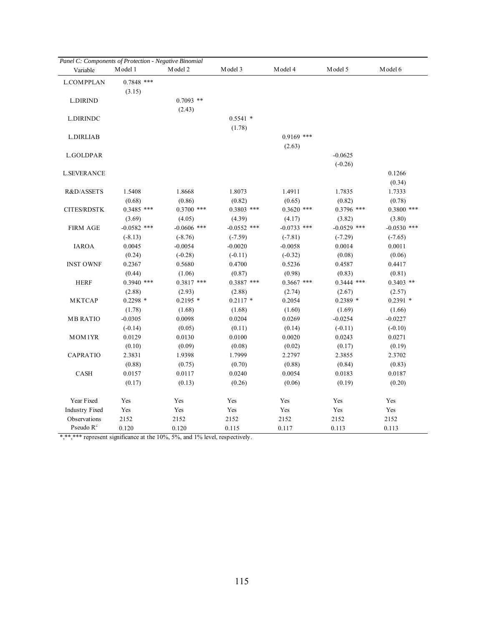| Panel C: Components of Protection - Negative Binomial |               |               |               |               |               |               |
|-------------------------------------------------------|---------------|---------------|---------------|---------------|---------------|---------------|
| Variable                                              | Model 1       | Model 2       | Model 3       | Model 4       | Model 5       | Model 6       |
| <b>L.COMPPLAN</b>                                     | $0.7848$ ***  |               |               |               |               |               |
|                                                       | (3.15)        |               |               |               |               |               |
| <b>L.DIRIND</b>                                       |               | $0.7093$ **   |               |               |               |               |
|                                                       |               | (2.43)        |               |               |               |               |
| <b>L.DIRINDC</b>                                      |               |               | $0.5541$ *    |               |               |               |
|                                                       |               |               | (1.78)        |               |               |               |
| L.DIRLIAB                                             |               |               |               | $0.9169$ ***  |               |               |
|                                                       |               |               |               | (2.63)        |               |               |
| L.GOLDPAR                                             |               |               |               |               | $-0.0625$     |               |
|                                                       |               |               |               |               | $(-0.26)$     |               |
| <b>L.SEVERANCE</b>                                    |               |               |               |               |               | 0.1266        |
|                                                       |               |               |               |               |               | (0.34)        |
| R&D/ASSETS                                            | 1.5408        | 1.8668        | 1.8073        | 1.4911        | 1.7835        | 1.7333        |
|                                                       | (0.68)        | (0.86)        | (0.82)        | (0.65)        | (0.82)        | (0.78)        |
| <b>CITES/RDSTK</b>                                    | $0.3485$ ***  | $0.3700$ ***  | $0.3803$ ***  | $0.3620$ ***  | $0.3796$ ***  | $0.3800$ ***  |
|                                                       | (3.69)        | (4.05)        | (4.39)        | (4.17)        | (3.82)        | (3.80)        |
| <b>FIRM AGE</b>                                       | $-0.0582$ *** | $-0.0606$ *** | $-0.0552$ *** | $-0.0733$ *** | $-0.0529$ *** | $-0.0530$ *** |
|                                                       | $(-8.13)$     | $(-8.76)$     | $(-7.59)$     | $(-7.81)$     | $(-7.29)$     | $(-7.65)$     |
| <b>IAROA</b>                                          | 0.0045        | $-0.0054$     | $-0.0020$     | $-0.0058$     | 0.0014        | 0.0011        |
|                                                       | (0.24)        | $(-0.28)$     | $(-0.11)$     | $(-0.32)$     | (0.08)        | (0.06)        |
| <b>INST OWNF</b>                                      | 0.2367        | 0.5680        | 0.4700        | 0.5236        | 0.4587        | 0.4417        |
|                                                       | (0.44)        | (1.06)        | (0.87)        | (0.98)        | (0.83)        | (0.81)        |
| <b>HERF</b>                                           | $0.3940$ ***  | $0.3817$ ***  | $0.3887$ ***  | $0.3667$ ***  | $0.3444$ ***  | $0.3403$ **   |
|                                                       | (2.88)        | (2.93)        | (2.88)        | (2.74)        | (2.67)        | (2.57)        |
| <b>MKTCAP</b>                                         | $0.2298*$     | $0.2195*$     | $0.2117$ *    | 0.2054        | $0.2389*$     | $0.2391*$     |
|                                                       | (1.78)        | (1.68)        | (1.68)        | (1.60)        | (1.69)        | (1.66)        |
| <b>MB RATIO</b>                                       | $-0.0305$     | 0.0098        | 0.0204        | 0.0269        | $-0.0254$     | $-0.0227$     |
|                                                       | $(-0.14)$     | (0.05)        | (0.11)        | (0.14)        | $(-0.11)$     | $(-0.10)$     |
| MOM1YR                                                | 0.0129        | 0.0130        | 0.0100        | 0.0020        | 0.0243        | 0.0271        |
|                                                       | (0.10)        | (0.09)        | (0.08)        | (0.02)        | (0.17)        | (0.19)        |
| CAPRATIO                                              | 2.3831        | 1.9398        | 1.7999        | 2.2797        | 2.3855        | 2.3702        |
|                                                       | (0.88)        | (0.75)        | (0.70)        | (0.88)        | (0.84)        | (0.83)        |
| CASH                                                  | 0.0157        | 0.0117        | 0.0240        | 0.0054        | 0.0183        | 0.0187        |
|                                                       | (0.17)        | (0.13)        | (0.26)        | (0.06)        | (0.19)        | (0.20)        |
| Year Fixed                                            | Yes           | Yes           | Yes           | Yes           | Yes           | Yes           |
| <b>Industry Fixed</b>                                 | Yes           | Yes           | Yes           | Yes           | Yes           | Yes           |
| Observations                                          | 2152          | 2152          | 2152          | 2152          | 2152          | 2152          |
| Pseudo $R^2$                                          | 0.120         | 0.120         | 0.115         | 0.117         | 0.113         | 0.113         |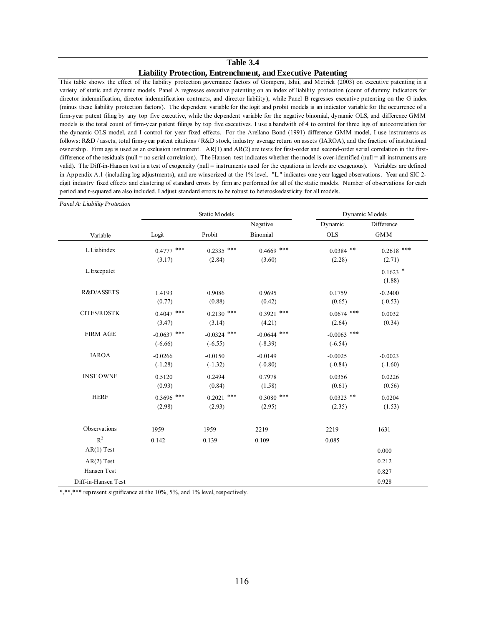#### **Table 3.4**

#### **Liability Protection, Entrenchment, and Executive Patenting**

This table shows the effect of the liability protection governance factors of Gompers, Ishii, and Metrick (2003) on executive patenting in a variety of static and dynamic models. Panel A regresses executive patenting on an index of liability protection (count of dummy indicators for director indemnification, director indemnification contracts, and director liability), while Panel B regresses executive patenting on the G index (minus these liability protection factors). The dependent variable for the logit and probit models is an indicator variable for the occurrence of a firm-year patent filing by any top five executive, while the dependent variable for the negative binomial, dynamic OLS, and difference GMM models is the total count of firm-year patent filings by top five executives. I use a bandwith of 4 to control for three lags of autocorrelation for the dynamic OLS model, and I control for year fixed effects. For the Arellano Bond (1991) difference GMM model, I use instruments as follows: R&D / assets, total firm-year patent citations / R&D stock, industry average return on assets (IAROA), and the fraction of institutional ownership. Firm age is used as an exclusion instrument. AR(1) and AR(2) are tests for first-order and second-order serial correlation in the firstdifference of the residuals (null = no serial correlation). The Hansen test indicates whether the model is over-identified (null = all instruments are valid). The Diff-in-Hansen test is a test of exogeneity (null = instruments used for the equations in levels are exogenous). Variables are defined in Appendix A.1 (including log adjustments), and are winsorized at the 1% level. "L." indicates one year lagged observations. Year and SIC 2 digit industry fixed effects and clustering of standard errors by firm are performed for all of the static models. Number of observations for each period and r-squared are also included. I adjust standard errors to be robust to heteroskedasticity for all models.

| Panel A: Liability Protection |               |               |               |                |              |  |
|-------------------------------|---------------|---------------|---------------|----------------|--------------|--|
|                               |               | Static Models |               | Dynamic Models |              |  |
|                               |               |               | Negative      | Dynamic        | Difference   |  |
| Variable                      | Logit         | Probit        | Binomial      | <b>OLS</b>     | <b>GMM</b>   |  |
| L.Liabindex                   | $0.4777$ ***  | $0.2335$ ***  | $0.4669$ ***  | $0.0384$ **    | $0.2618$ *** |  |
|                               | (3.17)        | (2.84)        | (3.60)        | (2.28)         | (2.71)       |  |
| L.Execpatct                   |               |               |               |                | $0.1623$ *   |  |
|                               |               |               |               |                | (1.88)       |  |
| R&D/ASSETS                    | 1.4193        | 0.9086        | 0.9695        | 0.1759         | $-0.2400$    |  |
|                               | (0.77)        | (0.88)        | (0.42)        | (0.65)         | $(-0.53)$    |  |
| <b>CITES/RDSTK</b>            | $0.4047$ ***  | $0.2130$ ***  | $0.3921$ ***  | $0.0674$ ***   | 0.0032       |  |
|                               | (3.47)        | (3.14)        | (4.21)        | (2.64)         | (0.34)       |  |
| <b>FIRM AGE</b>               | $-0.0637$ *** | $-0.0324$ *** | $-0.0644$ *** | $-0.0063$ ***  |              |  |
|                               | $(-6.66)$     | $(-6.55)$     | $(-8.39)$     | $(-6.54)$      |              |  |
| <b>IAROA</b>                  | $-0.0266$     | $-0.0150$     | $-0.0149$     | $-0.0025$      | $-0.0023$    |  |
|                               | $(-1.28)$     | $(-1.32)$     | $(-0.80)$     | $(-0.84)$      | $(-1.60)$    |  |
| <b>INST OWNF</b>              | 0.5120        | 0.2494        | 0.7978        | 0.0356         | 0.0226       |  |
|                               | (0.93)        | (0.84)        | (1.58)        | (0.61)         | (0.56)       |  |
| <b>HERF</b>                   | $0.3696$ ***  | $0.2021$ ***  | $0.3080$ ***  | $0.0323$ **    | 0.0204       |  |
|                               | (2.98)        | (2.93)        | (2.95)        | (2.35)         | (1.53)       |  |
| Observations                  | 1959          | 1959          | 2219          | 2219           | 1631         |  |
| $\mathbb{R}^2$                | 0.142         | 0.139         | 0.109         | 0.085          |              |  |
| $AR(1)$ Test                  |               |               |               |                | 0.000        |  |
| $AR(2)$ Test                  |               |               |               |                | 0.212        |  |
| Hansen Test                   |               |               |               |                | 0.827        |  |
| Diff-in-Hansen Test           |               |               |               |                | 0.928        |  |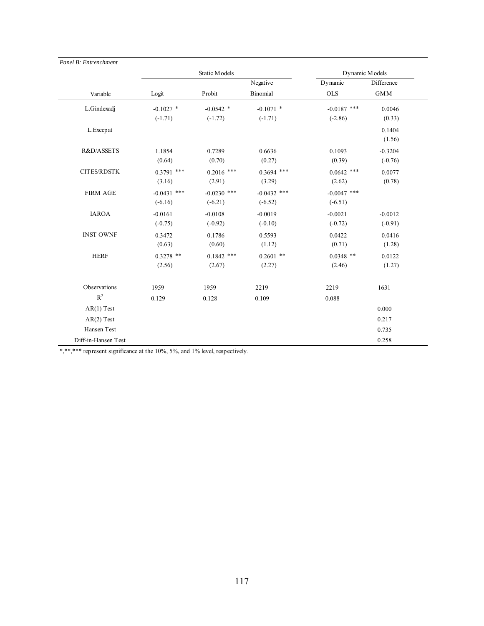| Panel B: Entrenchment |               |               |                 |                |                  |
|-----------------------|---------------|---------------|-----------------|----------------|------------------|
|                       |               | Static Models |                 | Dynamic Models |                  |
|                       |               |               | Negative        | Dynamic        | Difference       |
| Variable              | Logit         | Probit        | <b>Binomial</b> | <b>OLS</b>     | <b>GMM</b>       |
| L.Gindexadj           | $-0.1027$ *   | $-0.0542$ *   | $-0.1071$ *     | $-0.0187$ ***  | 0.0046           |
|                       | $(-1.71)$     | $(-1.72)$     | $(-1.71)$       | $(-2.86)$      | (0.33)           |
| L.Execpat             |               |               |                 |                | 0.1404<br>(1.56) |
| R&D/ASSETS            | 1.1854        | 0.7289        | 0.6636          | 0.1093         | $-0.3204$        |
|                       | (0.64)        | (0.70)        | (0.27)          | (0.39)         | $(-0.76)$        |
| <b>CITES/RDSTK</b>    | $0.3791$ ***  | $0.2016$ ***  | $0.3694$ ***    | $0.0642$ ***   | 0.0077           |
|                       | (3.16)        | (2.91)        | (3.29)          | (2.62)         | (0.78)           |
| <b>FIRM AGE</b>       | $-0.0431$ *** | $-0.0230$ *** | $-0.0432$ ***   | $-0.0047$ ***  |                  |
|                       | $(-6.16)$     | $(-6.21)$     | $(-6.52)$       | $(-6.51)$      |                  |
| <b>IAROA</b>          | $-0.0161$     | $-0.0108$     | $-0.0019$       | $-0.0021$      | $-0.0012$        |
|                       | $(-0.75)$     | $(-0.92)$     | $(-0.10)$       | $(-0.72)$      | $(-0.91)$        |
| <b>INST OWNF</b>      | 0.3472        | 0.1786        | 0.5593          | 0.0422         | 0.0416           |
|                       | (0.63)        | (0.60)        | (1.12)          | (0.71)         | (1.28)           |
| <b>HERF</b>           | $0.3278$ **   | $0.1842$ ***  | $0.2601$ **     | $0.0348$ **    | 0.0122           |
|                       | (2.56)        | (2.67)        | (2.27)          | (2.46)         | (1.27)           |
| Observations          | 1959          | 1959          | 2219            | 2219           | 1631             |
| $\mathbb{R}^2$        | 0.129         | 0.128         | 0.109           | 0.088          |                  |
| $AR(1)$ Test          |               |               |                 |                | 0.000            |
| $AR(2)$ Test          |               |               |                 |                | 0.217            |
| Hansen Test           |               |               |                 |                | 0.735            |
| Diff-in-Hansen Test   |               |               |                 |                | 0.258            |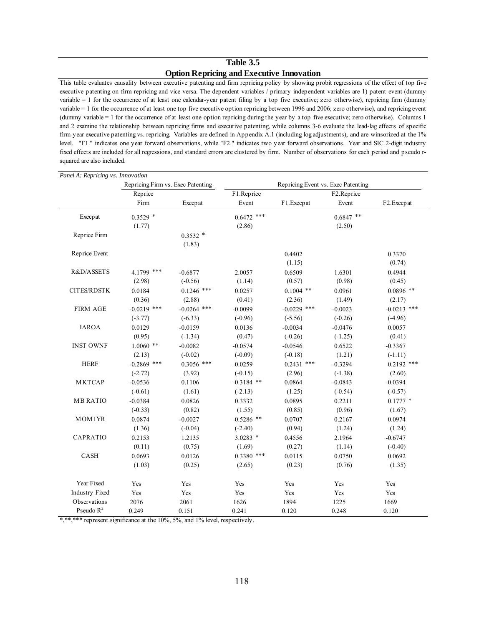### **Table 3.5 Option Repricing and Executive Innovation**

This table evaluates causality between executive patenting and firm repricing policy by showing probit regressions of the effect of top five executive patenting on firm repricing and vice versa. The dependent variables / primary independent variables are 1) patent event (dummy variable = 1 for the occurrence of at least one calendar-year patent filing by a top five executive; zero otherwise), repricing firm (dummy variable = 1 for the occurrence of at least one top five executive option repricing between 1996 and 2006; zero otherwise), and repricing event (dummy variable = 1 for the occurrence of at least one option repricing during the year by a top five executive; zero otherwise). Columns 1 and 2 examine the relationship between repricing firms and executive patenting, while columns 3-6 evaluate the lead-lag effects of specific firm-year executive patenting vs. repricing. Variables are defined in Appendix A.1 (including log adjustments), and are winsorized at the 1% level. "F1." indicates one year forward observations, while "F2." indicates two year forward observations. Year and SIC 2-digit industry fixed effects are included for all regressions, and standard errors are clustered by firm. Number of observations for each period and pseudo rsquared are also included.

| Panel A: Repricing vs. Innovation |                                   |               |              |               |                                    |                         |  |
|-----------------------------------|-----------------------------------|---------------|--------------|---------------|------------------------------------|-------------------------|--|
|                                   | Repricing Firm vs. Exec Patenting |               |              |               | Repricing Event vs. Exec Patenting |                         |  |
|                                   | Reprice                           |               | F1.Reprice   |               | F <sub>2.Reprice</sub>             |                         |  |
|                                   | Firm                              | Execpat       | Event        | F1.Execpat    | Event                              | F <sub>2</sub> .Execpat |  |
| Execpat                           | $0.3529$ *                        |               | $0.6472$ *** |               | $0.6847$ **                        |                         |  |
|                                   | (1.77)                            |               | (2.86)       |               | (2.50)                             |                         |  |
| Reprice Firm                      |                                   | $0.3532*$     |              |               |                                    |                         |  |
|                                   |                                   | (1.83)        |              |               |                                    |                         |  |
| Reprice Event                     |                                   |               |              | 0.4402        |                                    | 0.3370                  |  |
|                                   |                                   |               |              | (1.15)        |                                    | (0.74)                  |  |
| R&D/ASSETS                        | 4.1799 ***                        | $-0.6877$     | 2.0057       | 0.6509        | 1.6301                             | 0.4944                  |  |
|                                   | (2.98)                            | $(-0.56)$     | (1.14)       | (0.57)        | (0.98)                             | (0.45)                  |  |
| <b>CITES/RDSTK</b>                | 0.0184                            | $0.1246$ ***  | 0.0257       | $0.1004$ **   | 0.0961                             | $0.0896$ **             |  |
|                                   | (0.36)                            | (2.88)        | (0.41)       | (2.36)        | (1.49)                             | (2.17)                  |  |
| <b>FIRM AGE</b>                   | $-0.0219$ ***                     | $-0.0264$ *** | $-0.0099$    | $-0.0229$ *** | $-0.0023$                          | $-0.0213$ ***           |  |
|                                   | $(-3.77)$                         | $(-6.33)$     | $(-0.96)$    | $(-5.56)$     | $(-0.26)$                          | $(-4.96)$               |  |
| <b>IAROA</b>                      | 0.0129                            | $-0.0159$     | 0.0136       | $-0.0034$     | $-0.0476$                          | 0.0057                  |  |
|                                   | (0.95)                            | $(-1.34)$     | (0.47)       | $(-0.26)$     | $(-1.25)$                          | (0.41)                  |  |
| <b>INST OWNF</b>                  | $1.0060$ **                       | $-0.0082$     | $-0.0574$    | $-0.0546$     | 0.6522                             | $-0.3367$               |  |
|                                   | (2.13)                            | $(-0.02)$     | $(-0.09)$    | $(-0.18)$     | (1.21)                             | $(-1.11)$               |  |
| <b>HERF</b>                       | $-0.2869$ ***                     | $0.3056$ ***  | $-0.0259$    | $0.2431$ ***  | $-0.3294$                          | $0.2192$ ***            |  |
|                                   | $(-2.72)$                         | (3.92)        | $(-0.15)$    | (2.96)        | $(-1.38)$                          | (2.60)                  |  |
| <b>MKTCAP</b>                     | $-0.0536$                         | 0.1106        | $-0.3184$ ** | 0.0864        | $-0.0843$                          | $-0.0394$               |  |
|                                   | $(-0.61)$                         | (1.61)        | $(-2.13)$    | (1.25)        | $(-0.54)$                          | $(-0.57)$               |  |
| <b>MB RATIO</b>                   | $-0.0384$                         | 0.0826        | 0.3332       | 0.0895        | 0.2211                             | $0.1777$ *              |  |
|                                   | $(-0.33)$                         | (0.82)        | (1.55)       | (0.85)        | (0.96)                             | (1.67)                  |  |
| MOM1YR                            | 0.0874                            | $-0.0027$     | $-0.5286$ ** | 0.0707        | 0.2167                             | 0.0974                  |  |
|                                   | (1.36)                            | $(-0.04)$     | $(-2.40)$    | (0.94)        | (1.24)                             | (1.24)                  |  |
| <b>CAPRATIO</b>                   | 0.2153                            | 1.2135        | $3.0283$ *   | 0.4556        | 2.1964                             | $-0.6747$               |  |
|                                   | (0.11)                            | (0.75)        | (1.69)       | (0.27)        | (1.14)                             | $(-0.40)$               |  |
| CASH                              | 0.0693                            | 0.0126        | $0.3380$ *** | 0.0115        | 0.0750                             | 0.0692                  |  |
|                                   | (1.03)                            | (0.25)        | (2.65)       | (0.23)        | (0.76)                             | (1.35)                  |  |
| Year Fixed                        | Yes                               | Yes           | Yes          | Yes           | Yes                                | Yes                     |  |
| <b>Industry Fixed</b>             | Yes                               | Yes           | Yes          | Yes           | Yes                                | Yes                     |  |
| Observations                      | 2076                              | 2061          | 1626         | 1894          | 1225                               | 1669                    |  |
| Pseudo $R^2$                      | 0.249                             | 0.151         | 0.241        | 0.120         | 0.248                              | 0.120                   |  |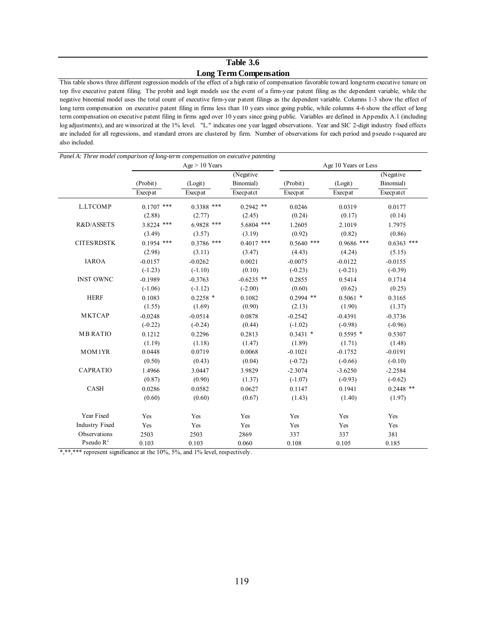## **Table 3.6 Long Term Compensation**

This table shows three different regression models of the effect of a high ratio of compensation favorable toward long-term executive tenure on top five executive patent filing. The probit and logit models use the event of a firm-year patent filing as the dependent variable, while the negative binomial model uses the total count of executive firm-year patent filings as the dependent variable. Columns 1-3 show the effect of long term compensation on executive patent filing in firms less than 10 years since going public, while columns 4-6 show the effect of long term compensation on executive patent filing in firms aged over 10 years since going public. Variables are defined in Appendix A.1 (including log adjustments), and are winsorized at the 1% level. "L." indicates one year lagged observations. Year and SIC 2-digit industry fixed effects are included for all regressions, and standard errors are clustered by firm. Number of observations for each period and pseudo r-squared are also included.

| Panel A: Three model comparison of long-term compensation on executive patenting |              |                  |              |              |                      |              |  |  |
|----------------------------------------------------------------------------------|--------------|------------------|--------------|--------------|----------------------|--------------|--|--|
|                                                                                  |              | $Age > 10$ Years |              |              | Age 10 Years or Less |              |  |  |
|                                                                                  |              |                  | (Negative)   |              |                      | (Negative    |  |  |
|                                                                                  | (Probit)     | (Logit)          | Binomial)    | (Probit)     | (Logit)              | Binomial)    |  |  |
|                                                                                  | Execpat      | Execpat          | Execpatct    | Execpat      | Execpat              | Execpatct    |  |  |
| <b>L.LTCOMP</b>                                                                  | $0.1707$ *** | $0.3388$ ***     | $0.2942$ **  | 0.0246       | 0.0319               | 0.0177       |  |  |
|                                                                                  | (2.88)       | (2.77)           | (2.45)       | (0.24)       | (0.17)               | (0.14)       |  |  |
| R&D/ASSETS                                                                       | 3.8224 ***   | 6.9828 ***       | 5.6804 ***   | 1.2605       | 2.1019               | 1.7975       |  |  |
|                                                                                  | (3.49)       | (3.57)           | (3.19)       | (0.92)       | (0.82)               | (0.86)       |  |  |
| <b>CITES/RDSTK</b>                                                               | $0.1954$ *** | $0.3786$ ***     | $0.4017$ *** | $0.5640$ *** | $0.9686$ ***         | $0.6363$ *** |  |  |
|                                                                                  | (2.98)       | (3.11)           | (3.47)       | (4.43)       | (4.24)               | (5.15)       |  |  |
| <b>IAROA</b>                                                                     | $-0.0157$    | $-0.0262$        | 0.0021       | $-0.0075$    | $-0.0122$            | $-0.0155$    |  |  |
|                                                                                  | $(-1.23)$    | $(-1.10)$        | (0.10)       | $(-0.23)$    | $(-0.21)$            | $(-0.39)$    |  |  |
| <b>INST OWNC</b>                                                                 | $-0.1989$    | $-0.3763$        | $-0.6235$ ** | 0.2855       | 0.5414               | 0.1714       |  |  |
|                                                                                  | $(-1.06)$    | $(-1.12)$        | $(-2.00)$    | (0.60)       | (0.62)               | (0.25)       |  |  |
| <b>HERF</b>                                                                      | 0.1083       | $0.2258$ *       | 0.1082       | $0.2994$ **  | $0.5061$ *           | 0.3165       |  |  |
|                                                                                  | (1.55)       | (1.69)           | (0.90)       | (2.13)       | (1.90)               | (1.37)       |  |  |
| MKTCAP                                                                           | $-0.0248$    | $-0.0514$        | 0.0878       | $-0.2542$    | $-0.4391$            | $-0.3736$    |  |  |
|                                                                                  | $(-0.22)$    | $(-0.24)$        | (0.44)       | $(-1.02)$    | $(-0.98)$            | $(-0.96)$    |  |  |
| <b>MB RATIO</b>                                                                  | 0.1212       | 0.2296           | 0.2813       | $0.3431$ *   | $0.5595*$            | 0.5307       |  |  |
|                                                                                  | (1.19)       | (1.18)           | (1.47)       | (1.89)       | (1.71)               | (1.48)       |  |  |
| MOM1YR                                                                           | 0.0448       | 0.0719           | 0.0068       | $-0.1021$    | $-0.1752$            | $-0.0191$    |  |  |
|                                                                                  | (0.50)       | (0.43)           | (0.04)       | $(-0.72)$    | $(-0.66)$            | $(-0.10)$    |  |  |
| CAPRATIO                                                                         | 1.4966       | 3.0447           | 3.9829       | $-2.3074$    | $-3.6250$            | $-2.2584$    |  |  |
|                                                                                  | (0.87)       | (0.90)           | (1.37)       | $(-1.07)$    | $(-0.93)$            | $(-0.62)$    |  |  |
| CASH                                                                             | 0.0286       | 0.0582           | 0.0627       | 0.1147       | 0.1941               | $0.2448$ **  |  |  |
|                                                                                  | (0.60)       | (0.60)           | (0.67)       | (1.43)       | (1.40)               | (1.97)       |  |  |
| Year Fixed                                                                       | Yes          | Yes              | Yes          | Yes          | Yes                  | Yes          |  |  |
| <b>Industry Fixed</b>                                                            | Yes          | Yes              | Yes          | Yes          | Yes                  | Yes          |  |  |
| Observations                                                                     | 2503         | 2503             | 2869         | 337          | 337                  | 381          |  |  |
| Pseudo $R^2$                                                                     | 0.103        | 0.103            | 0.060        | 0.108        | 0.105                | 0.185        |  |  |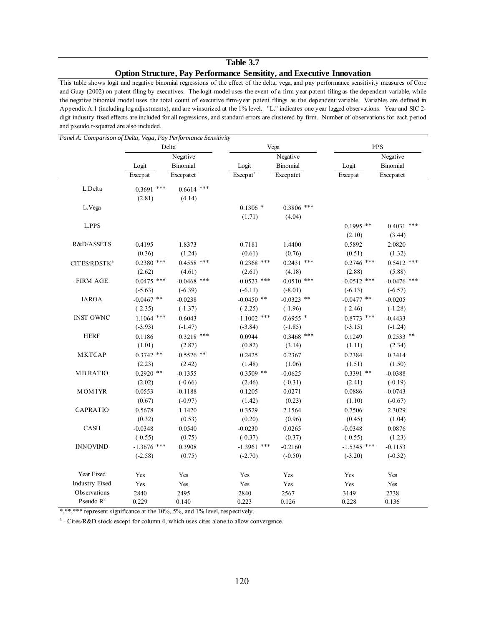# **Table 3.7 Option Structure, Pay Performance Sensitity, and Executive Innovation**

This table shows logit and negative binomial regressions of the effect of the delta, vega, and pay performance sensitivity measures of Core and Guay (2002) on patent filing by executives. The logit model uses the event of a firm-year patent filing as the dependent variable, while the negative binomial model uses the total count of executive firm-year patent filings as the dependent variable. Variables are defined in Appendix A.1 (including log adjustments), and are winsorized at the 1% level. "L." indicates one year lagged observations. Year and SIC 2 digit industry fixed effects are included for all regressions, and standard errors are clustered by firm. Number of observations for each period and pseudo r-squared are also included.

| Panel A: Comparison of Delta, Vega, Pay Performance Sensitivity |               |               |               |               |               |                 |
|-----------------------------------------------------------------|---------------|---------------|---------------|---------------|---------------|-----------------|
|                                                                 |               | Delta         |               | Vega          |               | <b>PPS</b>      |
|                                                                 |               | Negative      |               | Negative      |               | Negative        |
|                                                                 | Logit         | Binomial      | Logit         | Binomial      | Logit         | <b>Binomial</b> |
|                                                                 | Execpat       | Execpatct     | Execp at      | Execpatct     | Execpat       | Execpatct       |
| $\mathop{\hbox{\rm L.}}\nolimits\mathop{\hbox{\rm Delta}}$      | $0.3691$ ***  | $0.6614$ ***  |               |               |               |                 |
|                                                                 | (2.81)        | (4.14)        |               |               |               |                 |
| L.Vega                                                          |               |               | $0.1306*$     | $0.3806$ ***  |               |                 |
|                                                                 |               |               | (1.71)        | (4.04)        |               |                 |
| L.PPS                                                           |               |               |               |               | $0.1995$ **   | $0.4031$ ***    |
|                                                                 |               |               |               |               | (2.10)        | (3.44)          |
| R&D/ASSETS                                                      | 0.4195        | 1.8373        | 0.7181        | 1.4400        | 0.5892        | 2.0820          |
|                                                                 | (0.36)        | (1.24)        | (0.61)        | (0.76)        | (0.51)        | (1.32)          |
| CITES/RDSTK <sup>a</sup>                                        | $0.2380$ ***  | $0.4558$ ***  | $0.2368$ ***  | $0.2431$ ***  | $0.2746$ ***  | $0.5412$ ***    |
|                                                                 | (2.62)        | (4.61)        | (2.61)        | (4.18)        | (2.88)        | (5.88)          |
| <b>FIRM AGE</b>                                                 | $-0.0475$ *** | $-0.0468$ *** | $-0.0523$ *** | $-0.0510$ *** | $-0.0512$ *** | $-0.0476$ ***   |
|                                                                 | $(-5.63)$     | $(-6.39)$     | $(-6.11)$     | $(-8.01)$     | $(-6.13)$     | $(-6.57)$       |
| <b>IAROA</b>                                                    | $-0.0467$ **  | $-0.0238$     | $-0.0450$ **  | $-0.0323$ **  | $-0.0477$ **  | $-0.0205$       |
|                                                                 | $(-2.35)$     | $(-1.37)$     | $(-2.25)$     | $(-1.96)$     | $(-2.46)$     | $(-1.28)$       |
| <b>INST OWNC</b>                                                | $-1.1064$ *** | $-0.6043$     | $-1.1002$ *** | $-0.6955$ *   | $-0.8773$ *** | $-0.4433$       |
|                                                                 | $(-3.93)$     | $(-1.47)$     | $(-3.84)$     | $(-1.85)$     | $(-3.15)$     | $(-1.24)$       |
| <b>HERF</b>                                                     | 0.1186        | $0.3218$ ***  | 0.0944        | $0.3468$ ***  | 0.1249        | $0.2533$ **     |
|                                                                 | (1.01)        | (2.87)        | (0.82)        | (3.14)        | (1.11)        | (2.34)          |
| MKTCAP                                                          | $0.3742$ **   | $0.5526$ **   | 0.2425        | 0.2367        | 0.2384        | 0.3414          |
|                                                                 | (2.23)        | (2.42)        | (1.48)        | (1.06)        | (1.51)        | (1.50)          |
| <b>MB RATIO</b>                                                 | $0.2920$ **   | $-0.1355$     | $0.3509$ **   | $-0.0625$     | $0.3391$ **   | $-0.0388$       |
|                                                                 | (2.02)        | $(-0.66)$     | (2.46)        | $(-0.31)$     | (2.41)        | $(-0.19)$       |
| MOM1YR                                                          | 0.0553        | $-0.1188$     | 0.1205        | 0.0271        | 0.0886        | $-0.0743$       |
|                                                                 | (0.67)        | $(-0.97)$     | (1.42)        | (0.23)        | (1.10)        | $(-0.67)$       |
| CAPRATIO                                                        | 0.5678        | 1.1420        | 0.3529        | 2.1564        | 0.7506        | 2.3029          |
|                                                                 | (0.32)        | (0.53)        | (0.20)        | (0.96)        | (0.45)        | (1.04)          |
| CASH                                                            | $-0.0348$     | 0.0540        | $-0.0230$     | 0.0265        | $-0.0348$     | 0.0876          |
|                                                                 | $(-0.55)$     | (0.75)        | $(-0.37)$     | (0.37)        | $(-0.55)$     | (1.23)          |
| <b>INNOVIND</b>                                                 | $-1.3676$ *** | 0.3908        | $-1.3961$ *** | $-0.2160$     | $-1.5345$ *** | $-0.1153$       |
|                                                                 | $(-2.58)$     | (0.75)        | $(-2.70)$     | $(-0.50)$     | $(-3.20)$     | $(-0.32)$       |
| Year Fixed                                                      | Yes           | Yes           | Yes           | Yes           | Yes           | Yes             |
| <b>Industry Fixed</b>                                           | Yes           | Yes           | Yes           | Yes           | Yes           | Yes             |
| Observations                                                    | 2840          | 2495          | 2840          | 2567          | 3149          | 2738            |
| Pseudo $R^2$                                                    | 0.229         | 0.140         | 0.223         | 0.126         | 0.228         | 0.136           |

\*,\*\*,\*\*\* represent significance at the 10%, 5%, and 1% level, respectively.

<sup>a</sup> - Cites/R&D stock except for column 4, which uses cites alone to allow convergence.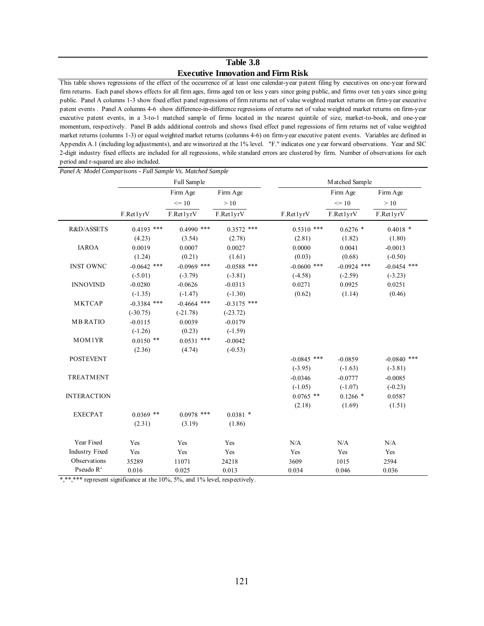## **Table 3.8 Executive Innovation and Firm Risk**

This table shows regressions of the effect of the occurrence of at least one calendar-year patent filing by executives on one-year forward firm returns. Each panel shows effects for all firm ages, firms aged ten or less years since going public, and firms over ten years since going public. Panel A columns 1-3 show fixed effect panel regressions of firm returns net of value weighted market returns on firm-year executive patent events . Panel A columns 4-6 show difference-in-difference regressions of returns net of value weighted market returns on firm-year executive patent events, in a 3-to-1 matched sample of firms located in the nearest quintile of size, market-to-book, and one-year momentum, respectively. Panel B adds additional controls and shows fixed effect panel regressions of firm returns net of value weighted market returns (columns 1-3) or equal weighted market returns (columns 4-6) on firm-year executive patent events. Variables are defined in Appendix A.1 (including log adjustments), and are winsorized at the 1% level. "F." indicates one year forward observations. Year and SIC 2-digit industry fixed effects are included for all regressions, while standard errors are clustered by firm. Number of observations for each period and r-squared are also included.

| Panel A: Model Comparisons - Full Sample Vs. Matched Sample |               |               |               |                |               |               |
|-------------------------------------------------------------|---------------|---------------|---------------|----------------|---------------|---------------|
|                                                             | Full Sample   |               |               | Matched Sample |               |               |
|                                                             |               | Firm Age      | Firm Age      |                | Firm Age      | Firm Age      |
|                                                             |               | $\leq 10$     | >10           |                | $= 10$        | $>10$         |
|                                                             | F.Ret1yrV     | F.Ret1yrV     | F.Ret1yrV     | F.Ret1yrV      | F.Ret1yrV     | F.Ret1yrV     |
| R&D/ASSETS                                                  | $0.4193$ ***  | $0.4990$ ***  | $0.3572$ ***  | $0.5310$ ***   | $0.6276$ *    | $0.4018$ *    |
|                                                             | (4.23)        | (3.54)        | (2.78)        | (2.81)         | (1.82)        | (1.80)        |
| <b>IAROA</b>                                                | 0.0019        | 0.0007        | 0.0027        | 0.0000         | 0.0041        | $-0.0013$     |
|                                                             | (1.24)        | (0.21)        | (1.61)        | (0.03)         | (0.68)        | $(-0.50)$     |
| <b>INST OWNC</b>                                            | $-0.0642$ *** | $-0.0969$ *** | $-0.0588$ *** | $-0.0600$ ***  | $-0.0924$ *** | $-0.0454$ *** |
|                                                             | $(-5.01)$     | $(-3.79)$     | $(-3.81)$     | $(-4.58)$      | $(-2.59)$     | $(-3.23)$     |
| <b>INNOVIND</b>                                             | $-0.0280$     | $-0.0626$     | $-0.0313$     | 0.0271         | 0.0925        | 0.0251        |
|                                                             | $(-1.35)$     | $(-1.47)$     | $(-1.30)$     | (0.62)         | (1.14)        | (0.46)        |
| <b>MKTCAP</b>                                               | $-0.3384$ *** | $-0.4664$ *** | $-0.3175$ *** |                |               |               |
|                                                             | $(-30.75)$    | $(-21.78)$    | $(-23.72)$    |                |               |               |
| <b>MB RATIO</b>                                             | $-0.0115$     | 0.0039        | $-0.0179$     |                |               |               |
|                                                             | $(-1.26)$     | (0.23)        | $(-1.59)$     |                |               |               |
| MOM1YR                                                      | $0.0150$ **   | $0.0531$ ***  | $-0.0042$     |                |               |               |
|                                                             | (2.36)        | (4.74)        | $(-0.53)$     |                |               |               |
| <b>POSTEVENT</b>                                            |               |               |               | $-0.0845$ ***  | $-0.0859$     | $-0.0840$ *** |
|                                                             |               |               |               | $(-3.95)$      | $(-1.63)$     | $(-3.81)$     |
| <b>TREATMENT</b>                                            |               |               |               | $-0.0346$      | $-0.0777$     | $-0.0085$     |
|                                                             |               |               |               | $(-1.05)$      | $(-1.07)$     | $(-0.23)$     |
| <b>INTERACTION</b>                                          |               |               |               | $0.0765$ **    | $0.1266*$     | 0.0587        |
|                                                             |               |               |               | (2.18)         | (1.69)        | (1.51)        |
| <b>EXECPAT</b>                                              | $0.0369$ **   | $0.0978$ ***  | $0.0381$ *    |                |               |               |
|                                                             | (2.31)        | (3.19)        | (1.86)        |                |               |               |
| Year Fixed                                                  | Yes           | Yes           | Yes           | N/A            | N/A           | N/A           |
| <b>Industry Fixed</b>                                       | Yes           | Yes           | Yes           | Yes            | Yes           | Yes           |
| Observations                                                | 35289         | 11071         | 24218         | 3609           | 1015          | 2594          |
| Pseudo $R^2$                                                | 0.016         | 0.025         | 0.013         | 0.034          | 0.046         | 0.036         |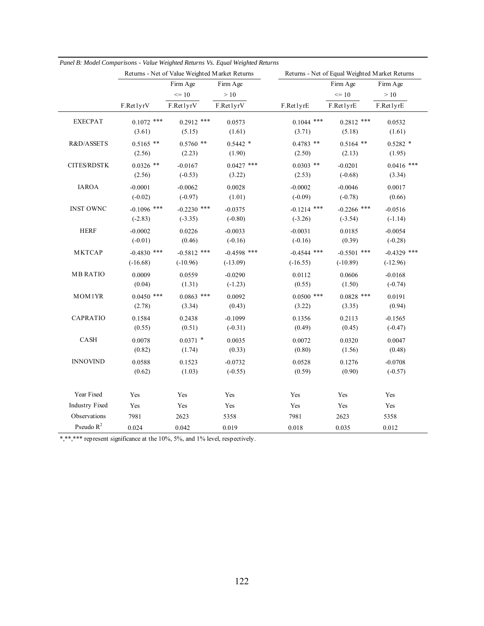|                       |               | Returns - Net of Value Weighted Market Returns |                                             |               | Returns - Net of Equal Weighted Market Returns |               |  |
|-----------------------|---------------|------------------------------------------------|---------------------------------------------|---------------|------------------------------------------------|---------------|--|
|                       |               | Firm Age                                       | Firm Age<br>$>10$<br>F.Ret1yrV<br>F.Ret1yrE |               | Firm Age                                       | Firm Age      |  |
|                       |               | $<= 10$<br>F.Ret1yrV                           |                                             |               | $\leq 10$<br>F.Ret1yrE                         | $>10$         |  |
|                       | F.Ret1yrV     |                                                |                                             |               |                                                | F.Ret1yrE     |  |
| <b>EXECPAT</b>        | $0.1072$ ***  | $0.2912$ ***                                   | 0.0573                                      | $0.1044$ ***  | $0.2812$ ***                                   | 0.0532        |  |
|                       | (3.61)        | (5.15)                                         | (1.61)                                      | (3.71)        | (5.18)                                         | (1.61)        |  |
| R&D/ASSETS            | $0.5165$ **   | $0.5760$ **                                    | $0.5442*$                                   | $0.4783$ **   | $0.5164$ **                                    | $0.5282$ *    |  |
|                       | (2.56)        | (2.23)                                         | (1.90)                                      | (2.50)        | (2.13)                                         | (1.95)        |  |
| <b>CITES/RDSTK</b>    | $0.0326$ **   | $-0.0167$                                      | $0.0427$ ***                                | $0.0303$ **   | $-0.0201$                                      | $0.0416$ ***  |  |
|                       | (2.56)        | $(-0.53)$                                      | (3.22)                                      | (2.53)        | $(-0.68)$                                      | (3.34)        |  |
| <b>IAROA</b>          | $-0.0001$     | $-0.0062$                                      | 0.0028                                      | $-0.0002$     | $-0.0046$                                      | 0.0017        |  |
|                       | $(-0.02)$     | $(-0.97)$                                      | (1.01)                                      | $(-0.09)$     | $(-0.78)$                                      | (0.66)        |  |
| <b>INST OWNC</b>      | $-0.1096$ *** | $-0.2230$ ***                                  | $-0.0375$                                   | $-0.1214$ *** | $-0.2266$ ***                                  | $-0.0516$     |  |
|                       | $(-2.83)$     | $(-3.35)$                                      | $(-0.80)$                                   | $(-3.26)$     | $(-3.54)$                                      | $(-1.14)$     |  |
| <b>HERF</b>           | $-0.0002$     | 0.0226                                         | $-0.0033$                                   | $-0.0031$     | 0.0185                                         | $-0.0054$     |  |
|                       | $(-0.01)$     | (0.46)                                         | $(-0.16)$                                   | $(-0.16)$     | (0.39)                                         | $(-0.28)$     |  |
| <b>MKTCAP</b>         | $-0.4830$ *** | $-0.5812$ ***                                  | $-0.4598$ ***                               | $-0.4544$ *** | $-0.5501$ ***                                  | $-0.4329$ *** |  |
|                       | $(-16.68)$    | $(-10.96)$                                     | $(-13.09)$                                  | $(-16.55)$    | $(-10.89)$                                     | $(-12.96)$    |  |
| <b>MB RATIO</b>       | 0.0009        | 0.0559                                         | $-0.0290$                                   | 0.0112        | 0.0606                                         | $-0.0168$     |  |
|                       | (0.04)        | (1.31)                                         | $(-1.23)$                                   | (0.55)        | (1.50)                                         | $(-0.74)$     |  |
| MOM1YR                | $0.0450$ ***  | $0.0863$ ***                                   | 0.0092                                      | $0.0500$ ***  | $0.0828$ ***                                   | 0.0191        |  |
|                       | (2.78)        | (3.34)                                         | (0.43)                                      | (3.22)        | (3.35)                                         | (0.94)        |  |
| CAPRATIO              | 0.1584        | 0.2438                                         | $-0.1099$                                   | 0.1356        | 0.2113                                         | $-0.1565$     |  |
|                       | (0.55)        | (0.51)                                         | $(-0.31)$                                   | (0.49)        | (0.45)                                         | $(-0.47)$     |  |
| CASH                  | 0.0078        | $0.0371$ *                                     | 0.0035                                      | 0.0072        | 0.0320                                         | 0.0047        |  |
|                       | (0.82)        | (1.74)                                         | (0.33)                                      | (0.80)        | (1.56)                                         | (0.48)        |  |
| <b>INNOVIND</b>       | 0.0588        | 0.1523                                         | $-0.0732$                                   | 0.0528        | 0.1276                                         | $-0.0708$     |  |
|                       | (0.62)        | (1.03)                                         | $(-0.55)$                                   | (0.59)        | (0.90)                                         | $(-0.57)$     |  |
| Year Fixed            | Yes           | Yes                                            | Yes                                         | Yes           | Yes                                            | Yes           |  |
| <b>Industry Fixed</b> | Yes           | Yes                                            | Yes                                         | Yes           | Yes                                            | Yes           |  |
| Observations          | 7981          | 2623                                           | 5358                                        | 7981          | 2623                                           | 5358          |  |
| Pseudo $R^2$          | 0.024         | 0.042                                          | 0.019                                       | 0.018         | 0.035                                          | 0.012         |  |

*Panel B: Model Comparisons - Value Weighted Returns Vs. Equal Weighted Returns*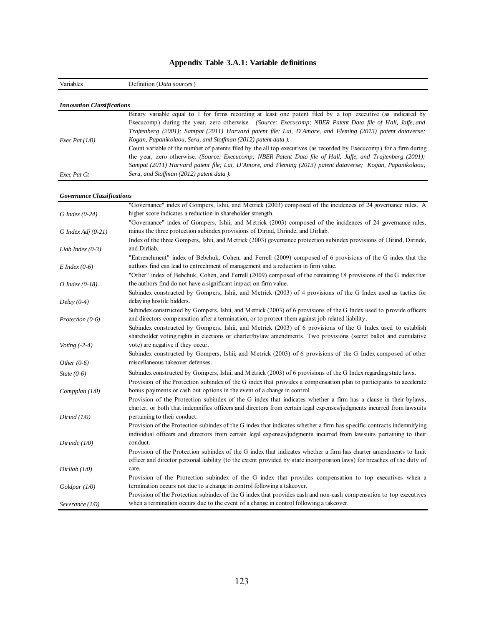| Variables                         | Definition (Data sources)                                                                                                                                                                                                                   |
|-----------------------------------|---------------------------------------------------------------------------------------------------------------------------------------------------------------------------------------------------------------------------------------------|
|                                   |                                                                                                                                                                                                                                             |
| <b>Innovation Classifications</b> |                                                                                                                                                                                                                                             |
|                                   | Binary variable equal to 1 for firms recording at least one patent filed by a top executive (as indicated by                                                                                                                                |
|                                   | Execucomp) during the year, zero otherwise. (Source: Execucomp; NBER Patent Data file of Hall, Jaffe, and                                                                                                                                   |
|                                   | Trajtenberg (2001); Sampat (2011) Harvard patent file; Lai, D'Amore, and Fleming (2013) patent dataverse;                                                                                                                                   |
| Exec Pat $(1/0)$                  | Kogan, Papanikolaou, Seru, and Stoffman (2012) patent data).                                                                                                                                                                                |
|                                   | Count variable of the number of patents filed by the all top executives (as recorded by Execucomp) for a firm during                                                                                                                        |
|                                   | the year, zero otherwise. (Source: Execucomp; NBER Patent Data file of Hall, Jaffe, and Trajtenberg (2001);                                                                                                                                 |
|                                   | Sampat (2011) Harvard patent file; Lai, D'Amore, and Fleming (2013) patent dataverse; Kogan, Papanikolaou,                                                                                                                                  |
| Exec Pat Ct                       | Seru, and Stoffman (2012) patent data).                                                                                                                                                                                                     |
|                                   |                                                                                                                                                                                                                                             |
| <b>Governance Classifications</b> |                                                                                                                                                                                                                                             |
|                                   | "Governance" index of Gompers, Ishii, and Metrick (2003) composed of the incidences of 24 governance rules. A                                                                                                                               |
| $G$ Index (0-24)                  | higher score indicates a reduction in shareholder strength.                                                                                                                                                                                 |
|                                   | "Governance" index of Gompers, Ishii, and Metrick (2003) composed of the incidences of 24 governance rules,                                                                                                                                 |
| G Index Adj $(0-21)$              | minus the three protection subindex provisions of Dirind, Dirindc, and Dirliab.                                                                                                                                                             |
|                                   | Index of the three Gompers, Ishii, and Metrick (2003) governance protection subindex provisions of Dirind, Dirindc,                                                                                                                         |
| Liab Index $(0-3)$                | and Dirliab.                                                                                                                                                                                                                                |
|                                   | "Entrenchment" index of Bebchuk, Cohen, and Ferrell (2009) composed of 6 provisions of the G index that the                                                                                                                                 |
| $E$ Index (0-6)                   | authors find can lead to entrechment of management and a reduction in firm value.                                                                                                                                                           |
|                                   | "Other" index of Bebchuk, Cohen, and Ferrell (2009) composed of the remaining 18 provisions of the G index that                                                                                                                             |
| $O$ Index (0-18)                  | the authors find do not have a significant impact on firm value.                                                                                                                                                                            |
|                                   | Subindex constructed by Gompers, Ishii, and Metrick (2003) of 4 provisions of the G Index used as tactics for                                                                                                                               |
| Delay $(0-4)$                     | delaying hostile bidders.                                                                                                                                                                                                                   |
|                                   | Subindex constructed by Gompers, Ishii, and Metrick (2003) of 6 provisions of the G Index used to provide officers                                                                                                                          |
| Protection (0-6)                  | and directors compensation after a termination, or to protect them against job related liability.                                                                                                                                           |
|                                   | Subindex constructed by Gompers, Ishii, and Metrick (2003) of 6 provisions of the G Index used to establish                                                                                                                                 |
|                                   | shareholder voting rights in elections or charter/bylaw amendments. Two provisions (secret ballot and cumulative                                                                                                                            |
| Voting $(-2-4)$                   | vote) are negative if they occur.                                                                                                                                                                                                           |
|                                   | Subindex constructed by Gompers, Ishii, and Metrick (2003) of 6 provisions of the G Index composed of other                                                                                                                                 |
| Other $(0-6)$                     | miscellaneous takeover defenses.                                                                                                                                                                                                            |
| State $(0-6)$                     | Subindex constructed by Gompers, Ishii, and Metrick (2003) of 6 provisions of the G Index regarding state laws.                                                                                                                             |
|                                   | Provision of the Protection subindex of the G index that provides a compensation plan to participants to accelerate                                                                                                                         |
| Compplan (1/0)                    | bonus payments or cash out options in the event of a change in control.                                                                                                                                                                     |
|                                   | Provision of the Protection subindex of the G index that indicates whether a firm has a clause in their bylaws,                                                                                                                             |
|                                   | charter, or both that indemnifies officers and directors from certain legal expenses/judgments incurred from lawsuits                                                                                                                       |
| Dirind $(1/0)$                    | pertaining to their conduct.                                                                                                                                                                                                                |
|                                   |                                                                                                                                                                                                                                             |
|                                   | Provision of the Protection subindex of the G index that indicates whether a firm has specific contracts indemnifying<br>individual officers and directors from certain legal expenses/judgments incurred from lawsuits pertaining to their |
|                                   | conduct.                                                                                                                                                                                                                                    |
| Dirindc $(1/0)$                   | Provision of the Protection subindex of the G index that indicates whether a firm has charter amendments to limit                                                                                                                           |
|                                   |                                                                                                                                                                                                                                             |
|                                   | officer and director personal liability (to the extent provided by state incorporation laws) for breaches of the duty of                                                                                                                    |
| Dirliab $(1/0)$                   | care.                                                                                                                                                                                                                                       |
|                                   | Provision of the Protection subindex of the G index that provides compensation to top executives when a                                                                                                                                     |
| Goldpar(1/0)                      | termination occurs not due to a change in control following a takeover.<br>Provision of the Protection subindex of the G index that provides cash and non-cash compensation to top executives                                               |
|                                   |                                                                                                                                                                                                                                             |
| Severance $(1/0)$                 | when a termination occurs due to the event of a change in control following a takeover.                                                                                                                                                     |

# **Appendix Table 3.A.1: Variable definitions**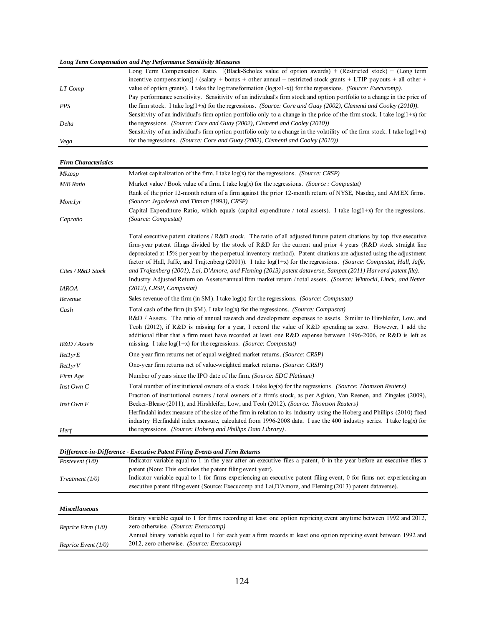#### *Long Term Compensation and Pay Performance Sensitivity Measures*

|            | Long Term Compensation Ratio. [(Black-Scholes value of option awards) + (Restricted stock) + (Long term                      |
|------------|------------------------------------------------------------------------------------------------------------------------------|
|            | incentive compensation) / (salary + bonus + other annual + restricted stock grants + LTIP payouts + all other +              |
| LT Comp    | value of option grants). I take the log transformation $(log(x/1-x))$ for the regressions. <i>(Source: Execucomp)</i> .      |
|            | Pay performance sensitivity. Sensitivity of an individual's firm stock and option portfolio to a change in the price of      |
| <b>PPS</b> | the firm stock. I take $log(1+x)$ for the regressions. (Source: Core and Guay (2002), Clementi and Cooley (2010)).           |
|            | Sensitivity of an individual's firm option portfolio only to a change in the price of the firm stock. I take $log(1+x)$ for  |
| Delta      | the regressions. (Source: Core and Guay (2002), Clementi and Cooley (2010))                                                  |
|            | Sensitivity of an individual's firm option portfolio only to a change in the volatility of the firm stock. I take $log(1+x)$ |
| Vega       | for the regressions. (Source: Core and Guay (2002), Clementi and Cooley (2010))                                              |
|            |                                                                                                                              |

*Firm Characteristics*

| <b>Mktcap</b>     | Market capitalization of the firm. I take $log(x)$ for the regressions. <i>(Source: CRSP)</i>                                                                                                                                       |  |  |
|-------------------|-------------------------------------------------------------------------------------------------------------------------------------------------------------------------------------------------------------------------------------|--|--|
| <b>M/B</b> Ratio  | Market value / Book value of a firm. I take $log(x)$ for the regressions. (Source: Compustat)                                                                                                                                       |  |  |
|                   | Rank of the prior 12-month return of a firm against the prior 12-month return of NYSE, Nasdag, and AMEX firms.                                                                                                                      |  |  |
| Momlyr            | (Source: Jegadeesh and Titman (1993), CRSP)                                                                                                                                                                                         |  |  |
|                   | Capital Expenditure Ratio, which equals (capital expenditure / total assets). I take $log(1+x)$ for the regressions.                                                                                                                |  |  |
| Capratio          | (Source: Compustat)                                                                                                                                                                                                                 |  |  |
|                   | Total executive patent citations / R&D stock. The ratio of all adjusted future patent citations by top five executive                                                                                                               |  |  |
|                   | firm-year patent filings divided by the stock of R&D for the current and prior 4 years (R&D stock straight line                                                                                                                     |  |  |
|                   | depreciated at 15% per year by the perpetual inventory method). Patent citations are adjusted using the adjustment                                                                                                                  |  |  |
|                   | factor of Hall, Jaffe, and Trajtenberg (2001)). I take $log(1+x)$ for the regressions. (Source: Compustat, Hall, Jaffe,                                                                                                             |  |  |
| Cites / R&D Stock | and Trajtenberg (2001), Lai, D'Amore, and Fleming (2013) patent dataverse, Sampat (2011) Harvard patent file).<br>Industry Adjusted Return on Assets=annual firm market return / total assets. (Source: Wintocki, Linck, and Netter |  |  |
| <b>IAROA</b>      | (2012), CRSP, Compustat)                                                                                                                                                                                                            |  |  |
| Revenue           | Sales revenue of the firm (in $M$ ). I take $log(x)$ for the regressions. (Source: Compustat)                                                                                                                                       |  |  |
|                   | Total cash of the firm (in \$M). I take log(x) for the regressions. (Source: Compustat)                                                                                                                                             |  |  |
| Cash              | R&D / Assets. The ratio of annual research and development expenses to assets. Similar to Hirshleifer, Low, and                                                                                                                     |  |  |
|                   | Teoh (2012), if R&D is missing for a year, I record the value of R&D spending as zero. However, I add the                                                                                                                           |  |  |
|                   | additional filter that a firm must have recorded at least one R&D expense between 1996-2006, or R&D is left as                                                                                                                      |  |  |
| R&D / Assets      | missing. I take $log(1+x)$ for the regressions. (Source: Compustat)                                                                                                                                                                 |  |  |
| Ret1yrE           | One-year firm returns net of equal-weighted market returns. (Source: CRSP)                                                                                                                                                          |  |  |
| Ret1yrV           | One-year firm returns net of value-weighted market returns. (Source: CRSP)                                                                                                                                                          |  |  |
| Firm Age          | Number of years since the IPO date of the firm. (Source: SDC Platinum)                                                                                                                                                              |  |  |
| $Inst$ Own $C$    | Total number of institutional owners of a stock. I take log(x) for the regressions. (Source: Thomson Reuters)                                                                                                                       |  |  |
|                   | Fraction of institutional owners / total owners of a firm's stock, as per Aghion, Van Reenen, and Zingales (2009),                                                                                                                  |  |  |
| $Inst\, Own\, F$  | Becker-Blease (2011), and Hirshleifer, Low, and Teoh (2012). (Source: Thomson Reuters)                                                                                                                                              |  |  |
|                   | Herfindahl index measure of the size of the firm in relation to its industry using the Hoberg and Phillips (2010) fixed                                                                                                             |  |  |
|                   | industry Herfindahl index measure, calculated from 1996-2008 data. I use the 400 industry series. I take log(x) for                                                                                                                 |  |  |
| Herf              | the regressions. (Source: Hoberg and Phillips Data Library).                                                                                                                                                                        |  |  |

|                   | Difference-in-Difference - Executive Patent Filing Events and Firm Returns                                             |
|-------------------|------------------------------------------------------------------------------------------------------------------------|
| Postevent $(1/0)$ | Indicator variable equal to 1 in the year after an executive files a patent, 0 in the year before an executive files a |
|                   | patent (Note: This excludes the patent filing event year).                                                             |
| Treatment (1/0)   | Indicator variable equal to 1 for firms experiencing an executive patent filing event, 0 for firms not experiencing an |
|                   | executive patent filing event (Source: Execucomp and Lai, D'Amore, and Fleming (2013) patent dataverse).               |

| <b>Miscellaneous</b>  |                                                                                                                     |
|-----------------------|---------------------------------------------------------------------------------------------------------------------|
|                       | Binary variable equal to 1 for firms recording at least one option repricing event anytime between 1992 and 2012,   |
| Reprice Firm $(1/0)$  | zero otherwise. <i>(Source: Execucomp)</i>                                                                          |
|                       | Annual binary variable equal to 1 for each year a firm records at least one option repricing event between 1992 and |
| Reprice Event $(1/0)$ | 2012, zero otherwise. <i>(Source: Execucomp)</i>                                                                    |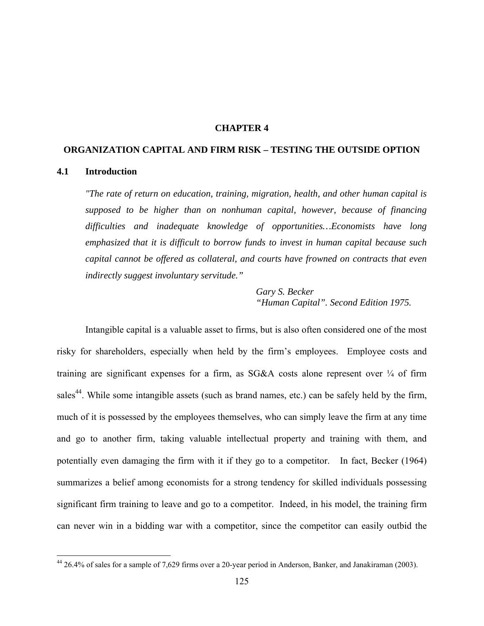#### **CHAPTER 4**

### **ORGANIZATION CAPITAL AND FIRM RISK – TESTING THE OUTSIDE OPTION**

#### **4.1 Introduction**

 $\overline{a}$ 

*"The rate of return on education, training, migration, health, and other human capital is supposed to be higher than on nonhuman capital, however, because of financing difficulties and inadequate knowledge of opportunities…Economists have long emphasized that it is difficult to borrow funds to invest in human capital because such capital cannot be offered as collateral, and courts have frowned on contracts that even indirectly suggest involuntary servitude."* 

> *Gary S. Becker "Human Capital". Second Edition 1975.*

Intangible capital is a valuable asset to firms, but is also often considered one of the most risky for shareholders, especially when held by the firm's employees. Employee costs and training are significant expenses for a firm, as  $SG&A$  costs alone represent over  $\frac{1}{4}$  of firm sales<sup>44</sup>. While some intangible assets (such as brand names, etc.) can be safely held by the firm, much of it is possessed by the employees themselves, who can simply leave the firm at any time and go to another firm, taking valuable intellectual property and training with them, and potentially even damaging the firm with it if they go to a competitor. In fact, Becker (1964) summarizes a belief among economists for a strong tendency for skilled individuals possessing significant firm training to leave and go to a competitor. Indeed, in his model, the training firm can never win in a bidding war with a competitor, since the competitor can easily outbid the

<sup>&</sup>lt;sup>44</sup> 26.4% of sales for a sample of 7,629 firms over a 20-year period in Anderson, Banker, and Janakiraman (2003).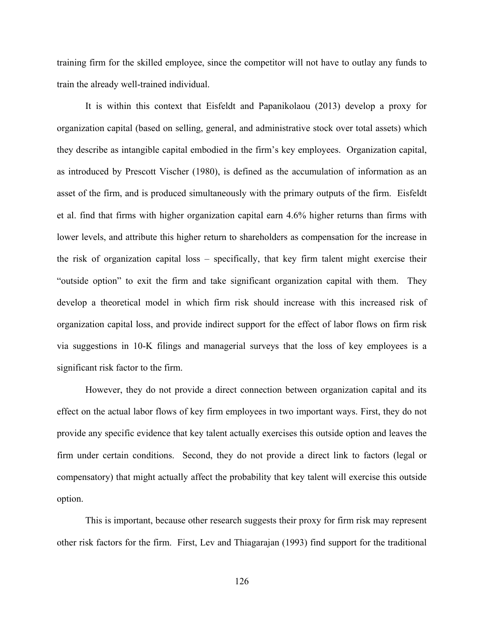training firm for the skilled employee, since the competitor will not have to outlay any funds to train the already well-trained individual.

It is within this context that Eisfeldt and Papanikolaou (2013) develop a proxy for organization capital (based on selling, general, and administrative stock over total assets) which they describe as intangible capital embodied in the firm's key employees. Organization capital, as introduced by Prescott Vischer (1980), is defined as the accumulation of information as an asset of the firm, and is produced simultaneously with the primary outputs of the firm. Eisfeldt et al. find that firms with higher organization capital earn 4.6% higher returns than firms with lower levels, and attribute this higher return to shareholders as compensation for the increase in the risk of organization capital loss – specifically, that key firm talent might exercise their "outside option" to exit the firm and take significant organization capital with them. They develop a theoretical model in which firm risk should increase with this increased risk of organization capital loss, and provide indirect support for the effect of labor flows on firm risk via suggestions in 10-K filings and managerial surveys that the loss of key employees is a significant risk factor to the firm.

However, they do not provide a direct connection between organization capital and its effect on the actual labor flows of key firm employees in two important ways. First, they do not provide any specific evidence that key talent actually exercises this outside option and leaves the firm under certain conditions. Second, they do not provide a direct link to factors (legal or compensatory) that might actually affect the probability that key talent will exercise this outside option.

This is important, because other research suggests their proxy for firm risk may represent other risk factors for the firm. First, Lev and Thiagarajan (1993) find support for the traditional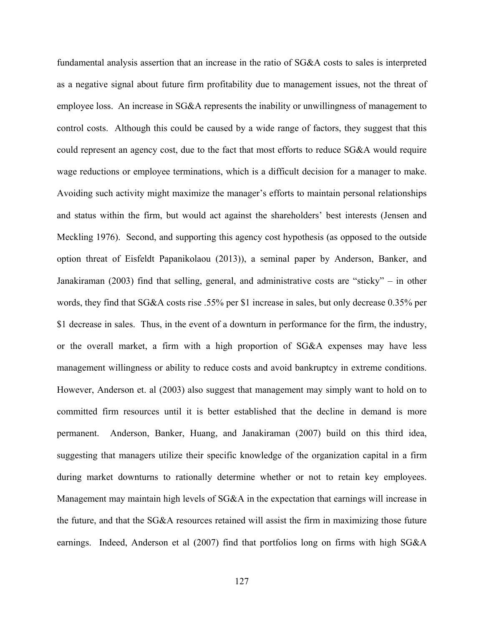fundamental analysis assertion that an increase in the ratio of SG&A costs to sales is interpreted as a negative signal about future firm profitability due to management issues, not the threat of employee loss. An increase in SG&A represents the inability or unwillingness of management to control costs. Although this could be caused by a wide range of factors, they suggest that this could represent an agency cost, due to the fact that most efforts to reduce SG&A would require wage reductions or employee terminations, which is a difficult decision for a manager to make. Avoiding such activity might maximize the manager's efforts to maintain personal relationships and status within the firm, but would act against the shareholders' best interests (Jensen and Meckling 1976). Second, and supporting this agency cost hypothesis (as opposed to the outside option threat of Eisfeldt Papanikolaou (2013)), a seminal paper by Anderson, Banker, and Janakiraman (2003) find that selling, general, and administrative costs are "sticky" – in other words, they find that SG&A costs rise .55% per \$1 increase in sales, but only decrease 0.35% per \$1 decrease in sales. Thus, in the event of a downturn in performance for the firm, the industry, or the overall market, a firm with a high proportion of SG&A expenses may have less management willingness or ability to reduce costs and avoid bankruptcy in extreme conditions. However, Anderson et. al (2003) also suggest that management may simply want to hold on to committed firm resources until it is better established that the decline in demand is more permanent. Anderson, Banker, Huang, and Janakiraman (2007) build on this third idea, suggesting that managers utilize their specific knowledge of the organization capital in a firm during market downturns to rationally determine whether or not to retain key employees. Management may maintain high levels of SG&A in the expectation that earnings will increase in the future, and that the SG&A resources retained will assist the firm in maximizing those future earnings. Indeed, Anderson et al (2007) find that portfolios long on firms with high SG&A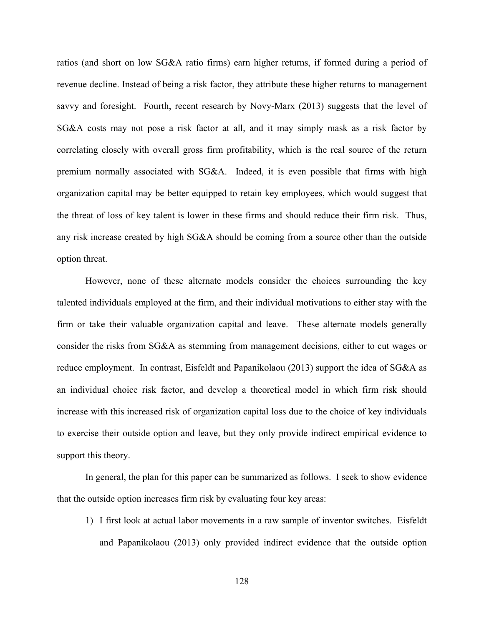ratios (and short on low SG&A ratio firms) earn higher returns, if formed during a period of revenue decline. Instead of being a risk factor, they attribute these higher returns to management savvy and foresight. Fourth, recent research by Novy-Marx (2013) suggests that the level of SG&A costs may not pose a risk factor at all, and it may simply mask as a risk factor by correlating closely with overall gross firm profitability, which is the real source of the return premium normally associated with SG&A. Indeed, it is even possible that firms with high organization capital may be better equipped to retain key employees, which would suggest that the threat of loss of key talent is lower in these firms and should reduce their firm risk. Thus, any risk increase created by high SG&A should be coming from a source other than the outside option threat.

However, none of these alternate models consider the choices surrounding the key talented individuals employed at the firm, and their individual motivations to either stay with the firm or take their valuable organization capital and leave. These alternate models generally consider the risks from SG&A as stemming from management decisions, either to cut wages or reduce employment. In contrast, Eisfeldt and Papanikolaou (2013) support the idea of SG&A as an individual choice risk factor, and develop a theoretical model in which firm risk should increase with this increased risk of organization capital loss due to the choice of key individuals to exercise their outside option and leave, but they only provide indirect empirical evidence to support this theory.

In general, the plan for this paper can be summarized as follows. I seek to show evidence that the outside option increases firm risk by evaluating four key areas:

1) I first look at actual labor movements in a raw sample of inventor switches. Eisfeldt and Papanikolaou (2013) only provided indirect evidence that the outside option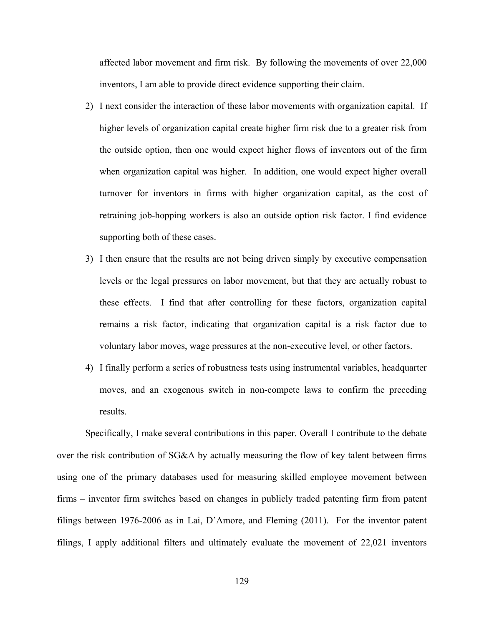affected labor movement and firm risk. By following the movements of over 22,000 inventors, I am able to provide direct evidence supporting their claim.

- 2) I next consider the interaction of these labor movements with organization capital. If higher levels of organization capital create higher firm risk due to a greater risk from the outside option, then one would expect higher flows of inventors out of the firm when organization capital was higher. In addition, one would expect higher overall turnover for inventors in firms with higher organization capital, as the cost of retraining job-hopping workers is also an outside option risk factor. I find evidence supporting both of these cases.
- 3) I then ensure that the results are not being driven simply by executive compensation levels or the legal pressures on labor movement, but that they are actually robust to these effects. I find that after controlling for these factors, organization capital remains a risk factor, indicating that organization capital is a risk factor due to voluntary labor moves, wage pressures at the non-executive level, or other factors.
- 4) I finally perform a series of robustness tests using instrumental variables, headquarter moves, and an exogenous switch in non-compete laws to confirm the preceding results.

Specifically, I make several contributions in this paper. Overall I contribute to the debate over the risk contribution of SG&A by actually measuring the flow of key talent between firms using one of the primary databases used for measuring skilled employee movement between firms – inventor firm switches based on changes in publicly traded patenting firm from patent filings between 1976-2006 as in Lai, D'Amore, and Fleming (2011). For the inventor patent filings, I apply additional filters and ultimately evaluate the movement of 22,021 inventors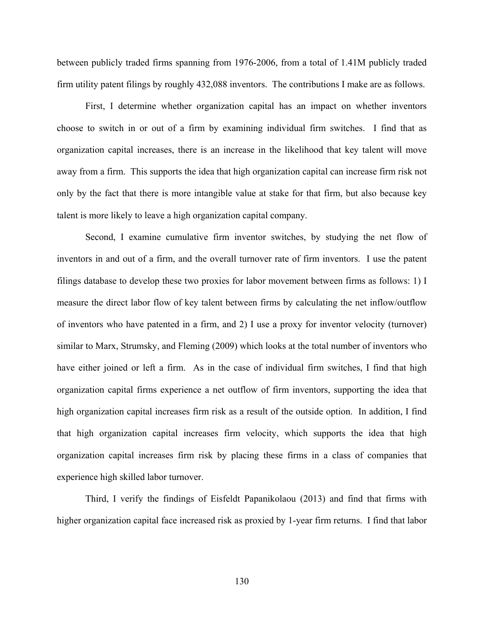between publicly traded firms spanning from 1976-2006, from a total of 1.41M publicly traded firm utility patent filings by roughly 432,088 inventors. The contributions I make are as follows.

First, I determine whether organization capital has an impact on whether inventors choose to switch in or out of a firm by examining individual firm switches. I find that as organization capital increases, there is an increase in the likelihood that key talent will move away from a firm. This supports the idea that high organization capital can increase firm risk not only by the fact that there is more intangible value at stake for that firm, but also because key talent is more likely to leave a high organization capital company.

Second, I examine cumulative firm inventor switches, by studying the net flow of inventors in and out of a firm, and the overall turnover rate of firm inventors. I use the patent filings database to develop these two proxies for labor movement between firms as follows: 1) I measure the direct labor flow of key talent between firms by calculating the net inflow/outflow of inventors who have patented in a firm, and 2) I use a proxy for inventor velocity (turnover) similar to Marx, Strumsky, and Fleming (2009) which looks at the total number of inventors who have either joined or left a firm. As in the case of individual firm switches, I find that high organization capital firms experience a net outflow of firm inventors, supporting the idea that high organization capital increases firm risk as a result of the outside option. In addition, I find that high organization capital increases firm velocity, which supports the idea that high organization capital increases firm risk by placing these firms in a class of companies that experience high skilled labor turnover.

Third, I verify the findings of Eisfeldt Papanikolaou (2013) and find that firms with higher organization capital face increased risk as proxied by 1-year firm returns. I find that labor

130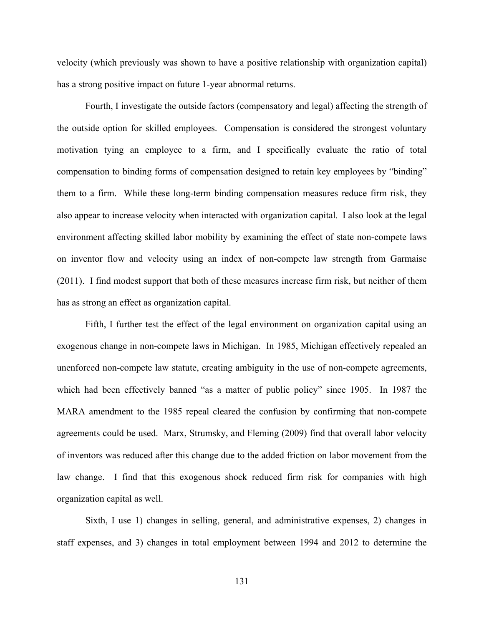velocity (which previously was shown to have a positive relationship with organization capital) has a strong positive impact on future 1-year abnormal returns.

Fourth, I investigate the outside factors (compensatory and legal) affecting the strength of the outside option for skilled employees. Compensation is considered the strongest voluntary motivation tying an employee to a firm, and I specifically evaluate the ratio of total compensation to binding forms of compensation designed to retain key employees by "binding" them to a firm. While these long-term binding compensation measures reduce firm risk, they also appear to increase velocity when interacted with organization capital. I also look at the legal environment affecting skilled labor mobility by examining the effect of state non-compete laws on inventor flow and velocity using an index of non-compete law strength from Garmaise (2011). I find modest support that both of these measures increase firm risk, but neither of them has as strong an effect as organization capital.

Fifth, I further test the effect of the legal environment on organization capital using an exogenous change in non-compete laws in Michigan. In 1985, Michigan effectively repealed an unenforced non-compete law statute, creating ambiguity in the use of non-compete agreements, which had been effectively banned "as a matter of public policy" since 1905. In 1987 the MARA amendment to the 1985 repeal cleared the confusion by confirming that non-compete agreements could be used. Marx, Strumsky, and Fleming (2009) find that overall labor velocity of inventors was reduced after this change due to the added friction on labor movement from the law change. I find that this exogenous shock reduced firm risk for companies with high organization capital as well.

Sixth, I use 1) changes in selling, general, and administrative expenses, 2) changes in staff expenses, and 3) changes in total employment between 1994 and 2012 to determine the

131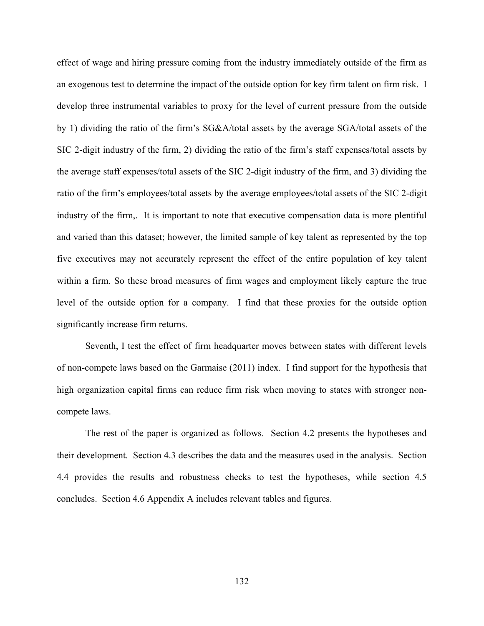effect of wage and hiring pressure coming from the industry immediately outside of the firm as an exogenous test to determine the impact of the outside option for key firm talent on firm risk. I develop three instrumental variables to proxy for the level of current pressure from the outside by 1) dividing the ratio of the firm's SG&A/total assets by the average SGA/total assets of the SIC 2-digit industry of the firm, 2) dividing the ratio of the firm's staff expenses/total assets by the average staff expenses/total assets of the SIC 2-digit industry of the firm, and 3) dividing the ratio of the firm's employees/total assets by the average employees/total assets of the SIC 2-digit industry of the firm,. It is important to note that executive compensation data is more plentiful and varied than this dataset; however, the limited sample of key talent as represented by the top five executives may not accurately represent the effect of the entire population of key talent within a firm. So these broad measures of firm wages and employment likely capture the true level of the outside option for a company. I find that these proxies for the outside option significantly increase firm returns.

Seventh, I test the effect of firm headquarter moves between states with different levels of non-compete laws based on the Garmaise (2011) index. I find support for the hypothesis that high organization capital firms can reduce firm risk when moving to states with stronger noncompete laws.

The rest of the paper is organized as follows. Section 4.2 presents the hypotheses and their development. Section 4.3 describes the data and the measures used in the analysis. Section 4.4 provides the results and robustness checks to test the hypotheses, while section 4.5 concludes. Section 4.6 Appendix A includes relevant tables and figures.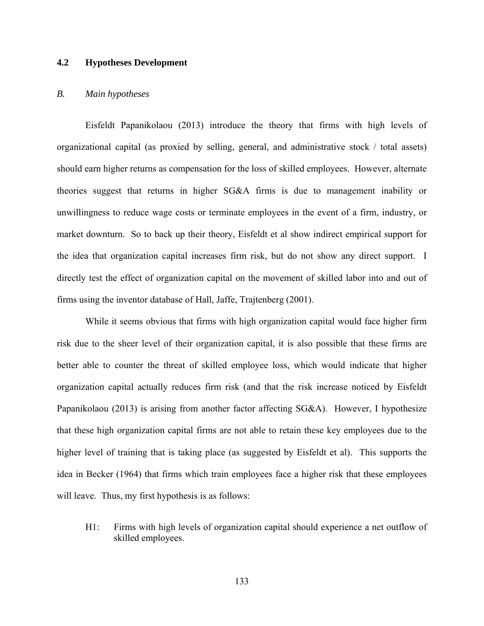# **4.2 Hypotheses Development**

### *B. Main hypotheses*

Eisfeldt Papanikolaou (2013) introduce the theory that firms with high levels of organizational capital (as proxied by selling, general, and administrative stock / total assets) should earn higher returns as compensation for the loss of skilled employees. However, alternate theories suggest that returns in higher SG&A firms is due to management inability or unwillingness to reduce wage costs or terminate employees in the event of a firm, industry, or market downturn. So to back up their theory, Eisfeldt et al show indirect empirical support for the idea that organization capital increases firm risk, but do not show any direct support. I directly test the effect of organization capital on the movement of skilled labor into and out of firms using the inventor database of Hall, Jaffe, Trajtenberg (2001).

While it seems obvious that firms with high organization capital would face higher firm risk due to the sheer level of their organization capital, it is also possible that these firms are better able to counter the threat of skilled employee loss, which would indicate that higher organization capital actually reduces firm risk (and that the risk increase noticed by Eisfeldt Papanikolaou (2013) is arising from another factor affecting SG&A). However, I hypothesize that these high organization capital firms are not able to retain these key employees due to the higher level of training that is taking place (as suggested by Eisfeldt et al). This supports the idea in Becker (1964) that firms which train employees face a higher risk that these employees will leave. Thus, my first hypothesis is as follows:

H1: Firms with high levels of organization capital should experience a net outflow of skilled employees.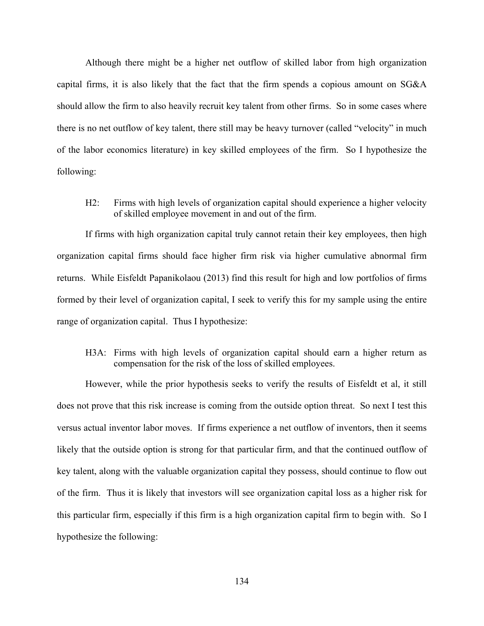Although there might be a higher net outflow of skilled labor from high organization capital firms, it is also likely that the fact that the firm spends a copious amount on SG&A should allow the firm to also heavily recruit key talent from other firms. So in some cases where there is no net outflow of key talent, there still may be heavy turnover (called "velocity" in much of the labor economics literature) in key skilled employees of the firm. So I hypothesize the following:

H2: Firms with high levels of organization capital should experience a higher velocity of skilled employee movement in and out of the firm.

If firms with high organization capital truly cannot retain their key employees, then high organization capital firms should face higher firm risk via higher cumulative abnormal firm returns. While Eisfeldt Papanikolaou (2013) find this result for high and low portfolios of firms formed by their level of organization capital, I seek to verify this for my sample using the entire range of organization capital. Thus I hypothesize:

H3A: Firms with high levels of organization capital should earn a higher return as compensation for the risk of the loss of skilled employees.

However, while the prior hypothesis seeks to verify the results of Eisfeldt et al, it still does not prove that this risk increase is coming from the outside option threat. So next I test this versus actual inventor labor moves. If firms experience a net outflow of inventors, then it seems likely that the outside option is strong for that particular firm, and that the continued outflow of key talent, along with the valuable organization capital they possess, should continue to flow out of the firm. Thus it is likely that investors will see organization capital loss as a higher risk for this particular firm, especially if this firm is a high organization capital firm to begin with. So I hypothesize the following: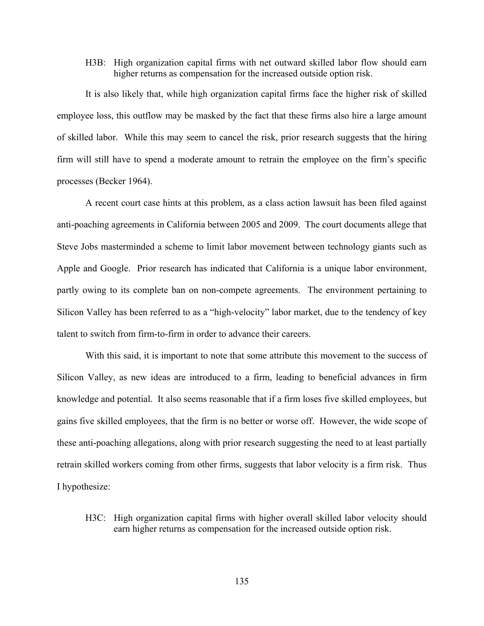H3B: High organization capital firms with net outward skilled labor flow should earn higher returns as compensation for the increased outside option risk.

It is also likely that, while high organization capital firms face the higher risk of skilled employee loss, this outflow may be masked by the fact that these firms also hire a large amount of skilled labor. While this may seem to cancel the risk, prior research suggests that the hiring firm will still have to spend a moderate amount to retrain the employee on the firm's specific processes (Becker 1964).

A recent court case hints at this problem, as a class action lawsuit has been filed against anti-poaching agreements in California between 2005 and 2009. The court documents allege that Steve Jobs masterminded a scheme to limit labor movement between technology giants such as Apple and Google. Prior research has indicated that California is a unique labor environment, partly owing to its complete ban on non-compete agreements. The environment pertaining to Silicon Valley has been referred to as a "high-velocity" labor market, due to the tendency of key talent to switch from firm-to-firm in order to advance their careers.

With this said, it is important to note that some attribute this movement to the success of Silicon Valley, as new ideas are introduced to a firm, leading to beneficial advances in firm knowledge and potential. It also seems reasonable that if a firm loses five skilled employees, but gains five skilled employees, that the firm is no better or worse off. However, the wide scope of these anti-poaching allegations, along with prior research suggesting the need to at least partially retrain skilled workers coming from other firms, suggests that labor velocity is a firm risk. Thus I hypothesize:

H3C: High organization capital firms with higher overall skilled labor velocity should earn higher returns as compensation for the increased outside option risk.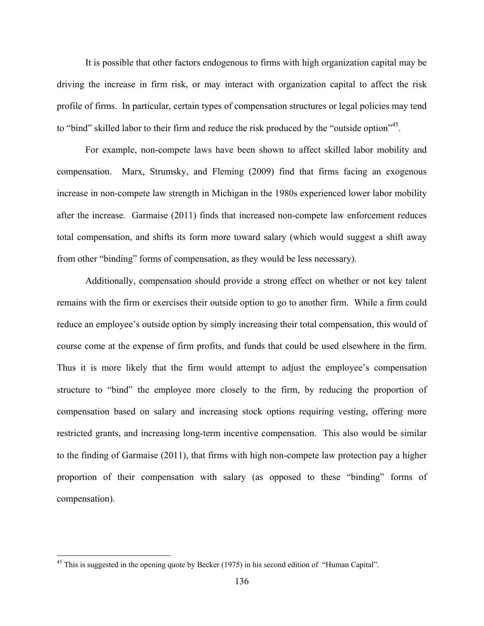It is possible that other factors endogenous to firms with high organization capital may be driving the increase in firm risk, or may interact with organization capital to affect the risk profile of firms. In particular, certain types of compensation structures or legal policies may tend to "bind" skilled labor to their firm and reduce the risk produced by the "outside option"<sup>45</sup>.

For example, non-compete laws have been shown to affect skilled labor mobility and compensation. Marx, Strumsky, and Fleming (2009) find that firms facing an exogenous increase in non-compete law strength in Michigan in the 1980s experienced lower labor mobility after the increase. Garmaise (2011) finds that increased non-compete law enforcement reduces total compensation, and shifts its form more toward salary (which would suggest a shift away from other "binding" forms of compensation, as they would be less necessary).

Additionally, compensation should provide a strong effect on whether or not key talent remains with the firm or exercises their outside option to go to another firm. While a firm could reduce an employee's outside option by simply increasing their total compensation, this would of course come at the expense of firm profits, and funds that could be used elsewhere in the firm. Thus it is more likely that the firm would attempt to adjust the employee's compensation structure to "bind" the employee more closely to the firm, by reducing the proportion of compensation based on salary and increasing stock options requiring vesting, offering more restricted grants, and increasing long-term incentive compensation. This also would be similar to the finding of Garmaise (2011), that firms with high non-compete law protection pay a higher proportion of their compensation with salary (as opposed to these "binding" forms of compensation).

<u>.</u>

<sup>&</sup>lt;sup>45</sup> This is suggested in the opening quote by Becker (1975) in his second edition of "Human Capital".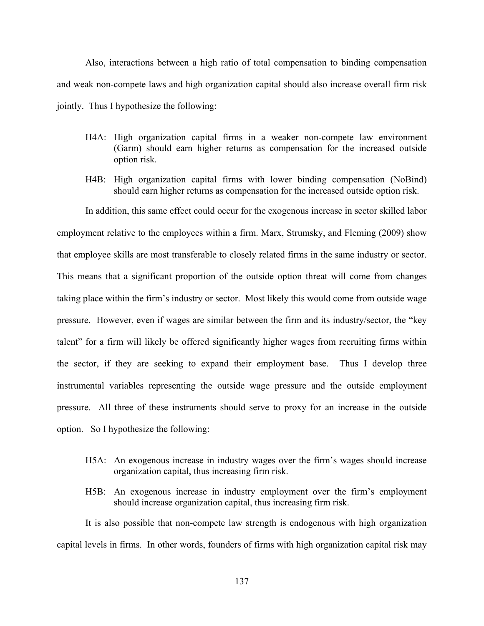Also, interactions between a high ratio of total compensation to binding compensation and weak non-compete laws and high organization capital should also increase overall firm risk jointly. Thus I hypothesize the following:

- H4A: High organization capital firms in a weaker non-compete law environment (Garm) should earn higher returns as compensation for the increased outside option risk.
- H4B: High organization capital firms with lower binding compensation (NoBind) should earn higher returns as compensation for the increased outside option risk.

In addition, this same effect could occur for the exogenous increase in sector skilled labor employment relative to the employees within a firm. Marx, Strumsky, and Fleming (2009) show that employee skills are most transferable to closely related firms in the same industry or sector. This means that a significant proportion of the outside option threat will come from changes taking place within the firm's industry or sector. Most likely this would come from outside wage pressure. However, even if wages are similar between the firm and its industry/sector, the "key talent" for a firm will likely be offered significantly higher wages from recruiting firms within the sector, if they are seeking to expand their employment base. Thus I develop three instrumental variables representing the outside wage pressure and the outside employment pressure. All three of these instruments should serve to proxy for an increase in the outside option. So I hypothesize the following:

- H5A: An exogenous increase in industry wages over the firm's wages should increase organization capital, thus increasing firm risk.
- H5B: An exogenous increase in industry employment over the firm's employment should increase organization capital, thus increasing firm risk.

It is also possible that non-compete law strength is endogenous with high organization capital levels in firms. In other words, founders of firms with high organization capital risk may

137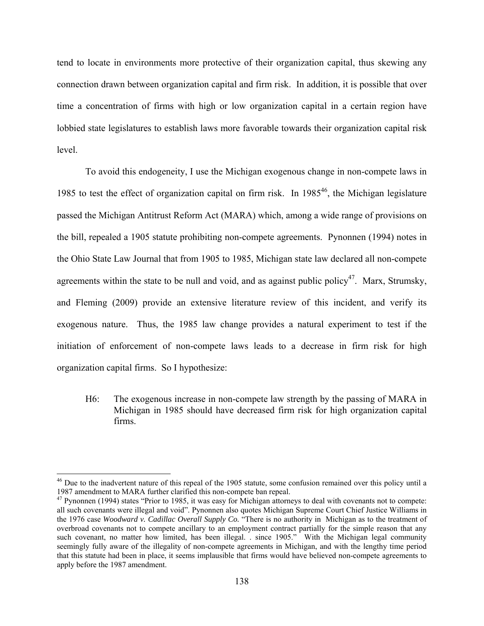tend to locate in environments more protective of their organization capital, thus skewing any connection drawn between organization capital and firm risk. In addition, it is possible that over time a concentration of firms with high or low organization capital in a certain region have lobbied state legislatures to establish laws more favorable towards their organization capital risk level.

To avoid this endogeneity, I use the Michigan exogenous change in non-compete laws in 1985 to test the effect of organization capital on firm risk. In  $1985^{46}$ , the Michigan legislature passed the Michigan Antitrust Reform Act (MARA) which, among a wide range of provisions on the bill, repealed a 1905 statute prohibiting non-compete agreements. Pynonnen (1994) notes in the Ohio State Law Journal that from 1905 to 1985, Michigan state law declared all non-compete agreements within the state to be null and void, and as against public policy<sup>47</sup>. Marx, Strumsky, and Fleming (2009) provide an extensive literature review of this incident, and verify its exogenous nature. Thus, the 1985 law change provides a natural experiment to test if the initiation of enforcement of non-compete laws leads to a decrease in firm risk for high organization capital firms. So I hypothesize:

H6: The exogenous increase in non-compete law strength by the passing of MARA in Michigan in 1985 should have decreased firm risk for high organization capital firms.

 $46$  Due to the inadvertent nature of this repeal of the 1905 statute, some confusion remained over this policy until a 1987 amendment to MARA further clarified this non-compete ban repeal.

 $47$  Pynonnen (1994) states "Prior to 1985, it was easy for Michigan attorneys to deal with covenants not to compete: all such covenants were illegal and void". Pynonnen also quotes Michigan Supreme Court Chief Justice Williams in the 1976 case *Woodward v. Cadillac Overall Supply Co.* "There is no authority in Michigan as to the treatment of overbroad covenants not to compete ancillary to an employment contract partially for the simple reason that any such covenant, no matter how limited, has been illegal. . since 1905." With the Michigan legal community seemingly fully aware of the illegality of non-compete agreements in Michigan, and with the lengthy time period that this statute had been in place, it seems implausible that firms would have believed non-compete agreements to apply before the 1987 amendment.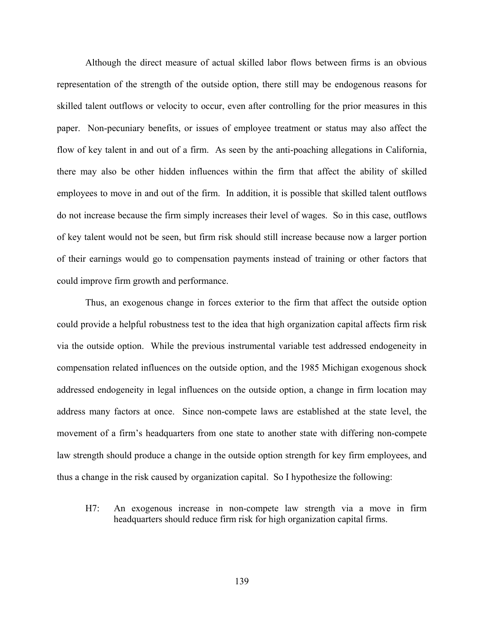Although the direct measure of actual skilled labor flows between firms is an obvious representation of the strength of the outside option, there still may be endogenous reasons for skilled talent outflows or velocity to occur, even after controlling for the prior measures in this paper. Non-pecuniary benefits, or issues of employee treatment or status may also affect the flow of key talent in and out of a firm. As seen by the anti-poaching allegations in California, there may also be other hidden influences within the firm that affect the ability of skilled employees to move in and out of the firm. In addition, it is possible that skilled talent outflows do not increase because the firm simply increases their level of wages. So in this case, outflows of key talent would not be seen, but firm risk should still increase because now a larger portion of their earnings would go to compensation payments instead of training or other factors that could improve firm growth and performance.

Thus, an exogenous change in forces exterior to the firm that affect the outside option could provide a helpful robustness test to the idea that high organization capital affects firm risk via the outside option. While the previous instrumental variable test addressed endogeneity in compensation related influences on the outside option, and the 1985 Michigan exogenous shock addressed endogeneity in legal influences on the outside option, a change in firm location may address many factors at once. Since non-compete laws are established at the state level, the movement of a firm's headquarters from one state to another state with differing non-compete law strength should produce a change in the outside option strength for key firm employees, and thus a change in the risk caused by organization capital. So I hypothesize the following:

H7: An exogenous increase in non-compete law strength via a move in firm headquarters should reduce firm risk for high organization capital firms.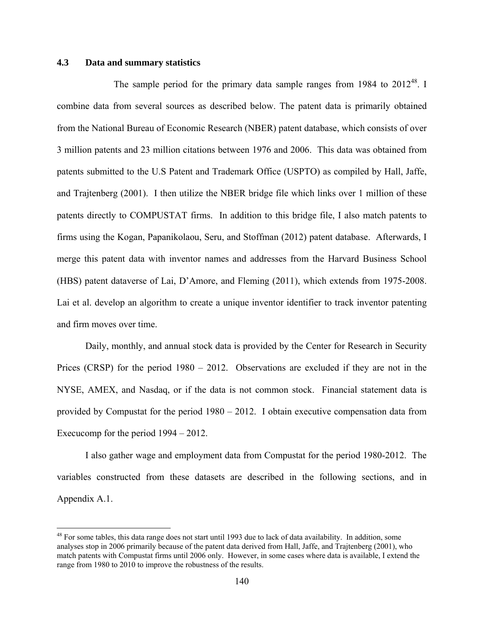# **4.3 Data and summary statistics**

<u>.</u>

The sample period for the primary data sample ranges from  $1984$  to  $2012^{48}$ . I combine data from several sources as described below. The patent data is primarily obtained from the National Bureau of Economic Research (NBER) patent database, which consists of over 3 million patents and 23 million citations between 1976 and 2006. This data was obtained from patents submitted to the U.S Patent and Trademark Office (USPTO) as compiled by Hall, Jaffe, and Trajtenberg (2001). I then utilize the NBER bridge file which links over 1 million of these patents directly to COMPUSTAT firms. In addition to this bridge file, I also match patents to firms using the Kogan, Papanikolaou, Seru, and Stoffman (2012) patent database. Afterwards, I merge this patent data with inventor names and addresses from the Harvard Business School (HBS) patent dataverse of Lai, D'Amore, and Fleming (2011), which extends from 1975-2008. Lai et al. develop an algorithm to create a unique inventor identifier to track inventor patenting and firm moves over time.

Daily, monthly, and annual stock data is provided by the Center for Research in Security Prices (CRSP) for the period 1980 – 2012. Observations are excluded if they are not in the NYSE, AMEX, and Nasdaq, or if the data is not common stock. Financial statement data is provided by Compustat for the period 1980 – 2012. I obtain executive compensation data from Execucomp for the period 1994 – 2012.

 I also gather wage and employment data from Compustat for the period 1980-2012. The variables constructed from these datasets are described in the following sections, and in Appendix A.1.

<sup>&</sup>lt;sup>48</sup> For some tables, this data range does not start until 1993 due to lack of data availability. In addition, some analyses stop in 2006 primarily because of the patent data derived from Hall, Jaffe, and Trajtenberg (2001), who match patents with Compustat firms until 2006 only. However, in some cases where data is available, I extend the range from 1980 to 2010 to improve the robustness of the results.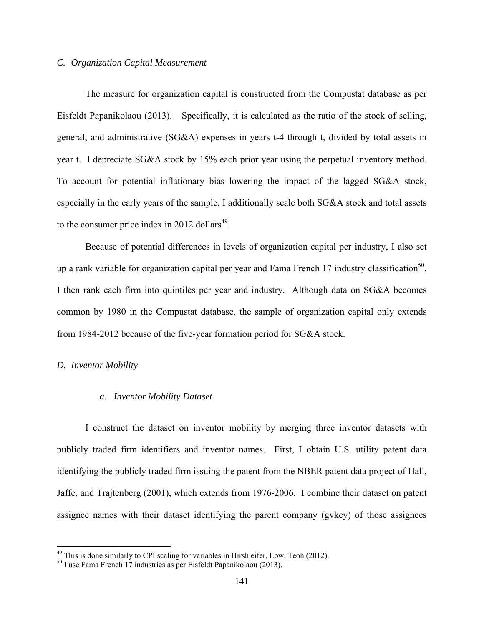# *C. Organization Capital Measurement*

The measure for organization capital is constructed from the Compustat database as per Eisfeldt Papanikolaou (2013). Specifically, it is calculated as the ratio of the stock of selling, general, and administrative (SG&A) expenses in years t-4 through t, divided by total assets in year t. I depreciate SG&A stock by 15% each prior year using the perpetual inventory method. To account for potential inflationary bias lowering the impact of the lagged SG&A stock, especially in the early years of the sample, I additionally scale both SG&A stock and total assets to the consumer price index in 2012 dollars $49$ .

Because of potential differences in levels of organization capital per industry, I also set up a rank variable for organization capital per year and Fama French 17 industry classification<sup>50</sup>. I then rank each firm into quintiles per year and industry. Although data on SG&A becomes common by 1980 in the Compustat database, the sample of organization capital only extends from 1984-2012 because of the five-year formation period for SG&A stock.

### *D. Inventor Mobility*

1

### *a. Inventor Mobility Dataset*

I construct the dataset on inventor mobility by merging three inventor datasets with publicly traded firm identifiers and inventor names. First, I obtain U.S. utility patent data identifying the publicly traded firm issuing the patent from the NBER patent data project of Hall, Jaffe, and Trajtenberg (2001), which extends from 1976-2006. I combine their dataset on patent assignee names with their dataset identifying the parent company (gvkey) of those assignees

<sup>&</sup>lt;sup>49</sup> This is done similarly to CPI scaling for variables in Hirshleifer, Low, Teoh (2012).<br><sup>50</sup> I use Fama French 17 industries as per Eisfeldt Papanikolaou (2013).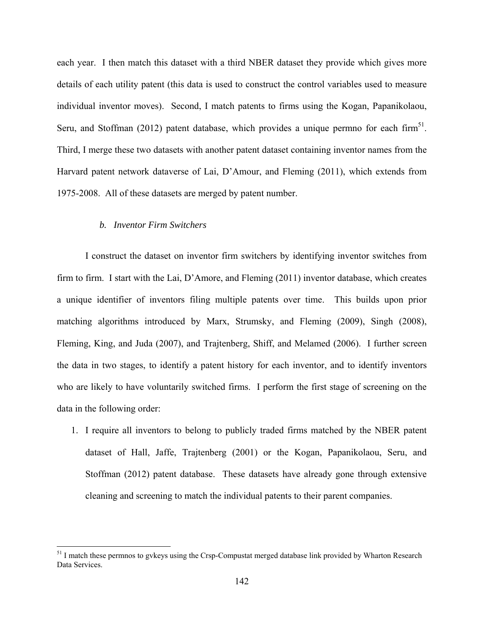each year. I then match this dataset with a third NBER dataset they provide which gives more details of each utility patent (this data is used to construct the control variables used to measure individual inventor moves). Second, I match patents to firms using the Kogan, Papanikolaou, Seru, and Stoffman (2012) patent database, which provides a unique permno for each firm<sup>51</sup>. Third, I merge these two datasets with another patent dataset containing inventor names from the Harvard patent network dataverse of Lai, D'Amour, and Fleming (2011), which extends from 1975-2008. All of these datasets are merged by patent number.

### *b. Inventor Firm Switchers*

1

I construct the dataset on inventor firm switchers by identifying inventor switches from firm to firm. I start with the Lai, D'Amore, and Fleming (2011) inventor database, which creates a unique identifier of inventors filing multiple patents over time. This builds upon prior matching algorithms introduced by Marx, Strumsky, and Fleming (2009), Singh (2008), Fleming, King, and Juda (2007), and Trajtenberg, Shiff, and Melamed (2006). I further screen the data in two stages, to identify a patent history for each inventor, and to identify inventors who are likely to have voluntarily switched firms. I perform the first stage of screening on the data in the following order:

1. I require all inventors to belong to publicly traded firms matched by the NBER patent dataset of Hall, Jaffe, Trajtenberg (2001) or the Kogan, Papanikolaou, Seru, and Stoffman (2012) patent database. These datasets have already gone through extensive cleaning and screening to match the individual patents to their parent companies.

<sup>&</sup>lt;sup>51</sup> I match these permnos to gvkeys using the Crsp-Compustat merged database link provided by Wharton Research Data Services.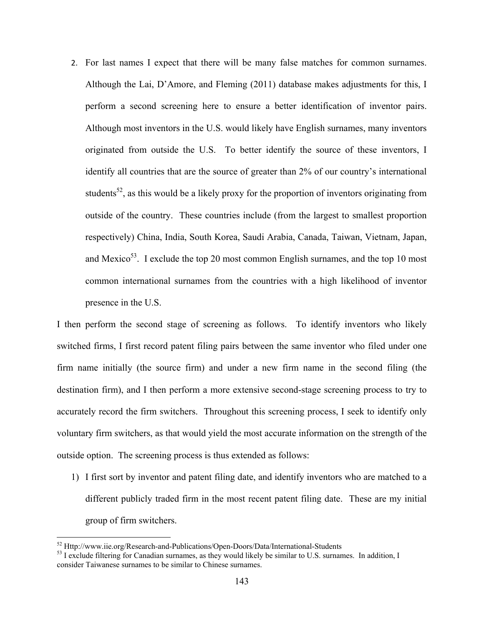2. For last names I expect that there will be many false matches for common surnames. Although the Lai, D'Amore, and Fleming (2011) database makes adjustments for this, I perform a second screening here to ensure a better identification of inventor pairs. Although most inventors in the U.S. would likely have English surnames, many inventors originated from outside the U.S. To better identify the source of these inventors, I identify all countries that are the source of greater than 2% of our country's international students<sup>52</sup>, as this would be a likely proxy for the proportion of inventors originating from outside of the country. These countries include (from the largest to smallest proportion respectively) China, India, South Korea, Saudi Arabia, Canada, Taiwan, Vietnam, Japan, and Mexico<sup>53</sup>. I exclude the top 20 most common English surnames, and the top 10 most common international surnames from the countries with a high likelihood of inventor presence in the U.S.

I then perform the second stage of screening as follows. To identify inventors who likely switched firms, I first record patent filing pairs between the same inventor who filed under one firm name initially (the source firm) and under a new firm name in the second filing (the destination firm), and I then perform a more extensive second-stage screening process to try to accurately record the firm switchers. Throughout this screening process, I seek to identify only voluntary firm switchers, as that would yield the most accurate information on the strength of the outside option. The screening process is thus extended as follows:

1) I first sort by inventor and patent filing date, and identify inventors who are matched to a different publicly traded firm in the most recent patent filing date. These are my initial group of firm switchers.

 $52$  Http://www.iie.org/Research-and-Publications/Open-Doors/Data/International-Students<br> $53$  I exclude filtering for Canadian surnames, as they would likely be similar to U.S. surnames. In addition, I consider Taiwanese surnames to be similar to Chinese surnames.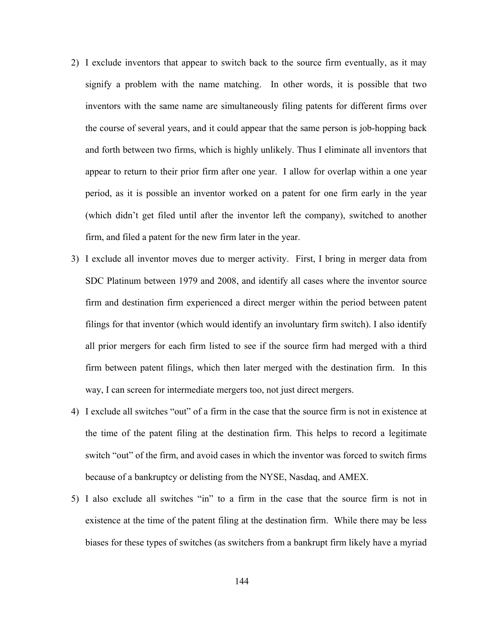- 2) I exclude inventors that appear to switch back to the source firm eventually, as it may signify a problem with the name matching. In other words, it is possible that two inventors with the same name are simultaneously filing patents for different firms over the course of several years, and it could appear that the same person is job-hopping back and forth between two firms, which is highly unlikely. Thus I eliminate all inventors that appear to return to their prior firm after one year. I allow for overlap within a one year period, as it is possible an inventor worked on a patent for one firm early in the year (which didn't get filed until after the inventor left the company), switched to another firm, and filed a patent for the new firm later in the year.
- 3) I exclude all inventor moves due to merger activity. First, I bring in merger data from SDC Platinum between 1979 and 2008, and identify all cases where the inventor source firm and destination firm experienced a direct merger within the period between patent filings for that inventor (which would identify an involuntary firm switch). I also identify all prior mergers for each firm listed to see if the source firm had merged with a third firm between patent filings, which then later merged with the destination firm. In this way, I can screen for intermediate mergers too, not just direct mergers.
- 4) I exclude all switches "out" of a firm in the case that the source firm is not in existence at the time of the patent filing at the destination firm. This helps to record a legitimate switch "out" of the firm, and avoid cases in which the inventor was forced to switch firms because of a bankruptcy or delisting from the NYSE, Nasdaq, and AMEX.
- 5) I also exclude all switches "in" to a firm in the case that the source firm is not in existence at the time of the patent filing at the destination firm. While there may be less biases for these types of switches (as switchers from a bankrupt firm likely have a myriad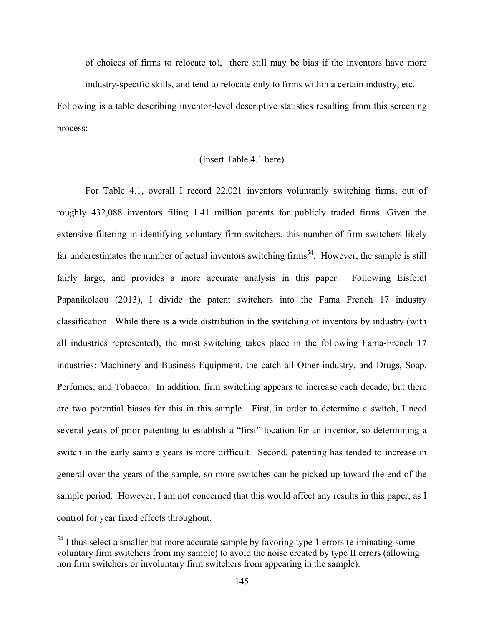of choices of firms to relocate to), there still may be bias if the inventors have more industry-specific skills, and tend to relocate only to firms within a certain industry, etc.

Following is a table describing inventor-level descriptive statistics resulting from this screening process:

# (Insert Table 4.1 here)

For Table 4.1, overall I record 22,021 inventors voluntarily switching firms, out of roughly 432,088 inventors filing 1.41 million patents for publicly traded firms. Given the extensive filtering in identifying voluntary firm switchers, this number of firm switchers likely far underestimates the number of actual inventors switching firms<sup>54</sup>. However, the sample is still fairly large, and provides a more accurate analysis in this paper. Following Eisfeldt Papanikolaou (2013), I divide the patent switchers into the Fama French 17 industry classification. While there is a wide distribution in the switching of inventors by industry (with all industries represented), the most switching takes place in the following Fama-French 17 industries: Machinery and Business Equipment, the catch-all Other industry, and Drugs, Soap, Perfumes, and Tobacco. In addition, firm switching appears to increase each decade, but there are two potential biases for this in this sample. First, in order to determine a switch, I need several years of prior patenting to establish a "first" location for an inventor, so determining a switch in the early sample years is more difficult. Second, patenting has tended to increase in general over the years of the sample, so more switches can be picked up toward the end of the sample period. However, I am not concerned that this would affect any results in this paper, as I control for year fixed effects throughout.

<sup>&</sup>lt;sup>54</sup> I thus select a smaller but more accurate sample by favoring type 1 errors (eliminating some voluntary firm switchers from my sample) to avoid the noise created by type II errors (allowing non firm switchers or involuntary firm switchers from appearing in the sample).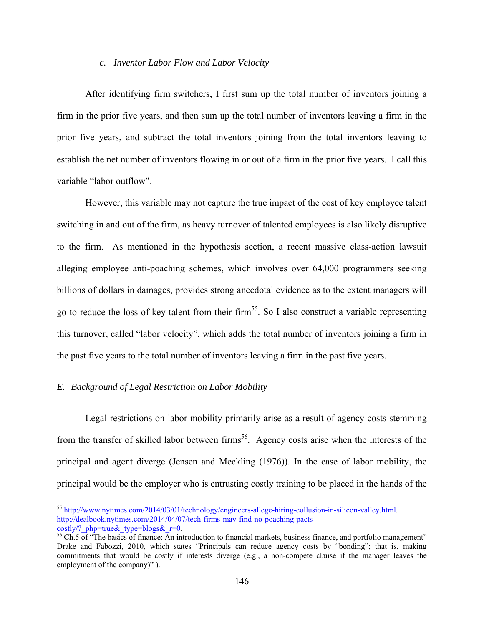# *c. Inventor Labor Flow and Labor Velocity*

After identifying firm switchers, I first sum up the total number of inventors joining a firm in the prior five years, and then sum up the total number of inventors leaving a firm in the prior five years, and subtract the total inventors joining from the total inventors leaving to establish the net number of inventors flowing in or out of a firm in the prior five years. I call this variable "labor outflow".

However, this variable may not capture the true impact of the cost of key employee talent switching in and out of the firm, as heavy turnover of talented employees is also likely disruptive to the firm. As mentioned in the hypothesis section, a recent massive class-action lawsuit alleging employee anti-poaching schemes, which involves over 64,000 programmers seeking billions of dollars in damages, provides strong anecdotal evidence as to the extent managers will go to reduce the loss of key talent from their firm<sup>55</sup>. So I also construct a variable representing this turnover, called "labor velocity", which adds the total number of inventors joining a firm in the past five years to the total number of inventors leaving a firm in the past five years.

# *E. Background of Legal Restriction on Labor Mobility*

<u>.</u>

Legal restrictions on labor mobility primarily arise as a result of agency costs stemming from the transfer of skilled labor between firms<sup>56</sup>. Agency costs arise when the interests of the principal and agent diverge (Jensen and Meckling (1976)). In the case of labor mobility, the principal would be the employer who is entrusting costly training to be placed in the hands of the

<sup>&</sup>lt;sup>55</sup> http://www.nytimes.com/2014/03/01/technology/engineers-allege-hiring-collusion-in-silicon-valley.html. http://dealbook.nytimes.com/2014/04/07/tech-firms-may-find-no-poaching-pacts- $\frac{\text{costly/?~php=true& type=blogs& r=0.}}{\text{56 Ch.5 of "The basics of finance: An introduction to financial markets, business finance, and portfolio management"}}$ 

Drake and Fabozzi, 2010, which states "Principals can reduce agency costs by "bonding"; that is, making commitments that would be costly if interests diverge (e.g., a non-compete clause if the manager leaves the employment of the company)" ).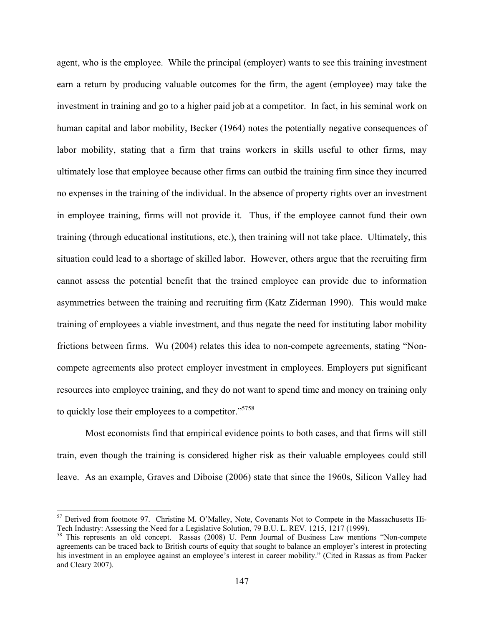agent, who is the employee. While the principal (employer) wants to see this training investment earn a return by producing valuable outcomes for the firm, the agent (employee) may take the investment in training and go to a higher paid job at a competitor. In fact, in his seminal work on human capital and labor mobility, Becker (1964) notes the potentially negative consequences of labor mobility, stating that a firm that trains workers in skills useful to other firms, may ultimately lose that employee because other firms can outbid the training firm since they incurred no expenses in the training of the individual. In the absence of property rights over an investment in employee training, firms will not provide it. Thus, if the employee cannot fund their own training (through educational institutions, etc.), then training will not take place. Ultimately, this situation could lead to a shortage of skilled labor. However, others argue that the recruiting firm cannot assess the potential benefit that the trained employee can provide due to information asymmetries between the training and recruiting firm (Katz Ziderman 1990). This would make training of employees a viable investment, and thus negate the need for instituting labor mobility frictions between firms. Wu (2004) relates this idea to non-compete agreements, stating "Noncompete agreements also protect employer investment in employees. Employers put significant resources into employee training, and they do not want to spend time and money on training only to quickly lose their employees to a competitor."<sup>5758</sup>

Most economists find that empirical evidence points to both cases, and that firms will still train, even though the training is considered higher risk as their valuable employees could still leave. As an example, Graves and Diboise (2006) state that since the 1960s, Silicon Valley had

1

<sup>&</sup>lt;sup>57</sup> Derived from footnote 97. Christine M. O'Malley, Note, Covenants Not to Compete in the Massachusetts Hi-Tech Industry: Assessing the Need for a Legislative Solution, 79 B.U. L. REV. 1215, 1217 (1999).

<sup>&</sup>lt;sup>58</sup> This represents an old concept. Rassas (2008) U. Penn Journal of Business Law mentions "Non-compete agreements can be traced back to British courts of equity that sought to balance an employer's interest in protecting his investment in an employee against an employee's interest in career mobility." (Cited in Rassas as from Packer and Cleary 2007).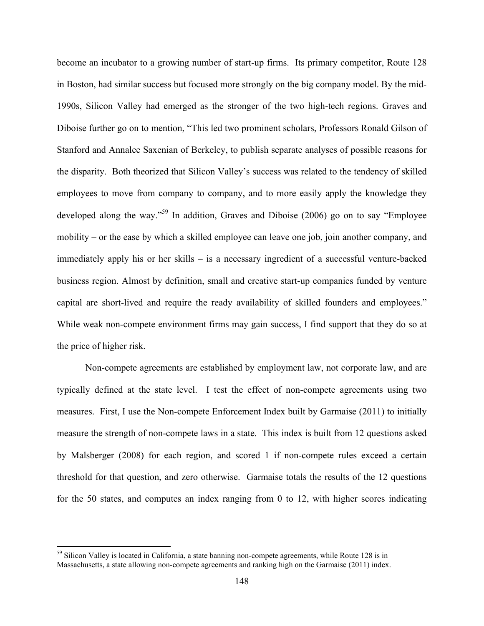become an incubator to a growing number of start-up firms. Its primary competitor, Route 128 in Boston, had similar success but focused more strongly on the big company model. By the mid-1990s, Silicon Valley had emerged as the stronger of the two high-tech regions. Graves and Diboise further go on to mention, "This led two prominent scholars, Professors Ronald Gilson of Stanford and Annalee Saxenian of Berkeley, to publish separate analyses of possible reasons for the disparity. Both theorized that Silicon Valley's success was related to the tendency of skilled employees to move from company to company, and to more easily apply the knowledge they developed along the way."59 In addition, Graves and Diboise (2006) go on to say "Employee mobility – or the ease by which a skilled employee can leave one job, join another company, and immediately apply his or her skills – is a necessary ingredient of a successful venture-backed business region. Almost by definition, small and creative start-up companies funded by venture capital are short-lived and require the ready availability of skilled founders and employees." While weak non-compete environment firms may gain success, I find support that they do so at the price of higher risk.

Non-compete agreements are established by employment law, not corporate law, and are typically defined at the state level. I test the effect of non-compete agreements using two measures. First, I use the Non-compete Enforcement Index built by Garmaise (2011) to initially measure the strength of non-compete laws in a state. This index is built from 12 questions asked by Malsberger (2008) for each region, and scored 1 if non-compete rules exceed a certain threshold for that question, and zero otherwise. Garmaise totals the results of the 12 questions for the 50 states, and computes an index ranging from 0 to 12, with higher scores indicating

<sup>&</sup>lt;sup>59</sup> Silicon Valley is located in California, a state banning non-compete agreements, while Route 128 is in Massachusetts, a state allowing non-compete agreements and ranking high on the Garmaise (2011) index.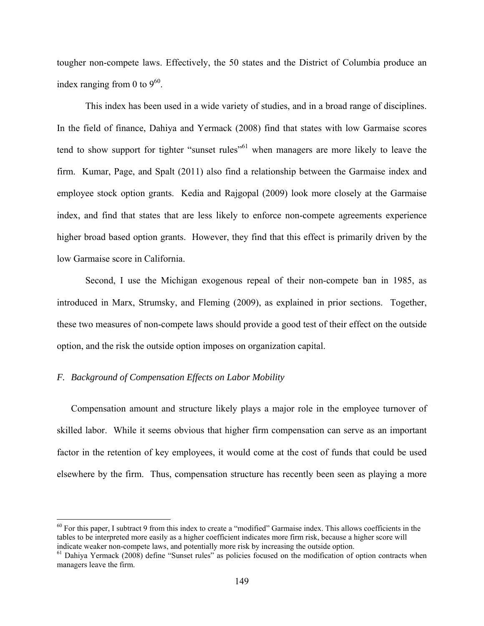tougher non-compete laws. Effectively, the 50 states and the District of Columbia produce an index ranging from 0 to  $9^{60}$ .

This index has been used in a wide variety of studies, and in a broad range of disciplines. In the field of finance, Dahiya and Yermack (2008) find that states with low Garmaise scores tend to show support for tighter "sunset rules"<sup>61</sup> when managers are more likely to leave the firm. Kumar, Page, and Spalt (2011) also find a relationship between the Garmaise index and employee stock option grants. Kedia and Rajgopal (2009) look more closely at the Garmaise index, and find that states that are less likely to enforce non-compete agreements experience higher broad based option grants. However, they find that this effect is primarily driven by the low Garmaise score in California.

Second, I use the Michigan exogenous repeal of their non-compete ban in 1985, as introduced in Marx, Strumsky, and Fleming (2009), as explained in prior sections. Together, these two measures of non-compete laws should provide a good test of their effect on the outside option, and the risk the outside option imposes on organization capital.

# *F. Background of Compensation Effects on Labor Mobility*

 $\overline{a}$ 

Compensation amount and structure likely plays a major role in the employee turnover of skilled labor. While it seems obvious that higher firm compensation can serve as an important factor in the retention of key employees, it would come at the cost of funds that could be used elsewhere by the firm. Thus, compensation structure has recently been seen as playing a more

 $60$  For this paper, I subtract 9 from this index to create a "modified" Garmaise index. This allows coefficients in the tables to be interpreted more easily as a higher coefficient indicates more firm risk, because a higher score will indicate weaker non-compete laws, and potentially more risk by increasing the outside option.

<sup>&</sup>lt;sup>61</sup> Dahiya Yermack (2008) define "Sunset rules" as policies focused on the modification of option contracts when managers leave the firm.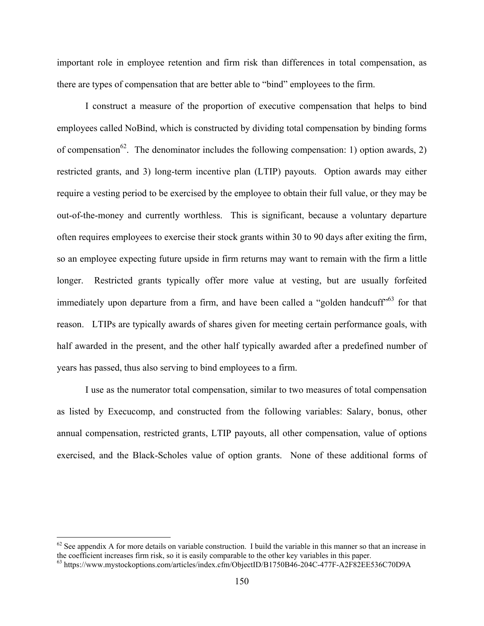important role in employee retention and firm risk than differences in total compensation, as there are types of compensation that are better able to "bind" employees to the firm.

I construct a measure of the proportion of executive compensation that helps to bind employees called NoBind, which is constructed by dividing total compensation by binding forms of compensation<sup>62</sup>. The denominator includes the following compensation: 1) option awards, 2) restricted grants, and 3) long-term incentive plan (LTIP) payouts. Option awards may either require a vesting period to be exercised by the employee to obtain their full value, or they may be out-of-the-money and currently worthless. This is significant, because a voluntary departure often requires employees to exercise their stock grants within 30 to 90 days after exiting the firm, so an employee expecting future upside in firm returns may want to remain with the firm a little longer. Restricted grants typically offer more value at vesting, but are usually forfeited immediately upon departure from a firm, and have been called a "golden handcuff"<sup>63</sup> for that reason. LTIPs are typically awards of shares given for meeting certain performance goals, with half awarded in the present, and the other half typically awarded after a predefined number of years has passed, thus also serving to bind employees to a firm.

I use as the numerator total compensation, similar to two measures of total compensation as listed by Execucomp, and constructed from the following variables: Salary, bonus, other annual compensation, restricted grants, LTIP payouts, all other compensation, value of options exercised, and the Black-Scholes value of option grants. None of these additional forms of

1

 $62$  See appendix A for more details on variable construction. I build the variable in this manner so that an increase in the coefficient increases firm risk, so it is easily comparable to the other key variables in this

 $^{63}$  https://www.mystockoptions.com/articles/index.cfm/ObjectID/B1750B46-204C-477F-A2F82EE536C70D9A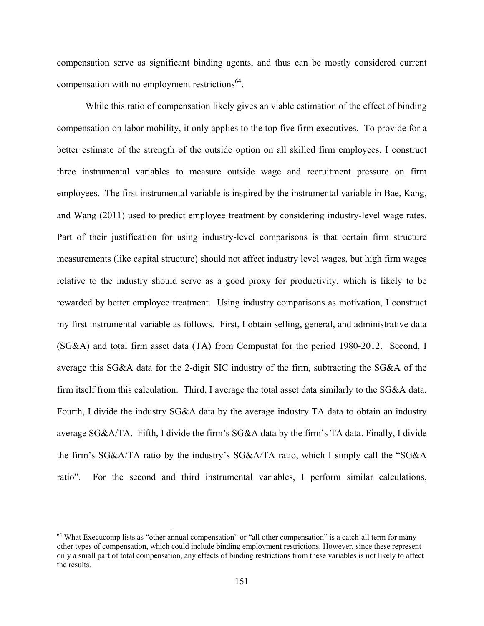compensation serve as significant binding agents, and thus can be mostly considered current compensation with no employment restrictions<sup>64</sup>.

While this ratio of compensation likely gives an viable estimation of the effect of binding compensation on labor mobility, it only applies to the top five firm executives. To provide for a better estimate of the strength of the outside option on all skilled firm employees, I construct three instrumental variables to measure outside wage and recruitment pressure on firm employees. The first instrumental variable is inspired by the instrumental variable in Bae, Kang, and Wang (2011) used to predict employee treatment by considering industry-level wage rates. Part of their justification for using industry-level comparisons is that certain firm structure measurements (like capital structure) should not affect industry level wages, but high firm wages relative to the industry should serve as a good proxy for productivity, which is likely to be rewarded by better employee treatment. Using industry comparisons as motivation, I construct my first instrumental variable as follows. First, I obtain selling, general, and administrative data (SG&A) and total firm asset data (TA) from Compustat for the period 1980-2012. Second, I average this SG&A data for the 2-digit SIC industry of the firm, subtracting the SG&A of the firm itself from this calculation. Third, I average the total asset data similarly to the SG&A data. Fourth, I divide the industry SG&A data by the average industry TA data to obtain an industry average SG&A/TA. Fifth, I divide the firm's SG&A data by the firm's TA data. Finally, I divide the firm's SG&A/TA ratio by the industry's SG&A/TA ratio, which I simply call the "SG&A ratio". For the second and third instrumental variables, I perform similar calculations,

<sup>&</sup>lt;sup>64</sup> What Execucomp lists as "other annual compensation" or "all other compensation" is a catch-all term for many other types of compensation, which could include binding employment restrictions. However, since these represent only a small part of total compensation, any effects of binding restrictions from these variables is not likely to affect the results.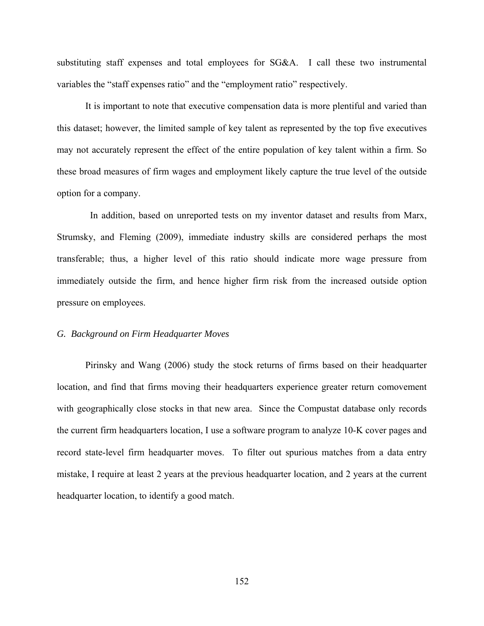substituting staff expenses and total employees for SG&A. I call these two instrumental variables the "staff expenses ratio" and the "employment ratio" respectively.

It is important to note that executive compensation data is more plentiful and varied than this dataset; however, the limited sample of key talent as represented by the top five executives may not accurately represent the effect of the entire population of key talent within a firm. So these broad measures of firm wages and employment likely capture the true level of the outside option for a company.

 In addition, based on unreported tests on my inventor dataset and results from Marx, Strumsky, and Fleming (2009), immediate industry skills are considered perhaps the most transferable; thus, a higher level of this ratio should indicate more wage pressure from immediately outside the firm, and hence higher firm risk from the increased outside option pressure on employees.

#### *G. Background on Firm Headquarter Moves*

Pirinsky and Wang (2006) study the stock returns of firms based on their headquarter location, and find that firms moving their headquarters experience greater return comovement with geographically close stocks in that new area. Since the Compustat database only records the current firm headquarters location, I use a software program to analyze 10-K cover pages and record state-level firm headquarter moves. To filter out spurious matches from a data entry mistake, I require at least 2 years at the previous headquarter location, and 2 years at the current headquarter location, to identify a good match.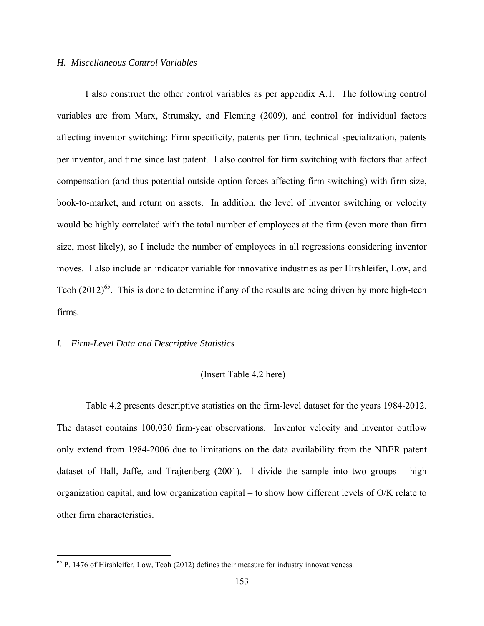# *H. Miscellaneous Control Variables*

I also construct the other control variables as per appendix A.1. The following control variables are from Marx, Strumsky, and Fleming (2009), and control for individual factors affecting inventor switching: Firm specificity, patents per firm, technical specialization, patents per inventor, and time since last patent. I also control for firm switching with factors that affect compensation (and thus potential outside option forces affecting firm switching) with firm size, book-to-market, and return on assets. In addition, the level of inventor switching or velocity would be highly correlated with the total number of employees at the firm (even more than firm size, most likely), so I include the number of employees in all regressions considering inventor moves. I also include an indicator variable for innovative industries as per Hirshleifer, Low, and Teoh  $(2012)^{65}$ . This is done to determine if any of the results are being driven by more high-tech firms.

# *I. Firm-Level Data and Descriptive Statistics*

<u>.</u>

#### (Insert Table 4.2 here)

Table 4.2 presents descriptive statistics on the firm-level dataset for the years 1984-2012. The dataset contains 100,020 firm-year observations. Inventor velocity and inventor outflow only extend from 1984-2006 due to limitations on the data availability from the NBER patent dataset of Hall, Jaffe, and Trajtenberg (2001). I divide the sample into two groups – high organization capital, and low organization capital – to show how different levels of O/K relate to other firm characteristics.

 $65$  P. 1476 of Hirshleifer, Low, Teoh (2012) defines their measure for industry innovativeness.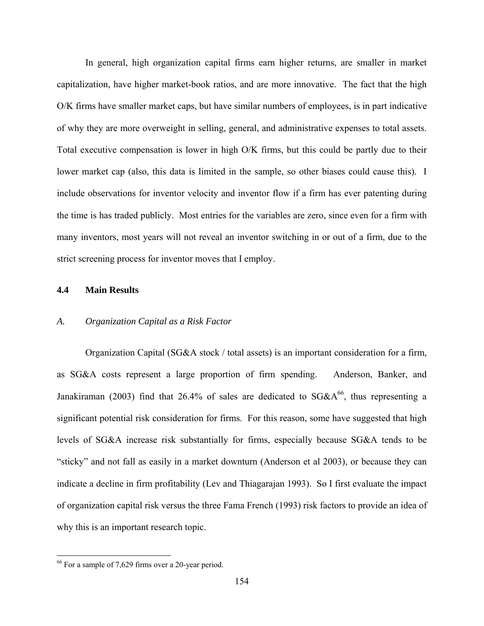In general, high organization capital firms earn higher returns, are smaller in market capitalization, have higher market-book ratios, and are more innovative. The fact that the high O/K firms have smaller market caps, but have similar numbers of employees, is in part indicative of why they are more overweight in selling, general, and administrative expenses to total assets. Total executive compensation is lower in high O/K firms, but this could be partly due to their lower market cap (also, this data is limited in the sample, so other biases could cause this). I include observations for inventor velocity and inventor flow if a firm has ever patenting during the time is has traded publicly. Most entries for the variables are zero, since even for a firm with many inventors, most years will not reveal an inventor switching in or out of a firm, due to the strict screening process for inventor moves that I employ.

## **4.4 Main Results**

# *A. Organization Capital as a Risk Factor*

Organization Capital (SG&A stock / total assets) is an important consideration for a firm, as SG&A costs represent a large proportion of firm spending. Anderson, Banker, and Janakiraman (2003) find that 26.4% of sales are dedicated to  $SG&A^{66}$ , thus representing a significant potential risk consideration for firms. For this reason, some have suggested that high levels of SG&A increase risk substantially for firms, especially because SG&A tends to be "sticky" and not fall as easily in a market downturn (Anderson et al 2003), or because they can indicate a decline in firm profitability (Lev and Thiagarajan 1993). So I first evaluate the impact of organization capital risk versus the three Fama French (1993) risk factors to provide an idea of why this is an important research topic.

<sup>66</sup> For a sample of 7,629 firms over a 20-year period.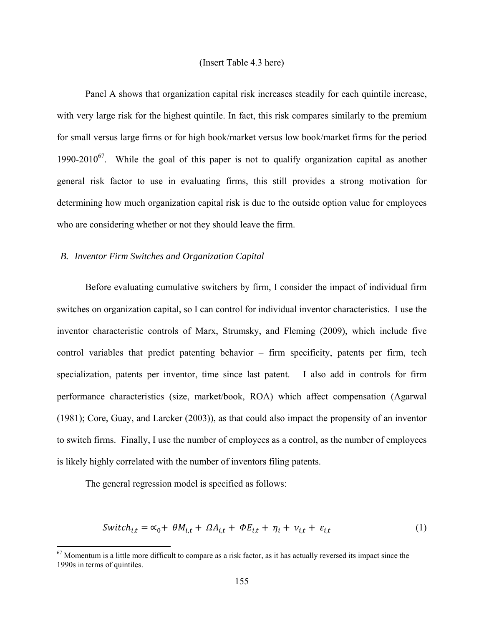# (Insert Table 4.3 here)

Panel A shows that organization capital risk increases steadily for each quintile increase, with very large risk for the highest quintile. In fact, this risk compares similarly to the premium for small versus large firms or for high book/market versus low book/market firms for the period 1990-2010<sup>67</sup>. While the goal of this paper is not to qualify organization capital as another general risk factor to use in evaluating firms, this still provides a strong motivation for determining how much organization capital risk is due to the outside option value for employees who are considering whether or not they should leave the firm.

# *B. Inventor Firm Switches and Organization Capital*

Before evaluating cumulative switchers by firm, I consider the impact of individual firm switches on organization capital, so I can control for individual inventor characteristics. I use the inventor characteristic controls of Marx, Strumsky, and Fleming (2009), which include five control variables that predict patenting behavior – firm specificity, patents per firm, tech specialization, patents per inventor, time since last patent. I also add in controls for firm performance characteristics (size, market/book, ROA) which affect compensation (Agarwal (1981); Core, Guay, and Larcker (2003)), as that could also impact the propensity of an inventor to switch firms. Finally, I use the number of employees as a control, as the number of employees is likely highly correlated with the number of inventors filing patents.

The general regression model is specified as follows:

$$
Switch_{i,t} = \alpha_0 + \theta M_{i,t} + \Omega A_{i,t} + \Phi E_{i,t} + \eta_i + \nu_{i,t} + \varepsilon_{i,t}
$$
 (1)

 $67$  Momentum is a little more difficult to compare as a risk factor, as it has actually reversed its impact since the 1990s in terms of quintiles.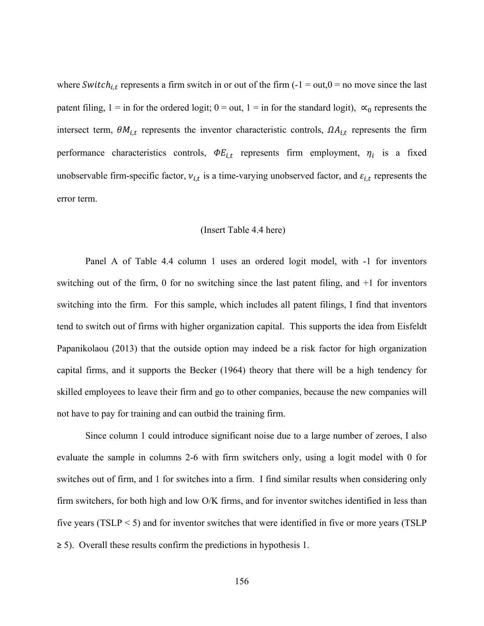where Switch<sub>i,t</sub> represents a firm switch in or out of the firm (-1 = out,0 = no move since the last patent filing,  $1 =$  in for the ordered logit;  $0 =$  out,  $1 =$  in for the standard logit),  $\alpha_0$  represents the intersect term,  $\theta M_{i,t}$  represents the inventor characteristic controls,  $\Omega A_{i,t}$  represents the firm performance characteristics controls,  $\Phi E_{i,t}$  represents firm employment,  $\eta_i$  is a fixed unobservable firm-specific factor,  $v_{i,t}$  is a time-varying unobserved factor, and  $\varepsilon_{i,t}$  represents the error term.

# (Insert Table 4.4 here)

Panel A of Table 4.4 column 1 uses an ordered logit model, with -1 for inventors switching out of the firm, 0 for no switching since the last patent filing, and +1 for inventors switching into the firm. For this sample, which includes all patent filings, I find that inventors tend to switch out of firms with higher organization capital. This supports the idea from Eisfeldt Papanikolaou (2013) that the outside option may indeed be a risk factor for high organization capital firms, and it supports the Becker (1964) theory that there will be a high tendency for skilled employees to leave their firm and go to other companies, because the new companies will not have to pay for training and can outbid the training firm.

Since column 1 could introduce significant noise due to a large number of zeroes, I also evaluate the sample in columns 2-6 with firm switchers only, using a logit model with 0 for switches out of firm, and 1 for switches into a firm. I find similar results when considering only firm switchers, for both high and low O/K firms, and for inventor switches identified in less than five years (TSLP < 5) and for inventor switches that were identified in five or more years (TSLP  $\geq$  5). Overall these results confirm the predictions in hypothesis 1.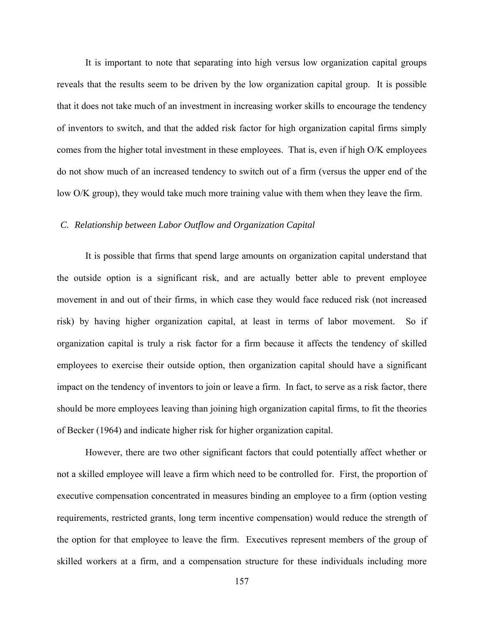It is important to note that separating into high versus low organization capital groups reveals that the results seem to be driven by the low organization capital group. It is possible that it does not take much of an investment in increasing worker skills to encourage the tendency of inventors to switch, and that the added risk factor for high organization capital firms simply comes from the higher total investment in these employees. That is, even if high O/K employees do not show much of an increased tendency to switch out of a firm (versus the upper end of the low O/K group), they would take much more training value with them when they leave the firm.

# *C. Relationship between Labor Outflow and Organization Capital*

It is possible that firms that spend large amounts on organization capital understand that the outside option is a significant risk, and are actually better able to prevent employee movement in and out of their firms, in which case they would face reduced risk (not increased risk) by having higher organization capital, at least in terms of labor movement. So if organization capital is truly a risk factor for a firm because it affects the tendency of skilled employees to exercise their outside option, then organization capital should have a significant impact on the tendency of inventors to join or leave a firm. In fact, to serve as a risk factor, there should be more employees leaving than joining high organization capital firms, to fit the theories of Becker (1964) and indicate higher risk for higher organization capital.

However, there are two other significant factors that could potentially affect whether or not a skilled employee will leave a firm which need to be controlled for. First, the proportion of executive compensation concentrated in measures binding an employee to a firm (option vesting requirements, restricted grants, long term incentive compensation) would reduce the strength of the option for that employee to leave the firm. Executives represent members of the group of skilled workers at a firm, and a compensation structure for these individuals including more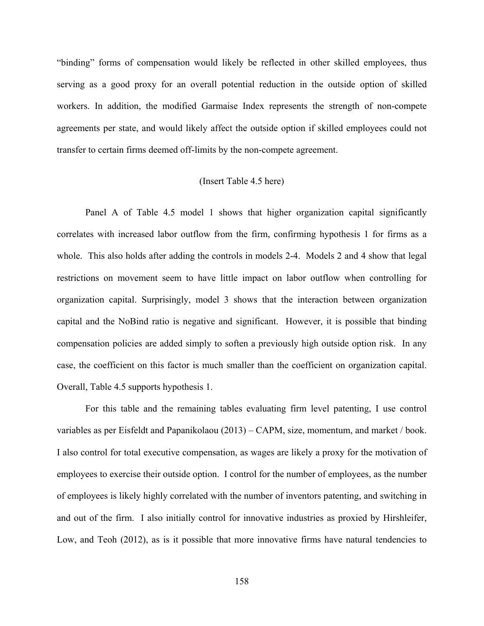"binding" forms of compensation would likely be reflected in other skilled employees, thus serving as a good proxy for an overall potential reduction in the outside option of skilled workers. In addition, the modified Garmaise Index represents the strength of non-compete agreements per state, and would likely affect the outside option if skilled employees could not transfer to certain firms deemed off-limits by the non-compete agreement.

#### (Insert Table 4.5 here)

Panel A of Table 4.5 model 1 shows that higher organization capital significantly correlates with increased labor outflow from the firm, confirming hypothesis 1 for firms as a whole. This also holds after adding the controls in models 2-4. Models 2 and 4 show that legal restrictions on movement seem to have little impact on labor outflow when controlling for organization capital. Surprisingly, model 3 shows that the interaction between organization capital and the NoBind ratio is negative and significant. However, it is possible that binding compensation policies are added simply to soften a previously high outside option risk. In any case, the coefficient on this factor is much smaller than the coefficient on organization capital. Overall, Table 4.5 supports hypothesis 1.

For this table and the remaining tables evaluating firm level patenting, I use control variables as per Eisfeldt and Papanikolaou (2013) – CAPM, size, momentum, and market / book. I also control for total executive compensation, as wages are likely a proxy for the motivation of employees to exercise their outside option. I control for the number of employees, as the number of employees is likely highly correlated with the number of inventors patenting, and switching in and out of the firm. I also initially control for innovative industries as proxied by Hirshleifer, Low, and Teoh (2012), as is it possible that more innovative firms have natural tendencies to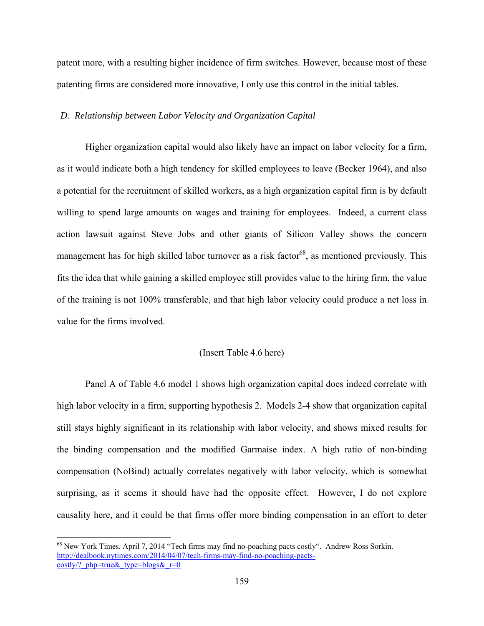patent more, with a resulting higher incidence of firm switches. However, because most of these patenting firms are considered more innovative, I only use this control in the initial tables.

# *D. Relationship between Labor Velocity and Organization Capital*

Higher organization capital would also likely have an impact on labor velocity for a firm, as it would indicate both a high tendency for skilled employees to leave (Becker 1964), and also a potential for the recruitment of skilled workers, as a high organization capital firm is by default willing to spend large amounts on wages and training for employees. Indeed, a current class action lawsuit against Steve Jobs and other giants of Silicon Valley shows the concern management has for high skilled labor turnover as a risk factor<sup>68</sup>, as mentioned previously. This fits the idea that while gaining a skilled employee still provides value to the hiring firm, the value of the training is not 100% transferable, and that high labor velocity could produce a net loss in value for the firms involved.

# (Insert Table 4.6 here)

Panel A of Table 4.6 model 1 shows high organization capital does indeed correlate with high labor velocity in a firm, supporting hypothesis 2. Models 2-4 show that organization capital still stays highly significant in its relationship with labor velocity, and shows mixed results for the binding compensation and the modified Garmaise index. A high ratio of non-binding compensation (NoBind) actually correlates negatively with labor velocity, which is somewhat surprising, as it seems it should have had the opposite effect. However, I do not explore causality here, and it could be that firms offer more binding compensation in an effort to deter

<sup>68</sup> New York Times. April 7, 2014 "Tech firms may find no-poaching pacts costly". Andrew Ross Sorkin. http://dealbook.nytimes.com/2014/04/07/tech-firms-may-find-no-poaching-pactscostly/? php=true& type=blogs& $r=0$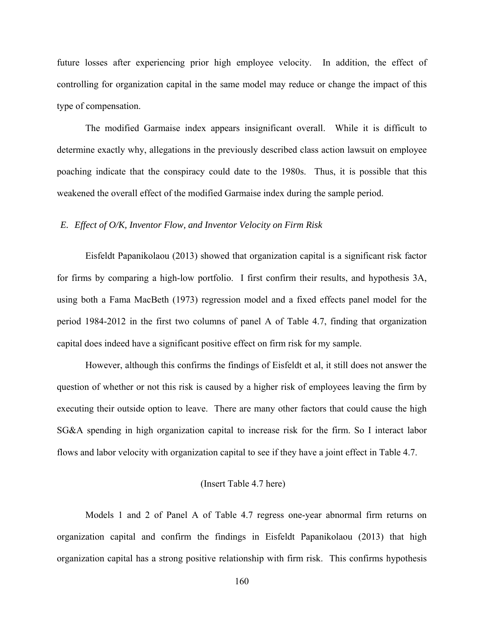future losses after experiencing prior high employee velocity. In addition, the effect of controlling for organization capital in the same model may reduce or change the impact of this type of compensation.

The modified Garmaise index appears insignificant overall. While it is difficult to determine exactly why, allegations in the previously described class action lawsuit on employee poaching indicate that the conspiracy could date to the 1980s. Thus, it is possible that this weakened the overall effect of the modified Garmaise index during the sample period.

### *E. Effect of O/K, Inventor Flow, and Inventor Velocity on Firm Risk*

Eisfeldt Papanikolaou (2013) showed that organization capital is a significant risk factor for firms by comparing a high-low portfolio. I first confirm their results, and hypothesis 3A, using both a Fama MacBeth (1973) regression model and a fixed effects panel model for the period 1984-2012 in the first two columns of panel A of Table 4.7, finding that organization capital does indeed have a significant positive effect on firm risk for my sample.

However, although this confirms the findings of Eisfeldt et al, it still does not answer the question of whether or not this risk is caused by a higher risk of employees leaving the firm by executing their outside option to leave. There are many other factors that could cause the high SG&A spending in high organization capital to increase risk for the firm. So I interact labor flows and labor velocity with organization capital to see if they have a joint effect in Table 4.7.

# (Insert Table 4.7 here)

Models 1 and 2 of Panel A of Table 4.7 regress one-year abnormal firm returns on organization capital and confirm the findings in Eisfeldt Papanikolaou (2013) that high organization capital has a strong positive relationship with firm risk. This confirms hypothesis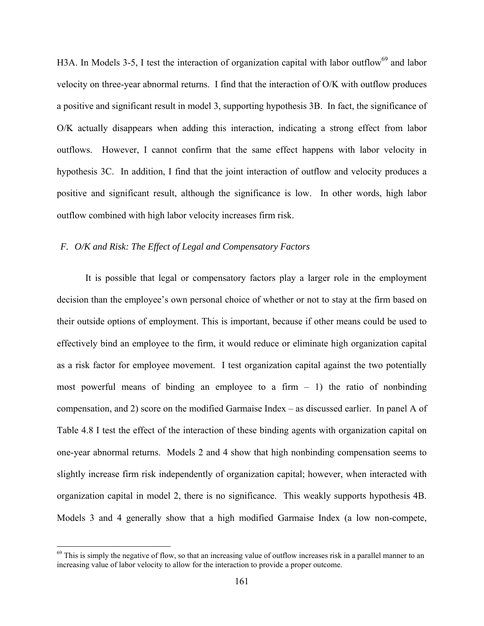H3A. In Models 3-5, I test the interaction of organization capital with labor outflow<sup>69</sup> and labor velocity on three-year abnormal returns. I find that the interaction of O/K with outflow produces a positive and significant result in model 3, supporting hypothesis 3B. In fact, the significance of O/K actually disappears when adding this interaction, indicating a strong effect from labor outflows. However, I cannot confirm that the same effect happens with labor velocity in hypothesis 3C. In addition, I find that the joint interaction of outflow and velocity produces a positive and significant result, although the significance is low. In other words, high labor outflow combined with high labor velocity increases firm risk.

# *F. O/K and Risk: The Effect of Legal and Compensatory Factors*

It is possible that legal or compensatory factors play a larger role in the employment decision than the employee's own personal choice of whether or not to stay at the firm based on their outside options of employment. This is important, because if other means could be used to effectively bind an employee to the firm, it would reduce or eliminate high organization capital as a risk factor for employee movement. I test organization capital against the two potentially most powerful means of binding an employee to a firm  $-1$ ) the ratio of nonbinding compensation, and 2) score on the modified Garmaise Index – as discussed earlier. In panel A of Table 4.8 I test the effect of the interaction of these binding agents with organization capital on one-year abnormal returns. Models 2 and 4 show that high nonbinding compensation seems to slightly increase firm risk independently of organization capital; however, when interacted with organization capital in model 2, there is no significance. This weakly supports hypothesis 4B. Models 3 and 4 generally show that a high modified Garmaise Index (a low non-compete,

1

 $69$  This is simply the negative of flow, so that an increasing value of outflow increases risk in a parallel manner to an increasing value of labor velocity to allow for the interaction to provide a proper outcome.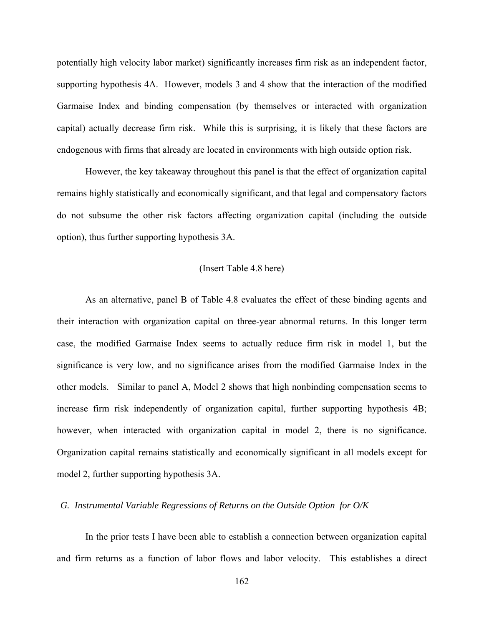potentially high velocity labor market) significantly increases firm risk as an independent factor, supporting hypothesis 4A. However, models 3 and 4 show that the interaction of the modified Garmaise Index and binding compensation (by themselves or interacted with organization capital) actually decrease firm risk. While this is surprising, it is likely that these factors are endogenous with firms that already are located in environments with high outside option risk.

However, the key takeaway throughout this panel is that the effect of organization capital remains highly statistically and economically significant, and that legal and compensatory factors do not subsume the other risk factors affecting organization capital (including the outside option), thus further supporting hypothesis 3A.

#### (Insert Table 4.8 here)

As an alternative, panel B of Table 4.8 evaluates the effect of these binding agents and their interaction with organization capital on three-year abnormal returns. In this longer term case, the modified Garmaise Index seems to actually reduce firm risk in model 1, but the significance is very low, and no significance arises from the modified Garmaise Index in the other models. Similar to panel A, Model 2 shows that high nonbinding compensation seems to increase firm risk independently of organization capital, further supporting hypothesis 4B; however, when interacted with organization capital in model 2, there is no significance. Organization capital remains statistically and economically significant in all models except for model 2, further supporting hypothesis 3A.

# *G. Instrumental Variable Regressions of Returns on the Outside Option for O/K*

In the prior tests I have been able to establish a connection between organization capital and firm returns as a function of labor flows and labor velocity. This establishes a direct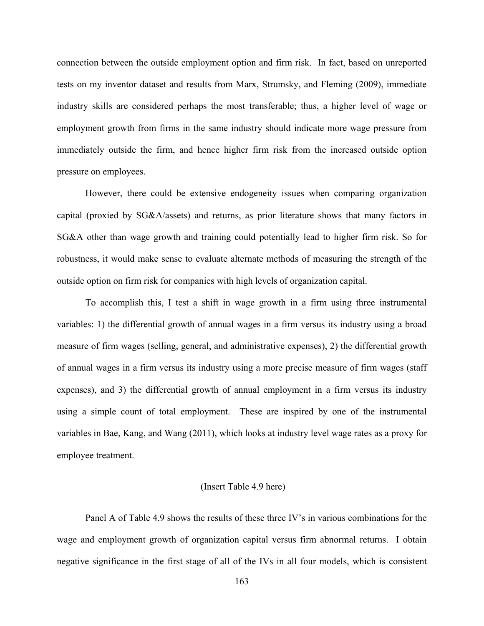connection between the outside employment option and firm risk. In fact, based on unreported tests on my inventor dataset and results from Marx, Strumsky, and Fleming (2009), immediate industry skills are considered perhaps the most transferable; thus, a higher level of wage or employment growth from firms in the same industry should indicate more wage pressure from immediately outside the firm, and hence higher firm risk from the increased outside option pressure on employees.

However, there could be extensive endogeneity issues when comparing organization capital (proxied by SG&A/assets) and returns, as prior literature shows that many factors in SG&A other than wage growth and training could potentially lead to higher firm risk. So for robustness, it would make sense to evaluate alternate methods of measuring the strength of the outside option on firm risk for companies with high levels of organization capital.

To accomplish this, I test a shift in wage growth in a firm using three instrumental variables: 1) the differential growth of annual wages in a firm versus its industry using a broad measure of firm wages (selling, general, and administrative expenses), 2) the differential growth of annual wages in a firm versus its industry using a more precise measure of firm wages (staff expenses), and 3) the differential growth of annual employment in a firm versus its industry using a simple count of total employment. These are inspired by one of the instrumental variables in Bae, Kang, and Wang (2011), which looks at industry level wage rates as a proxy for employee treatment.

#### (Insert Table 4.9 here)

Panel A of Table 4.9 shows the results of these three IV's in various combinations for the wage and employment growth of organization capital versus firm abnormal returns. I obtain negative significance in the first stage of all of the IVs in all four models, which is consistent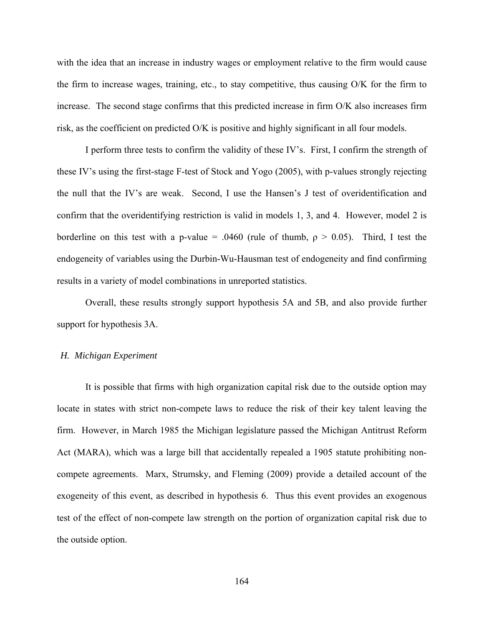with the idea that an increase in industry wages or employment relative to the firm would cause the firm to increase wages, training, etc., to stay competitive, thus causing O/K for the firm to increase. The second stage confirms that this predicted increase in firm O/K also increases firm risk, as the coefficient on predicted O/K is positive and highly significant in all four models.

I perform three tests to confirm the validity of these IV's. First, I confirm the strength of these IV's using the first-stage F-test of Stock and Yogo (2005), with p-values strongly rejecting the null that the IV's are weak. Second, I use the Hansen's J test of overidentification and confirm that the overidentifying restriction is valid in models 1, 3, and 4. However, model 2 is borderline on this test with a p-value = .0460 (rule of thumb,  $\rho > 0.05$ ). Third, I test the endogeneity of variables using the Durbin-Wu-Hausman test of endogeneity and find confirming results in a variety of model combinations in unreported statistics.

Overall, these results strongly support hypothesis 5A and 5B, and also provide further support for hypothesis 3A.

#### *H. Michigan Experiment*

It is possible that firms with high organization capital risk due to the outside option may locate in states with strict non-compete laws to reduce the risk of their key talent leaving the firm. However, in March 1985 the Michigan legislature passed the Michigan Antitrust Reform Act (MARA), which was a large bill that accidentally repealed a 1905 statute prohibiting noncompete agreements. Marx, Strumsky, and Fleming (2009) provide a detailed account of the exogeneity of this event, as described in hypothesis 6. Thus this event provides an exogenous test of the effect of non-compete law strength on the portion of organization capital risk due to the outside option.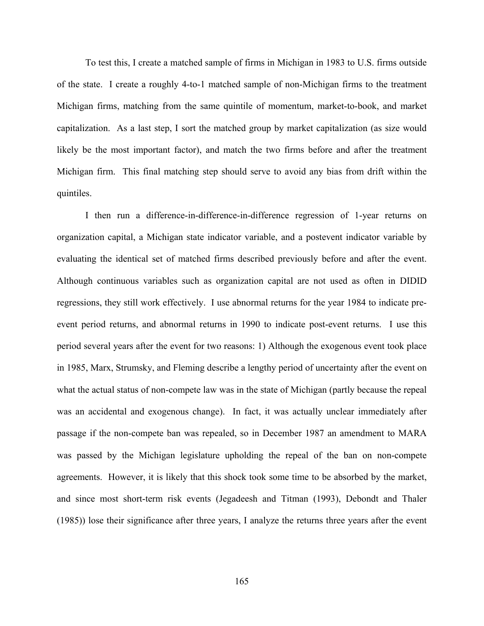To test this, I create a matched sample of firms in Michigan in 1983 to U.S. firms outside of the state. I create a roughly 4-to-1 matched sample of non-Michigan firms to the treatment Michigan firms, matching from the same quintile of momentum, market-to-book, and market capitalization. As a last step, I sort the matched group by market capitalization (as size would likely be the most important factor), and match the two firms before and after the treatment Michigan firm. This final matching step should serve to avoid any bias from drift within the quintiles.

I then run a difference-in-difference-in-difference regression of 1-year returns on organization capital, a Michigan state indicator variable, and a postevent indicator variable by evaluating the identical set of matched firms described previously before and after the event. Although continuous variables such as organization capital are not used as often in DIDID regressions, they still work effectively. I use abnormal returns for the year 1984 to indicate preevent period returns, and abnormal returns in 1990 to indicate post-event returns. I use this period several years after the event for two reasons: 1) Although the exogenous event took place in 1985, Marx, Strumsky, and Fleming describe a lengthy period of uncertainty after the event on what the actual status of non-compete law was in the state of Michigan (partly because the repeal was an accidental and exogenous change). In fact, it was actually unclear immediately after passage if the non-compete ban was repealed, so in December 1987 an amendment to MARA was passed by the Michigan legislature upholding the repeal of the ban on non-compete agreements. However, it is likely that this shock took some time to be absorbed by the market, and since most short-term risk events (Jegadeesh and Titman (1993), Debondt and Thaler (1985)) lose their significance after three years, I analyze the returns three years after the event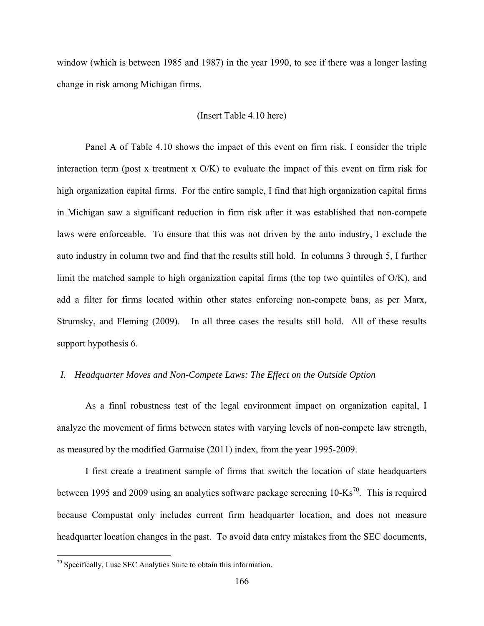window (which is between 1985 and 1987) in the year 1990, to see if there was a longer lasting change in risk among Michigan firms.

### (Insert Table 4.10 here)

Panel A of Table 4.10 shows the impact of this event on firm risk. I consider the triple interaction term (post x treatment x  $O/K$ ) to evaluate the impact of this event on firm risk for high organization capital firms. For the entire sample, I find that high organization capital firms in Michigan saw a significant reduction in firm risk after it was established that non-compete laws were enforceable. To ensure that this was not driven by the auto industry, I exclude the auto industry in column two and find that the results still hold. In columns 3 through 5, I further limit the matched sample to high organization capital firms (the top two quintiles of O/K), and add a filter for firms located within other states enforcing non-compete bans, as per Marx, Strumsky, and Fleming (2009). In all three cases the results still hold. All of these results support hypothesis 6.

### *I. Headquarter Moves and Non-Compete Laws: The Effect on the Outside Option*

As a final robustness test of the legal environment impact on organization capital, I analyze the movement of firms between states with varying levels of non-compete law strength, as measured by the modified Garmaise (2011) index, from the year 1995-2009.

I first create a treatment sample of firms that switch the location of state headquarters between 1995 and 2009 using an analytics software package screening  $10\text{-Ks}^{70}$ . This is required because Compustat only includes current firm headquarter location, and does not measure headquarter location changes in the past. To avoid data entry mistakes from the SEC documents,

 $\overline{a}$ 

 $70$  Specifically, I use SEC Analytics Suite to obtain this information.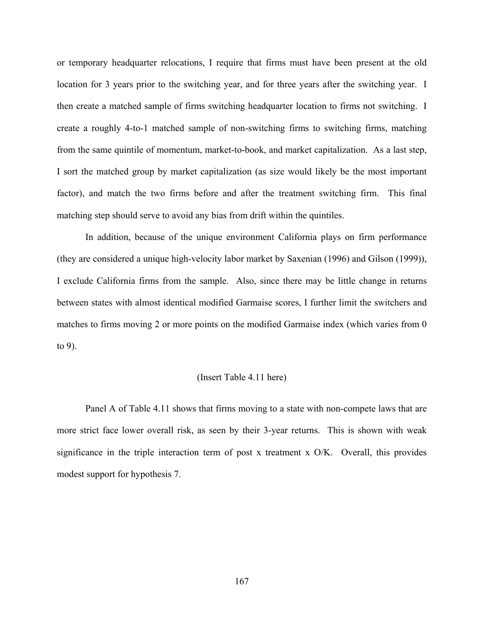or temporary headquarter relocations, I require that firms must have been present at the old location for 3 years prior to the switching year, and for three years after the switching year. I then create a matched sample of firms switching headquarter location to firms not switching. I create a roughly 4-to-1 matched sample of non-switching firms to switching firms, matching from the same quintile of momentum, market-to-book, and market capitalization. As a last step, I sort the matched group by market capitalization (as size would likely be the most important factor), and match the two firms before and after the treatment switching firm. This final matching step should serve to avoid any bias from drift within the quintiles.

In addition, because of the unique environment California plays on firm performance (they are considered a unique high-velocity labor market by Saxenian (1996) and Gilson (1999)), I exclude California firms from the sample. Also, since there may be little change in returns between states with almost identical modified Garmaise scores, I further limit the switchers and matches to firms moving 2 or more points on the modified Garmaise index (which varies from 0 to 9).

#### (Insert Table 4.11 here)

Panel A of Table 4.11 shows that firms moving to a state with non-compete laws that are more strict face lower overall risk, as seen by their 3-year returns. This is shown with weak significance in the triple interaction term of post x treatment x O/K. Overall, this provides modest support for hypothesis 7.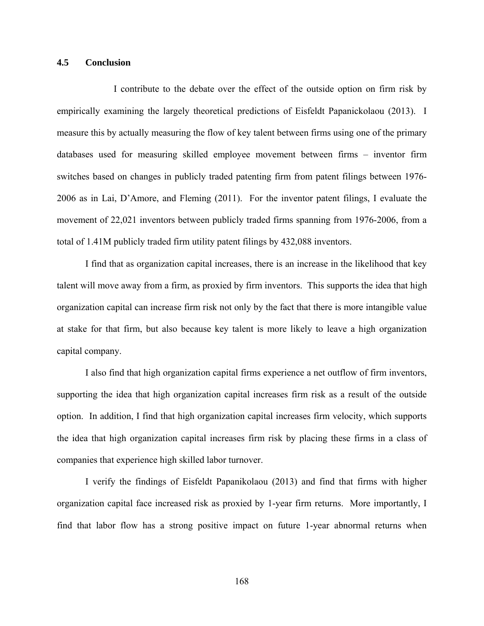### **4.5 Conclusion**

I contribute to the debate over the effect of the outside option on firm risk by empirically examining the largely theoretical predictions of Eisfeldt Papanickolaou (2013). I measure this by actually measuring the flow of key talent between firms using one of the primary databases used for measuring skilled employee movement between firms – inventor firm switches based on changes in publicly traded patenting firm from patent filings between 1976- 2006 as in Lai, D'Amore, and Fleming (2011). For the inventor patent filings, I evaluate the movement of 22,021 inventors between publicly traded firms spanning from 1976-2006, from a total of 1.41M publicly traded firm utility patent filings by 432,088 inventors.

I find that as organization capital increases, there is an increase in the likelihood that key talent will move away from a firm, as proxied by firm inventors. This supports the idea that high organization capital can increase firm risk not only by the fact that there is more intangible value at stake for that firm, but also because key talent is more likely to leave a high organization capital company.

I also find that high organization capital firms experience a net outflow of firm inventors, supporting the idea that high organization capital increases firm risk as a result of the outside option. In addition, I find that high organization capital increases firm velocity, which supports the idea that high organization capital increases firm risk by placing these firms in a class of companies that experience high skilled labor turnover.

I verify the findings of Eisfeldt Papanikolaou (2013) and find that firms with higher organization capital face increased risk as proxied by 1-year firm returns. More importantly, I find that labor flow has a strong positive impact on future 1-year abnormal returns when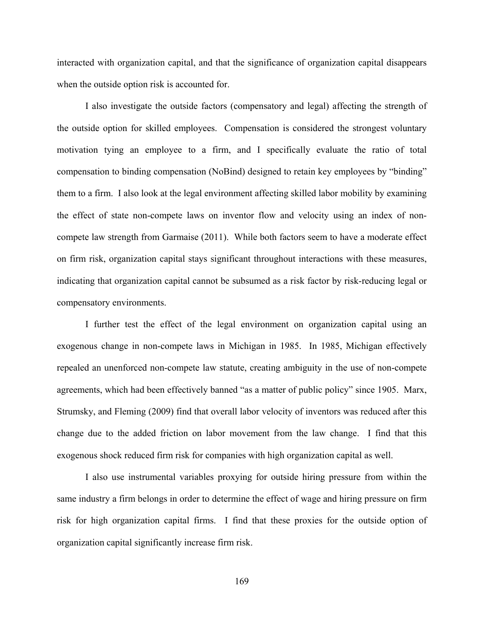interacted with organization capital, and that the significance of organization capital disappears when the outside option risk is accounted for.

I also investigate the outside factors (compensatory and legal) affecting the strength of the outside option for skilled employees. Compensation is considered the strongest voluntary motivation tying an employee to a firm, and I specifically evaluate the ratio of total compensation to binding compensation (NoBind) designed to retain key employees by "binding" them to a firm. I also look at the legal environment affecting skilled labor mobility by examining the effect of state non-compete laws on inventor flow and velocity using an index of noncompete law strength from Garmaise (2011). While both factors seem to have a moderate effect on firm risk, organization capital stays significant throughout interactions with these measures, indicating that organization capital cannot be subsumed as a risk factor by risk-reducing legal or compensatory environments.

I further test the effect of the legal environment on organization capital using an exogenous change in non-compete laws in Michigan in 1985. In 1985, Michigan effectively repealed an unenforced non-compete law statute, creating ambiguity in the use of non-compete agreements, which had been effectively banned "as a matter of public policy" since 1905. Marx, Strumsky, and Fleming (2009) find that overall labor velocity of inventors was reduced after this change due to the added friction on labor movement from the law change. I find that this exogenous shock reduced firm risk for companies with high organization capital as well.

I also use instrumental variables proxying for outside hiring pressure from within the same industry a firm belongs in order to determine the effect of wage and hiring pressure on firm risk for high organization capital firms. I find that these proxies for the outside option of organization capital significantly increase firm risk.

169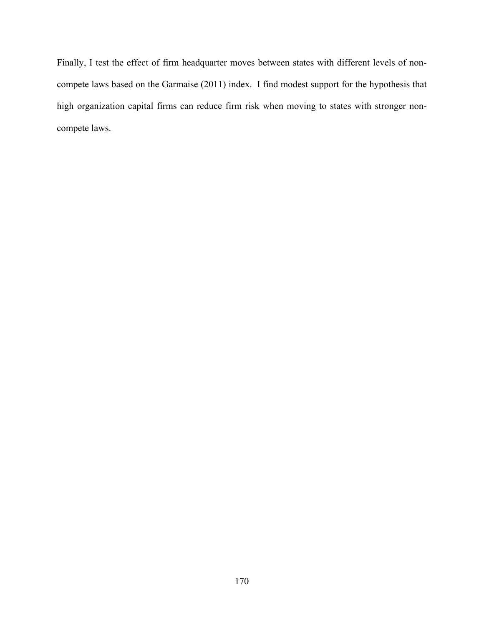Finally, I test the effect of firm headquarter moves between states with different levels of noncompete laws based on the Garmaise (2011) index. I find modest support for the hypothesis that high organization capital firms can reduce firm risk when moving to states with stronger noncompete laws.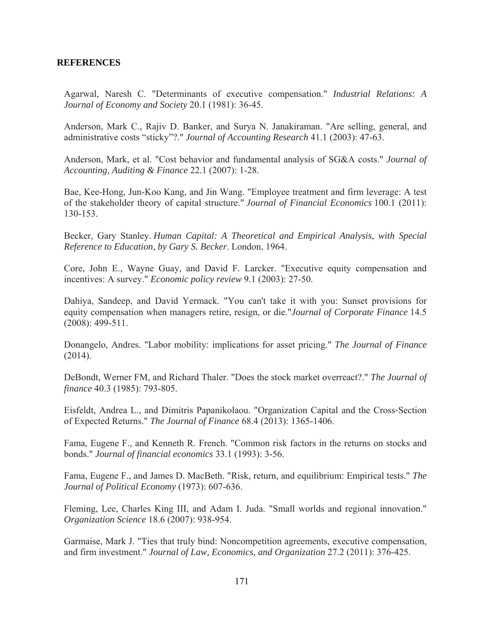# **REFERENCES**

Agarwal, Naresh C. "Determinants of executive compensation." *Industrial Relations: A Journal of Economy and Society* 20.1 (1981): 36-45.

Anderson, Mark C., Rajiv D. Banker, and Surya N. Janakiraman. "Are selling, general, and administrative costs "sticky"?." *Journal of Accounting Research* 41.1 (2003): 47-63.

Anderson, Mark, et al. "Cost behavior and fundamental analysis of SG&A costs." *Journal of Accounting, Auditing & Finance* 22.1 (2007): 1-28.

Bae, Kee-Hong, Jun-Koo Kang, and Jin Wang. "Employee treatment and firm leverage: A test of the stakeholder theory of capital structure." *Journal of Financial Economics* 100.1 (2011): 130-153.

Becker, Gary Stanley. *Human Capital: A Theoretical and Empirical Analysis, with Special Reference to Education, by Gary S. Becker*. London, 1964.

Core, John E., Wayne Guay, and David F. Larcker. "Executive equity compensation and incentives: A survey." *Economic policy review* 9.1 (2003): 27-50.

Dahiya, Sandeep, and David Yermack. "You can't take it with you: Sunset provisions for equity compensation when managers retire, resign, or die."*Journal of Corporate Finance* 14.5 (2008): 499-511.

Donangelo, Andres. "Labor mobility: implications for asset pricing." *The Journal of Finance* (2014).

DeBondt, Werner FM, and Richard Thaler. "Does the stock market overreact?." *The Journal of finance* 40.3 (1985): 793-805.

Eisfeldt, Andrea L., and Dimitris Papanikolaou. "Organization Capital and the Cross‐Section of Expected Returns." *The Journal of Finance* 68.4 (2013): 1365-1406.

Fama, Eugene F., and Kenneth R. French. "Common risk factors in the returns on stocks and bonds." *Journal of financial economics* 33.1 (1993): 3-56.

Fama, Eugene F., and James D. MacBeth. "Risk, return, and equilibrium: Empirical tests." *The Journal of Political Economy* (1973): 607-636.

Fleming, Lee, Charles King III, and Adam I. Juda. "Small worlds and regional innovation." *Organization Science* 18.6 (2007): 938-954.

Garmaise, Mark J. "Ties that truly bind: Noncompetition agreements, executive compensation, and firm investment." *Journal of Law, Economics, and Organization* 27.2 (2011): 376-425.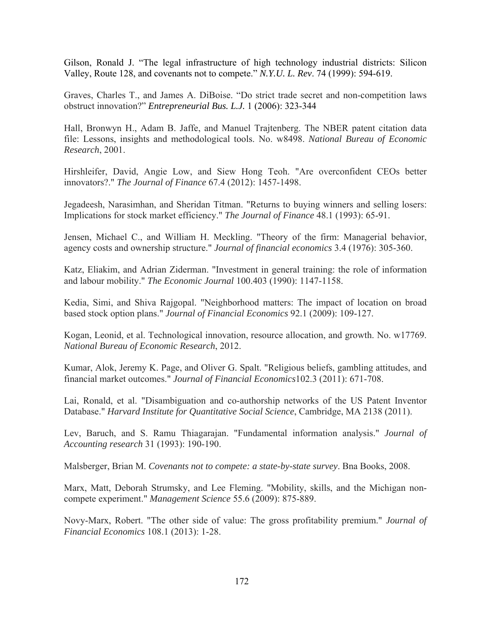Gilson, Ronald J. "The legal infrastructure of high technology industrial districts: Silicon Valley, Route 128, and covenants not to compete." *N.Y.U. L. Rev*. 74 (1999): 594-619.

Graves, Charles T., and James A. DiBoise. "Do strict trade secret and non-competition laws obstruct innovation?" *Entrepreneurial Bus. L.J.* 1 (2006): 323-344

Hall, Bronwyn H., Adam B. Jaffe, and Manuel Trajtenberg. The NBER patent citation data file: Lessons, insights and methodological tools. No. w8498. *National Bureau of Economic Research*, 2001.

Hirshleifer, David, Angie Low, and Siew Hong Teoh. "Are overconfident CEOs better innovators?." *The Journal of Finance* 67.4 (2012): 1457-1498.

Jegadeesh, Narasimhan, and Sheridan Titman. "Returns to buying winners and selling losers: Implications for stock market efficiency." *The Journal of Finance* 48.1 (1993): 65-91.

Jensen, Michael C., and William H. Meckling. "Theory of the firm: Managerial behavior, agency costs and ownership structure." *Journal of financial economics* 3.4 (1976): 305-360.

Katz, Eliakim, and Adrian Ziderman. "Investment in general training: the role of information and labour mobility." *The Economic Journal* 100.403 (1990): 1147-1158.

Kedia, Simi, and Shiva Rajgopal. "Neighborhood matters: The impact of location on broad based stock option plans." *Journal of Financial Economics* 92.1 (2009): 109-127.

Kogan, Leonid, et al. Technological innovation, resource allocation, and growth. No. w17769. *National Bureau of Economic Research*, 2012.

Kumar, Alok, Jeremy K. Page, and Oliver G. Spalt. "Religious beliefs, gambling attitudes, and financial market outcomes." *Journal of Financial Economics*102.3 (2011): 671-708.

Lai, Ronald, et al. "Disambiguation and co-authorship networks of the US Patent Inventor Database." *Harvard Institute for Quantitative Social Science*, Cambridge, MA 2138 (2011).

Lev, Baruch, and S. Ramu Thiagarajan. "Fundamental information analysis." *Journal of Accounting research* 31 (1993): 190-190.

Malsberger, Brian M. *Covenants not to compete: a state-by-state survey*. Bna Books, 2008.

Marx, Matt, Deborah Strumsky, and Lee Fleming. "Mobility, skills, and the Michigan noncompete experiment." *Management Science* 55.6 (2009): 875-889.

Novy-Marx, Robert. "The other side of value: The gross profitability premium." *Journal of Financial Economics* 108.1 (2013): 1-28.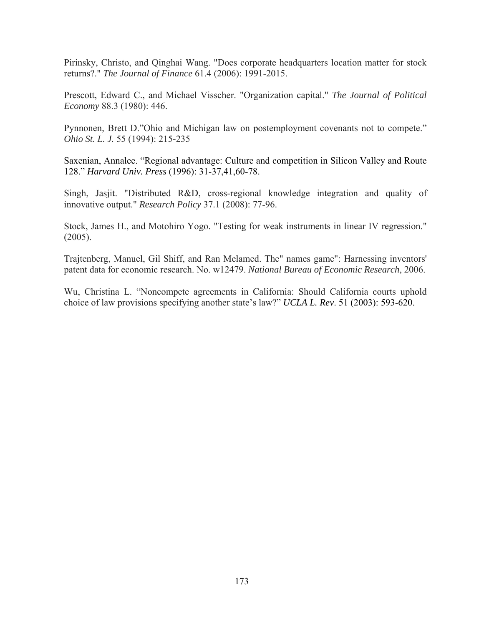Pirinsky, Christo, and Qinghai Wang. "Does corporate headquarters location matter for stock returns?." *The Journal of Finance* 61.4 (2006): 1991-2015.

Prescott, Edward C., and Michael Visscher. "Organization capital." *The Journal of Political Economy* 88.3 (1980): 446.

Pynnonen, Brett D."Ohio and Michigan law on postemployment covenants not to compete." *Ohio St. L. J.* 55 (1994): 215-235

Saxenian, Annalee. "Regional advantage: Culture and competition in Silicon Valley and Route 128." *Harvard Univ. Press* (1996): 31-37,41,60-78.

Singh, Jasjit. "Distributed R&D, cross-regional knowledge integration and quality of innovative output." *Research Policy* 37.1 (2008): 77-96.

Stock, James H., and Motohiro Yogo. "Testing for weak instruments in linear IV regression." (2005).

Trajtenberg, Manuel, Gil Shiff, and Ran Melamed. The" names game": Harnessing inventors' patent data for economic research. No. w12479. *National Bureau of Economic Research*, 2006.

Wu, Christina L. "Noncompete agreements in California: Should California courts uphold choice of law provisions specifying another state's law?" *UCLA L. Rev*. 51 (2003): 593-620.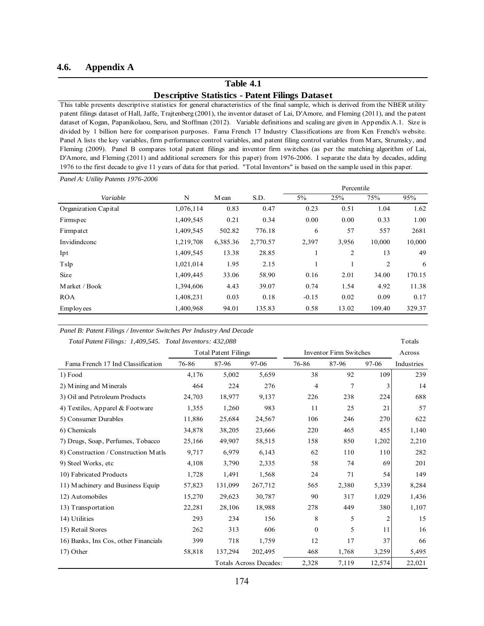#### **4.6. Appendix A**

# **Table 4.1 Descriptive Statistics - Patent Filings Dataset**

This table presents descriptive statistics for general characteristics of the final sample, which is derived from the NBER utility patent filings dataset of Hall, Jaffe, Trajtenberg (2001), the inventor dataset of Lai, D'Amore, and Fleming (2011), and the patent dataset of Kogan, Papanikolaou, Seru, and Stoffman (2012). Variable definitions and scaling are given in Appendix A.1. Size is divided by 1 billion here for comparison purposes. Fama French 17 Industry Classifications are from Ken French's website. Panel A lists the key variables, firm performance control variables, and patent filing control variables from Marx, Strumsky, and Fleming (2009). Panel B compares total patent filings and inventor firm switches (as per the matching algorithm of Lai, D'Amore, and Fleming (2011) and additional screeners for this paper) from 1976-2006. I separate the data by decades, adding 1976 to the first decade to give 11 years of data for that period. "Total Inventors" is based on the sample used in this paper.

| Panel A: Utility Patents 1976-2006 |           |          |          |              |                |        |        |
|------------------------------------|-----------|----------|----------|--------------|----------------|--------|--------|
|                                    |           |          |          |              | Percentile     |        |        |
| Variable                           | N         | M ean    | S.D.     | $5\%$        | 25%            | 75%    | 95%    |
| Organization Capital               | 1,076,114 | 0.83     | 0.47     | 0.23         | 0.51           | 1.04   | 1.62   |
| Firmspec                           | 1,409,545 | 0.21     | 0.34     | 0.00         | 0.00           | 0.33   | 1.00   |
| Firmpatct                          | 1,409,545 | 502.82   | 776.18   | 6            | 57             | 557    | 2681   |
| Invidindconc                       | 1,219,708 | 6,385.36 | 2,770.57 | 2,397        | 3.956          | 10,000 | 10,000 |
| Ipt                                | 1,409,545 | 13.38    | 28.85    |              | $\overline{c}$ | 13     | 49     |
| Tslp                               | 1,021,014 | 1.95     | 2.15     | $\mathbf{1}$ |                | 2      | 6      |
| <b>Size</b>                        | 1,409,445 | 33.06    | 58.90    | 0.16         | 2.01           | 34.00  | 170.15 |
| Market / Book                      | 1,394,606 | 4.43     | 39.07    | 0.74         | 1.54           | 4.92   | 11.38  |
| <b>ROA</b>                         | 1,408,231 | 0.03     | 0.18     | $-0.15$      | 0.02           | 0.09   | 0.17   |
| Employees                          | 1,400,968 | 94.01    | 135.83   | 0.58         | 13.02          | 109.40 | 329.37 |

#### *Panel B: Patent Filings / Inventor Switches Per Industry And Decade*

 *Total Patent Filings: 1,409,545. Total Inventors: 432,088* Totals

Across Fama French 17 Ind Classification 76-86 87-96 97-06 76-86 87-96 97-06 Industries 1) Food 3,176 5,002 5,659 38 92 109 239 2) Mining and Minerals 14 14 224 276 4 7 3 14 3) Oil and Petroleum Products 24,703 18,977 9,137 226 238 224 688 4) Textiles, Apparel & Footware 1,355 1,260 983 11 25 21 57 5) Consumer Durables 11,886 25,684 24,567 106 246 270 622 6) Chemicals 34,878 38,205 23,666 220 465 455 1,140 7) Drugs, Soap, Perfumes, Tobacco 25,166 49,907 58,515 158 850 1,202 2,210 8) Construction / Construction Matls 9,717 6,979 6,143 62 110 110 282 9) Steel Works, etc 4,108 3,790 2,335 58 74 69 201 10) Fabricated Products 1,728 1,491 1,568 24 71 54 149 11) Machinery and Business Equip 57,823 131,099 267,712 565 2,380 5,339 8,284 12) Automobiles 15,270 29,623 30,787 90 317 1,029 1,436 13) Transportation 22,281 28,106 18,988 278 449 380 1,107 14) Utilities 293 234 156 8 5 2 15 15) Retail Stores 262 313 606 0 5 11 16 16) Banks, Ins Cos, other Financials 399 718 1,759 12 17 37 66 17) Other 58,818 137,294 202,495 468 1,768 3,259 5,495 Totals Across Decades: 2,328 7,119 12,574 22,021 Total Patent Filings Inventor Firm Switches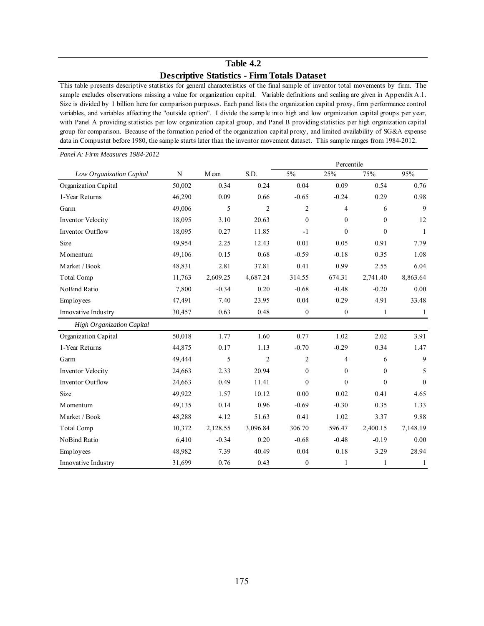# **Table 4.2 Descriptive Statistics - Firm Totals Dataset**

This table presents descriptive statistics for general characteristics of the final sample of inventor total movements by firm. The sample excludes observations missing a value for organization capital. Variable definitions and scaling are given in Appendix A.1. Size is divided by 1 billion here for comparison purposes. Each panel lists the organization capital proxy, firm performance control variables, and variables affecting the "outside option". I divide the sample into high and low organization capital groups per year, with Panel A providing statistics per low organization capital group, and Panel B providing statistics per high organization capital group for comparison. Because of the formation period of the organization capital proxy, and limited availability of SG&A expense data in Compustat before 1980, the sample starts later than the inventor movement dataset. This sample ranges from 1984-2012.

| Panel A: Firm Measures 1984-2012 |        |          |                |                  |                  |                  |              |
|----------------------------------|--------|----------|----------------|------------------|------------------|------------------|--------------|
|                                  |        |          |                |                  | Percentile       |                  |              |
| Low Organization Capital         | N      | Mean     | S.D.           | 5%               | 25%              | 75%              | 95%          |
| Organization Capital             | 50,002 | 0.34     | 0.24           | 0.04             | 0.09             | 0.54             | 0.76         |
| 1-Year Returns                   | 46,290 | 0.09     | 0.66           | $-0.65$          | $-0.24$          | 0.29             | 0.98         |
| Garm                             | 49,006 | 5        | $\overline{2}$ | $\overline{2}$   | 4                | 6                | 9            |
| <b>Inventor Velocity</b>         | 18,095 | 3.10     | 20.63          | $\boldsymbol{0}$ | $\boldsymbol{0}$ | $\mathbf{0}$     | 12           |
| <b>Inventor Outflow</b>          | 18,095 | 0.27     | 11.85          | $-1$             | $\theta$         | $\theta$         | $\mathbf{1}$ |
| Size                             | 49,954 | 2.25     | 12.43          | 0.01             | 0.05             | 0.91             | 7.79         |
| M omentum                        | 49,106 | 0.15     | 0.68           | $-0.59$          | $-0.18$          | 0.35             | 1.08         |
| Market / Book                    | 48,831 | 2.81     | 37.81          | 0.41             | 0.99             | 2.55             | 6.04         |
| Total Comp                       | 11,763 | 2,609.25 | 4,687.24       | 314.55           | 674.31           | 2,741.40         | 8,863.64     |
| NoBind Ratio                     | 7,800  | $-0.34$  | 0.20           | $-0.68$          | $-0.48$          | $-0.20$          | 0.00         |
| Employees                        | 47,491 | 7.40     | 23.95          | 0.04             | 0.29             | 4.91             | 33.48        |
| Innovative Industry              | 30,457 | 0.63     | 0.48           | $\boldsymbol{0}$ | $\boldsymbol{0}$ | 1                | 1            |
| <b>High Organization Capital</b> |        |          |                |                  |                  |                  |              |
| Organization Capital             | 50,018 | 1.77     | 1.60           | 0.77             | 1.02             | 2.02             | 3.91         |
| 1-Year Returns                   | 44,875 | 0.17     | 1.13           | $-0.70$          | $-0.29$          | 0.34             | 1.47         |
| Garm                             | 49,444 | 5        | $\overline{2}$ | $\overline{c}$   | 4                | 6                | 9            |
| <b>Inventor Velocity</b>         | 24,663 | 2.33     | 20.94          | $\boldsymbol{0}$ | $\boldsymbol{0}$ | $\boldsymbol{0}$ | 5            |
| Inventor Outflow                 | 24,663 | 0.49     | 11.41          | $\theta$         | $\theta$         | $\theta$         | $\theta$     |
| Size                             | 49,922 | 1.57     | 10.12          | 0.00             | 0.02             | 0.41             | 4.65         |
| M omentum                        | 49,135 | 0.14     | 0.96           | $-0.69$          | $-0.30$          | 0.35             | 1.33         |
| Market / Book                    | 48,288 | 4.12     | 51.63          | 0.41             | 1.02             | 3.37             | 9.88         |
| <b>Total Comp</b>                | 10,372 | 2,128.55 | 3,096.84       | 306.70           | 596.47           | 2,400.15         | 7,148.19     |
| NoBind Ratio                     | 6,410  | $-0.34$  | 0.20           | $-0.68$          | $-0.48$          | $-0.19$          | 0.00         |
| Employees                        | 48,982 | 7.39     | 40.49          | 0.04             | 0.18             | 3.29             | 28.94        |
| Innovative Industry              | 31,699 | 0.76     | 0.43           | $\boldsymbol{0}$ | $\mathbf{1}$     | 1                | 1            |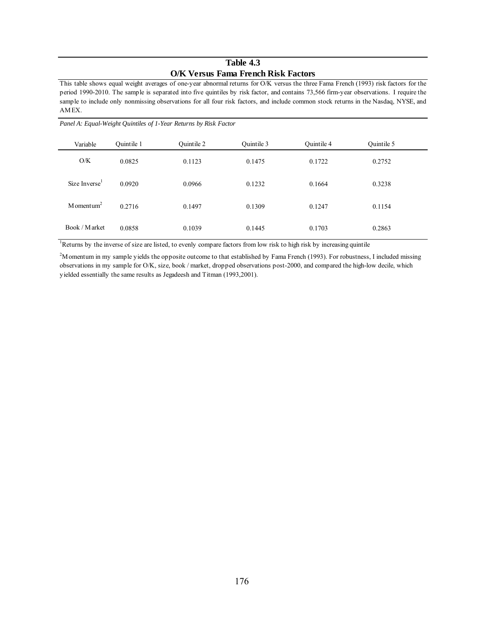### **Table 4.3 O/K Versus Fama French Risk Factors**

This table shows equal weight averages of one-year abnormal returns for O/K versus the three Fama French (1993) risk factors for the period 1990-2010. The sample is separated into five quintiles by risk factor, and contains 73,566 firm-year observations. I require the sample to include only nonmissing observations for all four risk factors, and include common stock returns in the Nasdaq, NYSE, and AMEX.

| Variable                  | Ouintile 1 | Quintile 2 | Quintile 3 | Quintile 4 | Quintile 5 |  |
|---------------------------|------------|------------|------------|------------|------------|--|
| O/K                       | 0.0825     | 0.1123     | 0.1475     | 0.1722     | 0.2752     |  |
| Size Inverse <sup>1</sup> | 0.0920     | 0.0966     | 0.1232     | 0.1664     | 0.3238     |  |
| $M$ omentum <sup>2</sup>  | 0.2716     | 0.1497     | 0.1309     | 0.1247     | 0.1154     |  |
| Book / Market             | 0.0858     | 0.1039     | 0.1445     | 0.1703     | 0.2863     |  |

*Panel A: Equal-Weight Quintiles of 1-Year Returns by Risk Factor*

<sup>1</sup>Returns by the inverse of size are listed, to evenly compare factors from low risk to high risk by increasing quintile

<sup>2</sup>M omentum in my sample yields the opposite outcome to that established by Fama French (1993). For robustness, I included missing observations in my sample for O/K, size, book / market, dropped observations post-2000, and compared the high-low decile, which yielded essentially the same results as Jegadeesh and Titman (1993,2001).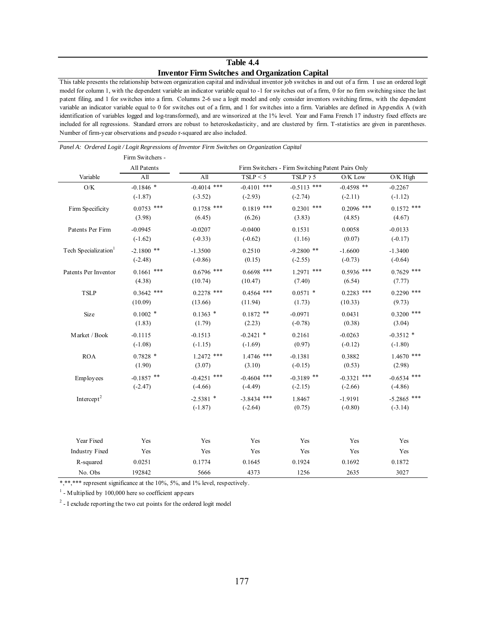# **Table 4.4 Inventor Firm Switches and Organization Capital**

This table presents the relationship between organization capital and individual inventor job switches in and out of a firm. I use an ordered logit model for column 1, with the dependent variable an indicator variable equal to -1 for switches out of a firm, 0 for no firm switching since the last patent filing, and 1 for switches into a firm. Columns 2-6 use a logit model and only consider inventors switching firms, with the dependent variable an indicator variable equal to 0 for switches out of a firm, and 1 for switches into a firm. Variables are defined in Appendix A (with identification of variables logged and log-transformed), and are winsorized at the 1% level. Year and Fama French 17 industry fixed effects are included for all regressions. Standard errors are robust to heteroskedasticity, and are clustered by firm. T-statistics are given in parentheses. Number of firm-year observations and pseudo r-squared are also included.

|                                  | Firm Switchers - |                  |               |                                                   |                  |               |
|----------------------------------|------------------|------------------|---------------|---------------------------------------------------|------------------|---------------|
|                                  | All Patents      |                  |               | Firm Switchers - Firm Switching Patent Pairs Only |                  |               |
| Variable                         | All              | All              | TSLP < 5      | TSLP ? 5                                          | O/K Low          | O/K High      |
| $\mathrm{O/K}$                   | $-0.1846$ *      | $-0.4014$ ***    | $-0.4101$ *** | $-0.5113$ ***                                     | $-0.4598$ **     | $-0.2267$     |
|                                  | $(-1.87)$        | $(-3.52)$        | $(-2.93)$     | $(-2.74)$                                         | $(-2.11)$        | $(-1.12)$     |
| Firm Specificity                 | $0.0753$ ***     | $0.1758$ ***     | $0.1819$ ***  | $0.2301$ ***                                      | $0.2096$ ***     | $0.1572$ ***  |
|                                  | (3.98)           | (6.45)           | (6.26)        | (3.83)                                            | (4.85)           | (4.67)        |
| Patents Per Firm                 | $-0.0945$        | $-0.0207$        | $-0.0400$     | 0.1531                                            | 0.0058           | $-0.0133$     |
|                                  | $(-1.62)$        | $(-0.33)$        | $(-0.62)$     | (1.16)                                            | (0.07)           | $(-0.17)$     |
| Tech Specialization <sup>1</sup> | $-2.1800$ **     | $-1.3500$        | 0.2510        | $-9.2800$ **                                      | $-1.6600$        | $-1.3400$     |
|                                  | $(-2.48)$        | $(-0.86)$        | (0.15)        | $(-2.55)$                                         | $(-0.73)$        | $(-0.64)$     |
| Patents Per Inventor             | $0.1661$ ***     | $0.6796$ ***     | $0.6698$ ***  | $1.2971$ ***                                      | $0.5936$ ***     | $0.7629$ ***  |
|                                  | (4.38)           | (10.74)          | (10.47)       | (7.40)                                            | (6.54)           | (7.77)        |
| <b>TSLP</b>                      | $0.3642$ ***     | $0.2278$ ***     | $0.4564$ ***  | $0.0571$ *                                        | $0.2283$ ***     | $0.2290$ ***  |
|                                  | (10.09)          | (13.66)          | (11.94)       | (1.73)                                            | (10.33)          | (9.73)        |
| Size                             | $0.1002$ *       | $0.1363$ *       | $0.1872$ **   | $-0.0971$                                         | 0.0431           | $0.3200$ ***  |
|                                  | (1.83)           | (1.79)           | (2.23)        | $(-0.78)$                                         | (0.38)           | (3.04)        |
| Market / Book                    | $-0.1115$        | $-0.1513$        | $-0.2421$ *   | 0.2161                                            | $-0.0263$        | $-0.3512$ *   |
|                                  | $(-1.08)$        | $(-1.15)$        | $(-1.69)$     | (0.97)                                            | $(-0.12)$        | $(-1.80)$     |
| <b>ROA</b>                       | $0.7828$ *       | $1.2472$ ***     | $1.4746$ ***  | $-0.1381$                                         | 0.3882           | $1.4670$ ***  |
|                                  | (1.90)           | (3.07)           | (3.10)        | $(-0.15)$                                         | (0.53)           | (2.98)        |
| Employees                        | $-0.1857$ **     | ***<br>$-0.4251$ | $-0.4604$ *** | $-0.3189$ **                                      | ***<br>$-0.3321$ | $-0.6534$ *** |
|                                  | $(-2.47)$        | $(-4.66)$        | $(-4.49)$     | $(-2.15)$                                         | $(-2.66)$        | $(-4.86)$     |
| Intercept <sup>2</sup>           |                  | $-2.5381$ *      | $-3.8434$ *** | 1.8467                                            | $-1.9191$        | $-5.2865$ *** |
|                                  |                  | $(-1.87)$        | $(-2.64)$     | (0.75)                                            | $(-0.80)$        | $(-3.14)$     |
|                                  |                  |                  |               |                                                   |                  |               |
|                                  |                  |                  |               |                                                   |                  |               |
| Year Fixed                       | Yes              | Yes              | Yes           | Yes                                               | Yes              | Yes           |
| <b>Industry Fixed</b>            | Yes              | Yes              | Yes           | Yes                                               | Yes              | Yes           |
| R-squared                        | 0.0251           | 0.1774           | 0.1645        | 0.1924                                            | 0.1692           | 0.1872        |
| No. Obs                          | 192842           | 5666             | 4373          | 1256                                              | 2635             | 3027          |

*Panel A: Ordered Logit / Logit Regressions of Inventor Firm Switches on Organization Capital*

\*,\*\*\*\* represent significance at the 10%, 5%, and 1% level, respectively.

 $<sup>1</sup>$  - Multiplied by 100,000 here so coefficient appears</sup>

 $2 - I$  exclude reporting the two cut points for the ordered logit model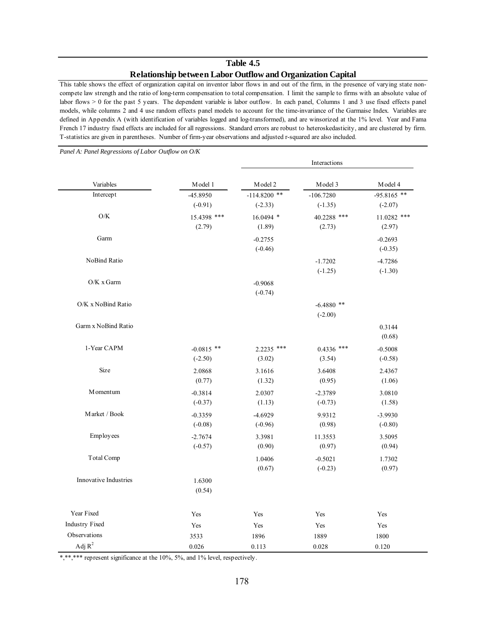### **Table 4.5 Relationship between Labor Outflow and Organization Capital**

This table shows the effect of organization capital on inventor labor flows in and out of the firm, in the presence of varying state noncompete law strength and the ratio of long-term compensation to total compensation. I limit the sample to firms with an absolute value of labor flows  $> 0$  for the past 5 years. The dependent variable is labor outflow. In each panel, Columns 1 and 3 use fixed effects panel models, while columns 2 and 4 use random effects panel models to account for the time-invariance of the Garmaise Index. Variables are defined in Appendix A (with identification of variables logged and log-transformed), and are winsorized at the 1% level. Year and Fama French 17 industry fixed effects are included for all regressions. Standard errors are robust to heteroskedasticity, and are clustered by firm. T-statistics are given in parentheses. Number of firm-year observations and adjusted r-squared are also included.

-45.8950 -114.8200 \*\* -106.7280 -95.8165 \*\*  $(-0.91)$   $(-2.33)$   $(-1.35)$   $(-2.07)$ 15.4398 \*\*\* 16.0494 \* 40.2288 \*\*\* 11.0282 \*\*\*  $(2.79)$   $(1.89)$   $(2.73)$   $(2.97)$ -0.2755 -0.2693 (-0.46) (-0.35) -1.7202 -4.7286  $(-1.25)$   $(-1.30)$ -0.9068 (-0.74)  $-6.4880$  \*\* (-2.00) 0.3144 (0.68) -0.0815 \*\* 2.2235 \*\*\* 0.4336 \*\*\* -0.5008  $(3.02)$   $(3.54)$   $(-0.58)$ 2.0868 3.1616 3.6408 2.4367  $(0.77)$   $(1.32)$   $(0.95)$   $(1.06)$ -0.3814 2.0307 -2.3789 3.0810  $(-0.37)$   $(1.13)$   $(-0.73)$   $(1.58)$ -0.3359 -4.6929 9.9312 -3.9930  $(-0.08)$   $(-0.96)$   $(0.98)$   $(-0.80)$ -2.7674 3.3981 11.3553 3.5095  $(0.90)$   $(0.97)$   $(0.94)$ 1.0406 -0.5021 1.7302  $(0.67)$   $(-0.23)$   $(0.97)$ 1.6300 (0.54) Year Fixed Yes Yes Yes Yes Industry Fixed Yes Yes Yes Yes Yes Yes Yes Observations 1800 1800 1896 1889 1800 1889 1800 Adj  $R^2$  0.026 0.113 0.028 0.120 Model 4 Intercept Interactions Garm x NoBind Ratio Variables Model 1 Model 2 Model 3 O/K Garm NoBind Ratio O/K x Garm O/K x NoBind Ratio Innovative Industries 1-Year CAPM Size Momentum Market / Book Employees Total Comp

*Panel A: Panel Regressions of Labor Outflow on O/K*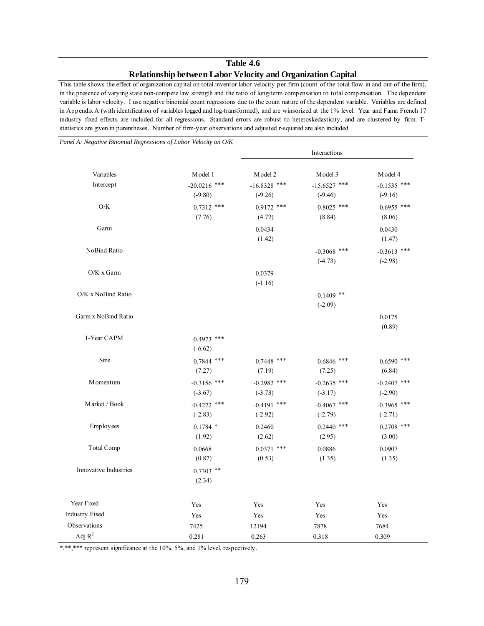# **Table 4.6 Relationship between Labor Velocity and Organization Capital**

This table shows the effect of organization capital on total inventor labor velocity per firm (count of the total flow in and out of the firm), in the presence of varying state non-compete law strength and the ratio of long-term compensation to total compensation. The dependent variable is labor velocity. I use negative binomial count regressions due to the count nature of the dependent variable. Variables are defined in Appendix A (with identification of variables logged and log-transformed), and are winsorized at the 1% level. Year and Fama French 17 industry fixed effects are included for all regressions. Standard errors are robust to heteroskedasticity, and are clustered by firm. Tstatistics are given in parentheses. Number of firm-year observations and adjusted r-squared are also included.

*Panel A: Negative Binomial Regressions of Labor Velocity on O/K*

|                       |                             |                             | Interactions                |                            |
|-----------------------|-----------------------------|-----------------------------|-----------------------------|----------------------------|
| Variables             | Model 1                     | Model 2                     | Model 3                     | Model 4                    |
| Intercept             | $-20.0216$ ***<br>$(-9.80)$ | $-16.8328$ ***<br>$(-9.26)$ | $-15.6527$ ***<br>$(-9.46)$ | $-0.1535$ ***<br>$(-9.16)$ |
| O/K                   | $0.7312$ ***<br>(7.76)      | $0.9172$ ***<br>(4.72)      | $0.8025$ ***<br>(8.84)      | $0.6955$ ***<br>(8.06)     |
| Garm                  |                             | 0.0434<br>(1.42)            |                             | 0.0430<br>(1.47)           |
| NoBind Ratio          |                             |                             | $-0.3068$ ***<br>$(-4.73)$  | $-0.3613$ ***<br>$(-2.98)$ |
| $O/K$ x Garm          |                             | 0.0379<br>$(-1.16)$         |                             |                            |
| O/K x NoBind Ratio    |                             |                             | $-0.1409$ **<br>$(-2.09)$   |                            |
| Garm x NoBind Ratio   |                             |                             |                             | 0.0175<br>(0.89)           |
| 1-Year CAPM           | $-0.4973$ ***<br>$(-6.62)$  |                             |                             |                            |
| Size                  | $0.7844$ ***<br>(7.27)      | $0.7448$ ***<br>(7.19)      | $0.6846$ ***<br>(7.25)      | $0.6590$ ***<br>(6.84)     |
| <b>M</b> omentum      | $-0.3156$ ***<br>$(-3.67)$  | $-0.2982$ ***<br>$(-3.73)$  | $-0.2635$ ***<br>$(-3.17)$  | $-0.2407$ ***<br>$(-2.90)$ |
| Market / Book         | $-0.4222$ ***<br>$(-2.83)$  | $-0.4191$ ***<br>$(-2.92)$  | $-0.4067$ ***<br>$(-2.79)$  | $-0.3965$ ***<br>$(-2.71)$ |
| Employees             | $0.1784$ *<br>(1.92)        | 0.2460<br>(2.62)            | $0.2440$ ***<br>(2.95)      | $0.2708$ ***<br>(3.00)     |
| <b>Total Comp</b>     | 0.0668<br>(0.87)            | $0.0371$ ***<br>(0.53)      | 0.0886<br>(1.35)            | 0.0907<br>(1.35)           |
| Innovative Industries | $0.7303$ **<br>(2.34)       |                             |                             |                            |
| Year Fixed            | Yes                         | Yes                         | Yes                         | Yes                        |
| <b>Industry Fixed</b> | Yes                         | Yes                         | Yes                         | Yes                        |
| Observations          | 7425                        | 12194                       | 7878                        | 7684                       |
| Adj $\mathbb{R}^2$    | 0.281                       | 0.263                       | 0.318                       | 0.309                      |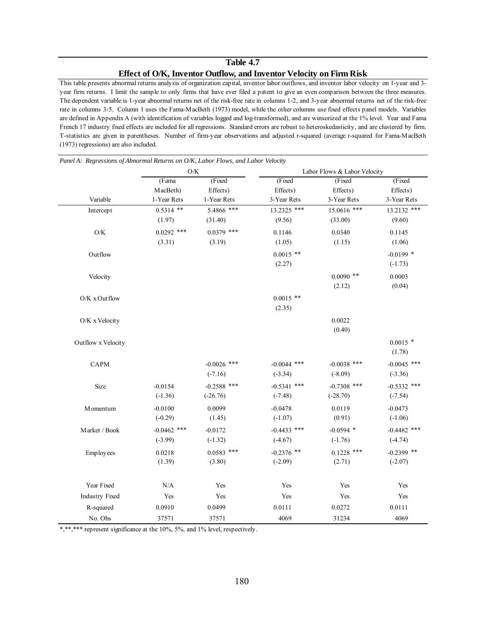# **Table 4.7 Effect of O/K, Inventor Outflow, and Inventor Velocity on Firm Risk**

This table presents abnormal returns analysis of organization capital, inventor labor outflows, and inventor labor velocity on 1-year and 3 year firm returns. I limit the sample to only firms that have ever filed a patent to give an even comparison between the three measures. The dependent variable is 1-year abnormal returns net of the risk-free rate in columns 1-2, and 3-year abnormal returns net of the risk-free rate in columns 3-5. Column 1 uses the Fama-MacBeth (1973) model, while the other columns use fixed effects panel models. Variables are defined in Appendix A (with identification of variables logged and log-transformed), and are winsorized at the 1% level. Year and Fama French 17 industry fixed effects are included for all regressions. Standard errors are robust to heteroskedasticity, and are clustered by firm. T-statistics are given in parentheses. Number of firm-year observations and adjusted r-squared (average r-squared for Fama-MacBeth (1973) regressions) are also included.

|                       | O/K           |               |               | Labor Flows & Labor Velocity |               |
|-----------------------|---------------|---------------|---------------|------------------------------|---------------|
|                       | (Fama         | (Fixed        | (Fixed        | (Fixed                       | (Fixed        |
|                       | MacBeth)      | Effects)      | Effects)      | Effects)                     | Effects)      |
| Variable              | 1-Year Rets   | 1-Year Rets   | 3-Year Rets   | 3-Year Rets                  | 3-Year Rets   |
| Intercept             | $0.5314$ **   | 5.4866 ***    | 13.2325 ***   | 15.0616 ***                  | 13.2132 ***   |
|                       | (1.97)        | (31.40)       | (9.56)        | (33.00)                      | (9.60)        |
| $\mathrm{O/K}$        | $0.0292$ ***  | $0.0379$ ***  | 0.1146        | 0.0340                       | 0.1145        |
|                       | (3.31)        | (3.19)        | (1.05)        | (1.15)                       | (1.06)        |
| Outflow               |               |               | $0.0015$ **   |                              | $-0.0199$ *   |
|                       |               |               | (2.27)        |                              | $(-1.73)$     |
| Velocity              |               |               |               | $0.0090$ **                  | 0.0003        |
|                       |               |               |               | (2.12)                       | (0.04)        |
| O/K x Outflow         |               |               | $0.0015$ **   |                              |               |
|                       |               |               | (2.35)        |                              |               |
| O/K x Velocity        |               |               |               | 0.0022                       |               |
|                       |               |               |               | (0.40)                       |               |
| Outflow x Velocity    |               |               |               |                              | $0.0015$ *    |
|                       |               |               |               |                              | (1.78)        |
| CAPM                  |               | $-0.0026$ *** | $-0.0044$ *** | $-0.0038$ ***                | $-0.0045$ *** |
|                       |               | $(-7.16)$     | $(-3.34)$     | $(-8.09)$                    | $(-3.36)$     |
| Size                  | $-0.0154$     | $-0.2588$ *** | $-0.5341$ *** | $-0.7308$ ***                | $-0.5332$ *** |
|                       | $(-1.36)$     | $(-26.76)$    | $(-7.48)$     | $(-28.70)$                   | $(-7.54)$     |
| M omentum             | $-0.0100$     | 0.0099        | $-0.0478$     | 0.0119                       | $-0.0473$     |
|                       | $(-0.29)$     | (1.45)        | $(-1.07)$     | (0.91)                       | $(-1.06)$     |
| Market / Book         | $-0.0462$ *** | $-0.0172$     | $-0.4433$ *** | $-0.0594$ *                  | $-0.4482$ *** |
|                       | $(-3.99)$     | $(-1.32)$     | $(-4.67)$     | $(-1.76)$                    | $(-4.74)$     |
| Employees             | 0.0218        | $0.0583$ ***  | $-0.2376$ **  | $0.1228$ ***                 | $-0.2399$ **  |
|                       | (1.39)        | (3.80)        | $(-2.09)$     | (2.71)                       | $(-2.07)$     |
|                       |               |               |               |                              |               |
| Year Fixed            | N/A           | Yes           | Yes           | Yes                          | Yes           |
| <b>Industry Fixed</b> | Yes           | Yes           | Yes           | Yes                          | Yes           |
| R-squared             | 0.0910        | 0.0499        | 0.0111        | 0.0272                       | 0.0111        |
| No. Obs               | 37571         | 37571         | 4069          | 31234                        | 4069          |

*Panel A: Regressions of Abnormal Returns on O/K, Labor Flows, and Labor Velocity*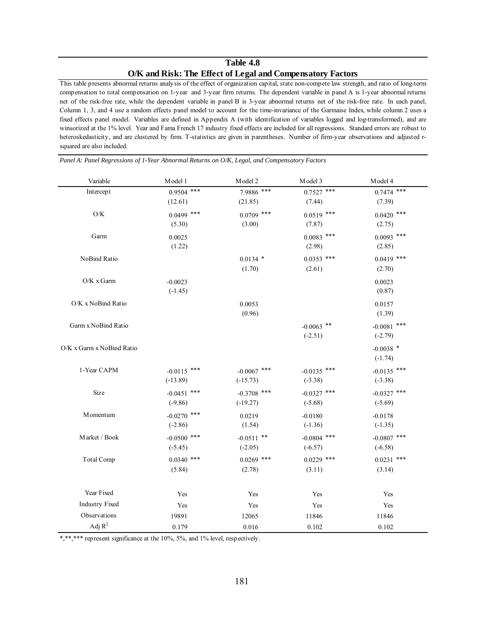# **Table 4.8 O/K and Risk: The Effect of Legal and Compensatory Factors**

This table presents abnormal returns analysis of the effect of organization capital, state non-compete law strength, and ratio of long-term compensation to total compensation on 1-year and 3-year firm returns. The dependent variable in panel A is 1-year abnormal returns net of the risk-free rate, while the dependent variable in panel B is 3-year abnormal returns net of the risk-free rate. In each panel, Column 1, 3, and 4 use a random effects panel model to account for the time-invariance of the Garmaise Index, while column 2 uses a fixed effects panel model. Variables are defined in Appendix A (with identification of variables logged and log-transformed), and are winsorized at the 1% level. Year and Fama French 17 industry fixed effects are included for all regressions. Standard errors are robust to heteroskedasticity, and are clustered by firm. T-statistics are given in parentheses. Number of firm-year observations and adjusted rsquared are also included.

| Variable                  | Model 1       | Model 2       | Model 3       | Model 4       |
|---------------------------|---------------|---------------|---------------|---------------|
| Intercept                 | $0.9504$ ***  | 7.9886 ***    | $0.7527$ ***  | $0.7474$ ***  |
|                           | (12.61)       | (21.85)       | (7.44)        | (7.39)        |
| $\mathrm{O/K}$            | $0.0499$ ***  | $0.0709$ ***  | $0.0519$ ***  | $0.0420$ ***  |
|                           | (5.30)        | (3.00)        | (7.87)        | (2.75)        |
| Garm                      | 0.0025        |               | $0.0083$ ***  | $0.0093$ ***  |
|                           | (1.22)        |               | (2.98)        | (2.85)        |
| NoBind Ratio              |               | $0.0134$ *    | $0.0353$ ***  | $0.0419$ ***  |
|                           |               | (1.70)        | (2.61)        | (2.70)        |
| O/K x Garm                | $-0.0023$     |               |               | 0.0023        |
|                           | $(-1.45)$     |               |               | (0.87)        |
| O/K x NoBind Ratio        |               | 0.0053        |               | 0.0157        |
|                           |               | (0.96)        |               | (1.39)        |
| Garm x NoBind Ratio       |               |               | $-0.0063$ **  | $-0.0081$ *** |
|                           |               |               | $(-2.51)$     | $(-2.79)$     |
| O/K x Garm x NoBind Ratio |               |               |               | $-0.0038$ *   |
|                           |               |               |               | $(-1.74)$     |
| 1-Year CAPM               | $-0.0115$ *** | $-0.0067$ *** | $-0.0135$ *** | $-0.0135$ *** |
|                           | $(-13.89)$    | $(-15.73)$    | $(-3.38)$     | $(-3.38)$     |
| Size                      | $-0.0451$ *** | $-0.3708$ *** | $-0.0327$ *** | $-0.0327$ *** |
|                           | $(-9.86)$     | $(-19.27)$    | $(-5.68)$     | $(-5.69)$     |
| M omentum                 | $-0.0270$ *** | 0.0219        | $-0.0180$     | $-0.0178$     |
|                           | $(-2.86)$     | (1.54)        | $(-1.36)$     | $(-1.35)$     |
| Market / Book             | $-0.0500$ *** | $-0.0511$ **  | $-0.0804$ *** | $-0.0807$ *** |
|                           | $(-5.45)$     | $(-2.05)$     | $(-6.57)$     | $(-6.58)$     |
| Total Comp                | $0.0340$ ***  | $0.0269$ ***  | $0.0229$ ***  | $0.0231$ ***  |
|                           | (5.84)        | (2.78)        | (3.11)        | (3.14)        |
| Year Fixed                | Yes           | Yes           | Yes           | Yes           |
| <b>Industry Fixed</b>     | Yes           | Yes           | Yes           | Yes           |
| Observations              | 19891         | 12065         | 11846         | 11846         |
| Adj $R^2$                 | 0.179         | 0.016         | 0.102         | 0.102         |

*Panel A: Panel Regressions of 1-Year Abnormal Returns on O/K, Legal, and Compensatory Factors*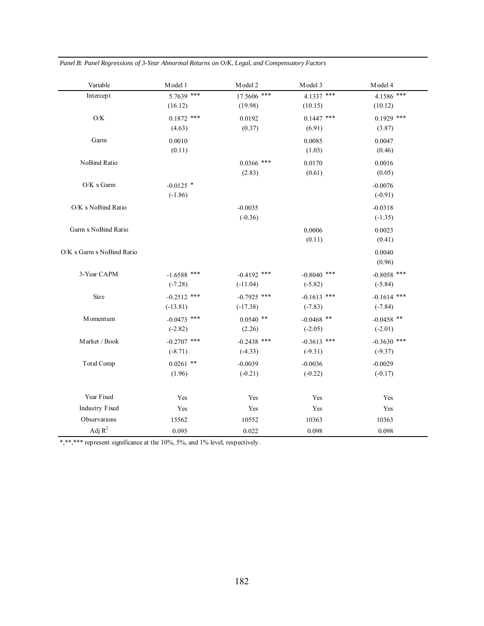*Panel B: Panel Regressions of 3-Year Abnormal Returns on O/K, Legal, and Compensatory Factors* 

| Variable                  | Model 1       | Model 2       | Model 3       | Model 4       |
|---------------------------|---------------|---------------|---------------|---------------|
| Intercept                 | 5.7639 ***    | 17.5606 ***   | 4.1337 ***    | 4.1586 ***    |
|                           | (16.12)       | (19.98)       | (10.15)       | (10.12)       |
| $\mathrm{O/K}$            | $0.1872$ ***  | 0.0192        | $0.1447$ ***  | $0.1929$ ***  |
|                           | (4.63)        | (0.37)        | (6.91)        | (3.87)        |
| Garm                      | 0.0010        |               | 0.0085        | 0.0047        |
|                           | (0.11)        |               | (1.03)        | (0.46)        |
| NoBind Ratio              |               | $0.0366$ ***  | 0.0170        | 0.0016        |
|                           |               | (2.83)        | (0.61)        | (0.05)        |
| O/K x Garm                | $-0.0125$ *   |               |               | $-0.0076$     |
|                           | $(-1.86)$     |               |               | $(-0.91)$     |
| O/K x NoBind Ratio        |               | $-0.0035$     |               | $-0.0318$     |
|                           |               | $(-0.36)$     |               | $(-1.35)$     |
| Garm x NoBind Ratio       |               |               | 0.0006        | 0.0023        |
|                           |               |               | (0.11)        | (0.41)        |
| O/K x Garm x NoBind Ratio |               |               |               | 0.0040        |
|                           |               |               |               | (0.96)        |
| 3-Year CAPM               | $-1.6588$ *** | $-0.4192$ *** | $-0.8040$ *** | $-0.8058$ *** |
|                           | $(-7.28)$     | $(-11.04)$    | $(-5.82)$     | $(-5.84)$     |
| Size                      | $-0.2512$ *** | $-0.7925$ *** | $-0.1613$ *** | $-0.1614$ *** |
|                           | $(-13.81)$    | $(-17.38)$    | $(-7.83)$     | $(-7.84)$     |
| M omentum                 | $-0.0473$ *** | $0.0540$ **   | $-0.0468$ **  | $-0.0458$ **  |
|                           | $(-2.82)$     | (2.26)        | $(-2.05)$     | $(-2.01)$     |
| Market / Book             | $-0.2707$ *** | $-0.2438$ *** | $-0.3613$ *** | $-0.3630$ *** |
|                           | $(-8.71)$     | $(-4.33)$     | $(-9.31)$     | $(-9.37)$     |
| Total Comp                | $0.0261$ **   | $-0.0039$     | $-0.0036$     | $-0.0029$     |
|                           | (1.96)        | $(-0.21)$     | $(-0.22)$     | $(-0.17)$     |
|                           |               |               |               |               |
| Year Fixed                | Yes           | Yes           | Yes           | Yes           |
| <b>Industry Fixed</b>     | Yes           | Yes           | Yes           | Yes           |
| Observations              | 15562         | 10552         | 10363         | 10363         |
| Adj $R^2$                 | 0.095         | 0.022         | 0.098         | 0.098         |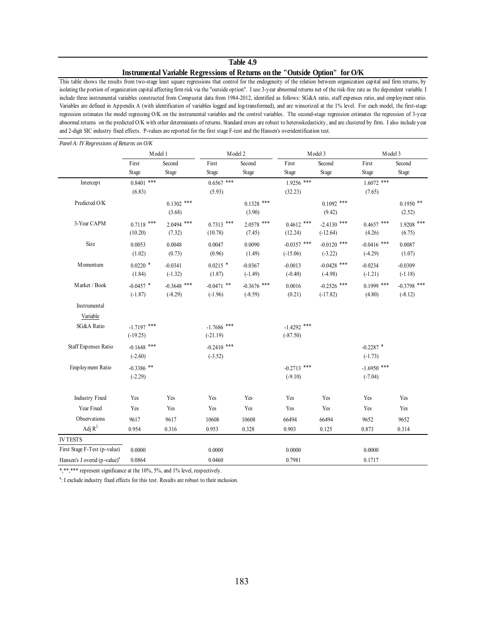#### **Table 4.9**

#### **Instrumental Variable Regressions of Returns on the "Outside Option" for O/K**

This table shows the results from two-stage least square regressions that control for the endogeneity of the relation between organization capital and firm returns, by isolating the portion of organization capital affecting firm risk via the "outside option". I use 3-year abnormal returns net of the risk-free rate as the dependent variable. I include three instrumental variables constructed from Compustat data from 1984-2012, identified as follows: SG&A ratio, staff expenses ratio, and employment ratio. Variables are defined in Appendix A (with identification of variables logged and log-transformed), and are winsorized at the 1% level. For each model, the first-stage regression estimates the model regressing O/K on the instrumental variables and the control variables. The second-stage regression estimates the regression of 3-year abnormal returns on the predicted O/K with other determinants of returns. Standard errors are robust to heteroskedasticity, and are clustered by firm. I also include year and 2-digit SIC industry fixed effects. P-values are reported for the first stage F-test and the Hansen's overidentification test.

|                                          | Model 1       |               | Model 2       |               |               | Model 3       | Model 3       |               |
|------------------------------------------|---------------|---------------|---------------|---------------|---------------|---------------|---------------|---------------|
|                                          | First         | Second        | First         | Second        | First         | Second        | First         | Second        |
|                                          | Stage         | Stage         | Stage         | Stage         | Stage         | Stage         | Stage         | Stage         |
| Intercept                                | $0.8401$ ***  |               | $0.6567$ ***  |               | $1.9256$ ***  |               | $1.6072$ ***  |               |
|                                          | (6.83)        |               | (5.93)        |               | (32.23)       |               | (7.65)        |               |
| Predicted O/K                            |               | $0.1302$ ***  |               | $0.1328$ ***  |               | $0.1092$ ***  |               | $0.1950$ **   |
|                                          |               | (3.68)        |               | (3.90)        |               | (9.42)        |               | (2.52)        |
| 3-Year CAPM                              | $0.7118$ ***  | $2.0494$ ***  | $0.7313$ ***  | $2.0578$ ***  | $0.4612$ ***  | $-2.4130$ *** | $0.4657$ ***  | $1.9208$ ***  |
|                                          | (10.20)       | (7.32)        | (10.78)       | (7.45)        | (12.24)       | $(-12.64)$    | (4.26)        | (6.75)        |
| Size                                     | 0.0053        | 0.0048        | 0.0047        | 0.0090        | $-0.0357$ *** | $-0.0120$ *** | $-0.0416$ *** | 0.0087        |
|                                          | (1.02)        | (0.73)        | (0.96)        | (1.49)        | $(-15.06)$    | $(-3.22)$     | $(-4.29)$     | (1.07)        |
| M omentum                                | $0.0220$ *    | $-0.0341$     | $0.0215$ *    | $-0.0367$     | $-0.0013$     | $-0.0428$ *** | $-0.0234$     | $-0.0309$     |
|                                          | (1.84)        | $(-1.32)$     | (1.87)        | $(-1.49)$     | $(-0.40)$     | $(-4.98)$     | $(-1.21)$     | $(-1.18)$     |
| Market / Book                            | $-0.0457$ *   | $-0.3648$ *** | $-0.0471$ **  | $-0.3676$ *** | 0.0016        | $-0.2526$ *** | $0.1999$ ***  | $-0.3798$ *** |
|                                          | $(-1.87)$     | $(-8.29)$     | $(-1.96)$     | $(-8.59)$     | (0.21)        | $(-17.82)$    | (4.80)        | $(-8.12)$     |
| Instrumental                             |               |               |               |               |               |               |               |               |
| Variable                                 |               |               |               |               |               |               |               |               |
| SG&A Ratio                               | $-1.7197$ *** |               | $-1.7686$ *** |               | $-1.4292$ *** |               |               |               |
|                                          | $(-19.25)$    |               | $(-21.19)$    |               | $(-87.50)$    |               |               |               |
| <b>Staff Expenses Ratio</b>              | $-0.1648$ *** |               | $-0.2410$ *** |               |               |               | $-0.2287$ *   |               |
|                                          | $(-2.60)$     |               | $(-3.52)$     |               |               |               | $(-1.73)$     |               |
| Employment Ratio                         | $-0.3386$ **  |               |               |               | $-0.2713$ *** |               | $-1.6950$ *** |               |
|                                          | $(-2.29)$     |               |               |               | $(-9.10)$     |               | $(-7.04)$     |               |
|                                          |               |               |               |               |               |               |               |               |
| <b>Industry Fixed</b>                    | Yes           | Yes           | Yes           | Yes           | Yes           | Yes           | Yes           | Yes           |
| Year Fixed                               | Yes           | Yes           | Yes           | Yes           | Yes           | Yes           | Yes           | Yes           |
| Observations                             | 9617          | 9617          | 10608         | 10608         | 66494         | 66494         | 9652          | 9652          |
| Adj $R^2$                                | 0.954         | 0.316         | 0.953         | 0.328         | 0.903         | 0.125         | 0.873         | 0.314         |
| <b>IVTESTS</b>                           |               |               |               |               |               |               |               |               |
| First Stage F-Test (p-value)             | 0.0000        |               | 0.0000        |               | 0.0000        |               | 0.0000        |               |
| Hansen's J overid (p-value) <sup>a</sup> | 0.0864        |               | 0.0460        |               | 0.7981        |               | 0.1717        |               |

*Panel A: IV Regressions of Returns on O/K*

\*,\*\*\*\*\* represent significance at the 10%, 5%, and 1% level, respectively.

<sup>a</sup>: I exclude industry fixed effects for this test. Results are robust to their inclusion.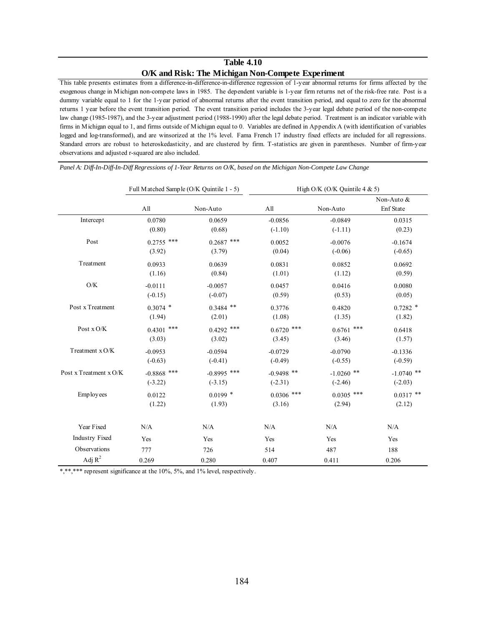### **Table 4.10 O/K and Risk: The Michigan Non-Compete Experiment**

This table presents estimates from a difference-in-difference-in-difference regression of 1-year abnormal returns for firms affected by the exogenous change in Michigan non-compete laws in 1985. The dependent variable is 1-year firm returns net of the risk-free rate. Post is a dummy variable equal to 1 for the 1-year period of abnormal returns after the event transition period, and equal to zero for the abnormal returns 1 year before the event transition period. The event transition period includes the 3-year legal debate period of the non-compete law change (1985-1987), and the 3-year adjustment period (1988-1990) after the legal debate period. Treatment is an indicator variable with firms in Michigan equal to 1, and firms outside of Michigan equal to 0. Variables are defined in Appendix A (with identification of variables logged and log-transformed), and are winsorized at the 1% level. Fama French 17 industry fixed effects are included for all regressions. Standard errors are robust to heteroskedasticity, and are clustered by firm. T-statistics are given in parentheses. Number of firm-year observations and adjusted r-squared are also included.

Non-Auto & All Non-Auto All Non-Auto Enf State Intercept 0.0780 0.0659 -0.0856 -0.0849 0.0315  $(0.80)$   $(0.68)$   $(-1.10)$   $(-1.11)$   $(0.23)$ Post 0.2755 \*\*\* 0.2687 \*\*\* 0.0052 -0.0076 -0.1674  $(3.92)$   $(3.79)$   $(0.04)$   $(-0.06)$   $(-0.65)$ Treatment 0.0933 0.0639 0.0831 0.0852 0.0692  $(1.16)$   $(0.84)$   $(1.01)$   $(1.12)$   $(0.59)$ O/K -0.0111 -0.0057 0.0457 0.0416 0.0080  $(0.15)$   $(-0.07)$   $(0.59)$   $(0.53)$   $(0.05)$ Post x Treatment  $0.3074$  \*  $0.3484$  \*\*  $0.3776$   $0.4820$   $0.7282$  \*  $(1.94)$   $(2.01)$   $(1.08)$   $(1.35)$   $(1.82)$ Post x O/K  $0.4301$  \*\*\*  $0.4292$  \*\*\*  $0.6720$  \*\*\*  $0.6761$  \*\*\*  $0.6418$  $(3.03)$   $(3.02)$   $(3.45)$   $(3.46)$   $(1.57)$ Treatment x O/K -0.0953 -0.0594 -0.0729 -0.0790 -0.1336  $(-0.63)$   $(-0.41)$   $(-0.49)$   $(-0.55)$   $(-0.59)$ Post x Treatment x O/K -0.8868 \*\*\* -0.8995 \*\*\* -0.9498 \*\* -1.0260 \*\* -1.0740 \*\*  $(-3.22)$   $(-3.15)$   $(-2.31)$   $(-2.46)$   $(-2.03)$ Employees 0.0122 0.0199 \* 0.0306 \*\*\* 0.0305 \*\*\* 0.0317 \*\*  $(1.22)$   $(1.93)$   $(3.16)$   $(2.94)$   $(2.12)$ Year Fixed  $N/A$  N/A  $N/A$  N/A  $N/A$  N/A  $N/A$  N/A Industry Fixed Yes Yes Yes Yes Yes Yes Yes Yes Observations 777 726 514 487 188 Adj  $R^2$  0.269 0.280 0.407 0.411 0.206 Full Matched Sample (O/K Quintile 1 - 5) High O/K (O/K Quintile 4 & 5)

*Panel A: Diff-In-Diff-In-Diff Regressions of 1-Year Returns on O/K, based on the Michigan Non-Compete Law Change*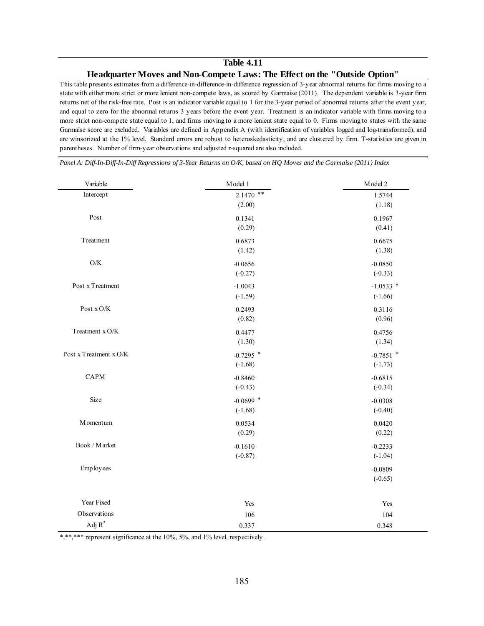# **Table 4.11 Headquarter Moves and Non-Compete Laws: The Effect on the "Outside Option"**

This table presents estimates from a difference-in-difference-in-difference regression of 3-year abnormal returns for firms moving to a state with either more strict or more lenient non-compete laws, as scored by Garmaise (2011). The dependent variable is 3-year firm returns net of the risk-free rate. Post is an indicator variable equal to 1 for the 3-year period of abnormal returns after the event year, and equal to zero for the abnormal returns 3 years before the event year. Treatment is an indicator variable with firms moving to a more strict non-compete state equal to 1, and firms moving to a more lenient state equal to 0. Firms moving to states with the same Garmaise score are excluded. Variables are defined in Appendix A (with identification of variables logged and log-transformed), and are winsorized at the 1% level. Standard errors are robust to heteroskedasticity, and are clustered by firm. T-statistics are given in parentheses. Number of firm-year observations and adjusted r-squared are also included.

| Variable               | Model 1     | Model 2     |
|------------------------|-------------|-------------|
| Intercept              | $2.1470$ ** | 1.5744      |
|                        | (2.00)      | (1.18)      |
| Post                   | 0.1341      | 0.1967      |
|                        | (0.29)      | (0.41)      |
| Treatment              | 0.6873      | 0.6675      |
|                        | (1.42)      | (1.38)      |
| $\mathrm{O/K}$         | $-0.0656$   | $-0.0850$   |
|                        | $(-0.27)$   | $(-0.33)$   |
| Post x Treatment       | $-1.0043$   | $-1.0533$ * |
|                        | $(-1.59)$   | $(-1.66)$   |
| Post $\rm x\,O/K$      | 0.2493      | 0.3116      |
|                        | (0.82)      | (0.96)      |
| Treatment x O/K        | 0.4477      | 0.4756      |
|                        | (1.30)      | (1.34)      |
| Post x Treatment x O/K | $-0.7295$ * | $-0.7851$ * |
|                        | $(-1.68)$   | $(-1.73)$   |
| <b>CAPM</b>            | $-0.8460$   | $-0.6815$   |
|                        | $(-0.43)$   | $(-0.34)$   |
| Size                   | $-0.0699$ * | $-0.0308$   |
|                        | $(-1.68)$   | $(-0.40)$   |
| M omentum              | 0.0534      | 0.0420      |
|                        | (0.29)      | (0.22)      |
| Book / Market          | $-0.1610$   | $-0.2233$   |
|                        | $(-0.87)$   | $(-1.04)$   |
| Employees              |             | $-0.0809$   |
|                        |             | $(-0.65)$   |
| Year Fixed             | Yes         | Yes         |
| Observations           | 106         | 104         |
| Adj $R^2$              | 0.337       | 0.348       |

*Panel A: Diff-In-Diff-In-Diff Regressions of 3-Year Returns on O/K, based on HQ Moves and the Garmaise (2011) Index*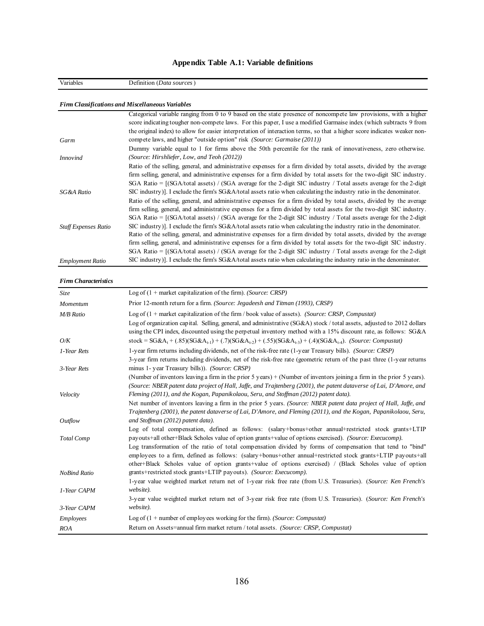| Variables                   | Definition (Data sources)                                                                                                                                            |
|-----------------------------|----------------------------------------------------------------------------------------------------------------------------------------------------------------------|
|                             |                                                                                                                                                                      |
|                             | <b>Firm Classifications and Miscellaneous Variables</b>                                                                                                              |
|                             | Categorical variable ranging from 0 to 9 based on the state presence of noncompete law provisions, with a higher                                                     |
|                             | score indicating tougher non-compete laws. For this paper, I use a modified Garmaise index (which subtracts 9 from                                                   |
|                             | the original index) to allow for easier interpretation of interaction terms, so that a higher score indicates weaker non-                                            |
| Garm                        | compete laws, and higher "outside option" risk <i>(Source: Garmaise (2011))</i>                                                                                      |
|                             | Dummy variable equal to 1 for firms above the 50th percentile for the rank of innovativeness, zero otherwise.                                                        |
| <i>Innovind</i>             | (Source: Hirshliefer, Low, and Teoh (2012))                                                                                                                          |
|                             | Ratio of the selling, general, and administrative expenses for a firm divided by total assets, divided by the average                                                |
|                             | firm selling, general, and administrative expenses for a firm divided by total assets for the two-digit SIC industry.                                                |
|                             | SGA Ratio = $[(SGA/total \text{ assets}) / (SGA \text{ average for the 2-digit SIC industry } / Total \text{ assets average for the 2-digit SIC industry } ]$        |
| SG&A Ratio                  | SIC industry)]. I exclude the firm's $S G\&A$ /total assets ratio when calculating the industry ratio in the denominator.                                            |
|                             | Ratio of the selling, general, and administrative expenses for a firm divided by total assets, divided by the average                                                |
|                             | firm selling, general, and administrative expenses for a firm divided by total assets for the two-digit SIC industry.                                                |
|                             | SGA Ratio = $[(SGA/total \text{ assets}) / (SGA \text{ average} for the 2-digit SIC \text{ industry} / Total \text{ assets average} for the 2-digit SIC \text{in} ]$ |
| <b>Staff Expenses Ratio</b> | SIC industry)]. I exclude the firm's $S G \& A / \text{total}$ assets ratio when calculating the industry ratio in the denominator.                                  |
|                             | Ratio of the selling, general, and administrative expenses for a firm divided by total assets, divided by the average                                                |
|                             | firm selling, general, and administrative expenses for a firm divided by total assets for the two-digit SIC industry.                                                |
|                             | SGA Ratio = $[(SGA/total$ assets) / (SGA average for the 2-digit SIC industry / Total assets average for the 2-digit                                                 |
| <b>Employment Ratio</b>     | SIC industry)]. I exclude the firm's SG&A/total assets ratio when calculating the industry ratio in the denominator.                                                 |

# **Appendix Table A.1: Variable definitions**

#### *Firm Characteristics*

| <i>Size</i>         | Log of $(1 +$ market capitalization of the firm). (Source: CRSP)                                                                                                                                                           |
|---------------------|----------------------------------------------------------------------------------------------------------------------------------------------------------------------------------------------------------------------------|
| Momentum            | Prior 12-month return for a firm. (Source: Jegadeesh and Titman (1993), CRSP)                                                                                                                                              |
| <b>M/B Ratio</b>    | Log of $(1 +$ market capitalization of the firm / book value of assets). (Source: CRSP, Compustat)                                                                                                                         |
|                     | Log of organization capital. Selling, general, and administrative (SG&A) stock / total assets, adjusted to 2012 dollars                                                                                                    |
|                     | using the CPI index, discounted using the perpetual inventory method with a 15% discount rate, as follows: SG&A                                                                                                            |
| O/K                 | stock = $SG&A_{t} + (.85)(SG&A_{t-1}) + (.7)(SG&A_{t-2}) + (.55)(SG&A_{t-3}) + (.4)(SG&A_{t-4})$ . (Source: Compustat)                                                                                                     |
| 1-Year Rets         | 1-year firm returns including dividends, net of the risk-free rate (1-year Treasury bills). (Source: CRSP)                                                                                                                 |
| 3-Year Rets         | 3-year firm returns including dividends, net of the risk-free rate (geometric return of the past three (1-year returns)<br>minus 1- year Treasury bills)). (Source: CRSP)                                                  |
|                     | (Number of inventors leaving a firm in the prior 5 years) $+$ (Number of inventors joining a firm in the prior 5 years).                                                                                                   |
|                     | (Source: NBER patent data project of Hall, Jaffe, and Trajtenberg (2001), the patent dataverse of Lai, D'Amore, and                                                                                                        |
| Velocity            | Fleming (2011), and the Kogan, Papanikolaou, Seru, and Stoffman (2012) patent data).                                                                                                                                       |
|                     | Net number of inventors leaving a firm in the prior 5 years. (Source: NBER patent data project of Hall, Jaffe, and                                                                                                         |
|                     | Trajtenberg (2001), the patent dataverse of Lai, D'Amore, and Fleming (2011), and the Kogan, Papanikolaou, Seru,                                                                                                           |
| Outflow             | and Stoffman (2012) patent data).                                                                                                                                                                                          |
|                     | Log of total compensation, defined as follows: (salary+bonus+other annual+restricted stock grants+LTIP<br>payouts+all other+Black Scholes value of option grants+value of options exercised). (Source: Execucomp).         |
| <b>Total Comp</b>   |                                                                                                                                                                                                                            |
|                     | Log transformation of the ratio of total compensation divided by forms of compensation that tend to "bind"<br>employees to a firm, defined as follows: (salary+bonus+other annual+restricted stock grants+LTIP payouts+all |
|                     | other+Black Scholes value of option grants+value of options exercised) / (Black Scholes value of option                                                                                                                    |
| <b>NoBind Ratio</b> | grants+restricted stock grants+LTIP payouts). (Source: Execucomp).                                                                                                                                                         |
|                     | 1-year value weighted market return net of 1-year risk free rate (from U.S. Treasuries). (Source: Ken French's                                                                                                             |
| 1-Year CAPM         | website).                                                                                                                                                                                                                  |
|                     | 3-year value weighted market return net of 3-year risk free rate (from U.S. Treasuries). (Source: Ken French's                                                                                                             |
| 3-Year CAPM         | website).                                                                                                                                                                                                                  |
| Employees           | Log of $(1 +$ number of employees working for the firm). (Source: Compustat)                                                                                                                                               |
| ROA                 | Return on Assets=annual firm market return / total assets. (Source: CRSP, Compustat)                                                                                                                                       |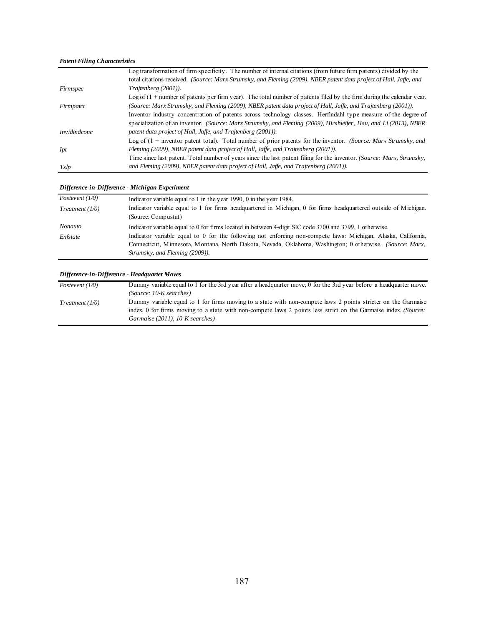#### *Patent Filing Characteristics*

|                     | Log transformation of firm specificity. The number of internal citations (from future firm patents) divided by the      |
|---------------------|-------------------------------------------------------------------------------------------------------------------------|
|                     | total citations received. (Source: Marx Strumsky, and Fleming (2009), NBER patent data project of Hall, Jaffe, and      |
| Firmspec            | Trajtenberg (2001)).                                                                                                    |
|                     | Log of $(1 +$ number of patents per firm year). The total number of patents filed by the firm during the calendar year. |
| Firmpatct           | (Source: Marx Strumsky, and Fleming (2009), NBER patent data project of Hall, Jaffe, and Trajtenberg (2001)).           |
|                     | Inventor industry concentration of patents across technology classes. Herfindahl type measure of the degree of          |
|                     | specialization of an inventor. (Source: Marx Strumsky, and Fleming (2009), Hirshleifer, Hsu, and Li (2013), NBER        |
| <i>Invidindconc</i> | patent data project of Hall, Jaffe, and Trajtenberg (2001)).                                                            |
|                     | Log of $(1 +$ inventor patent total). Total number of prior patents for the inventor. (Source: Marx Strumsky, and       |
| Ipt                 | Fleming (2009), NBER patent data project of Hall, Jaffe, and Trajtenberg (2001)).                                       |
|                     | Time since last patent. Total number of years since the last patent filing for the inventor. (Source: Marx, Strumsky,   |
| Tslp                | and Fleming (2009), NBER patent data project of Hall, Jaffe, and Trajtenberg (2001)).                                   |

#### *Difference-in-Difference - Michigan Experiment*

| Postevent $(1/0)$ | Indicator variable equal to 1 in the year 1990, 0 in the year 1984.                                                                                                                                                                                         |
|-------------------|-------------------------------------------------------------------------------------------------------------------------------------------------------------------------------------------------------------------------------------------------------------|
| Treatment (1/0)   | Indicator variable equal to 1 for firms headquartered in Michigan, 0 for firms headquartered outside of Michigan.<br>(Source: Compustat)                                                                                                                    |
| Nonauto           | Indicator variable equal to 0 for firms located in between 4-digit SIC code 3700 and 3799, 1 otherwise.                                                                                                                                                     |
| Enfstate          | Indicator variable equal to 0 for the following not enforcing non-compete laws: Michigan, Alaska, California,<br>Connecticut, Minnesota, Montana, North Dakota, Nevada, Oklahoma, Washington; 0 otherwise. (Source: Marx,<br>Strumsky, and Fleming (2009)). |

#### *Difference-in-Difference - Headquarter Moves*

| Postevent $(1/0)$ | Dummy variable equal to 1 for the 3rd year after a headquarter move, 0 for the 3rd year before a headquarter move. |
|-------------------|--------------------------------------------------------------------------------------------------------------------|
|                   | $(Source: 10-K searches)$                                                                                          |
| Treatment (1/0)   | Dummy variable equal to 1 for firms moving to a state with non-compete laws 2 points stricter on the Garmaise      |
|                   | index, 0 for firms moving to a state with non-compete laws 2 points less strict on the Garmaise index. (Source:    |
|                   | Garmaise (2011), $10$ -K searches)                                                                                 |